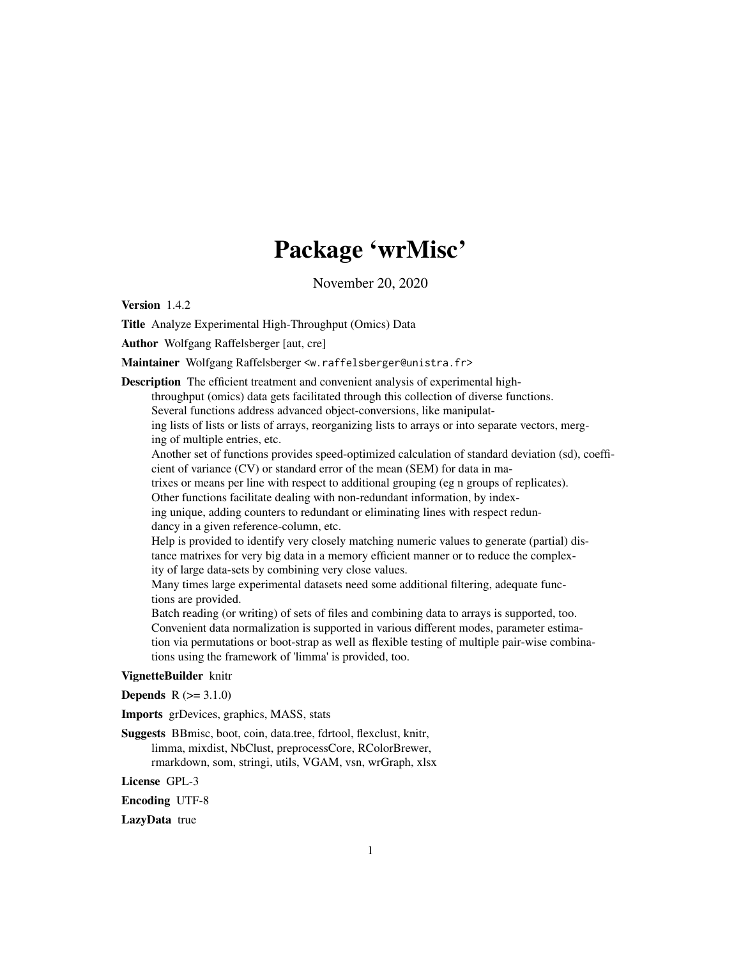# Package 'wrMisc'

November 20, 2020

<span id="page-0-0"></span>Version 1.4.2

Title Analyze Experimental High-Throughput (Omics) Data

Author Wolfgang Raffelsberger [aut, cre]

Maintainer Wolfgang Raffelsberger <w.raffelsberger@unistra.fr>

Description The efficient treatment and convenient analysis of experimental highthroughput (omics) data gets facilitated through this collection of diverse functions. Several functions address advanced object-conversions, like manipulating lists of lists or lists of arrays, reorganizing lists to arrays or into separate vectors, merging of multiple entries, etc. Another set of functions provides speed-optimized calculation of standard deviation (sd), coefficient of variance (CV) or standard error of the mean (SEM) for data in matrixes or means per line with respect to additional grouping (eg n groups of replicates). Other functions facilitate dealing with non-redundant information, by indexing unique, adding counters to redundant or eliminating lines with respect redundancy in a given reference-column, etc. Help is provided to identify very closely matching numeric values to generate (partial) distance matrixes for very big data in a memory efficient manner or to reduce the complexity of large data-sets by combining very close values. Many times large experimental datasets need some additional filtering, adequate functions are provided.

Batch reading (or writing) of sets of files and combining data to arrays is supported, too. Convenient data normalization is supported in various different modes, parameter estimation via permutations or boot-strap as well as flexible testing of multiple pair-wise combinations using the framework of 'limma' is provided, too.

#### VignetteBuilder knitr

**Depends**  $R (= 3.1.0)$ 

Imports grDevices, graphics, MASS, stats

Suggests BBmisc, boot, coin, data.tree, fdrtool, flexclust, knitr, limma, mixdist, NbClust, preprocessCore, RColorBrewer, rmarkdown, som, stringi, utils, VGAM, vsn, wrGraph, xlsx

License GPL-3

Encoding UTF-8

LazyData true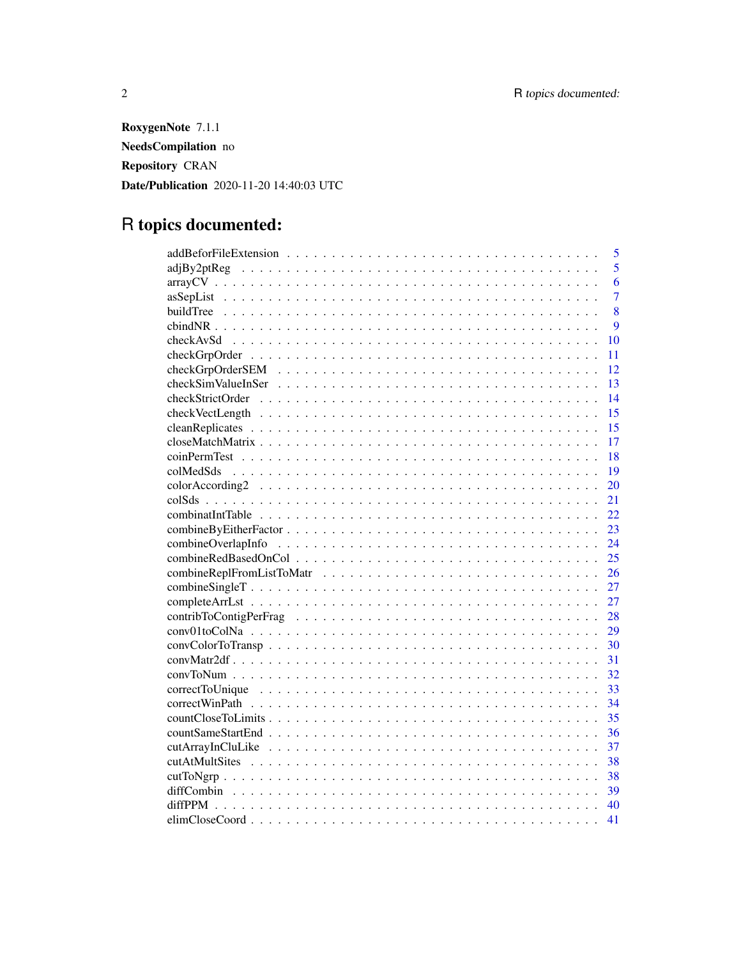RoxygenNote 7.1.1 NeedsCompilation no Repository CRAN Date/Publication 2020-11-20 14:40:03 UTC

# R topics documented:

| 5              |
|----------------|
| 5              |
| 6              |
| $\overline{7}$ |
| 8              |
| $\overline{Q}$ |
| 10             |
| 11             |
| 12             |
| 13             |
| 14             |
| 15             |
| 15             |
| 17             |
| 18             |
| 19             |
| 20             |
| 21             |
| 22             |
| 23             |
| 24             |
| 25             |
| 26             |
| 27             |
| 27             |
| 28             |
| 29             |
| 30             |
| 31             |
| 32             |
| 33             |
| 34             |
| 35             |
| 36             |
| 37             |
| 38             |
| 38             |
|                |
| 40             |
| 41             |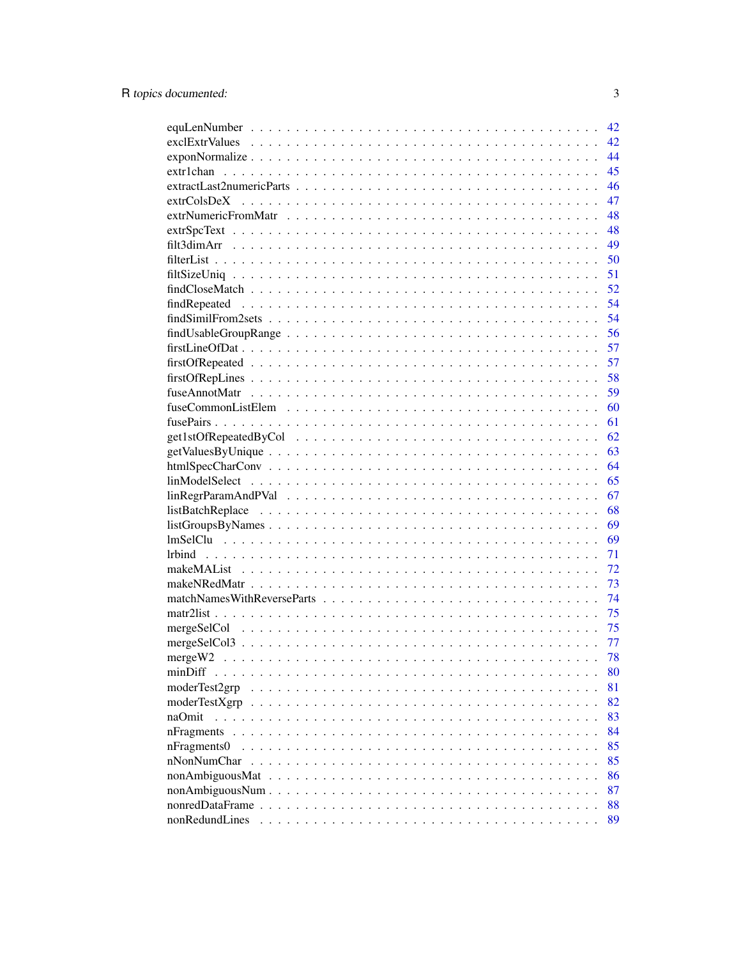|                                                                                                             | 42 |
|-------------------------------------------------------------------------------------------------------------|----|
|                                                                                                             | 42 |
| $exponNormalize \ldots \ldots \ldots \ldots \ldots \ldots \ldots \ldots \ldots \ldots \ldots \ldots \ldots$ | 44 |
|                                                                                                             | 45 |
|                                                                                                             | 46 |
| extrColsDeX                                                                                                 | 47 |
|                                                                                                             | 48 |
|                                                                                                             | 48 |
|                                                                                                             | 49 |
|                                                                                                             | 50 |
|                                                                                                             | 51 |
|                                                                                                             | 52 |
| findRepeated                                                                                                | 54 |
|                                                                                                             | 54 |
|                                                                                                             | 56 |
|                                                                                                             | 57 |
|                                                                                                             | 57 |
|                                                                                                             | 58 |
|                                                                                                             | 59 |
|                                                                                                             | 60 |
|                                                                                                             | 61 |
|                                                                                                             | 62 |
|                                                                                                             | 63 |
|                                                                                                             | 64 |
|                                                                                                             | 65 |
|                                                                                                             | 67 |
|                                                                                                             | 68 |
|                                                                                                             | 69 |
|                                                                                                             | 69 |
|                                                                                                             | 71 |
|                                                                                                             | 72 |
|                                                                                                             | 73 |
|                                                                                                             | 74 |
|                                                                                                             | 75 |
|                                                                                                             | 75 |
|                                                                                                             | 77 |
|                                                                                                             | 78 |
| minDiff                                                                                                     | 80 |
| moderTest2grp                                                                                               | 81 |
| moderTestXgrp                                                                                               | 82 |
| naOmit                                                                                                      | 83 |
| nFragments                                                                                                  | 84 |
| nFragments0                                                                                                 | 85 |
| nNonNumChar                                                                                                 | 85 |
|                                                                                                             | 86 |
|                                                                                                             | 87 |
|                                                                                                             | 88 |
| nonRedundLines                                                                                              | 89 |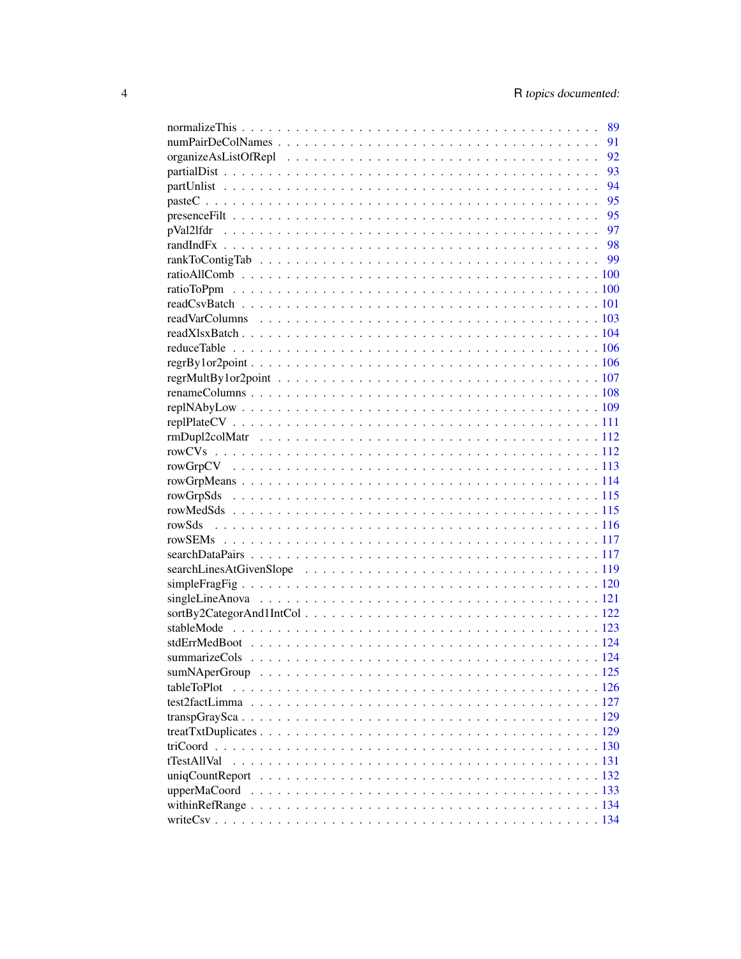|             | 91 |
|-------------|----|
|             | 92 |
|             | 93 |
|             | 94 |
|             |    |
|             |    |
|             |    |
|             |    |
|             |    |
|             |    |
|             |    |
|             |    |
|             |    |
|             |    |
|             |    |
|             |    |
|             |    |
|             |    |
|             |    |
|             |    |
|             |    |
|             |    |
|             |    |
|             |    |
|             |    |
|             |    |
|             |    |
|             |    |
|             |    |
|             |    |
|             |    |
|             |    |
|             |    |
|             |    |
|             |    |
|             |    |
|             |    |
|             |    |
| tableToPlot |    |
|             |    |
|             |    |
|             |    |
|             |    |
| tTestAllVal |    |
|             |    |
|             |    |
|             |    |
|             |    |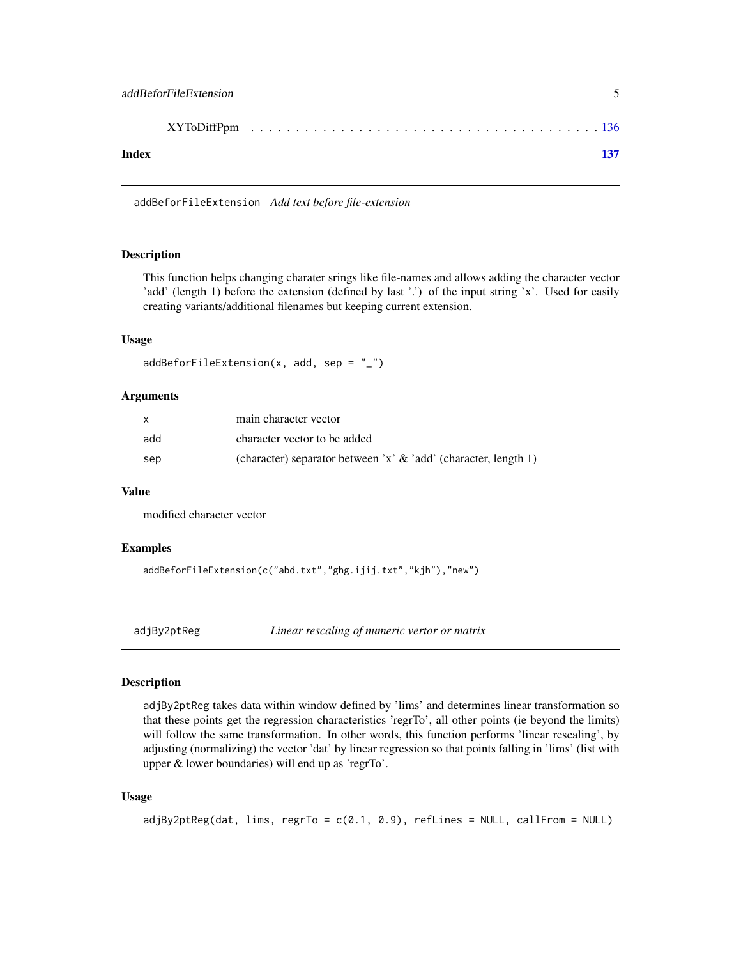<span id="page-4-0"></span>

| Index |  |  |  |  |  |  |  |  |  |
|-------|--|--|--|--|--|--|--|--|--|

addBeforFileExtension *Add text before file-extension*

#### Description

This function helps changing charater srings like file-names and allows adding the character vector 'add' (length 1) before the extension (defined by last '.') of the input string 'x'. Used for easily creating variants/additional filenames but keeping current extension.

### Usage

```
addBeforFileExtension(x, add, sep = "_")
```
#### **Arguments**

|     | main character vector                                              |
|-----|--------------------------------------------------------------------|
| add | character vector to be added                                       |
| sep | (character) separator between 'x' $\&$ 'add' (character, length 1) |

#### Value

modified character vector

### Examples

addBeforFileExtension(c("abd.txt","ghg.ijij.txt","kjh"),"new")

adjBy2ptReg *Linear rescaling of numeric vertor or matrix*

#### Description

adjBy2ptReg takes data within window defined by 'lims' and determines linear transformation so that these points get the regression characteristics 'regrTo', all other points (ie beyond the limits) will follow the same transformation. In other words, this function performs 'linear rescaling', by adjusting (normalizing) the vector 'dat' by linear regression so that points falling in 'lims' (list with upper & lower boundaries) will end up as 'regrTo'.

```
adjBy2ptReg(dat, lims, regrTo = c(0.1, 0.9), refLines = NULL, callFrom = NULL)
```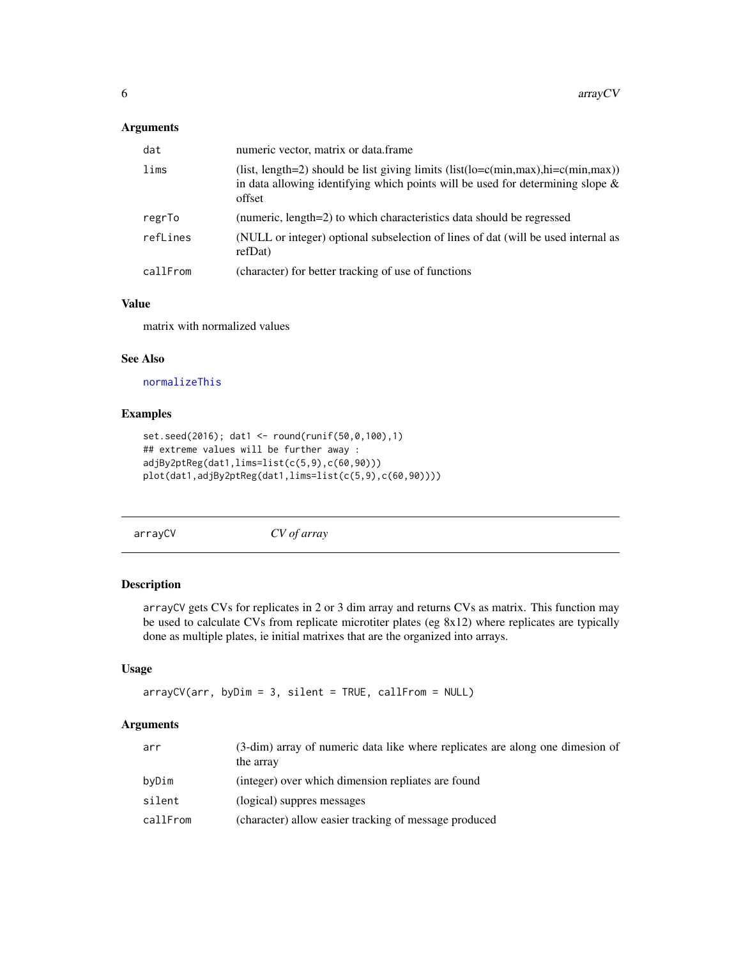### <span id="page-5-0"></span>Arguments

| dat      | numeric vector, matrix or data.frame                                                                                                                                                                                                     |
|----------|------------------------------------------------------------------------------------------------------------------------------------------------------------------------------------------------------------------------------------------|
| lims     | (list, length=2) should be list giving limits (list( $\text{lo} = c(\text{min}, \text{max})$ ), $\text{hi} = c(\text{min}, \text{max})$ )<br>in data allowing identifying which points will be used for determining slope $\&$<br>offset |
| regrTo   | (numeric, length=2) to which characteristics data should be regressed                                                                                                                                                                    |
| refLines | (NULL or integer) optional subselection of lines of dat (will be used internal as<br>refDat)                                                                                                                                             |
| callFrom | (character) for better tracking of use of functions                                                                                                                                                                                      |

### Value

matrix with normalized values

#### See Also

```
normalizeThis
```
### Examples

```
set.seed(2016); dat1 <- round(runif(50,0,100),1)
## extreme values will be further away :
adjBy2ptReg(dat1,lims=list(c(5,9),c(60,90)))
plot(dat1,adjBy2ptReg(dat1,lims=list(c(5,9),c(60,90))))
```
arrayCV *CV of array*

#### Description

arrayCV gets CVs for replicates in 2 or 3 dim array and returns CVs as matrix. This function may be used to calculate CVs from replicate microtiter plates (eg 8x12) where replicates are typically done as multiple plates, ie initial matrixes that are the organized into arrays.

### Usage

```
arrayCV(arr, byDim = 3, silent = TRUE, callFrom = NULL)
```

| arr      | (3-dim) array of numeric data like where replicates are along one dimesion of<br>the array |
|----------|--------------------------------------------------------------------------------------------|
| byDim    | (integer) over which dimension repliates are found                                         |
| silent   | (logical) suppres messages                                                                 |
| callFrom | (character) allow easier tracking of message produced                                      |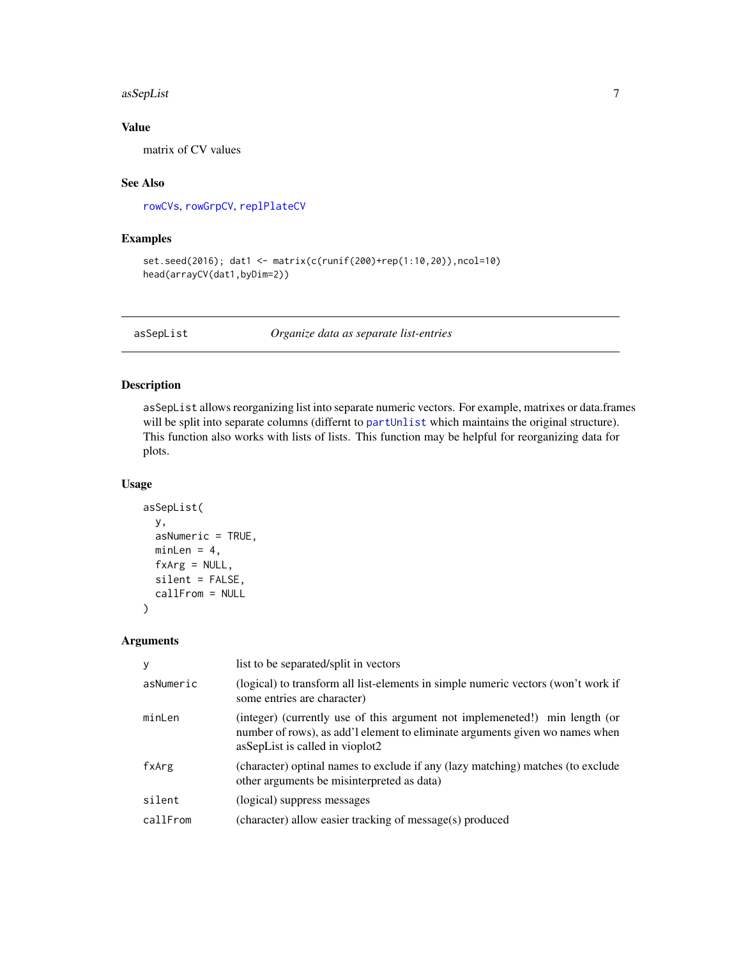#### <span id="page-6-0"></span>asSepList 7

### Value

matrix of CV values

### See Also

[rowCVs](#page-111-1), [rowGrpCV](#page-112-1), [replPlateCV](#page-110-1)

### Examples

```
set.seed(2016); dat1 <- matrix(c(runif(200)+rep(1:10,20)),ncol=10)
head(arrayCV(dat1,byDim=2))
```
asSepList *Organize data as separate list-entries*

### Description

asSepList allows reorganizing list into separate numeric vectors. For example, matrixes or data.frames will be split into separate columns (differnt to [partUnlist](#page-93-1) which maintains the original structure). This function also works with lists of lists. This function may be helpful for reorganizing data for plots.

### Usage

```
asSepList(
 y,
  asNumeric = TRUE,
 minLen = 4,
  fxArg = NULL,
  silent = FALSE,
  callFrom = NULL
)
```

| У         | list to be separated/split in vectors                                                                                                                                                          |
|-----------|------------------------------------------------------------------------------------------------------------------------------------------------------------------------------------------------|
| asNumeric | (logical) to transform all list-elements in simple numeric vectors (won't work if<br>some entries are character)                                                                               |
| minLen    | (integer) (currently use of this argument not implemeneted!) min length (or<br>number of rows), as add'l element to eliminate arguments given wo names when<br>asSepList is called in vioplot2 |
| fxArg     | (character) optinal names to exclude if any (lazy matching) matches (to exclude<br>other arguments be misinterpreted as data)                                                                  |
| silent    | (logical) suppress messages                                                                                                                                                                    |
| callFrom  | (character) allow easier tracking of message(s) produced                                                                                                                                       |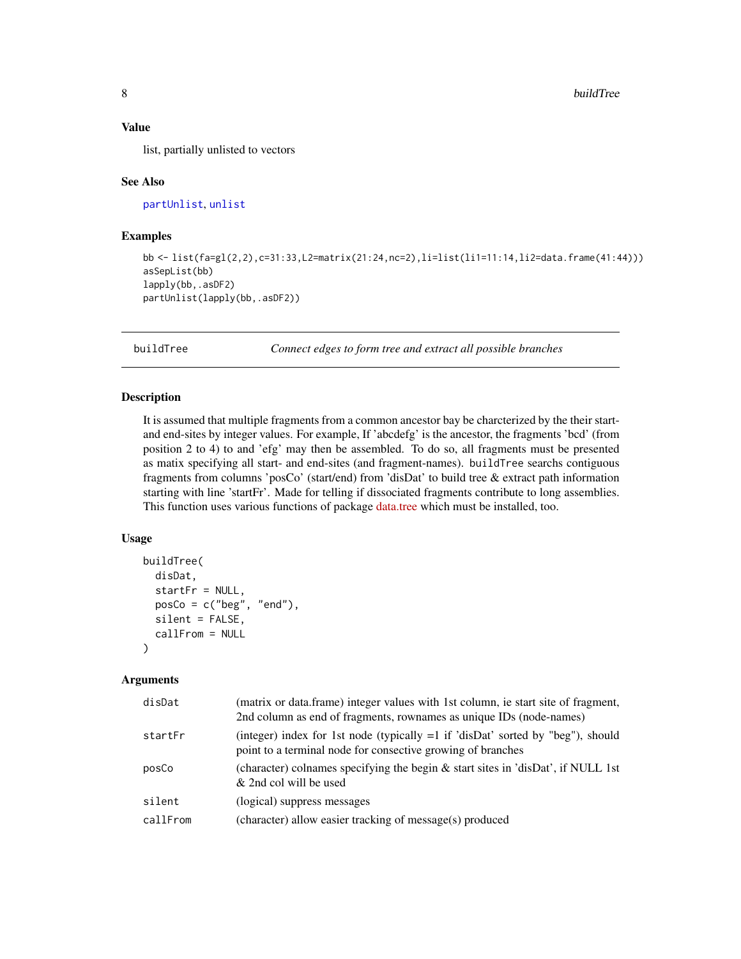<span id="page-7-0"></span>list, partially unlisted to vectors

#### See Also

[partUnlist](#page-93-1), [unlist](#page-0-0)

#### Examples

```
bb <- list(fa=gl(2,2),c=31:33,L2=matrix(21:24,nc=2),li=list(li1=11:14,li2=data.frame(41:44)))
asSepList(bb)
lapply(bb,.asDF2)
partUnlist(lapply(bb,.asDF2))
```
<span id="page-7-1"></span>buildTree *Connect edges to form tree and extract all possible branches*

#### Description

It is assumed that multiple fragments from a common ancestor bay be charcterized by the their startand end-sites by integer values. For example, If 'abcdefg' is the ancestor, the fragments 'bcd' (from position 2 to 4) to and 'efg' may then be assembled. To do so, all fragments must be presented as matix specifying all start- and end-sites (and fragment-names). buildTree searchs contiguous fragments from columns 'posCo' (start/end) from 'disDat' to build tree & extract path information starting with line 'startFr'. Made for telling if dissociated fragments contribute to long assemblies. This function uses various functions of package [data.tree](https://CRAN.R-project.org/package=data.tree) which must be installed, too.

### Usage

```
buildTree(
  disDat,
  startFr = NULL,
  posCo = c("beg", "end"),
  silent = FALSE,
  callFrom = NULL
)
```

| disDat   | (matrix or data.frame) integer values with 1st column, ie start site of fragment,<br>2nd column as end of fragments, rownames as unique IDs (node-names) |
|----------|----------------------------------------------------------------------------------------------------------------------------------------------------------|
| startFr  | (integer) index for 1st node (typically $=1$ if 'disDat' sorted by "beg"), should<br>point to a terminal node for consective growing of branches         |
| posCo    | (character) colnames specifying the begin & start sites in 'disDat', if NULL 1st<br>& 2nd col will be used                                               |
| silent   | (logical) suppress messages                                                                                                                              |
| callFrom | (character) allow easier tracking of message(s) produced                                                                                                 |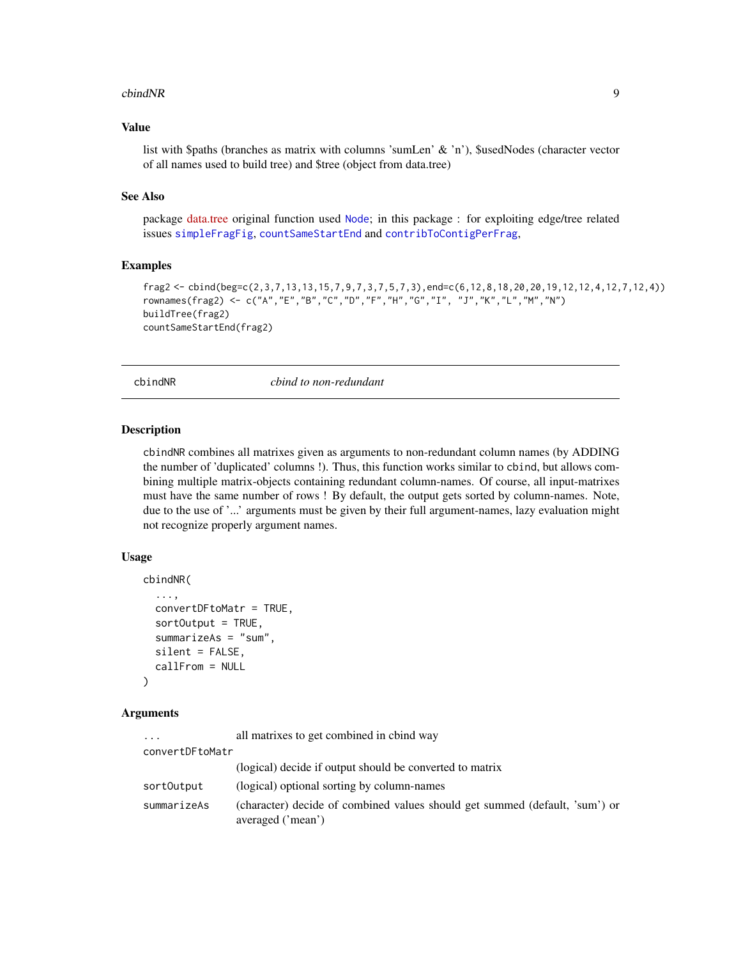#### <span id="page-8-0"></span>cbindNR 9

### Value

list with \$paths (branches as matrix with columns 'sumLen' & 'n'), \$usedNodes (character vector of all names used to build tree) and \$tree (object from data.tree)

#### See Also

package [data.tree](https://CRAN.R-project.org/package=data.tree) original function used [Node](#page-0-0); in this package : for exploiting edge/tree related issues [simpleFragFig](#page-119-1), [countSameStartEnd](#page-35-1) and [contribToContigPerFrag](#page-27-1),

### Examples

```
frag2 <- cbind(beg=c(2,3,7,13,13,15,7,9,7,3,7,5,7,3),end=c(6,12,8,18,20,20,19,12,12,4,12,7,12,4))
rownames(frag2) <- c("A","E","B","C","D","F","H","G","I", "J","K","L","M","N")
buildTree(frag2)
countSameStartEnd(frag2)
```
cbindNR *cbind to non-redundant*

#### Description

cbindNR combines all matrixes given as arguments to non-redundant column names (by ADDING the number of 'duplicated' columns !). Thus, this function works similar to cbind, but allows combining multiple matrix-objects containing redundant column-names. Of course, all input-matrixes must have the same number of rows ! By default, the output gets sorted by column-names. Note, due to the use of '...' arguments must be given by their full argument-names, lazy evaluation might not recognize properly argument names.

### Usage

```
cbindNR(
  ...,
  convertDFtoMatr = TRUE,
  sortOutput = TRUE,
  summarizeAs = "sum",
  silent = FALSE,
  callFrom = NULL
\lambda
```

| .               | all matrixes to get combined in chind way                                                        |
|-----------------|--------------------------------------------------------------------------------------------------|
| convertDFtoMatr |                                                                                                  |
|                 | (logical) decide if output should be converted to matrix                                         |
| sortOutput      | (logical) optional sorting by column-names                                                       |
| summarizeAs     | (character) decide of combined values should get summed (default, 'sum') or<br>averaged ('mean') |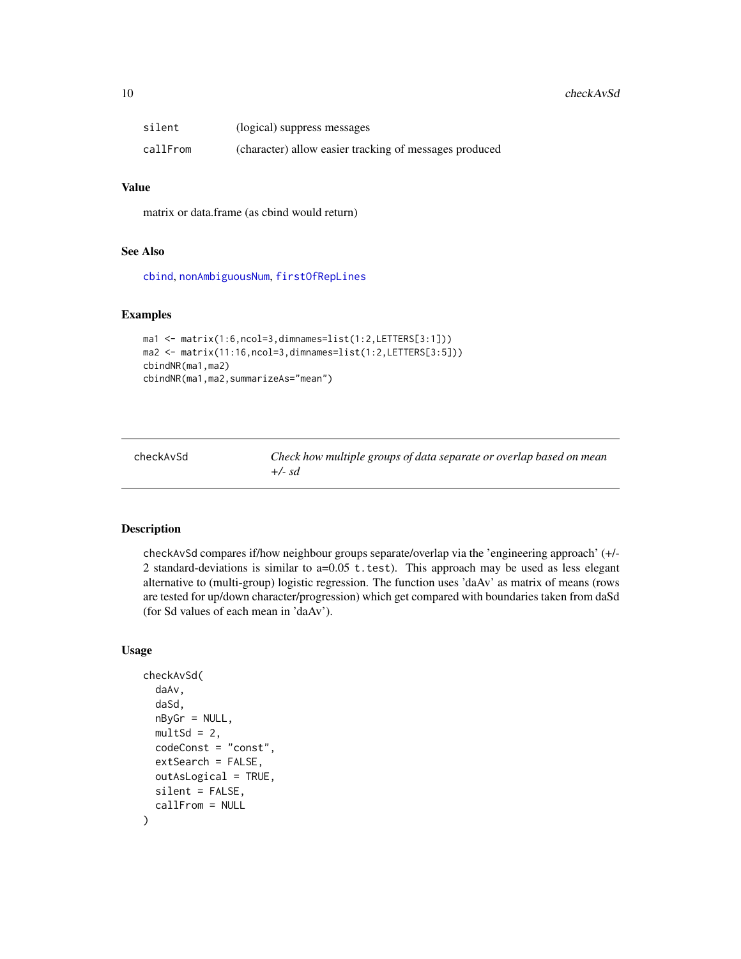<span id="page-9-0"></span>

| silent   | (logical) suppress messages                            |
|----------|--------------------------------------------------------|
| callFrom | (character) allow easier tracking of messages produced |

matrix or data.frame (as cbind would return)

#### See Also

[cbind](#page-0-0), [nonAmbiguousNum](#page-86-1), [firstOfRepLines](#page-57-1)

### Examples

```
ma1 <- matrix(1:6,ncol=3,dimnames=list(1:2,LETTERS[3:1]))
ma2 <- matrix(11:16,ncol=3,dimnames=list(1:2,LETTERS[3:5]))
cbindNR(ma1,ma2)
cbindNR(ma1,ma2,summarizeAs="mean")
```
checkAvSd *Check how multiple groups of data separate or overlap based on mean +/- sd*

### Description

checkAvSd compares if/how neighbour groups separate/overlap via the 'engineering approach' (+/- 2 standard-deviations is similar to  $a=0.05$  t.test). This approach may be used as less elegant alternative to (multi-group) logistic regression. The function uses 'daAv' as matrix of means (rows are tested for up/down character/progression) which get compared with boundaries taken from daSd (for Sd values of each mean in 'daAv').

```
checkAvSd(
  daAv,
  daSd,
  nByGr = NULL,
  multSd = 2,
  codeConst = "const",
  extSearch = FALSE,
  outAsLogical = TRUE,
  silent = FALSE,
  callFrom = NULL
)
```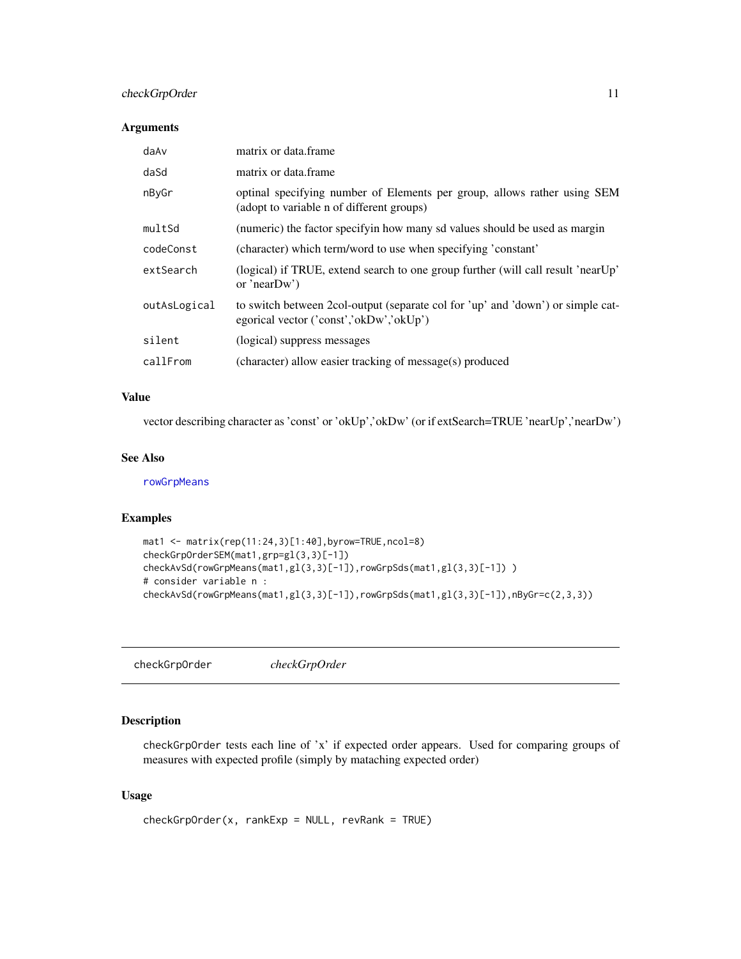### <span id="page-10-0"></span>checkGrpOrder 11

#### Arguments

| daAv         | matrix or data.frame                                                                                                       |
|--------------|----------------------------------------------------------------------------------------------------------------------------|
| daSd         | matrix or data frame                                                                                                       |
| nByGr        | optinal specifying number of Elements per group, allows rather using SEM<br>(adopt to variable n of different groups)      |
| multSd       | (numeric) the factor specifyin how many sd values should be used as margin                                                 |
| codeConst    | (character) which term/word to use when specifying 'constant'                                                              |
| extSearch    | (logical) if TRUE, extend search to one group further (will call result 'nearUp'<br>or 'near $Dw$ ')                       |
| outAsLogical | to switch between 2col-output (separate col for 'up' and 'down') or simple cat-<br>egorical vector ('const','okDw','okUp') |
| silent       | (logical) suppress messages                                                                                                |
| callFrom     | (character) allow easier tracking of message(s) produced                                                                   |

### Value

vector describing character as 'const' or 'okUp','okDw' (or if extSearch=TRUE 'nearUp','nearDw')

### See Also

[rowGrpMeans](#page-113-1)

### Examples

```
mat1 <- matrix(rep(11:24,3)[1:40],byrow=TRUE,ncol=8)
checkGrpOrderSEM(mat1,grp=gl(3,3)[-1])
checkAvSd(rowGrpMeans(mat1,gl(3,3)[-1]),rowGrpSds(mat1,gl(3,3)[-1]))
# consider variable n :
checkAvSd(rowGrpMeans(mat1,gl(3,3)[-1]),rowGrpSds(mat1,gl(3,3)[-1]),nByGr=c(2,3,3))
```
checkGrpOrder *checkGrpOrder*

### Description

checkGrpOrder tests each line of 'x' if expected order appears. Used for comparing groups of measures with expected profile (simply by mataching expected order)

```
checkGrpOrder(x, rankExp = NULL, revRank = TRUE)
```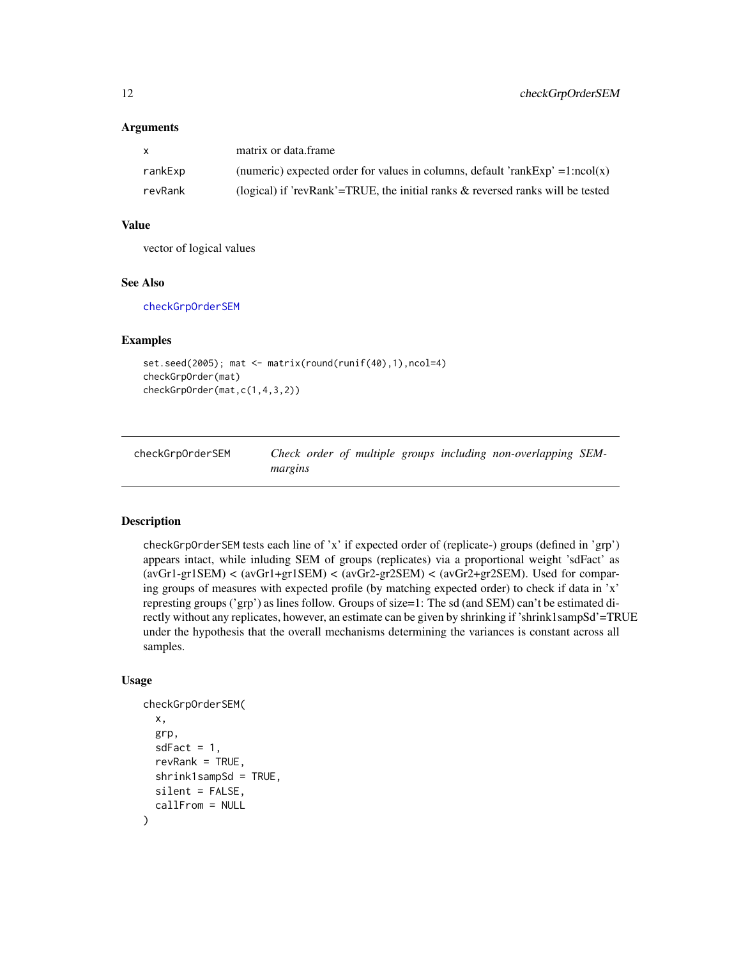#### <span id="page-11-0"></span>Arguments

| X       | matrix or data.frame                                                              |
|---------|-----------------------------------------------------------------------------------|
| rankExp | (numeric) expected order for values in columns, default 'rankExp' = $1:ncol(x)$   |
| revRank | (logical) if 'revRank'=TRUE, the initial ranks $\&$ reversed ranks will be tested |

#### Value

vector of logical values

#### See Also

[checkGrpOrderSEM](#page-11-1)

### Examples

```
set.seed(2005); mat <- matrix(round(runif(40),1),ncol=4)
checkGrpOrder(mat)
checkGrpOrder(mat,c(1,4,3,2))
```
<span id="page-11-1"></span>

| checkGrpOrderSEM |         |  |  | Check order of multiple groups including non-overlapping SEM- |  |
|------------------|---------|--|--|---------------------------------------------------------------|--|
|                  | margins |  |  |                                                               |  |

#### Description

checkGrpOrderSEM tests each line of 'x' if expected order of (replicate-) groups (defined in 'grp') appears intact, while inluding SEM of groups (replicates) via a proportional weight 'sdFact' as  $(avGr1-gr1SEM)$  <  $(avGr1+gr1SEM)$  <  $(avGr2-gr2SEM)$  <  $(avGr2+gr2SEM)$ . Used for comparing groups of measures with expected profile (by matching expected order) to check if data in 'x' represting groups ('grp') as lines follow. Groups of size=1: The sd (and SEM) can't be estimated directly without any replicates, however, an estimate can be given by shrinking if 'shrink1sampSd'=TRUE under the hypothesis that the overall mechanisms determining the variances is constant across all samples.

```
checkGrpOrderSEM(
  x,
  grp,
  sdFact = 1,
  revRank = TRUE,
  shrink1sampSd = TRUE,
  silent = FALSE,
  callFrom = NULL
)
```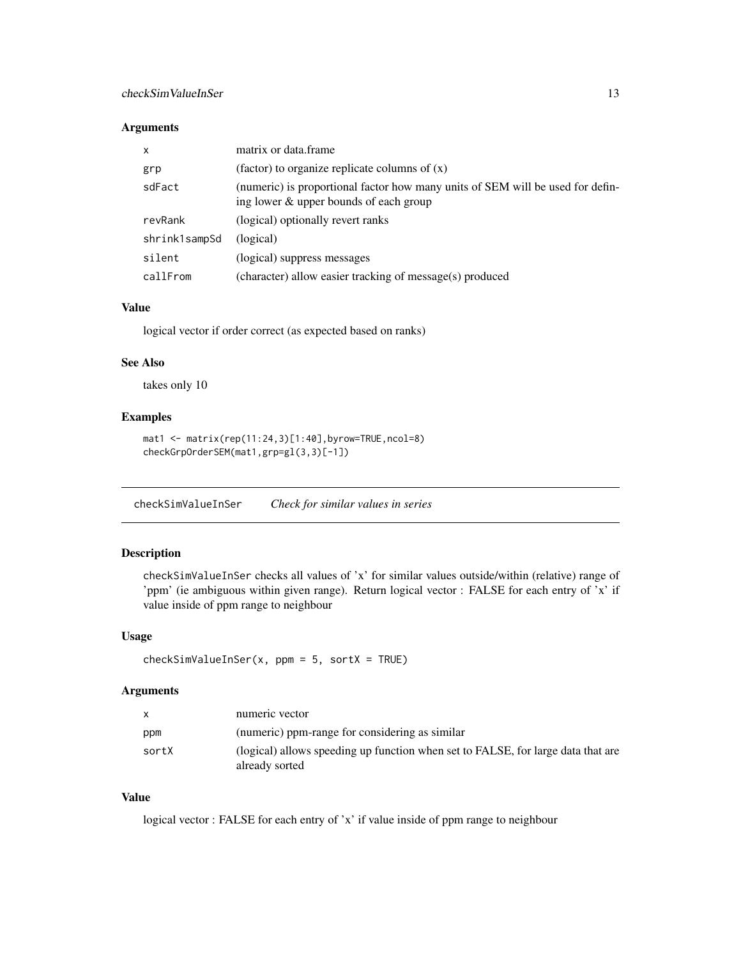### <span id="page-12-0"></span>checkSimValueInSer 13

#### Arguments

| $\mathsf{x}$  | matrix or data frame                                                                                                     |
|---------------|--------------------------------------------------------------------------------------------------------------------------|
| grp           | (factor) to organize replicate columns of $(x)$                                                                          |
| sdFact        | (numeric) is proportional factor how many units of SEM will be used for defin-<br>ing lower & upper bounds of each group |
| revRank       | (logical) optionally revert ranks                                                                                        |
| shrink1sampSd | (logical)                                                                                                                |
| silent        | (logical) suppress messages                                                                                              |
| callFrom      | (character) allow easier tracking of message(s) produced                                                                 |

### Value

logical vector if order correct (as expected based on ranks)

#### See Also

takes only 10

### Examples

```
mat1 <- matrix(rep(11:24,3)[1:40],byrow=TRUE,ncol=8)
checkGrpOrderSEM(mat1,grp=gl(3,3)[-1])
```
<span id="page-12-1"></span>checkSimValueInSer *Check for similar values in series*

### Description

checkSimValueInSer checks all values of 'x' for similar values outside/within (relative) range of 'ppm' (ie ambiguous within given range). Return logical vector : FALSE for each entry of 'x' if value inside of ppm range to neighbour

#### Usage

```
checkSimValueInSer(x, ppm = 5, sortX = TRUE)
```
#### Arguments

| $\mathsf{X}$ | numeric vector                                                                                     |
|--------------|----------------------------------------------------------------------------------------------------|
| ppm          | (numeric) ppm-range for considering as similar                                                     |
| sortX        | (logical) allows speeding up function when set to FALSE, for large data that are<br>already sorted |

### Value

logical vector : FALSE for each entry of 'x' if value inside of ppm range to neighbour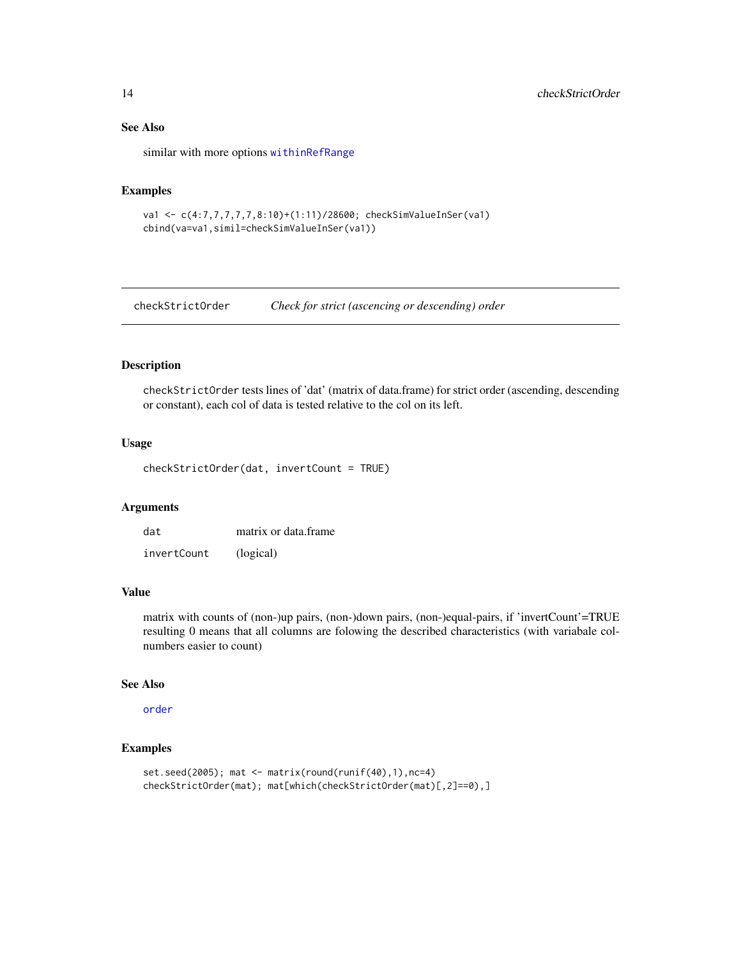### See Also

similar with more options [withinRefRange](#page-133-1)

### Examples

```
va1 <- c(4:7,7,7,7,7,8:10)+(1:11)/28600; checkSimValueInSer(va1)
cbind(va=va1,simil=checkSimValueInSer(va1))
```
checkStrictOrder *Check for strict (ascencing or descending) order*

### Description

checkStrictOrder tests lines of 'dat' (matrix of data.frame) for strict order (ascending, descending or constant), each col of data is tested relative to the col on its left.

#### Usage

checkStrictOrder(dat, invertCount = TRUE)

#### Arguments

| dat         | matrix or data frame |
|-------------|----------------------|
| invertCount | (logical)            |

### Value

matrix with counts of (non-)up pairs, (non-)down pairs, (non-)equal-pairs, if 'invertCount'=TRUE resulting 0 means that all columns are folowing the described characteristics (with variabale colnumbers easier to count)

#### See Also

[order](#page-0-0)

### Examples

```
set.seed(2005); mat <- matrix(round(runif(40),1),nc=4)
checkStrictOrder(mat); mat[which(checkStrictOrder(mat)[,2]==0),]
```
<span id="page-13-0"></span>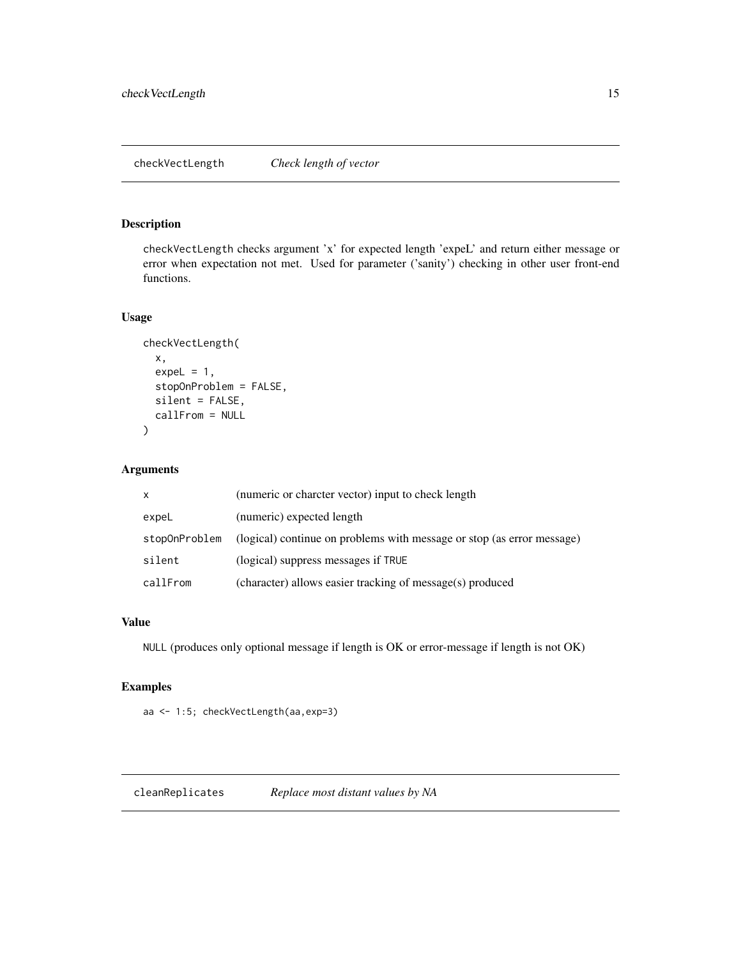### <span id="page-14-0"></span>Description

checkVectLength checks argument 'x' for expected length 'expeL' and return either message or error when expectation not met. Used for parameter ('sanity') checking in other user front-end functions.

### Usage

```
checkVectLength(
  x,
  expel = 1,
  stopOnProblem = FALSE,
  silent = FALSE,
  callFrom = NULL
)
```
### Arguments

| X             | (numeric or charcter vector) input to check length                     |
|---------------|------------------------------------------------------------------------|
| expeL         | (numeric) expected length                                              |
| stopOnProblem | (logical) continue on problems with message or stop (as error message) |
| silent        | (logical) suppress messages if TRUE                                    |
| callFrom      | (character) allows easier tracking of message(s) produced              |

### Value

NULL (produces only optional message if length is OK or error-message if length is not OK)

### Examples

aa <- 1:5; checkVectLength(aa,exp=3)

cleanReplicates *Replace most distant values by NA*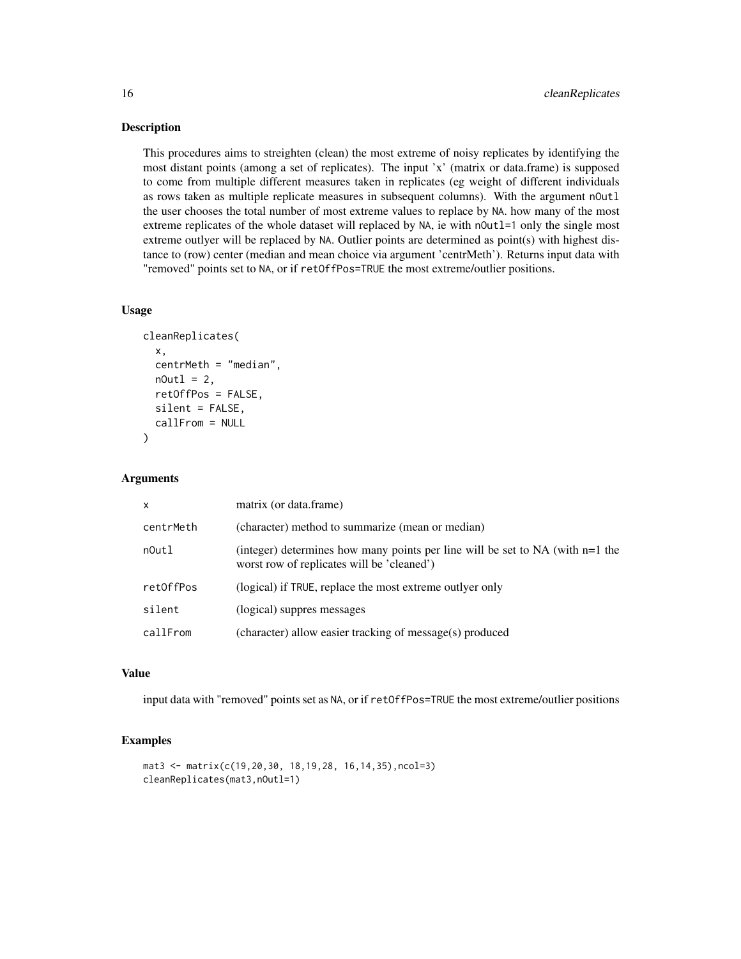#### Description

This procedures aims to streighten (clean) the most extreme of noisy replicates by identifying the most distant points (among a set of replicates). The input 'x' (matrix or data.frame) is supposed to come from multiple different measures taken in replicates (eg weight of different individuals as rows taken as multiple replicate measures in subsequent columns). With the argument nOutl the user chooses the total number of most extreme values to replace by NA. how many of the most extreme replicates of the whole dataset will replaced by NA, ie with n0utl=1 only the single most extreme outlyer will be replaced by NA. Outlier points are determined as point(s) with highest distance to (row) center (median and mean choice via argument 'centrMeth'). Returns input data with "removed" points set to NA, or if retOffPos=TRUE the most extreme/outlier positions.

#### Usage

```
cleanReplicates(
  x,
  centrMeth = "median",
 nOut1 = 2,
  retOffPos = FALSE,
  silent = FALSE,
  callFrom = NULL
)
```
#### Arguments

| $\mathsf{x}$ | matrix (or data.frame)                                                                                                          |
|--------------|---------------------------------------------------------------------------------------------------------------------------------|
| centrMeth    | (character) method to summarize (mean or median)                                                                                |
| nOutl        | (integer) determines how many points per line will be set to $NA$ (with $n=1$ the<br>worst row of replicates will be 'cleaned') |
| ret0ffPos    | (logical) if TRUE, replace the most extreme outly er only                                                                       |
| silent       | (logical) suppres messages                                                                                                      |
| callFrom     | (character) allow easier tracking of message(s) produced                                                                        |

#### Value

input data with "removed" points set as NA, or if retOffPos=TRUE the most extreme/outlier positions

#### Examples

```
mat3 <- matrix(c(19,20,30, 18,19,28, 16,14,35),ncol=3)
cleanReplicates(mat3,nOutl=1)
```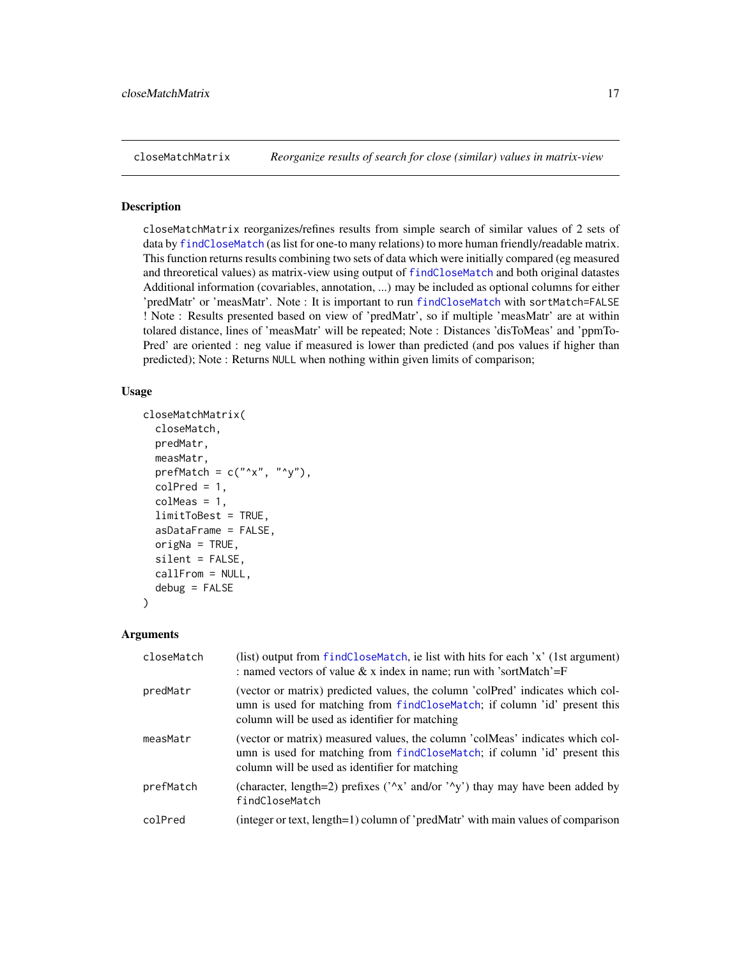<span id="page-16-0"></span>closeMatchMatrix *Reorganize results of search for close (similar) values in matrix-view*

#### Description

closeMatchMatrix reorganizes/refines results from simple search of similar values of 2 sets of data by [findCloseMatch](#page-51-1) (as list for one-to many relations) to more human friendly/readable matrix. This function returns results combining two sets of data which were initially compared (eg measured and threoretical values) as matrix-view using output of [findCloseMatch](#page-51-1) and both original datastes Additional information (covariables, annotation, ...) may be included as optional columns for either 'predMatr' or 'measMatr'. Note : It is important to run [findCloseMatch](#page-51-1) with sortMatch=FALSE ! Note : Results presented based on view of 'predMatr', so if multiple 'measMatr' are at within tolared distance, lines of 'measMatr' will be repeated; Note : Distances 'disToMeas' and 'ppmTo-Pred' are oriented : neg value if measured is lower than predicted (and pos values if higher than predicted); Note : Returns NULL when nothing within given limits of comparison;

#### Usage

```
closeMatchMatrix(
  closeMatch,
  predMatr,
 measMatr,
 prefMatch = c("^x x", "^y",colPred = 1,
  colMeas = 1,
  limitToBest = TRUE,
  asDataFrame = FALSE,
  origNa = TRUE,silent = FALSE,
  callFrom = NULL,
  debug = FALSE)
```

| closeMatch | (list) output from findCloseMatch, ie list with hits for each 'x' (1st argument)<br>: named vectors of value & x index in name; run with 'sortMatch'= $F$                                                     |
|------------|---------------------------------------------------------------------------------------------------------------------------------------------------------------------------------------------------------------|
| predMatr   | (vector or matrix) predicted values, the column 'colPred' indicates which col-<br>umn is used for matching from findCloseMatch; if column 'id' present this<br>column will be used as identifier for matching |
| measMatr   | (vector or matrix) measured values, the column 'colMeas' indicates which col-<br>umn is used for matching from findCloseMatch; if column 'id' present this<br>column will be used as identifier for matching  |
| prefMatch  | (character, length=2) prefixes ( $\lambda x'$ and/or $\lambda y'$ ) thay may have been added by<br>findCloseMatch                                                                                             |
| colPred    | (integer or text, length=1) column of 'predMatr' with main values of comparison                                                                                                                               |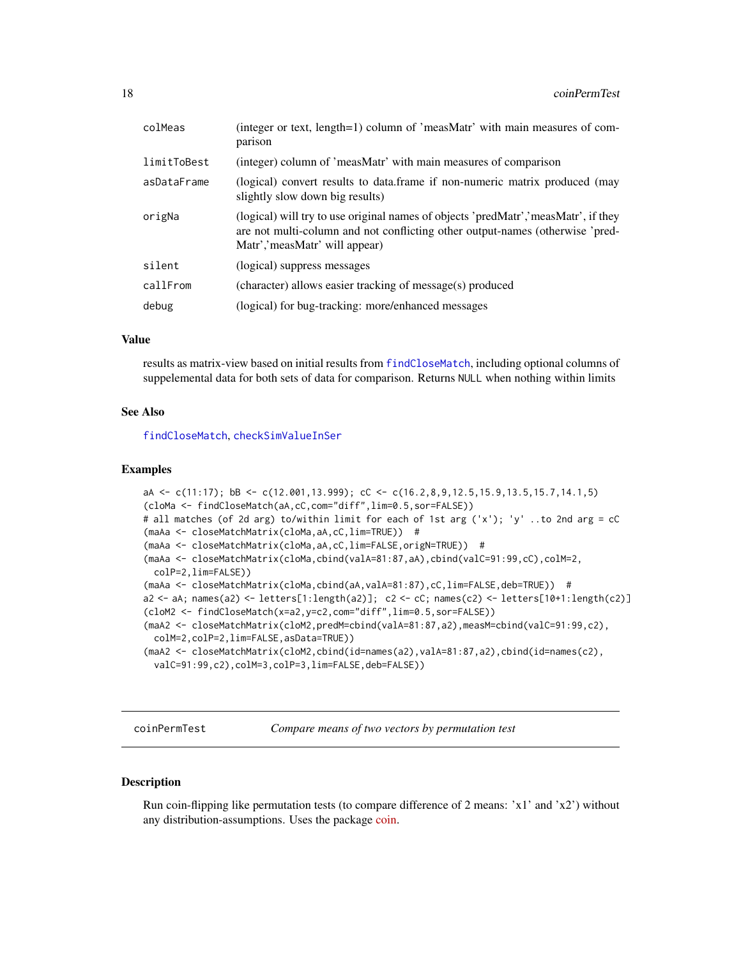<span id="page-17-0"></span>

| colMeas     | (integer or text, length=1) column of 'measMatr' with main measures of com-<br>parison                                                                                                                |
|-------------|-------------------------------------------------------------------------------------------------------------------------------------------------------------------------------------------------------|
| limitToBest | (integer) column of 'measMatr' with main measures of comparison                                                                                                                                       |
| asDataFrame | (logical) convert results to data.frame if non-numeric matrix produced (may<br>slightly slow down big results)                                                                                        |
| origNa      | (logical) will try to use original names of objects 'predMatr', 'measMatr', if they<br>are not multi-column and not conflicting other output-names (otherwise 'pred-<br>Matr','measMatr' will appear) |
| silent      | (logical) suppress messages                                                                                                                                                                           |
| callFrom    | (character) allows easier tracking of message(s) produced                                                                                                                                             |
| debug       | (logical) for bug-tracking: more/enhanced messages                                                                                                                                                    |

results as matrix-view based on initial results from [findCloseMatch](#page-51-1), including optional columns of suppelemental data for both sets of data for comparison. Returns NULL when nothing within limits

#### See Also

[findCloseMatch](#page-51-1), [checkSimValueInSer](#page-12-1)

#### Examples

```
aA <- c(11:17); bB <- c(12.001,13.999); cC <- c(16.2,8,9,12.5,15.9,13.5,15.7,14.1,5)
(cloMa <- findCloseMatch(aA,cC,com="diff",lim=0.5,sor=FALSE))
# all matches (of 2d arg) to/within limit for each of 1st arg ('x'); 'y' ..to 2nd arg = cC
(maAa <- closeMatchMatrix(cloMa,aA,cC,lim=TRUE)) #
(maAa <- closeMatchMatrix(cloMa,aA,cC,lim=FALSE,origN=TRUE)) #
(maAa <- closeMatchMatrix(cloMa,cbind(valA=81:87,aA),cbind(valC=91:99,cC),colM=2,
 colP=2,lim=FALSE))
(maAa <- closeMatchMatrix(cloMa,cbind(aA,valA=81:87),cC,lim=FALSE,deb=TRUE)) #
a2 <- aA; names(a2) <- letters[1:length(a2)]; c2 <- cC; names(c2) <- letters[10+1:length(c2)]
(cloM2 <- findCloseMatch(x=a2,y=c2,com="diff",lim=0.5,sor=FALSE))
(maA2 <- closeMatchMatrix(cloM2,predM=cbind(valA=81:87,a2),measM=cbind(valC=91:99,c2),
 colM=2,colP=2,lim=FALSE,asData=TRUE))
(maA2 <- closeMatchMatrix(cloM2,cbind(id=names(a2),valA=81:87,a2),cbind(id=names(c2),
 valC=91:99,c2),colM=3,colP=3,lim=FALSE,deb=FALSE))
```
coinPermTest *Compare means of two vectors by permutation test*

### Description

Run coin-flipping like permutation tests (to compare difference of 2 means:  $x1'$  and  $x2'$ ) without any distribution-assumptions. Uses the package [coin.](https://CRAN.R-project.org/package=coin)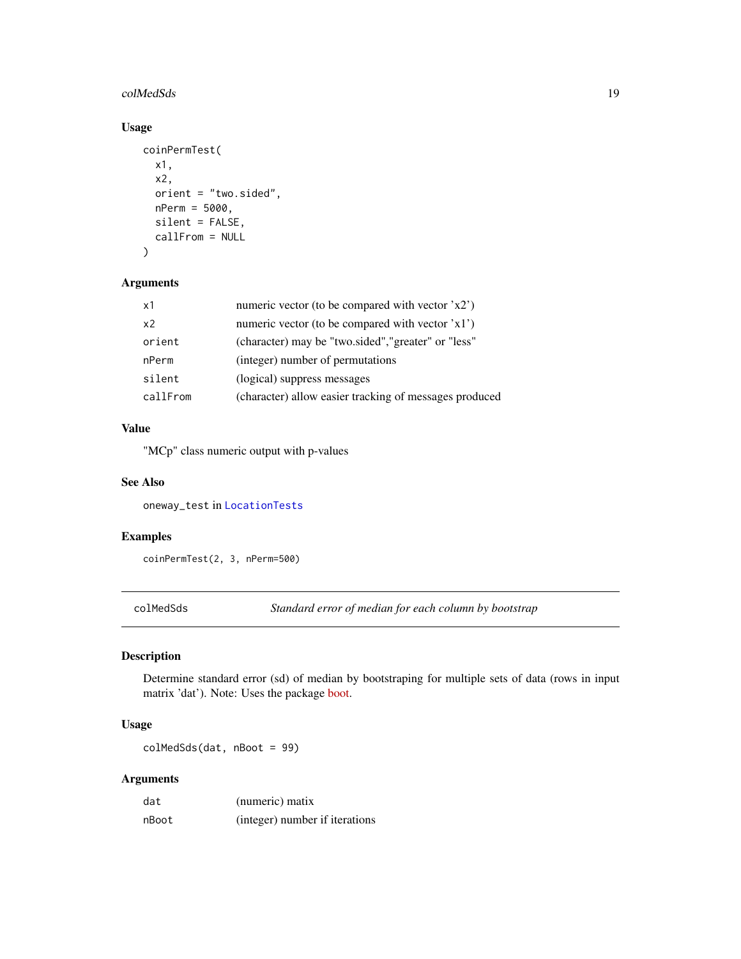#### <span id="page-18-0"></span>colMedSds 19

### Usage

```
coinPermTest(
  x1,
  x2,
 orient = "two.sided",
 nPerm = 5000,
 silent = FALSE,
  callFrom = NULL
)
```
### Arguments

| x1             | numeric vector (to be compared with vector 'x2')       |
|----------------|--------------------------------------------------------|
| x <sub>2</sub> | numeric vector (to be compared with vector 'x1')       |
| orient         | (character) may be "two.sided", "greater" or "less"    |
| nPerm          | (integer) number of permutations                       |
| silent         | (logical) suppress messages                            |
| callFrom       | (character) allow easier tracking of messages produced |
|                |                                                        |

### Value

"MCp" class numeric output with p-values

### See Also

oneway\_test in [LocationTests](#page-0-0)

#### Examples

coinPermTest(2, 3, nPerm=500)

colMedSds *Standard error of median for each column by bootstrap*

### Description

Determine standard error (sd) of median by bootstraping for multiple sets of data (rows in input matrix 'dat'). Note: Uses the package [boot.](https://CRAN.R-project.org/package=boot)

### Usage

colMedSds(dat, nBoot = 99)

| dat   | (numeric) matix                |
|-------|--------------------------------|
| nBoot | (integer) number if iterations |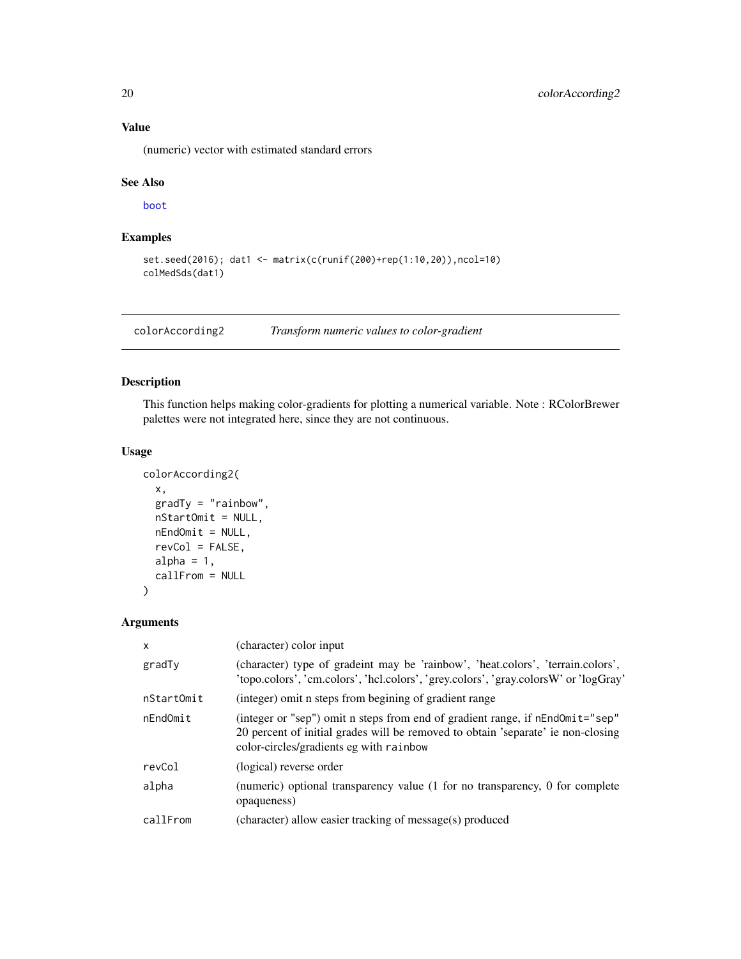(numeric) vector with estimated standard errors

#### See Also

[boot](#page-0-0)

### Examples

```
set.seed(2016); dat1 <- matrix(c(runif(200)+rep(1:10,20)),ncol=10)
colMedSds(dat1)
```
colorAccording2 *Transform numeric values to color-gradient*

### Description

This function helps making color-gradients for plotting a numerical variable. Note : RColorBrewer palettes were not integrated here, since they are not continuous.

### Usage

```
colorAccording2(
  x,
 gradTy = "rainbow",
 nStartOmit = NULL,
 nEndOmit = NULL,
  revCol = FALSE,alpha = 1,
  callFrom = NULL
)
```

| $\mathsf{x}$ | (character) color input                                                                                                                                                                                      |
|--------------|--------------------------------------------------------------------------------------------------------------------------------------------------------------------------------------------------------------|
| gradTy       | (character) type of gradeint may be 'rainbow', 'heat.colors', 'terrain.colors',<br>'topo.colors', 'cm.colors', 'hcl.colors', 'grey.colors', 'gray.colorsW' or 'logGray'                                      |
| nStartOmit   | (integer) omit n steps from begining of gradient range                                                                                                                                                       |
| nEndOmit     | (integer or "sep") omit n steps from end of gradient range, if nEndOmit="sep"<br>20 percent of initial grades will be removed to obtain 'separate' ie non-closing<br>color-circles/gradients eg with rainbow |
| revCol       | (logical) reverse order                                                                                                                                                                                      |
| alpha        | (numeric) optional transparency value (1 for no transparency, 0 for complete<br>opaqueness)                                                                                                                  |
| callFrom     | (character) allow easier tracking of message(s) produced                                                                                                                                                     |

<span id="page-19-0"></span>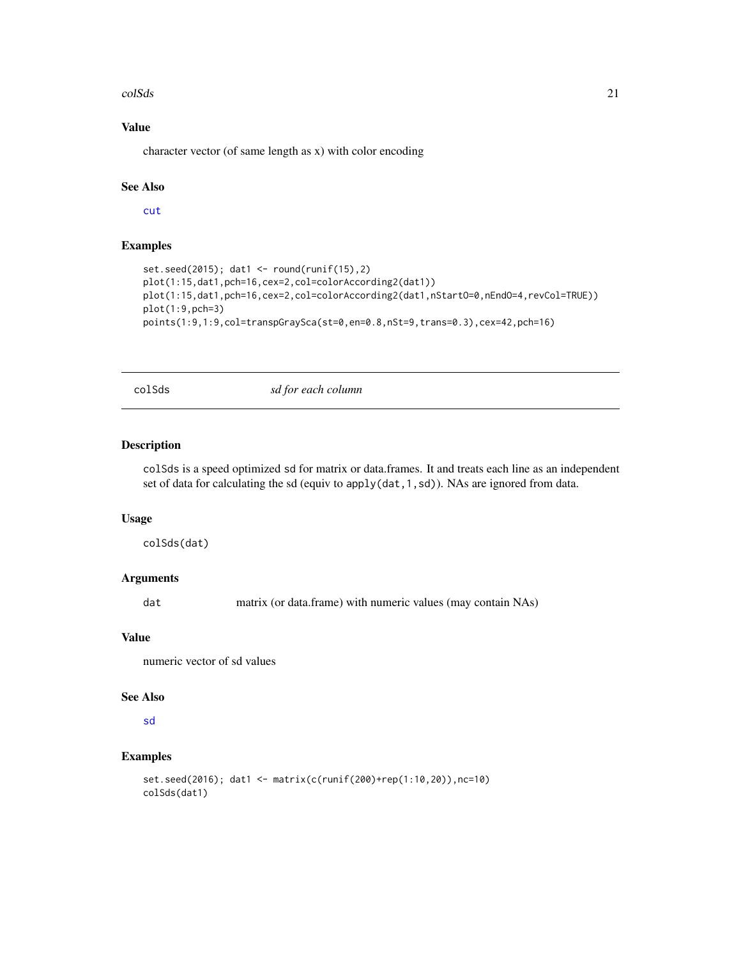#### <span id="page-20-0"></span>colSds 21

### Value

character vector (of same length as x) with color encoding

### See Also

[cut](#page-0-0)

### Examples

```
set.seed(2015); dat1 <- round(runif(15),2)
plot(1:15,dat1,pch=16,cex=2,col=colorAccording2(dat1))
plot(1:15,dat1,pch=16,cex=2,col=colorAccording2(dat1,nStartO=0,nEndO=4,revCol=TRUE))
plot(1:9,pch=3)
points(1:9,1:9,col=transpGraySca(st=0,en=0.8,nSt=9,trans=0.3),cex=42,pch=16)
```
colSds *sd for each column*

#### Description

colSds is a speed optimized sd for matrix or data.frames. It and treats each line as an independent set of data for calculating the sd (equiv to apply(dat,1,sd)). NAs are ignored from data.

#### Usage

colSds(dat)

### Arguments

dat matrix (or data.frame) with numeric values (may contain NAs)

#### Value

numeric vector of sd values

#### See Also

#### [sd](#page-0-0)

### Examples

```
set.seed(2016); dat1 <- matrix(c(runif(200)+rep(1:10,20)),nc=10)
colSds(dat1)
```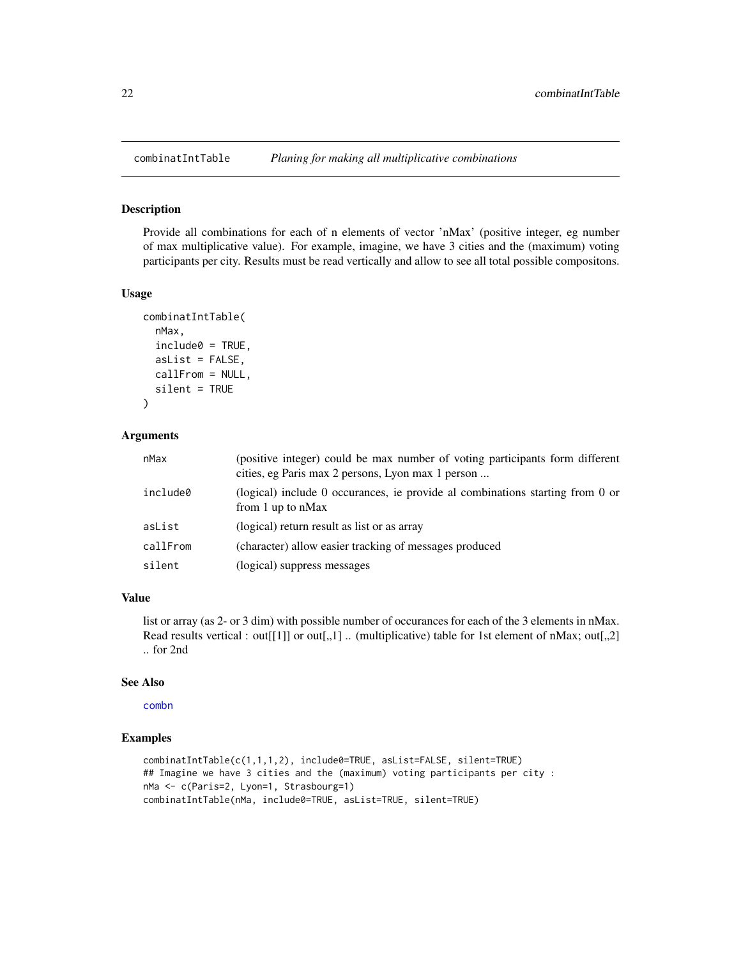<span id="page-21-0"></span>

#### Description

Provide all combinations for each of n elements of vector 'nMax' (positive integer, eg number of max multiplicative value). For example, imagine, we have 3 cities and the (maximum) voting participants per city. Results must be read vertically and allow to see all total possible compositons.

### Usage

```
combinatIntTable(
  nMax,
  include0 = TRUE,asList = FALSE,callFrom = NULL,
  silent = TRUE
)
```
#### Arguments

| nMax     | (positive integer) could be max number of voting participants form different<br>cities, eg Paris max 2 persons, Lyon max 1 person |
|----------|-----------------------------------------------------------------------------------------------------------------------------------|
| include0 | (logical) include 0 occurances, ie provide al combinations starting from 0 or<br>from 1 up to $nMax$                              |
| asList   | (logical) return result as list or as array                                                                                       |
| callFrom | (character) allow easier tracking of messages produced                                                                            |
| silent   | (logical) suppress messages                                                                                                       |

### Value

list or array (as 2- or 3 dim) with possible number of occurances for each of the 3 elements in nMax. Read results vertical : out[[1]] or out[,,1] .. (multiplicative) table for 1st element of nMax; out[,,2] .. for 2nd

#### See Also

[combn](#page-0-0)

### Examples

```
combinatIntTable(c(1,1,1,2), include0=TRUE, asList=FALSE, silent=TRUE)
## Imagine we have 3 cities and the (maximum) voting participants per city :
nMa <- c(Paris=2, Lyon=1, Strasbourg=1)
combinatIntTable(nMa, include0=TRUE, asList=TRUE, silent=TRUE)
```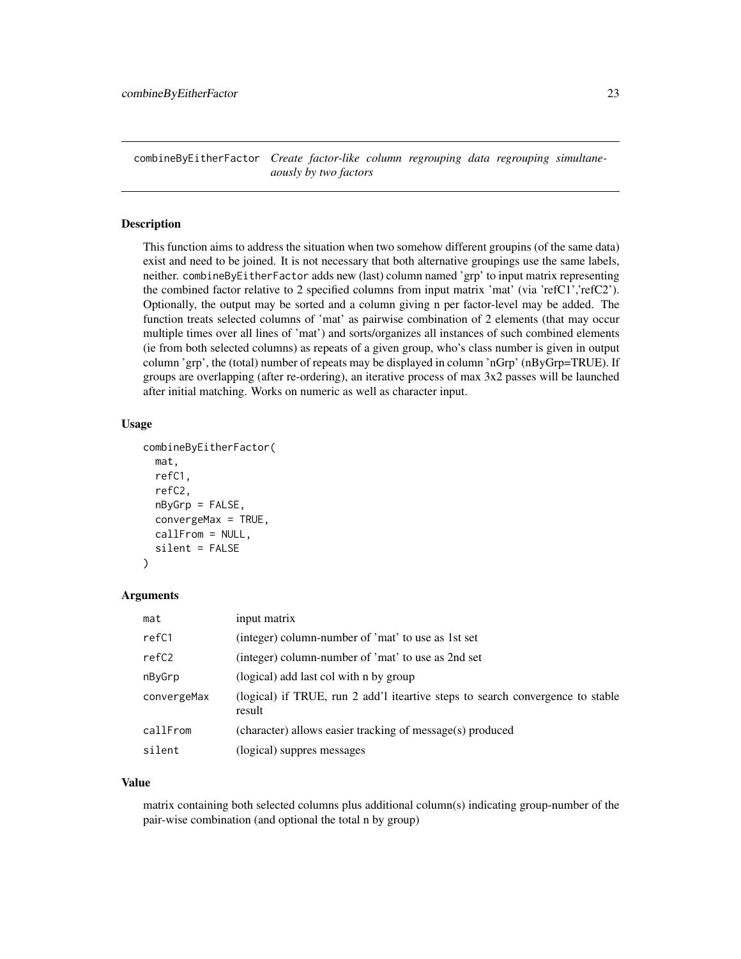<span id="page-22-0"></span>combineByEitherFactor *Create factor-like column regrouping data regrouping simultaneaously by two factors*

#### Description

This function aims to address the situation when two somehow different groupins (of the same data) exist and need to be joined. It is not necessary that both alternative groupings use the same labels, neither. combineByEitherFactor adds new (last) column named 'grp' to input matrix representing the combined factor relative to 2 specified columns from input matrix 'mat' (via 'refC1','refC2'). Optionally, the output may be sorted and a column giving n per factor-level may be added. The function treats selected columns of 'mat' as pairwise combination of 2 elements (that may occur multiple times over all lines of 'mat') and sorts/organizes all instances of such combined elements (ie from both selected columns) as repeats of a given group, who's class number is given in output column 'grp', the (total) number of repeats may be displayed in column 'nGrp' (nByGrp=TRUE). If groups are overlapping (after re-ordering), an iterative process of max 3x2 passes will be launched after initial matching. Works on numeric as well as character input.

#### Usage

```
combineByEitherFactor(
 mat,
  refC1,
  refC2,
  nByGrp = FALSE,
  convergeMax = TRUE,
  callFrom = NULL,
  silent = FALSE
)
```
#### Arguments

| mat         | input matrix                                                                             |
|-------------|------------------------------------------------------------------------------------------|
| refC1       | (integer) column-number of 'mat' to use as 1st set                                       |
| refC2       | (integer) column-number of 'mat' to use as 2nd set                                       |
| nByGrp      | (logical) add last col with n by group                                                   |
| convergeMax | (logical) if TRUE, run 2 add'l iteartive steps to search convergence to stable<br>result |
| callFrom    | (character) allows easier tracking of message(s) produced                                |
| silent      | (logical) suppres messages                                                               |

#### Value

matrix containing both selected columns plus additional column(s) indicating group-number of the pair-wise combination (and optional the total n by group)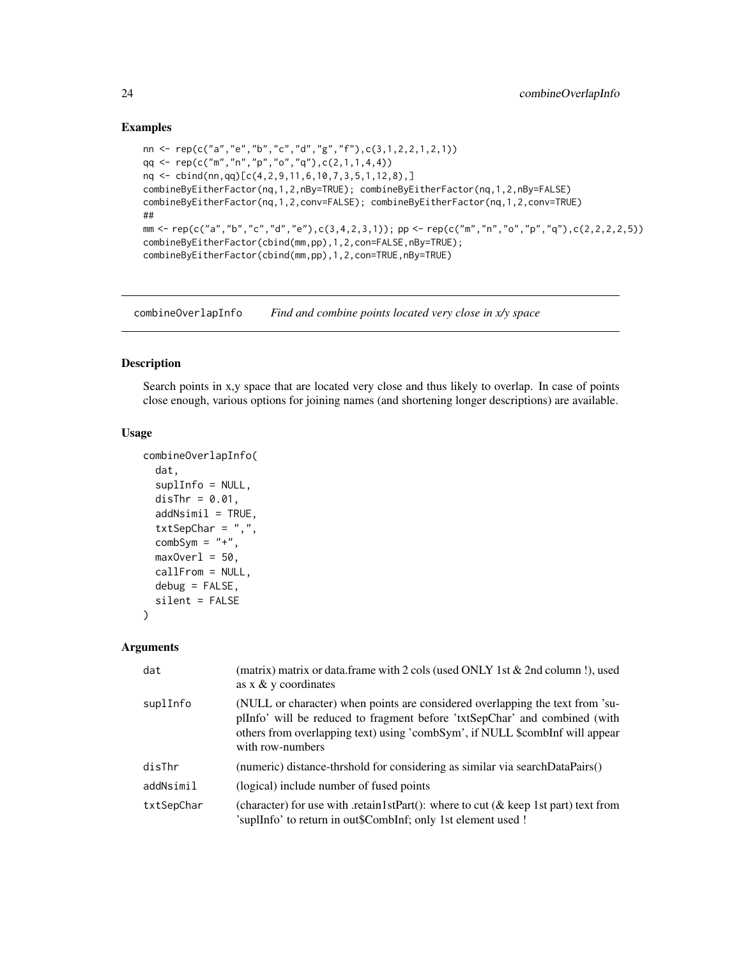#### Examples

```
nn <- rep(c("a","e","b","c","d","g","f"),c(3,1,2,2,1,2,1))
qq \leq rep(c("m", "n", "p", "o", "q"), c(2,1,1,4,4))nq <- cbind(nn,qq)[c(4,2,9,11,6,10,7,3,5,1,12,8),]
combineByEitherFactor(nq,1,2,nBy=TRUE); combineByEitherFactor(nq,1,2,nBy=FALSE)
combineByEitherFactor(nq,1,2,conv=FALSE); combineByEitherFactor(nq,1,2,conv=TRUE)
##
mm <- rep(c("a","b","c","d","e"),c(3,4,2,3,1)); pp <- rep(c("m","n","o","p","q"),c(2,2,2,2,5))
combineByEitherFactor(cbind(mm,pp),1,2,con=FALSE,nBy=TRUE);
combineByEitherFactor(cbind(mm,pp),1,2,con=TRUE,nBy=TRUE)
```
combineOverlapInfo *Find and combine points located very close in x/y space*

#### Description

Search points in x,y space that are located very close and thus likely to overlap. In case of points close enough, various options for joining names (and shortening longer descriptions) are available.

#### Usage

```
combineOverlapInfo(
  dat,
  suplInfo = NULL,
 disThr = 0.01,addNsimi1 = TRUE,txtSepChar = ",",combSym = "+',
 maxOver1 = 50,
 callFrom = NULL,
 debug = FALSE,
  silent = FALSE
)
```

| dat        | (matrix) matrix or data.frame with 2 cols (used ONLY 1st $&$ 2nd column!), used<br>as $x \& y$ coordinates                                                                                                                                                      |
|------------|-----------------------------------------------------------------------------------------------------------------------------------------------------------------------------------------------------------------------------------------------------------------|
| suplInfo   | (NULL or character) when points are considered overlapping the text from 'su-<br>plInfo' will be reduced to fragment before 'txtSepChar' and combined (with<br>others from overlapping text) using 'combSym', if NULL \$combInf will appear<br>with row-numbers |
| disThr     | (numeric) distance-thrshold for considering as similar via searchDataPairs()                                                                                                                                                                                    |
| addNsimil  | (logical) include number of fused points                                                                                                                                                                                                                        |
| txtSepChar | (character) for use with .retain 1stPart(): where to cut ( $\&$ keep 1st part) text from<br>'suplInfo' to return in out\$CombInf; only 1st element used !                                                                                                       |

<span id="page-23-0"></span>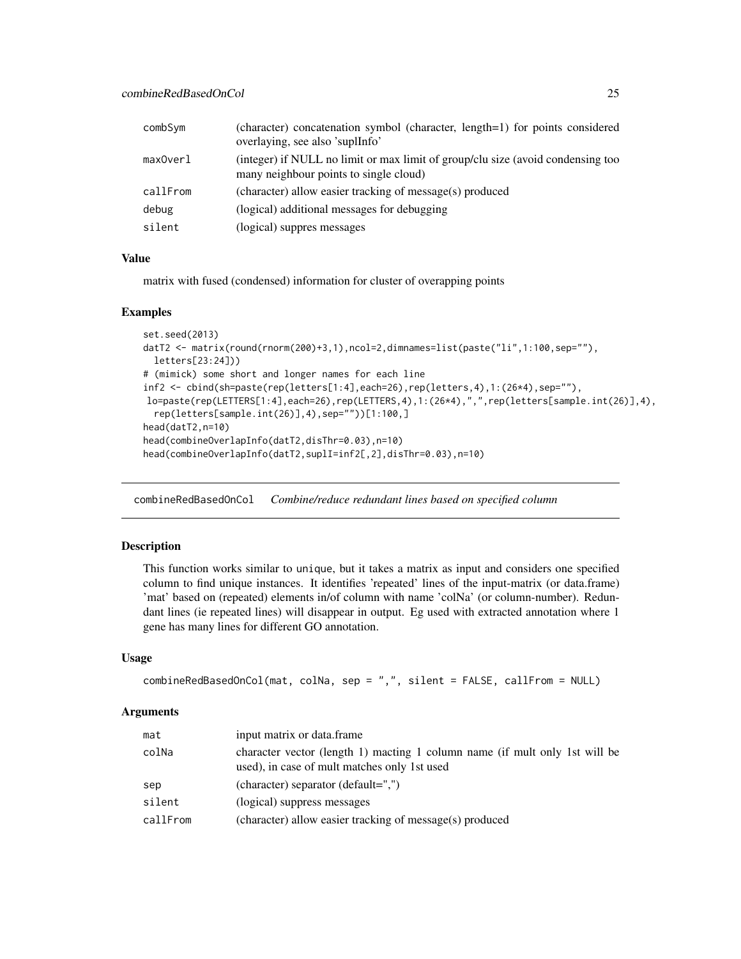<span id="page-24-0"></span>

| combSym  | (character) concatenation symbol (character, length=1) for points considered<br>overlaying, see also 'suplInfo'           |
|----------|---------------------------------------------------------------------------------------------------------------------------|
| maxOverl | (integer) if NULL no limit or max limit of group/clu size (avoid condensing too<br>many neighbour points to single cloud) |
| callFrom | (character) allow easier tracking of message(s) produced                                                                  |
| debug    | (logical) additional messages for debugging                                                                               |
| silent   | (logical) suppres messages                                                                                                |

matrix with fused (condensed) information for cluster of overapping points

#### Examples

```
set.seed(2013)
datT2 <- matrix(round(rnorm(200)+3,1),ncol=2,dimnames=list(paste("li",1:100,sep=""),
  letters[23:24]))
# (mimick) some short and longer names for each line
inf2 <- cbind(sh=paste(rep(letters[1:4],each=26),rep(letters,4),1:(26*4),sep=""),
lo=paste(rep(LETTERS[1:4],each=26),rep(LETTERS,4),1:(26*4),",",rep(letters[sample.int(26)],4),
  rep(letters[sample.int(26)],4),sep=""))[1:100,]
head(datT2,n=10)
head(combineOverlapInfo(datT2,disThr=0.03),n=10)
head(combineOverlapInfo(datT2,suplI=inf2[,2],disThr=0.03),n=10)
```
combineRedBasedOnCol *Combine/reduce redundant lines based on specified column*

#### Description

This function works similar to unique, but it takes a matrix as input and considers one specified column to find unique instances. It identifies 'repeated' lines of the input-matrix (or data.frame) 'mat' based on (repeated) elements in/of column with name 'colNa' (or column-number). Redundant lines (ie repeated lines) will disappear in output. Eg used with extracted annotation where 1 gene has many lines for different GO annotation.

### Usage

```
combineRedBasedOnCol(mat, colNa, sep = ",", silent = FALSE, callFrom = NULL)
```

| mat      | input matrix or data.frame                                                                                                  |
|----------|-----------------------------------------------------------------------------------------------------------------------------|
| colNa    | character vector (length 1) macting 1 column name (if mult only 1st will be<br>used), in case of mult matches only 1st used |
| sep      | (character) separator (default=",")                                                                                         |
| silent   | (logical) suppress messages                                                                                                 |
| callFrom | (character) allow easier tracking of message(s) produced                                                                    |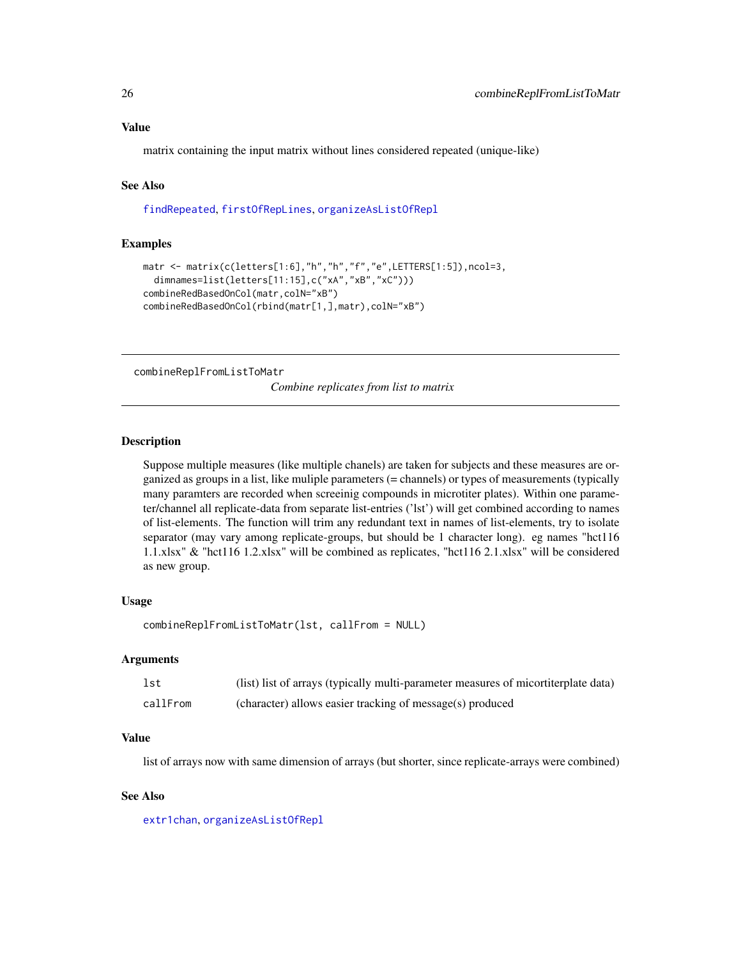<span id="page-25-0"></span>matrix containing the input matrix without lines considered repeated (unique-like)

### See Also

[findRepeated](#page-53-1), [firstOfRepLines](#page-57-1), [organizeAsListOfRepl](#page-91-1)

### Examples

```
matr <- matrix(c(letters[1:6],"h","h","f","e",LETTERS[1:5]),ncol=3,
 dimnames=list(letters[11:15],c("xA","xB","xC")))
combineRedBasedOnCol(matr,colN="xB")
combineRedBasedOnCol(rbind(matr[1,],matr),colN="xB")
```
combineReplFromListToMatr

*Combine replicates from list to matrix*

#### **Description**

Suppose multiple measures (like multiple chanels) are taken for subjects and these measures are organized as groups in a list, like muliple parameters (= channels) or types of measurements (typically many paramters are recorded when screeinig compounds in microtiter plates). Within one parameter/channel all replicate-data from separate list-entries ('lst') will get combined according to names of list-elements. The function will trim any redundant text in names of list-elements, try to isolate separator (may vary among replicate-groups, but should be 1 character long). eg names "hct116 1.1.xlsx" & "hct116 1.2.xlsx" will be combined as replicates, "hct116 2.1.xlsx" will be considered as new group.

#### Usage

```
combineReplFromListToMatr(lst, callFrom = NULL)
```
### Arguments

| lst      | (list) list of arrays (typically multi-parameter measures of micortiterplate data) |
|----------|------------------------------------------------------------------------------------|
| callFrom | (character) allows easier tracking of message(s) produced                          |

#### Value

list of arrays now with same dimension of arrays (but shorter, since replicate-arrays were combined)

#### See Also

[extr1chan](#page-44-1), [organizeAsListOfRepl](#page-91-1)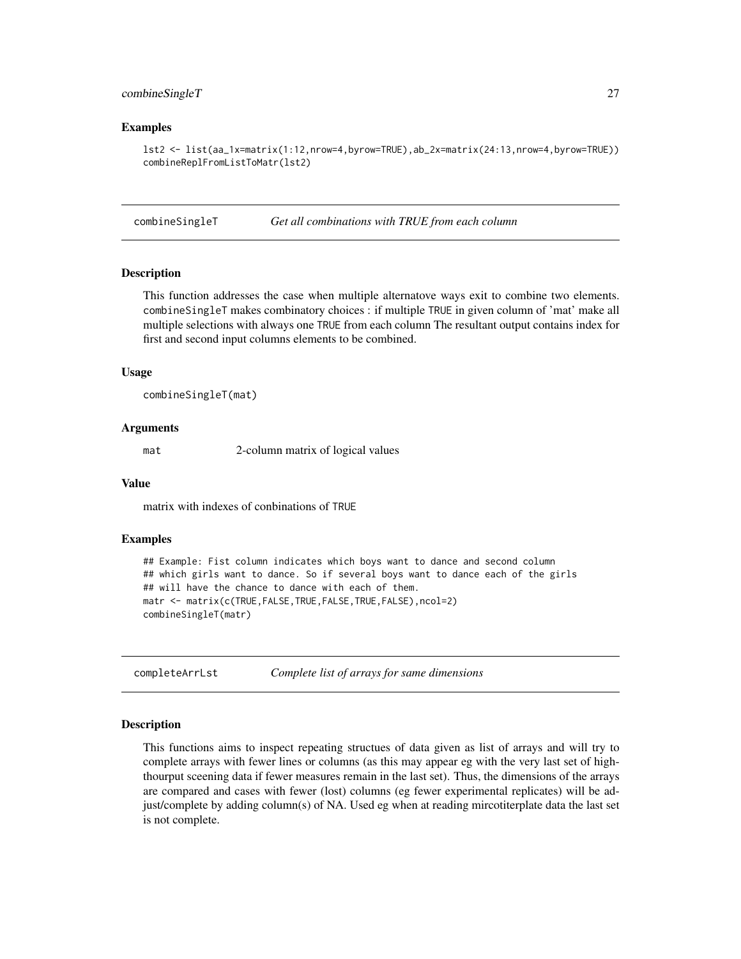#### <span id="page-26-0"></span>combineSingleT 27

#### Examples

```
lst2 <- list(aa_1x=matrix(1:12,nrow=4,byrow=TRUE),ab_2x=matrix(24:13,nrow=4,byrow=TRUE))
combineReplFromListToMatr(lst2)
```
combineSingleT *Get all combinations with TRUE from each column*

#### **Description**

This function addresses the case when multiple alternatove ways exit to combine two elements. combineSingleT makes combinatory choices : if multiple TRUE in given column of 'mat' make all multiple selections with always one TRUE from each column The resultant output contains index for first and second input columns elements to be combined.

#### Usage

combineSingleT(mat)

#### Arguments

mat 2-column matrix of logical values

#### Value

matrix with indexes of conbinations of TRUE

#### Examples

```
## Example: Fist column indicates which boys want to dance and second column
## which girls want to dance. So if several boys want to dance each of the girls
## will have the chance to dance with each of them.
matr <- matrix(c(TRUE,FALSE,TRUE,FALSE,TRUE,FALSE),ncol=2)
combineSingleT(matr)
```
completeArrLst *Complete list of arrays for same dimensions*

#### Description

This functions aims to inspect repeating structues of data given as list of arrays and will try to complete arrays with fewer lines or columns (as this may appear eg with the very last set of highthourput sceening data if fewer measures remain in the last set). Thus, the dimensions of the arrays are compared and cases with fewer (lost) columns (eg fewer experimental replicates) will be adjust/complete by adding column(s) of NA. Used eg when at reading mircotiterplate data the last set is not complete.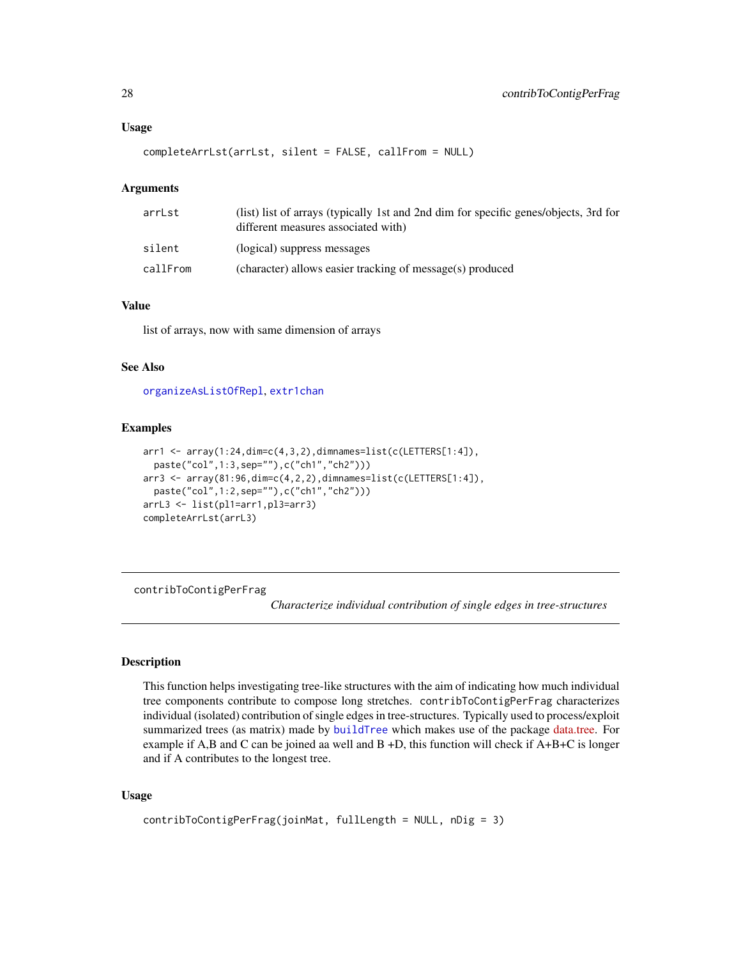```
completeArrLst(arrLst, silent = FALSE, callFrom = NULL)
```
#### Arguments

| (list) list of arrays (typically 1st and 2nd dim for specific genes/objects, 3rd for<br>different measures associated with) |
|-----------------------------------------------------------------------------------------------------------------------------|
| (logical) suppress messages                                                                                                 |
| (character) allows easier tracking of message(s) produced                                                                   |
|                                                                                                                             |

### Value

list of arrays, now with same dimension of arrays

### See Also

[organizeAsListOfRepl](#page-91-1), [extr1chan](#page-44-1)

#### Examples

```
arr1 <- array(1:24,dim=c(4,3,2),dimnames=list(c(LETTERS[1:4]),
 paste("col",1:3,sep=""),c("ch1","ch2")))
arr3 <- array(81:96,dim=c(4,2,2),dimnames=list(c(LETTERS[1:4]),
 paste("col",1:2,sep=""),c("ch1","ch2")))
arrL3 <- list(pl1=arr1,pl3=arr3)
completeArrLst(arrL3)
```
<span id="page-27-1"></span>contribToContigPerFrag

*Characterize individual contribution of single edges in tree-structures*

#### Description

This function helps investigating tree-like structures with the aim of indicating how much individual tree components contribute to compose long stretches. contribToContigPerFrag characterizes individual (isolated) contribution of single edges in tree-structures. Typically used to process/exploit summarized trees (as matrix) made by [buildTree](#page-7-1) which makes use of the package [data.tree.](https://CRAN.R-project.org/package=data.tree) For example if A,B and C can be joined aa well and B +D, this function will check if A+B+C is longer and if A contributes to the longest tree.

```
contribToContigPerFrag(joinMat, fullLength = NULL, nDig = 3)
```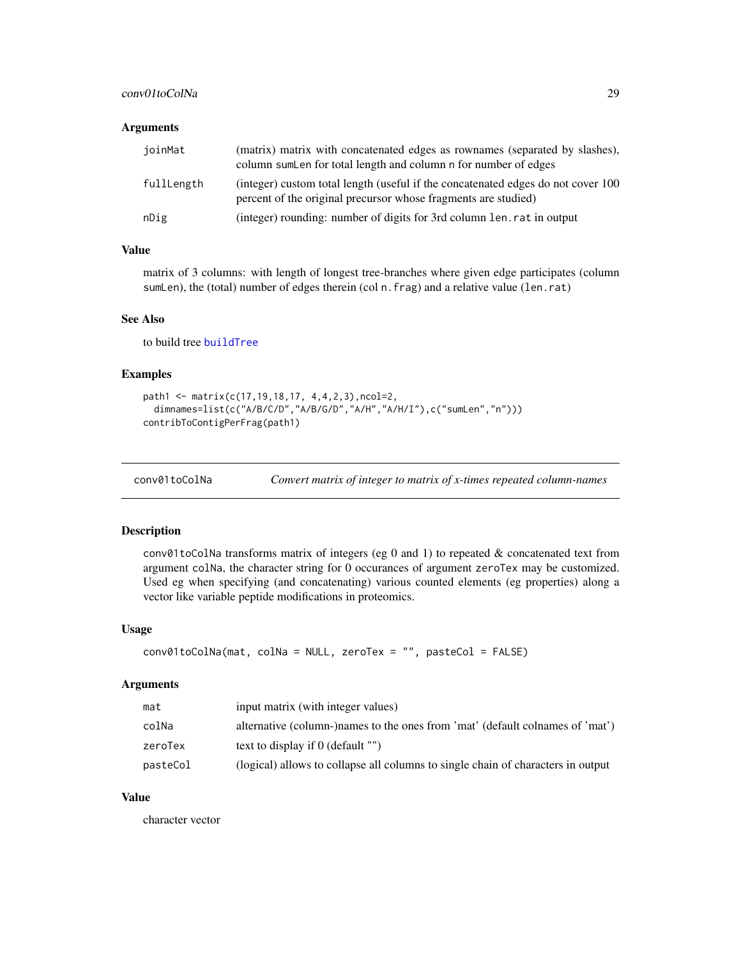### <span id="page-28-0"></span>conv01toColNa 29

### Arguments

| ioinMat    | (matrix) matrix with concatenated edges as rownames (separated by slashes),<br>column sum Len for total length and column n for number of edges    |
|------------|----------------------------------------------------------------------------------------------------------------------------------------------------|
| fullLength | (integer) custom total length (useful if the concatenated edges do not cover 100<br>percent of the original precursor whose fragments are studied) |
| nDig       | (integer) rounding: number of digits for 3rd column len. rat in output                                                                             |

### Value

matrix of 3 columns: with length of longest tree-branches where given edge participates (column sumLen), the (total) number of edges therein (col n.frag) and a relative value (len.rat)

### See Also

to build tree [buildTree](#page-7-1)

### Examples

```
path1 <- matrix(c(17,19,18,17, 4,4,2,3),ncol=2,
 dimnames=list(c("A/B/C/D","A/B/G/D","A/H","A/H/I"),c("sumLen","n")))
contribToContigPerFrag(path1)
```

| conv01toColNa | Convert matrix of integer to matrix of x-times repeated column-names |  |  |
|---------------|----------------------------------------------------------------------|--|--|
|---------------|----------------------------------------------------------------------|--|--|

#### Description

conv01toColNa transforms matrix of integers (eg 0 and 1) to repeated & concatenated text from argument colNa, the character string for 0 occurances of argument zeroTex may be customized. Used eg when specifying (and concatenating) various counted elements (eg properties) along a vector like variable peptide modifications in proteomics.

#### Usage

```
conv01toColNa(mat, colNa = NULL, zeroTex = "", pasteCol = FALSE)
```
#### Arguments

| mat      | input matrix (with integer values)                                               |
|----------|----------------------------------------------------------------------------------|
| colNa    | alternative (column-)names to the ones from 'mat' (default colnames of 'mat')    |
| zeroTex  | text to display if $\theta$ (default "")                                         |
| pasteCol | (logical) allows to collapse all columns to single chain of characters in output |

### Value

character vector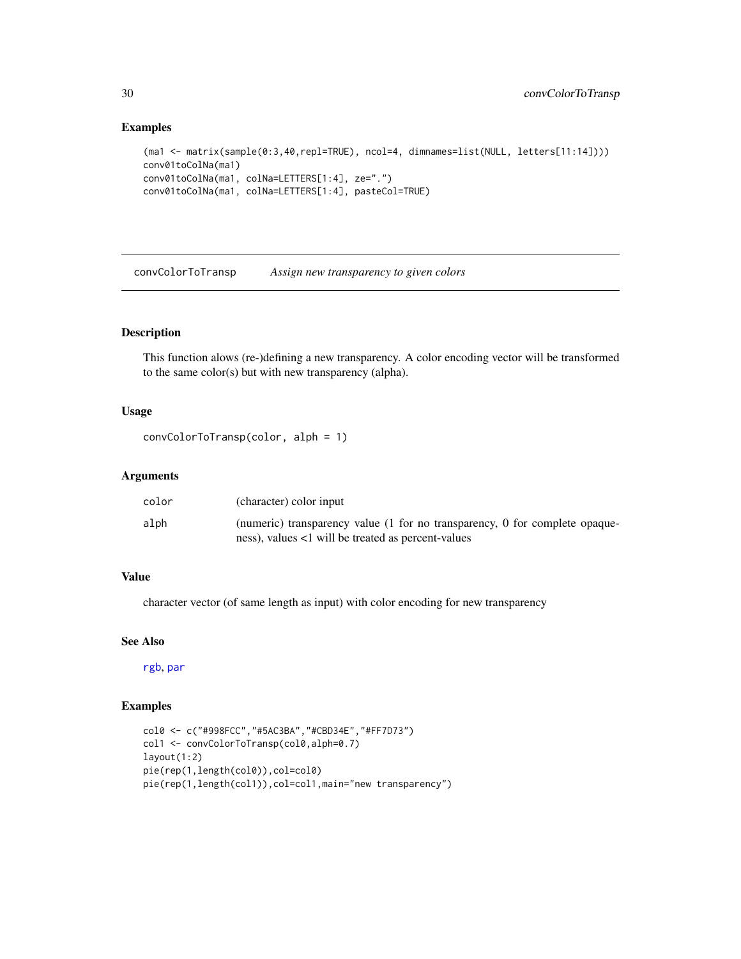#### Examples

```
(ma1 <- matrix(sample(0:3,40,repl=TRUE), ncol=4, dimnames=list(NULL, letters[11:14])))
conv01toColNa(ma1)
conv01toColNa(ma1, colNa=LETTERS[1:4], ze=".")
conv01toColNa(ma1, colNa=LETTERS[1:4], pasteCol=TRUE)
```
convColorToTransp *Assign new transparency to given colors*

### Description

This function alows (re-)defining a new transparency. A color encoding vector will be transformed to the same color(s) but with new transparency (alpha).

### Usage

```
convColorToTransp(color, alph = 1)
```
#### Arguments

| color | (character) color input                                                     |
|-------|-----------------------------------------------------------------------------|
| alph  | (numeric) transparency value (1 for no transparency, 0 for complete opaque- |
|       | ness), values <1 will be treated as percent-values                          |

### Value

character vector (of same length as input) with color encoding for new transparency

#### See Also

[rgb](#page-0-0), [par](#page-0-0)

### Examples

```
col0 <- c("#998FCC","#5AC3BA","#CBD34E","#FF7D73")
col1 <- convColorToTransp(col0,alph=0.7)
layout(1:2)
pie(rep(1,length(col0)),col=col0)
pie(rep(1,length(col1)),col=col1,main="new transparency")
```
<span id="page-29-0"></span>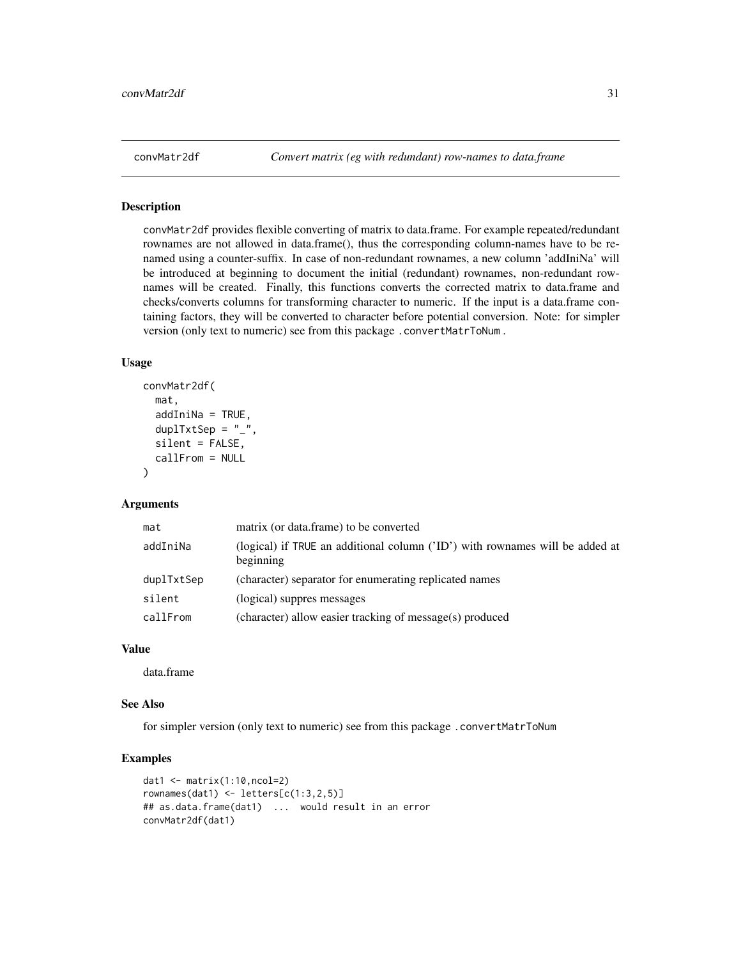<span id="page-30-0"></span>

### Description

convMatr2df provides flexible converting of matrix to data.frame. For example repeated/redundant rownames are not allowed in data.frame(), thus the corresponding column-names have to be renamed using a counter-suffix. In case of non-redundant rownames, a new column 'addIniNa' will be introduced at beginning to document the initial (redundant) rownames, non-redundant rownames will be created. Finally, this functions converts the corrected matrix to data.frame and checks/converts columns for transforming character to numeric. If the input is a data.frame containing factors, they will be converted to character before potential conversion. Note: for simpler version (only text to numeric) see from this package .convertMatrToNum .

#### Usage

```
convMatr2df(
 mat,
  addIniNa = TRUE,duplTxtSep = "_",
  silent = FALSE,
  callFrom = NULL
)
```
#### Arguments

| mat        | matrix (or data.frame) to be converted                                                    |
|------------|-------------------------------------------------------------------------------------------|
| addIniNa   | (logical) if TRUE an additional column ('ID') with rownames will be added at<br>beginning |
| duplTxtSep | (character) separator for enumerating replicated names                                    |
| silent     | (logical) suppres messages                                                                |
| callFrom   | (character) allow easier tracking of message(s) produced                                  |

#### Value

data.frame

#### See Also

for simpler version (only text to numeric) see from this package .convertMatrToNum

### Examples

```
dat1 <- matrix(1:10,ncol=2)
rownames(dat1) <- letters[c(1:3,2,5)]## as.data.frame(dat1) ... would result in an error
convMatr2df(dat1)
```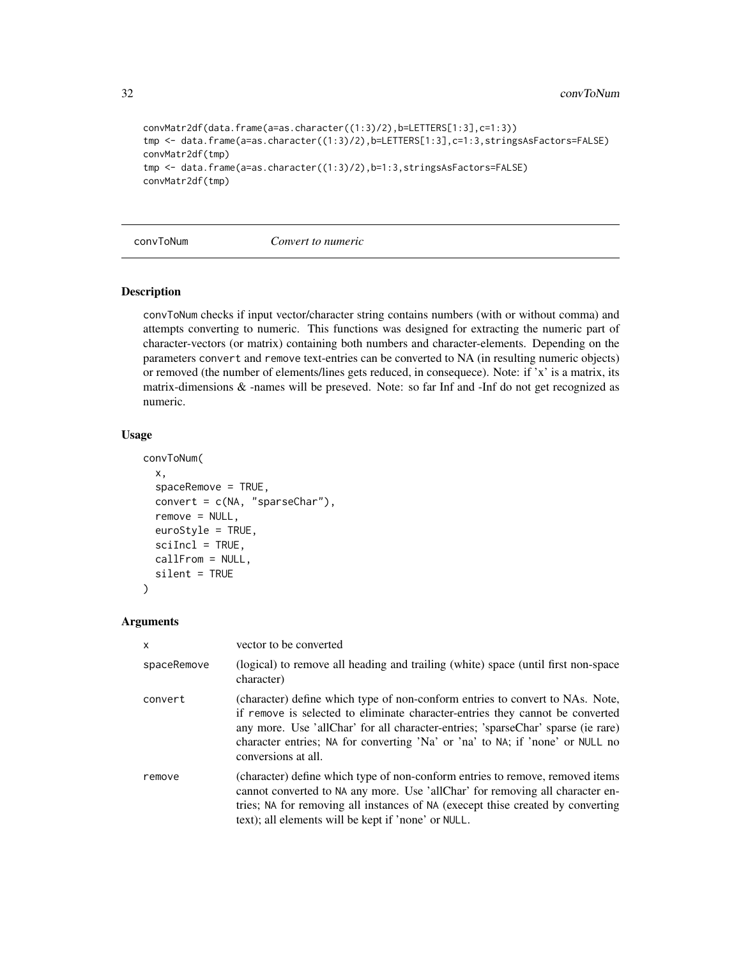```
convMatr2df(data.frame(a=as.character((1:3)/2),b=LETTERS[1:3],c=1:3))
tmp <- data.frame(a=as.character((1:3)/2),b=LETTERS[1:3],c=1:3,stringsAsFactors=FALSE)
convMatr2df(tmp)
tmp <- data.frame(a=as.character((1:3)/2),b=1:3,stringsAsFactors=FALSE)
convMatr2df(tmp)
```
convToNum *Convert to numeric*

#### Description

convToNum checks if input vector/character string contains numbers (with or without comma) and attempts converting to numeric. This functions was designed for extracting the numeric part of character-vectors (or matrix) containing both numbers and character-elements. Depending on the parameters convert and remove text-entries can be converted to NA (in resulting numeric objects) or removed (the number of elements/lines gets reduced, in consequece). Note: if 'x' is a matrix, its matrix-dimensions & -names will be preseved. Note: so far Inf and -Inf do not get recognized as numeric.

#### Usage

```
convToNum(
  x,
  spaceRemove = TRUE,
  convert = c(NA, "sparseChar"),
  remove = NULL,
  euroStyle = TRUE,
  scilnc1 = TRUE,callFrom = NULL,
  silent = TRUE
\lambda
```

| $\mathsf{x}$ | vector to be converted                                                                                                                                                                                                                                                                                                                                     |
|--------------|------------------------------------------------------------------------------------------------------------------------------------------------------------------------------------------------------------------------------------------------------------------------------------------------------------------------------------------------------------|
| spaceRemove  | (logical) to remove all heading and trailing (white) space (until first non-space<br>character)                                                                                                                                                                                                                                                            |
| convert      | (character) define which type of non-conform entries to convert to NAs. Note,<br>if remove is selected to eliminate character-entries they cannot be converted<br>any more. Use 'allChar' for all character-entries; 'sparseChar' sparse (ie rare)<br>character entries; NA for converting 'Na' or 'na' to NA; if 'none' or NULL no<br>conversions at all. |
| remove       | (character) define which type of non-conform entries to remove, removed items<br>cannot converted to NA any more. Use 'allChar' for removing all character en-<br>tries; NA for removing all instances of NA (execept thise created by converting<br>text); all elements will be kept if 'none' or NULL.                                                   |

<span id="page-31-0"></span>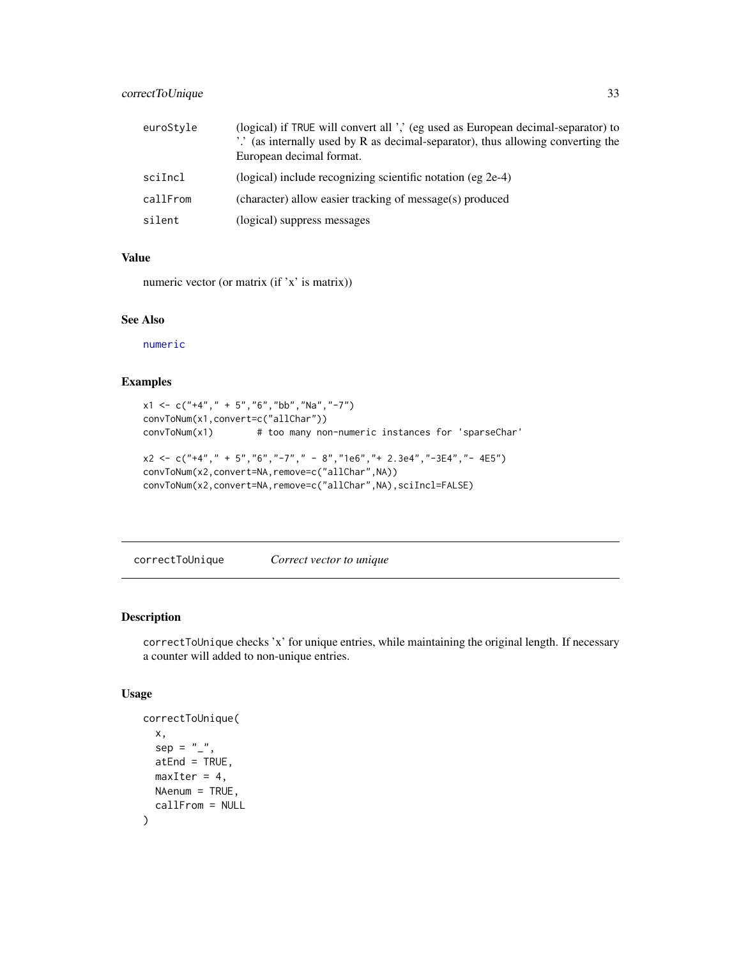### <span id="page-32-0"></span>correctToUnique 33

| euroStyle | (logical) if TRUE will convert all ',' (eg used as European decimal-separator) to<br>".' (as internally used by R as decimal-separator), thus allowing converting the<br>European decimal format. |
|-----------|---------------------------------------------------------------------------------------------------------------------------------------------------------------------------------------------------|
| sciIncl   | (logical) include recognizing scientific notation (eg 2e-4)                                                                                                                                       |
| callFrom  | (character) allow easier tracking of message(s) produced                                                                                                                                          |
| silent    | (logical) suppress messages                                                                                                                                                                       |

### Value

numeric vector (or matrix (if 'x' is matrix))

### See Also

[numeric](#page-0-0)

### Examples

```
x1 \leq -c ("+4"," + 5","6","bb","Na","-7")
convToNum(x1,convert=c("allChar"))
convToNum(x1) # too many non-numeric instances for 'sparseChar'
x2 <- c("+4"," + 5","6","-7"," - 8","1e6","+ 2.3e4","-3E4","- 4E5")
convToNum(x2,convert=NA,remove=c("allChar",NA))
convToNum(x2,convert=NA,remove=c("allChar",NA),sciIncl=FALSE)
```
correctToUnique *Correct vector to unique*

### Description

correctToUnique checks 'x' for unique entries, while maintaining the original length. If necessary a counter will added to non-unique entries.

```
correctToUnique(
 x,
 sep = "''atEnd = TRUE,
 maxIter = 4,NAenum = TRUE,
  callFrom = NULL
)
```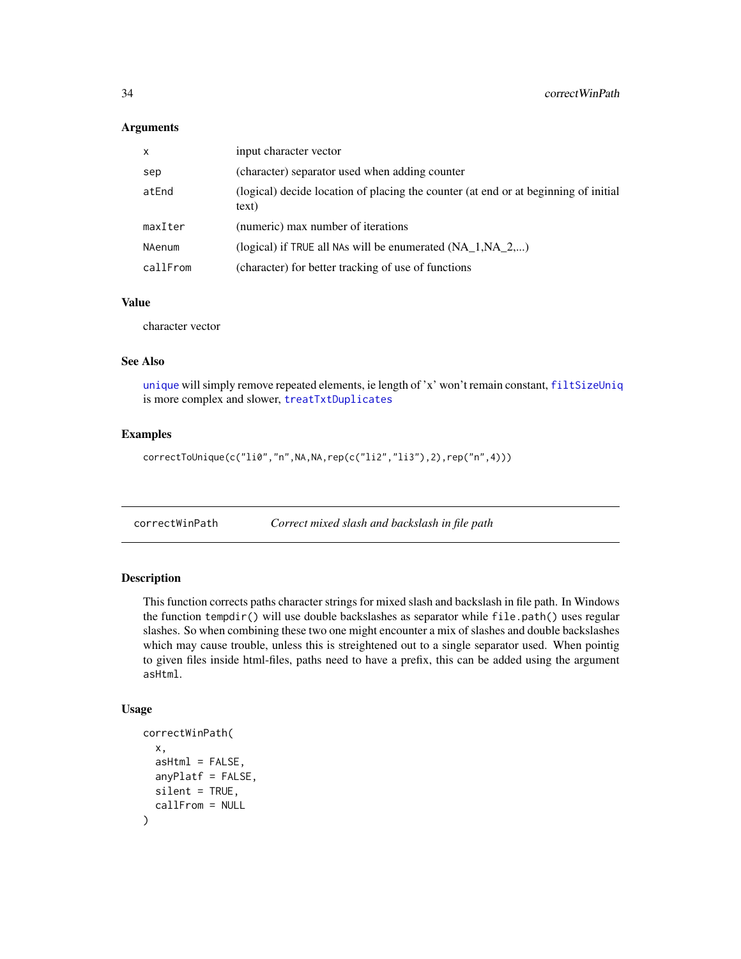#### <span id="page-33-0"></span>Arguments

| $\mathsf{x}$  | input character vector                                                                       |
|---------------|----------------------------------------------------------------------------------------------|
| sep           | (character) separator used when adding counter                                               |
| atEnd         | (logical) decide location of placing the counter (at end or at beginning of initial<br>text) |
| maxIter       | (numeric) max number of iterations                                                           |
| <b>NAenum</b> | (logical) if TRUE all NAs will be enumerated $(NA_1, NA_2,)$                                 |
| callFrom      | (character) for better tracking of use of functions                                          |

### Value

character vector

#### See Also

[unique](#page-0-0) will simply remove repeated elements, ie length of 'x' won't remain constant, [filtSizeUniq](#page-50-1) is more complex and slower, [treatTxtDuplicates](#page-128-1)

#### Examples

correctToUnique(c("li0","n",NA,NA,rep(c("li2","li3"),2),rep("n",4)))

correctWinPath *Correct mixed slash and backslash in file path*

### Description

This function corrects paths character strings for mixed slash and backslash in file path. In Windows the function tempdir() will use double backslashes as separator while  $file.path()$  uses regular slashes. So when combining these two one might encounter a mix of slashes and double backslashes which may cause trouble, unless this is streightened out to a single separator used. When pointig to given files inside html-files, paths need to have a prefix, this can be added using the argument asHtml.

```
correctWinPath(
  x,
  asHtm1 = FALSE,
  anyPlatf = FALSE,
  silent = TRUE,
  callFrom = NULL
)
```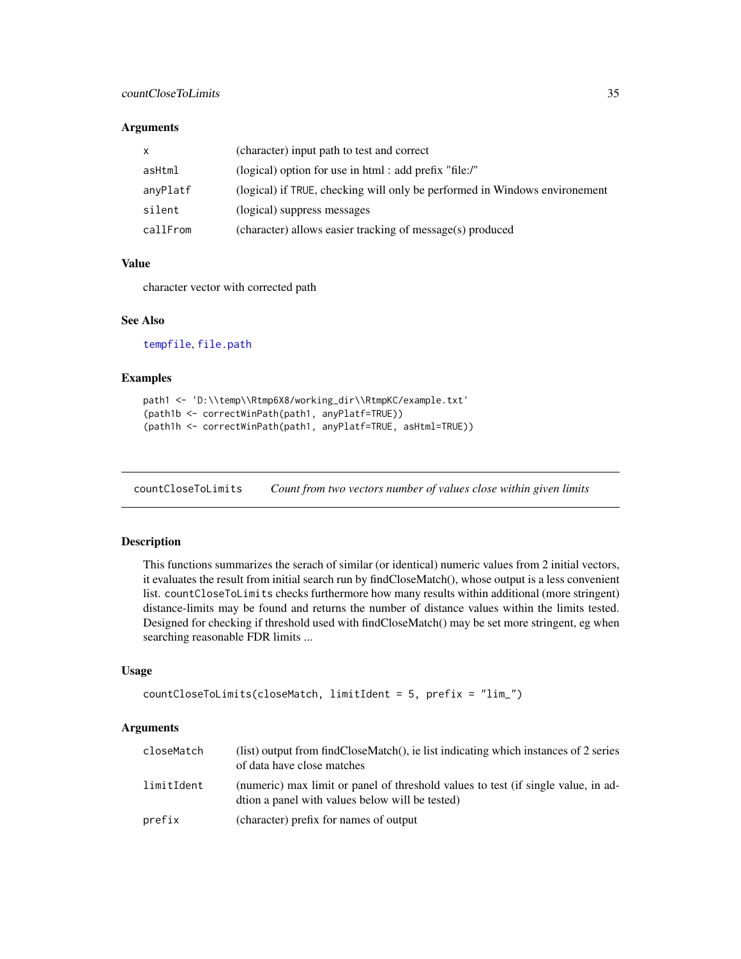#### <span id="page-34-0"></span>Arguments

| X        | (character) input path to test and correct                                 |
|----------|----------------------------------------------------------------------------|
| asHtml   | (logical) option for use in html : add prefix "file:/"                     |
| anyPlatf | (logical) if TRUE, checking will only be performed in Windows environement |
| silent   | (logical) suppress messages                                                |
| callFrom | (character) allows easier tracking of message(s) produced                  |

### Value

character vector with corrected path

#### See Also

[tempfile](#page-0-0), [file.path](#page-0-0)

### Examples

```
path1 <- 'D:\\temp\\Rtmp6X8/working_dir\\RtmpKC/example.txt'
(path1b <- correctWinPath(path1, anyPlatf=TRUE))
(path1h <- correctWinPath(path1, anyPlatf=TRUE, asHtml=TRUE))
```
countCloseToLimits *Count from two vectors number of values close within given limits*

### Description

This functions summarizes the serach of similar (or identical) numeric values from 2 initial vectors, it evaluates the result from initial search run by findCloseMatch(), whose output is a less convenient list. countCloseToLimits checks furthermore how many results within additional (more stringent) distance-limits may be found and returns the number of distance values within the limits tested. Designed for checking if threshold used with findCloseMatch() may be set more stringent, eg when searching reasonable FDR limits ...

#### Usage

```
countCloseToLimits(closeMatch, limitIdent = 5, prefix = "lim_")
```

| closeMatch | (list) output from findCloseMatch(), ie list indicating which instances of 2 series<br>of data have close matches                    |
|------------|--------------------------------------------------------------------------------------------------------------------------------------|
| limitIdent | (numeric) max limit or panel of threshold values to test (if single value, in ad-<br>dtion a panel with values below will be tested) |
| prefix     | (character) prefix for names of output                                                                                               |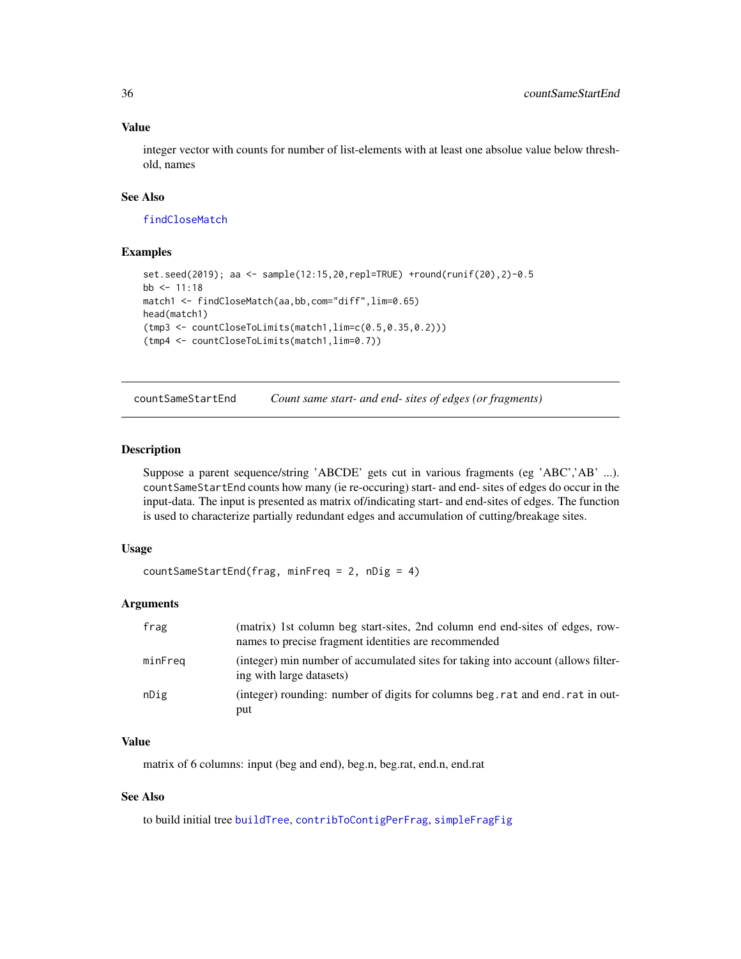integer vector with counts for number of list-elements with at least one absolue value below threshold, names

### See Also

[findCloseMatch](#page-51-1)

#### Examples

```
set.seed(2019); aa <- sample(12:15,20,repl=TRUE) +round(runif(20),2)-0.5
bb <-11:18match1 <- findCloseMatch(aa,bb,com="diff",lim=0.65)
head(match1)
(tmp3 <- countCloseToLimits(match1,lim=c(0.5,0.35,0.2)))
(tmp4 <- countCloseToLimits(match1,lim=0.7))
```
<span id="page-35-1"></span>countSameStartEnd *Count same start- and end- sites of edges (or fragments)*

#### Description

Suppose a parent sequence/string 'ABCDE' gets cut in various fragments (eg 'ABC','AB' ...). countSameStartEnd counts how many (ie re-occuring) start- and end- sites of edges do occur in the input-data. The input is presented as matrix of/indicating start- and end-sites of edges. The function is used to characterize partially redundant edges and accumulation of cutting/breakage sites.

#### Usage

```
countSameStartEnd(frag, minFreq = 2, nDig = 4)
```
#### Arguments

| frag    | (matrix) 1st column beg start-sites, 2nd column end end-sites of edges, row-<br>names to precise fragment identities are recommended |
|---------|--------------------------------------------------------------------------------------------------------------------------------------|
| minFreg | (integer) min number of accumulated sites for taking into account (allows filter-<br>ing with large datasets)                        |
| nDig    | (integer) rounding: number of digits for columns beg. rat and end. rat in out-<br>put                                                |

#### Value

matrix of 6 columns: input (beg and end), beg.n, beg.rat, end.n, end.rat

### See Also

to build initial tree [buildTree](#page-7-1), [contribToContigPerFrag](#page-27-1), [simpleFragFig](#page-119-1)

<span id="page-35-0"></span>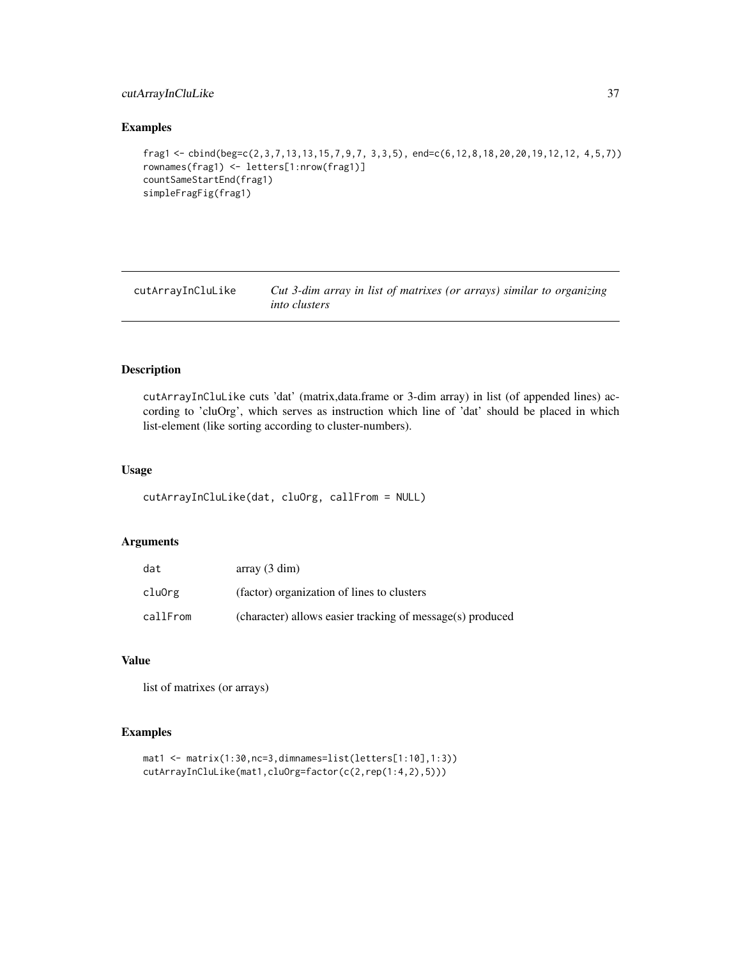# cutArrayInCluLike 37

# Examples

```
frag1 <- cbind(beg=c(2,3,7,13,13,15,7,9,7, 3,3,5), end=c(6,12,8,18,20,20,19,12,12, 4,5,7))
rownames(frag1) <- letters[1:nrow(frag1)]
countSameStartEnd(frag1)
simpleFragFig(frag1)
```
cutArrayInCluLike *Cut 3-dim array in list of matrixes (or arrays) similar to organizing into clusters*

#### Description

cutArrayInCluLike cuts 'dat' (matrix,data.frame or 3-dim array) in list (of appended lines) according to 'cluOrg', which serves as instruction which line of 'dat' should be placed in which list-element (like sorting according to cluster-numbers).

#### Usage

```
cutArrayInCluLike(dat, cluOrg, callFrom = NULL)
```
#### Arguments

| dat      | array(3 dim)                                              |
|----------|-----------------------------------------------------------|
| cluOrg   | (factor) organization of lines to clusters                |
| callFrom | (character) allows easier tracking of message(s) produced |

## Value

list of matrixes (or arrays)

```
mat1 <- matrix(1:30,nc=3,dimnames=list(letters[1:10],1:3))
cutArrayInCluLike(mat1,cluOrg=factor(c(2,rep(1:4,2),5)))
```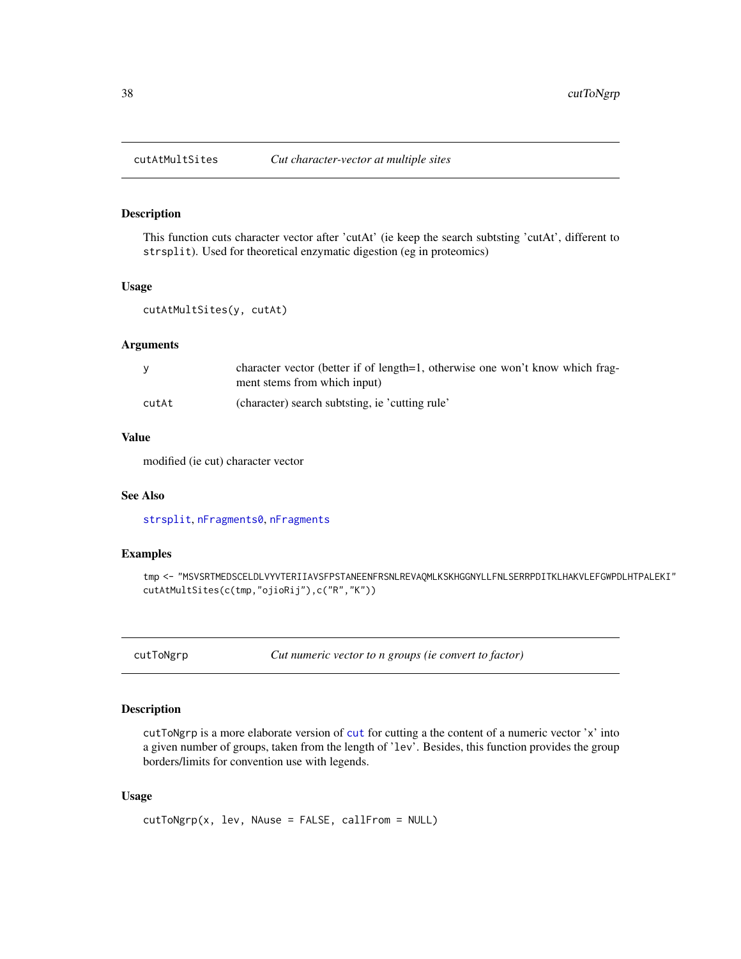# Description

This function cuts character vector after 'cutAt' (ie keep the search subtsting 'cutAt', different to strsplit). Used for theoretical enzymatic digestion (eg in proteomics)

#### Usage

```
cutAtMultSites(y, cutAt)
```
#### Arguments

|       | character vector (better if of length=1, otherwise one won't know which frag-<br>ment stems from which input) |
|-------|---------------------------------------------------------------------------------------------------------------|
| cutAt | (character) search subtisting, ie 'cutting rule'                                                              |

# Value

modified (ie cut) character vector

#### See Also

[strsplit](#page-0-0), [nFragments0](#page-84-0), [nFragments](#page-83-0)

# Examples

```
tmp <- "MSVSRTMEDSCELDLVYVTERIIAVSFPSTANEENFRSNLREVAQMLKSKHGGNYLLFNLSERRPDITKLHAKVLEFGWPDLHTPALEKI"
cutAtMultSites(c(tmp,"ojioRij"),c("R","K"))
```
cutToNgrp *Cut numeric vector to n groups (ie convert to factor)*

#### Description

cutToNgrp is a more elaborate version of [cut](#page-0-0) for cutting a the content of a numeric vector 'x' into a given number of groups, taken from the length of 'lev'. Besides, this function provides the group borders/limits for convention use with legends.

#### Usage

```
cutToNgrp(x, lev, NAuse = FALSE, callFrom = NULL)
```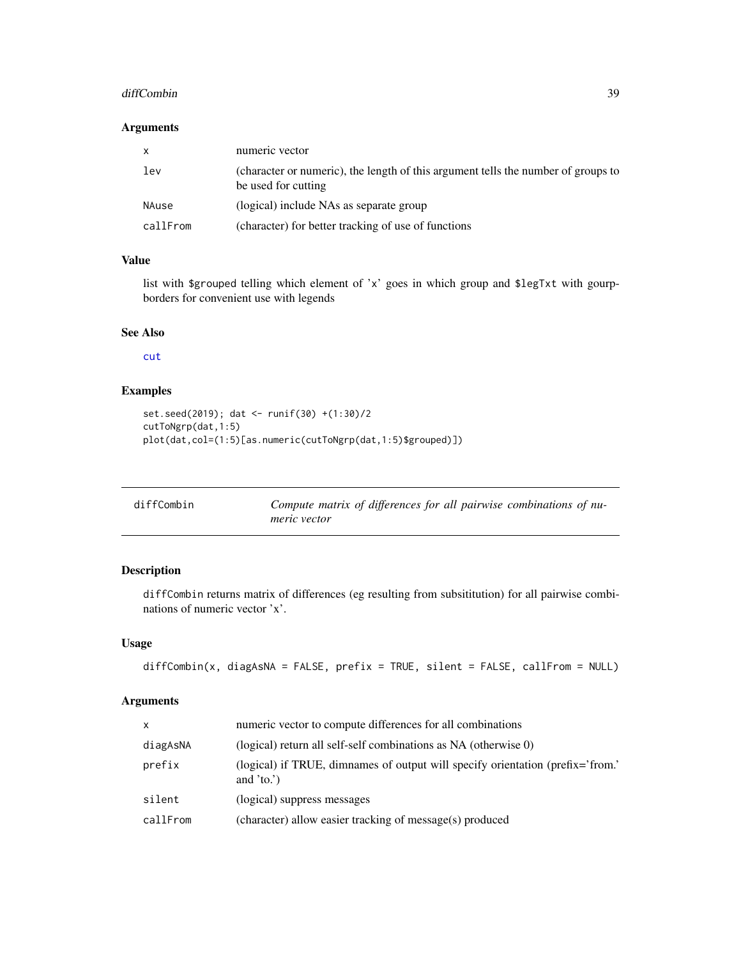#### diffCombin 39

# Arguments

| $\mathsf{x}$ | numeric vector                                                                                           |
|--------------|----------------------------------------------------------------------------------------------------------|
| lev          | (character or numeric), the length of this argument tells the number of groups to<br>be used for cutting |
| NAuse        | (logical) include NAs as separate group                                                                  |
| callFrom     | (character) for better tracking of use of functions                                                      |

# Value

list with \$grouped telling which element of 'x' goes in which group and \$legTxt with gourpborders for convenient use with legends

# See Also

[cut](#page-0-0)

# Examples

```
set.seed(2019); dat <- runif(30) +(1:30)/2
cutToNgrp(dat,1:5)
plot(dat,col=(1:5)[as.numeric(cutToNgrp(dat,1:5)$grouped)])
```

| diffCombin | Compute matrix of differences for all pairwise combinations of nu- |
|------------|--------------------------------------------------------------------|
|            | <i>meric</i> vector                                                |

# Description

diffCombin returns matrix of differences (eg resulting from subsititution) for all pairwise combinations of numeric vector 'x'.

# Usage

```
diffCombin(x, \text{diagsANA} = FALSE, prefix = TRUE, silent = FALSE, callFrom = NULL)
```

| $\mathsf{x}$ | numeric vector to compute differences for all combinations                                    |
|--------------|-----------------------------------------------------------------------------------------------|
| diagAsNA     | (logical) return all self-self combinations as NA (otherwise $0$ )                            |
| prefix       | (logical) if TRUE, dimnames of output will specify orientation (prefix='from.'<br>and $'to.'$ |
| silent       | (logical) suppress messages                                                                   |
| callFrom     | (character) allow easier tracking of message(s) produced                                      |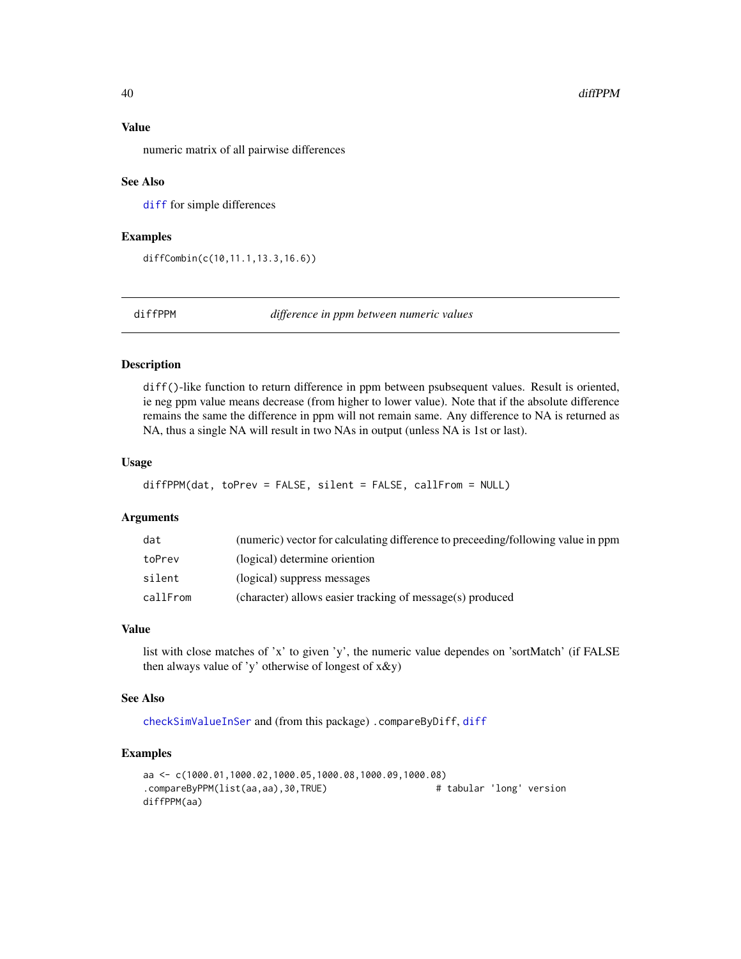# Value

numeric matrix of all pairwise differences

#### See Also

[diff](#page-0-0) for simple differences

#### Examples

```
diffCombin(c(10,11.1,13.3,16.6))
```
diffPPM *difference in ppm between numeric values*

#### Description

diff()-like function to return difference in ppm between psubsequent values. Result is oriented, ie neg ppm value means decrease (from higher to lower value). Note that if the absolute difference remains the same the difference in ppm will not remain same. Any difference to NA is returned as NA, thus a single NA will result in two NAs in output (unless NA is 1st or last).

#### Usage

```
diffPPM(dat, toPrev = FALSE, silent = FALSE, callFrom = NULL)
```
#### Arguments

| dat      | (numeric) vector for calculating difference to preceeding/following value in ppm |
|----------|----------------------------------------------------------------------------------|
| toPrev   | (logical) determine oriention                                                    |
| silent   | (logical) suppress messages                                                      |
| callFrom | (character) allows easier tracking of message(s) produced                        |

#### Value

list with close matches of 'x' to given 'y', the numeric value dependes on 'sortMatch' (if FALSE then always value of 'y' otherwise of longest of x&y)

# See Also

[checkSimValueInSer](#page-12-0) and (from this package) .compareByDiff, [diff](#page-0-0)

```
aa <- c(1000.01,1000.02,1000.05,1000.08,1000.09,1000.08)
.compareByPPM(list(aa,aa),30,TRUE) # tabular 'long' version
diffPPM(aa)
```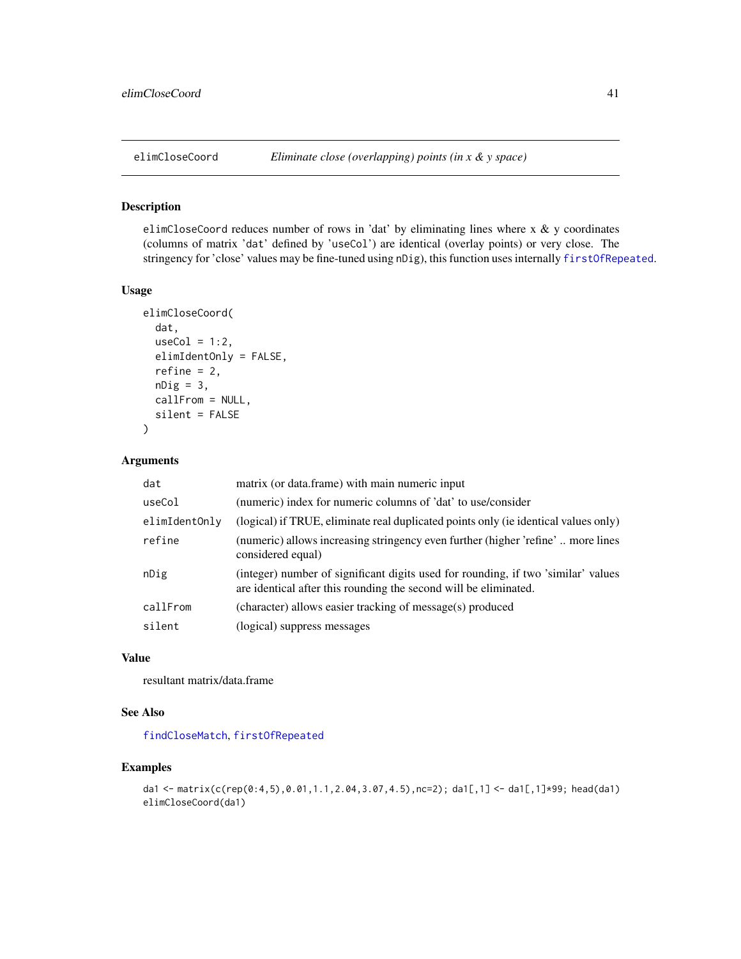# Description

elimCloseCoord reduces number of rows in 'dat' by eliminating lines where  $x \& y$  coordinates (columns of matrix 'dat' defined by 'useCol') are identical (overlay points) or very close. The stringency for 'close' values may be fine-tuned using nDig), this function uses internally [firstOfRepeated](#page-56-0).

#### Usage

```
elimCloseCoord(
  dat,
  useCol = 1:2,
  elimIdentOnly = FALSE,
  refine = 2,
 nDig = 3,
  callFrom = NULL,
  silent = FALSE
\lambda
```
# Arguments

| dat           | matrix (or data.frame) with main numeric input                                                                                                        |
|---------------|-------------------------------------------------------------------------------------------------------------------------------------------------------|
| useCol        | (numeric) index for numeric columns of 'dat' to use/consider                                                                                          |
| elimIdentOnly | (logical) if TRUE, eliminate real duplicated points only (ie identical values only)                                                                   |
| refine        | (numeric) allows increasing stringency even further (higher 'refine' more lines<br>considered equal)                                                  |
| nDig          | (integer) number of significant digits used for rounding, if two 'similar' values<br>are identical after this rounding the second will be eliminated. |
| callFrom      | (character) allows easier tracking of message(s) produced                                                                                             |
| silent        | (logical) suppress messages                                                                                                                           |

# Value

resultant matrix/data.frame

# See Also

[findCloseMatch](#page-51-0), [firstOfRepeated](#page-56-0)

```
da1 <- matrix(c(rep(0:4,5),0.01,1.1,2.04,3.07,4.5),nc=2); da1[,1] <- da1[,1]*99; head(da1)
elimCloseCoord(da1)
```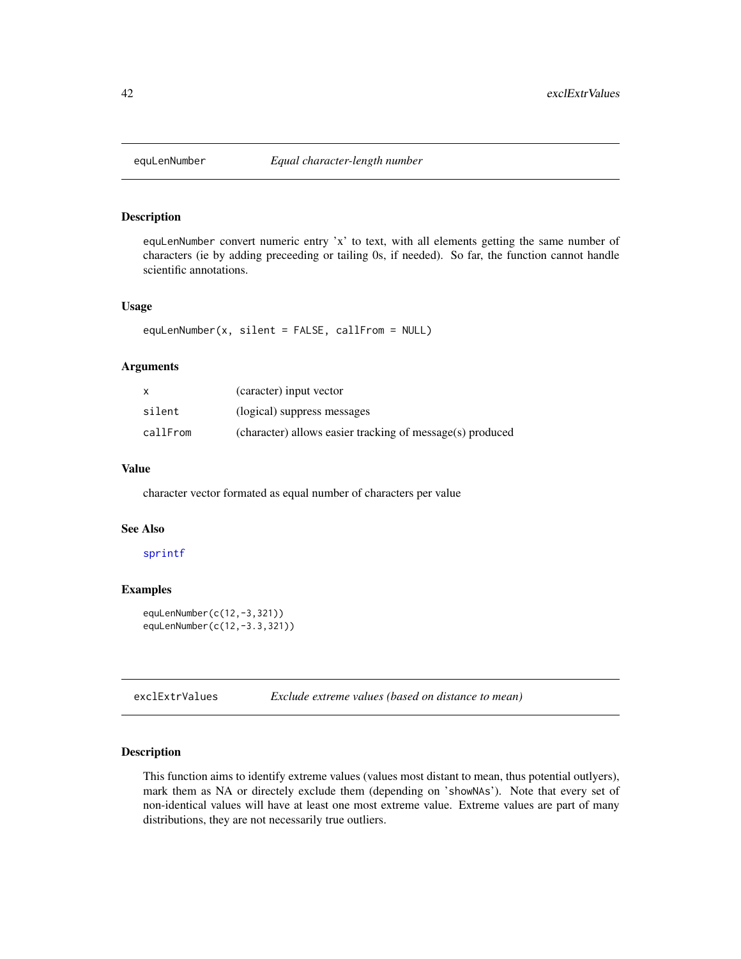#### Description

equLenNumber convert numeric entry 'x' to text, with all elements getting the same number of characters (ie by adding preceeding or tailing 0s, if needed). So far, the function cannot handle scientific annotations.

# Usage

equLenNumber(x, silent = FALSE, callFrom = NULL)

# Arguments

| x        | (caracter) input vector                                   |
|----------|-----------------------------------------------------------|
| silent   | (logical) suppress messages                               |
| callFrom | (character) allows easier tracking of message(s) produced |

# Value

character vector formated as equal number of characters per value

#### See Also

# [sprintf](#page-0-0)

#### Examples

```
equLenNumber(c(12,-3,321))
equLenNumber(c(12,-3.3,321))
```
exclExtrValues *Exclude extreme values (based on distance to mean)*

# Description

This function aims to identify extreme values (values most distant to mean, thus potential outlyers), mark them as NA or directely exclude them (depending on 'showNAs'). Note that every set of non-identical values will have at least one most extreme value. Extreme values are part of many distributions, they are not necessarily true outliers.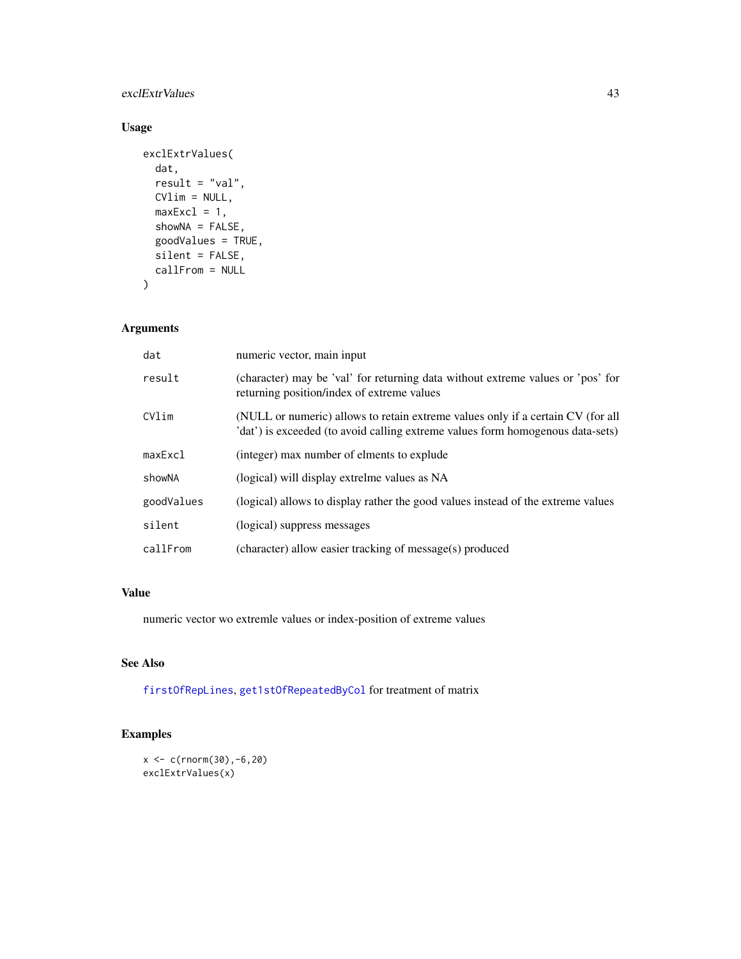# exclExtrValues 43

# Usage

```
exclExtrValues(
  dat,
  result = "val",
  CVlim = NULL,
  maxExcl = 1,
  showNA = FALSE,goodValues = TRUE,
  silent = FALSE,
  callFrom = NULL
\mathcal{L}
```
# Arguments

| dat        | numeric vector, main input                                                                                                                                        |
|------------|-------------------------------------------------------------------------------------------------------------------------------------------------------------------|
| result     | (character) may be 'val' for returning data without extreme values or 'pos' for<br>returning position/index of extreme values                                     |
| CVlim      | (NULL or numeric) allows to retain extreme values only if a certain CV (for all<br>'dat') is exceeded (to avoid calling extreme values form homogenous data-sets) |
| maxExc1    | (integer) max number of elments to explude                                                                                                                        |
| showNA     | (logical) will display extrelme values as NA                                                                                                                      |
| goodValues | (logical) allows to display rather the good values instead of the extreme values                                                                                  |
| silent     | (logical) suppress messages                                                                                                                                       |
| callFrom   | (character) allow easier tracking of message(s) produced                                                                                                          |

# Value

numeric vector wo extremle values or index-position of extreme values

# See Also

[firstOfRepLines](#page-57-0), [get1stOfRepeatedByCol](#page-61-0) for treatment of matrix

```
x < -c(rnorm(30), -6, 20)
exclExtrValues(x)
```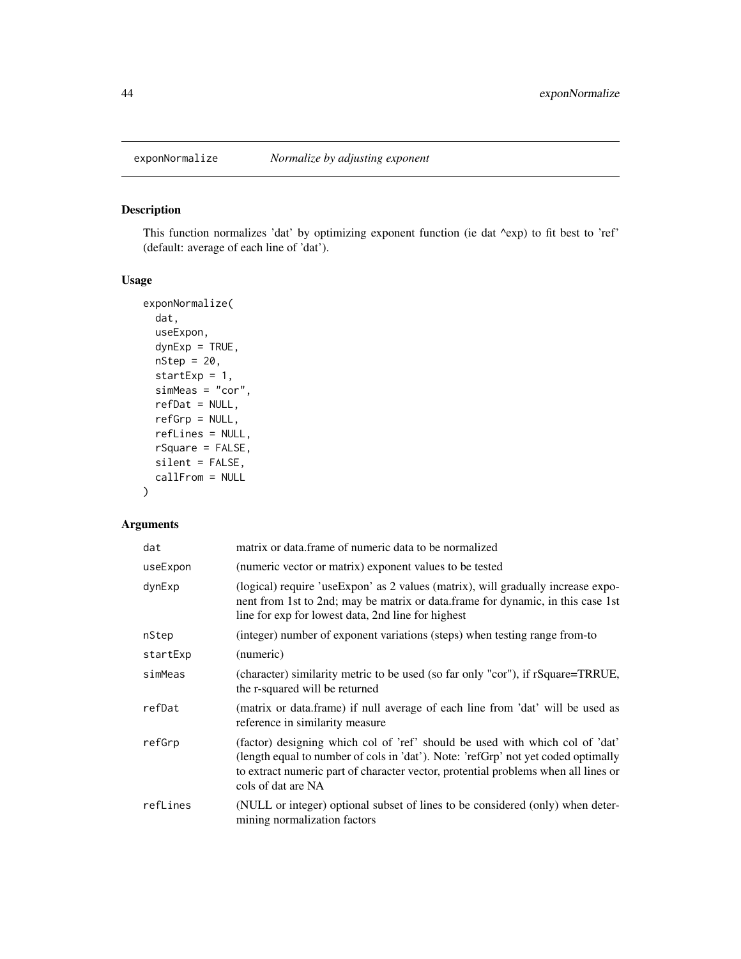# Description

This function normalizes 'dat' by optimizing exponent function (ie dat ^exp) to fit best to 'ref' (default: average of each line of 'dat').

# Usage

```
exponNormalize(
  dat,
 useExpon,
 dynExp = TRUE,nStep = 20,startExp = 1,
  simMeas = "cor",
  refDat = NULL,
 refGrp = NULL,
  refLines = NULL,
 rSquare = FALSE,
 silent = FALSE,
  callFrom = NULL
\mathcal{L}
```

| dat      | matrix or data. frame of numeric data to be normalized                                                                                                                                                                                                                        |
|----------|-------------------------------------------------------------------------------------------------------------------------------------------------------------------------------------------------------------------------------------------------------------------------------|
| useExpon | (numeric vector or matrix) exponent values to be tested                                                                                                                                                                                                                       |
| dynExp   | (logical) require 'useExpon' as 2 values (matrix), will gradually increase expo-<br>nent from 1st to 2nd; may be matrix or data.frame for dynamic, in this case 1st<br>line for exp for lowest data, 2nd line for highest                                                     |
| nStep    | (integer) number of exponent variations (steps) when testing range from-to                                                                                                                                                                                                    |
| startExp | (numeric)                                                                                                                                                                                                                                                                     |
| simMeas  | (character) similarity metric to be used (so far only "cor"), if rSquare=TRRUE,<br>the r-squared will be returned                                                                                                                                                             |
| refDat   | (matrix or data.frame) if null average of each line from 'dat' will be used as<br>reference in similarity measure                                                                                                                                                             |
| refGrp   | (factor) designing which col of 'ref' should be used with which col of 'dat'<br>(length equal to number of cols in 'dat'). Note: 'refGrp' not yet coded optimally<br>to extract numeric part of character vector, protential problems when all lines or<br>cols of dat are NA |
| refLines | (NULL or integer) optional subset of lines to be considered (only) when deter-<br>mining normalization factors                                                                                                                                                                |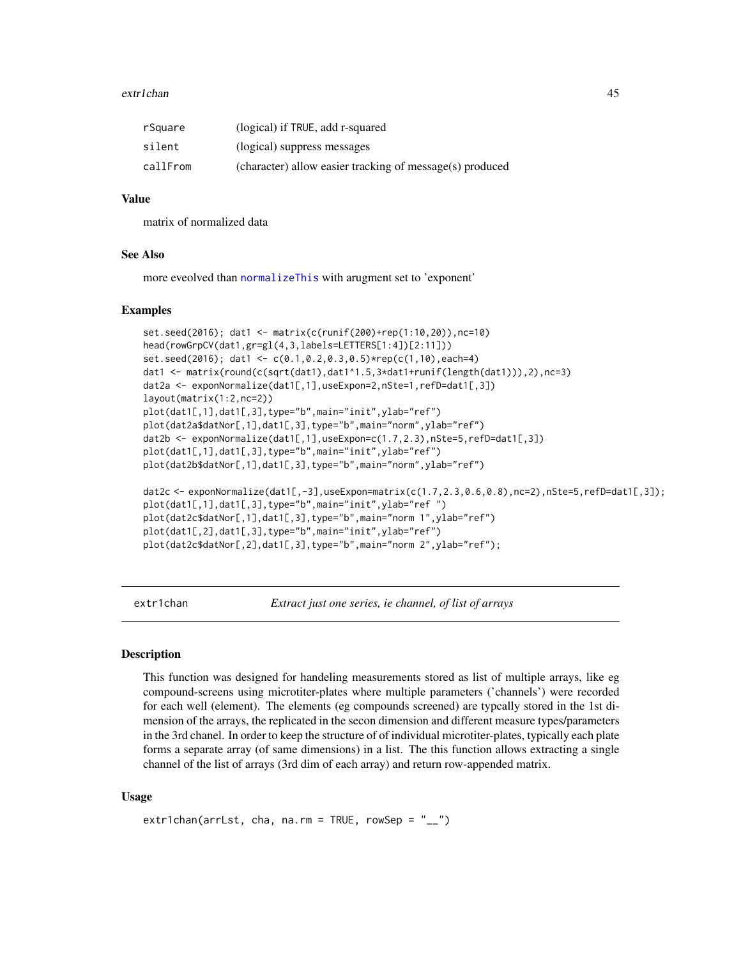#### extr1chan 45

| rSquare  | (logical) if TRUE, add r-squared                         |
|----------|----------------------------------------------------------|
| silent   | (logical) suppress messages                              |
| callFrom | (character) allow easier tracking of message(s) produced |

# Value

matrix of normalized data

#### See Also

more eveolved than [normalizeThis](#page-88-0) with arugment set to 'exponent'

# Examples

```
set.seed(2016); dat1 <- matrix(c(runif(200)+rep(1:10,20)),nc=10)
head(rowGrpCV(dat1,gr=gl(4,3,labels=LETTERS[1:4])[2:11]))
set.seed(2016); dat1 <- c(0.1,0.2,0.3,0.5)*rep(c(1,10),each=4)
dat1 <- matrix(round(c(sqrt(dat1),dat1^1.5,3*dat1+runif(length(dat1))),2),nc=3)
dat2a <- exponNormalize(dat1[,1],useExpon=2,nSte=1,refD=dat1[,3])
layout(matrix(1:2,nc=2))
plot(dat1[,1],dat1[,3],type="b",main="init",ylab="ref")
plot(dat2a$datNor[,1],dat1[,3],type="b",main="norm",ylab="ref")
dat2b <- exponNormalize(dat1[,1],useExpon=c(1.7,2.3),nSte=5,refD=dat1[,3])
plot(dat1[,1],dat1[,3],type="b",main="init",ylab="ref")
plot(dat2b$datNor[,1],dat1[,3],type="b",main="norm",ylab="ref")
dat2c <- exponNormalize(dat1[,-3],useExpon=matrix(c(1.7,2.3,0.6,0.8),nc=2),nSte=5,refD=dat1[,3]);
plot(dat1[,1],dat1[,3],type="b",main="init",ylab="ref ")
plot(dat2c$datNor[,1],dat1[,3],type="b",main="norm 1",ylab="ref")
plot(dat1[,2],dat1[,3],type="b",main="init",ylab="ref")
plot(dat2c$datNor[,2],dat1[,3],type="b",main="norm 2",ylab="ref");
```
extr1chan *Extract just one series, ie channel, of list of arrays*

#### **Description**

This function was designed for handeling measurements stored as list of multiple arrays, like eg compound-screens using microtiter-plates where multiple parameters ('channels') were recorded for each well (element). The elements (eg compounds screened) are typcally stored in the 1st dimension of the arrays, the replicated in the secon dimension and different measure types/parameters in the 3rd chanel. In order to keep the structure of of individual microtiter-plates, typically each plate forms a separate array (of same dimensions) in a list. The this function allows extracting a single channel of the list of arrays (3rd dim of each array) and return row-appended matrix.

#### Usage

```
extr1chan(arrLst, cha, na.rm = TRUE, rowSep = "_{--}")
```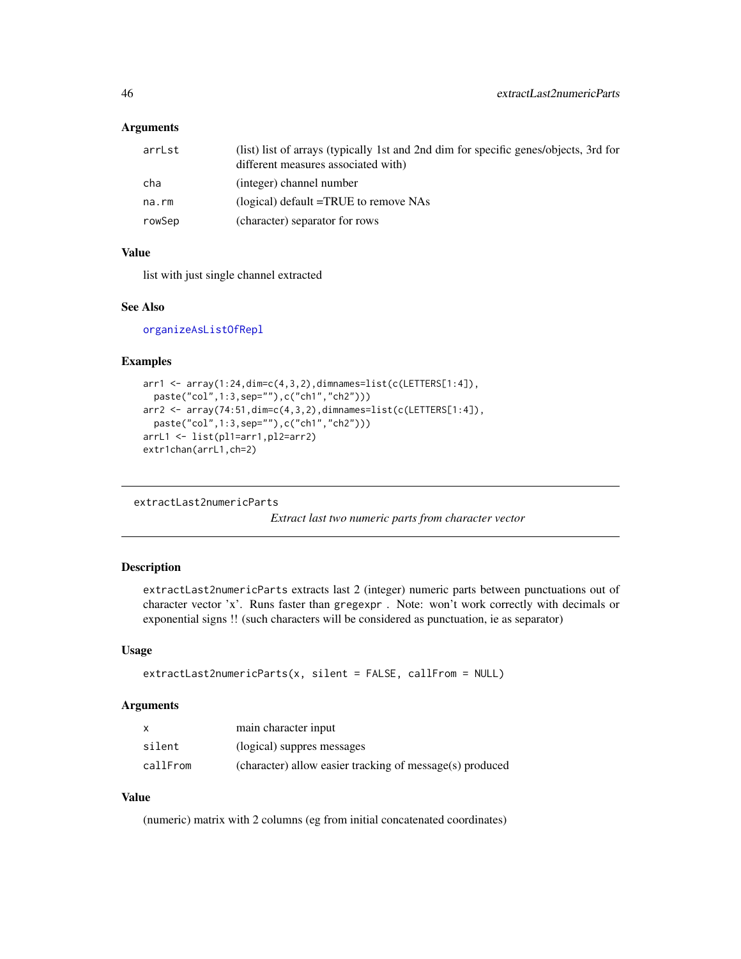## Arguments

| arrLst | (list) list of arrays (typically 1st and 2nd dim for specific genes/objects, 3rd for<br>different measures associated with) |
|--------|-----------------------------------------------------------------------------------------------------------------------------|
| cha    | (integer) channel number                                                                                                    |
| na.rm  | (logical) default $=$ TRUE to remove NAs                                                                                    |
| rowSep | (character) separator for rows                                                                                              |

# Value

list with just single channel extracted

#### See Also

[organizeAsListOfRepl](#page-91-0)

#### Examples

```
arr1 <- array(1:24,dim=c(4,3,2),dimnames=list(c(LETTERS[1:4]),
 paste("col",1:3,sep=""),c("ch1","ch2")))
arr2 <- array(74:51,dim=c(4,3,2),dimnames=list(c(LETTERS[1:4]),
 paste("col",1:3,sep=""),c("ch1","ch2")))
arrL1 <- list(pl1=arr1,pl2=arr2)
extr1chan(arrL1,ch=2)
```
extractLast2numericParts

*Extract last two numeric parts from character vector*

# Description

extractLast2numericParts extracts last 2 (integer) numeric parts between punctuations out of character vector 'x'. Runs faster than gregexpr . Note: won't work correctly with decimals or exponential signs !! (such characters will be considered as punctuation, ie as separator)

#### Usage

```
extractLast2numericParts(x, silent = FALSE, callFrom = NULL)
```
#### Arguments

|          | main character input                                     |
|----------|----------------------------------------------------------|
| silent   | (logical) suppres messages                               |
| callFrom | (character) allow easier tracking of message(s) produced |

# Value

(numeric) matrix with 2 columns (eg from initial concatenated coordinates)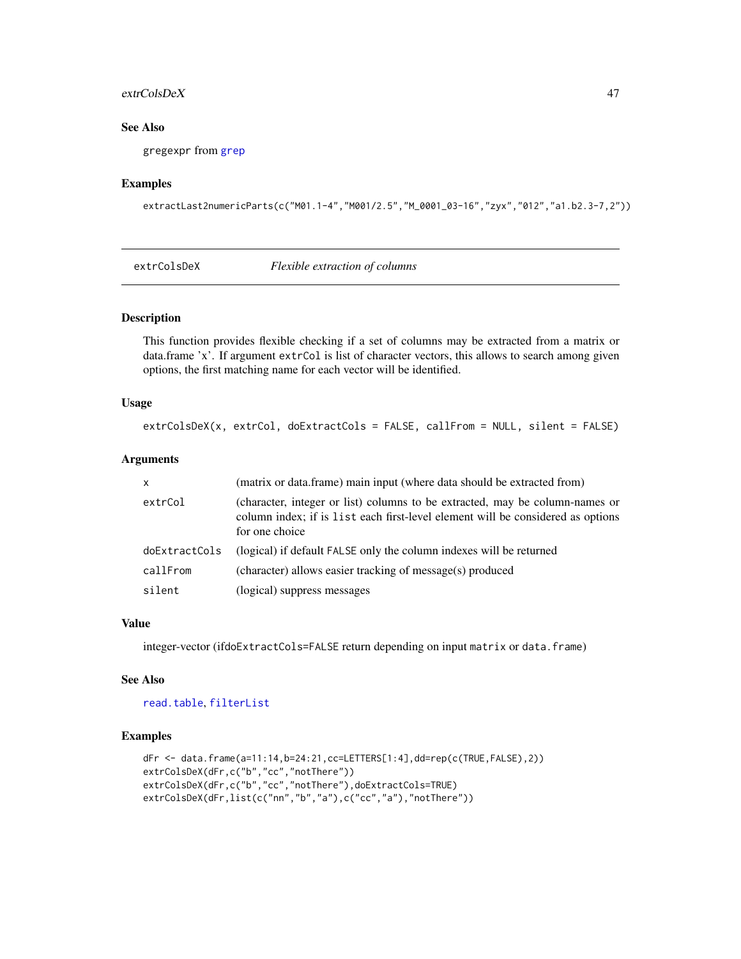#### extrColsDeX 47

# See Also

gregexpr from [grep](#page-0-0)

# Examples

```
extractLast2numericParts(c("M01.1-4","M001/2.5","M_0001_03-16","zyx","012","a1.b2.3-7,2"))
```
<span id="page-46-0"></span>

| Flexible extraction of columns<br>extrColsDeX |
|-----------------------------------------------|
|-----------------------------------------------|

# Description

This function provides flexible checking if a set of columns may be extracted from a matrix or data.frame 'x'. If argument extrCol is list of character vectors, this allows to search among given options, the first matching name for each vector will be identified.

## Usage

```
extrColsDeX(x, extrCol, doExtractCols = FALSE, callFrom = NULL, silent = FALSE)
```
# Arguments

| $\mathsf{x}$  | (matrix or data.frame) main input (where data should be extracted from)                                                                                                           |
|---------------|-----------------------------------------------------------------------------------------------------------------------------------------------------------------------------------|
| extrCol       | (character, integer or list) columns to be extracted, may be column-names or<br>column index; if is list each first-level element will be considered as options<br>for one choice |
| doExtractCols | (logical) if default FALSE only the column indexes will be returned                                                                                                               |
| callFrom      | (character) allows easier tracking of message(s) produced                                                                                                                         |
| silent        | (logical) suppress messages                                                                                                                                                       |

## Value

integer-vector (ifdoExtractCols=FALSE return depending on input matrix or data.frame)

# See Also

[read.table](#page-0-0), [filterList](#page-49-0)

```
dFr <- data.frame(a=11:14,b=24:21,cc=LETTERS[1:4],dd=rep(c(TRUE,FALSE),2))
extrColsDeX(dFr,c("b","cc","notThere"))
extrColsDeX(dFr,c("b","cc","notThere"),doExtractCols=TRUE)
extrColsDeX(dFr,list(c("nn","b","a"),c("cc","a"),"notThere"))
```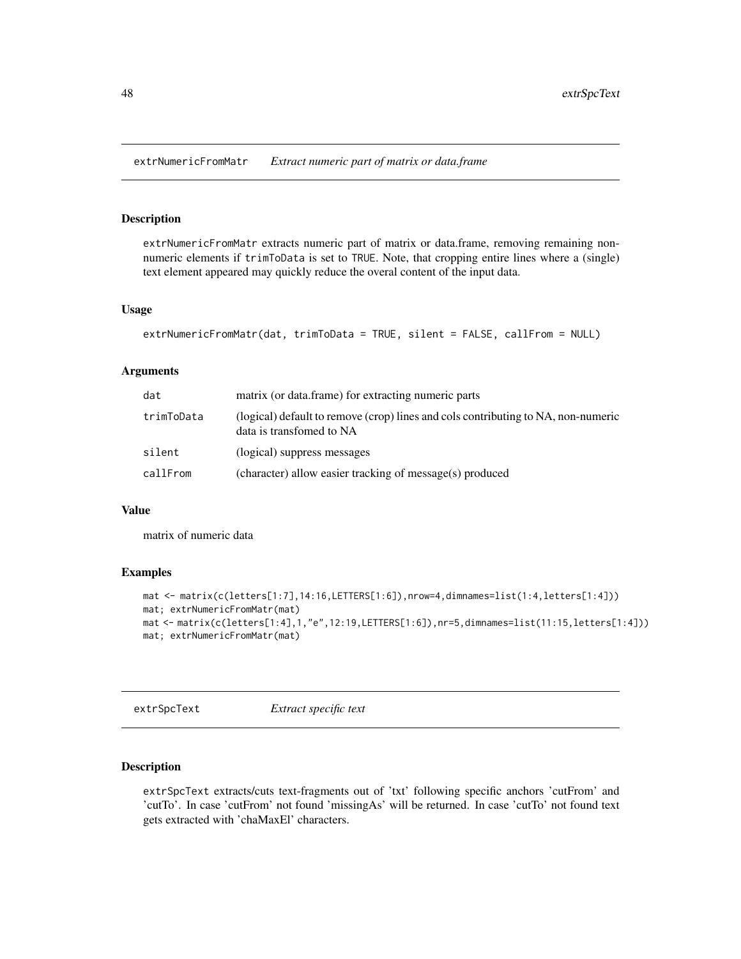extrNumericFromMatr *Extract numeric part of matrix or data.frame*

# Description

extrNumericFromMatr extracts numeric part of matrix or data.frame, removing remaining nonnumeric elements if trimToData is set to TRUE. Note, that cropping entire lines where a (single) text element appeared may quickly reduce the overal content of the input data.

#### Usage

```
extrNumericFromMatr(dat, trimToData = TRUE, silent = FALSE, callFrom = NULL)
```
#### Arguments

| dat        | matrix (or data, frame) for extracting numeric parts                                                          |
|------------|---------------------------------------------------------------------------------------------------------------|
| trimToData | (logical) default to remove (crop) lines and cols contributing to NA, non-numeric<br>data is transfomed to NA |
| silent     | (logical) suppress messages                                                                                   |
| callFrom   | (character) allow easier tracking of message(s) produced                                                      |

#### Value

matrix of numeric data

## Examples

```
mat <- matrix(c(letters[1:7],14:16,LETTERS[1:6]),nrow=4,dimnames=list(1:4,letters[1:4]))
mat; extrNumericFromMatr(mat)
mat <- matrix(c(letters[1:4],1,"e",12:19,LETTERS[1:6]),nr=5,dimnames=list(11:15,letters[1:4]))
mat; extrNumericFromMatr(mat)
```
extrSpcText *Extract specific text*

# Description

extrSpcText extracts/cuts text-fragments out of 'txt' following specific anchors 'cutFrom' and 'cutTo'. In case 'cutFrom' not found 'missingAs' will be returned. In case 'cutTo' not found text gets extracted with 'chaMaxEl' characters.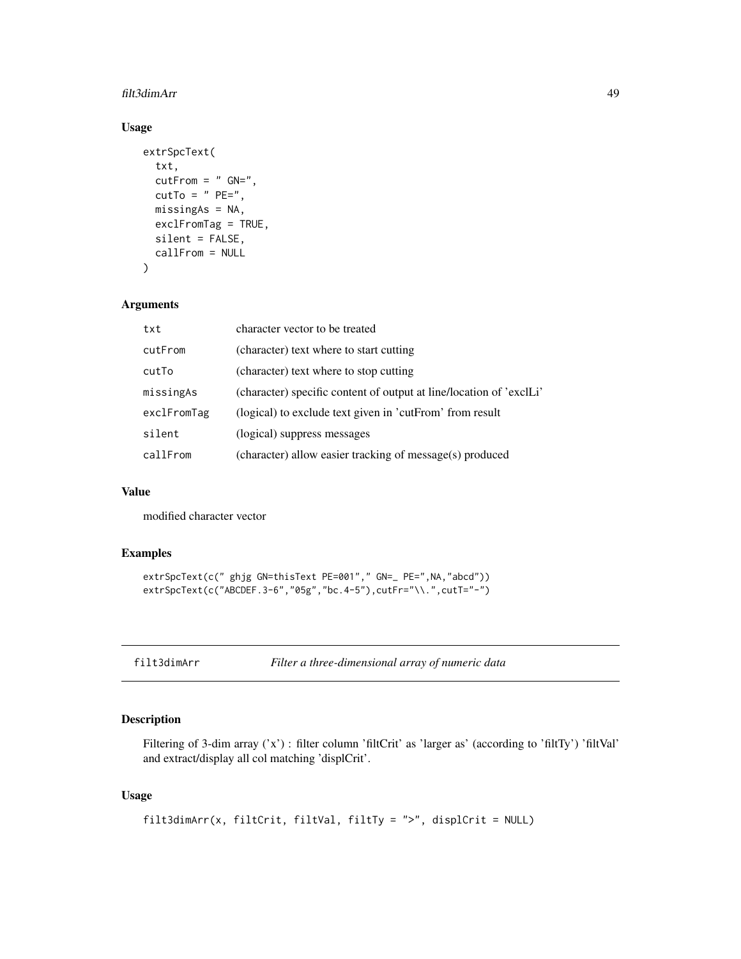#### filt3dimArr 49

# Usage

```
extrSpcText(
  txt,
  cutFrom = " GN="',cutTo = " PE=",
 missingAs = NA,
 exclFromTag = TRUE,
  silent = FALSE,
  callFrom = NULL
)
```
## Arguments

| txt         | character vector to be treated                                      |
|-------------|---------------------------------------------------------------------|
| cutFrom     | (character) text where to start cutting                             |
| cutTo       | (character) text where to stop cutting                              |
| missingAs   | (character) specific content of output at line/location of 'exclLi' |
| exclFromTag | (logical) to exclude text given in 'cutFrom' from result            |
| silent      | (logical) suppress messages                                         |
| callFrom    | (character) allow easier tracking of message(s) produced            |

# Value

modified character vector

# Examples

```
extrSpcText(c(" ghjg GN=thisText PE=001"," GN=_ PE=",NA,"abcd"))
extrSpcText(c("ABCDEF.3-6","05g","bc.4-5"),cutFr="\\.",cutT="-")
```

|  |  | filt3dimArr |
|--|--|-------------|
|  |  |             |

Filter a three-dimensional array of numeric data

# Description

Filtering of 3-dim array ('x') : filter column 'filtCrit' as 'larger as' (according to 'filtTy') 'filtVal' and extract/display all col matching 'displCrit'.

# Usage

```
filt3dimArr(x, filtCrit, filtVal, filtTy = ">", displCrit = NULL)
```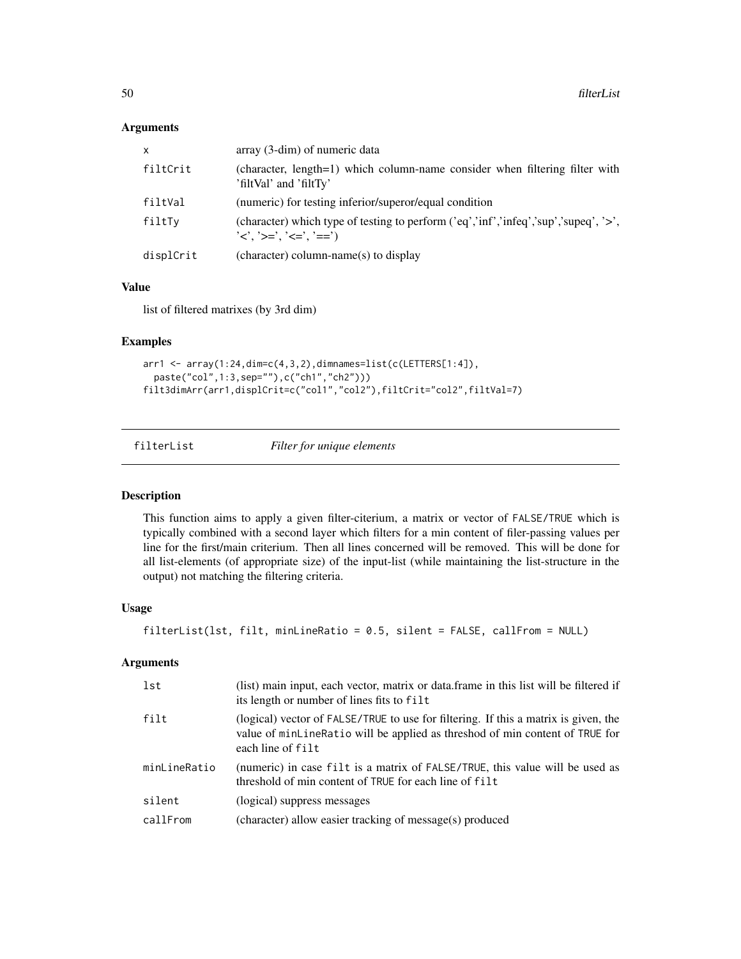#### Arguments

| x         | $array(3-dim)$ of numeric data                                                                                                                                                  |
|-----------|---------------------------------------------------------------------------------------------------------------------------------------------------------------------------------|
| filtCrit  | (character, length=1) which column-name consider when filtering filter with<br>'filtVal' and 'filtTy'                                                                           |
| filtVal   | (numeric) for testing inferior/superor/equal condition                                                                                                                          |
| filtTy    | (character) which type of testing to perform $(\text{`eq'}, \text{`inf'}, \text{`infeq'}, \text{`sup'}, \text{`supeq'}, \text{`}, \text{`}, \text{`}$<br>'<'. '>='. '<='. '==') |
| displCrit | (character) column-name(s) to display                                                                                                                                           |

## Value

list of filtered matrixes (by 3rd dim)

# Examples

```
arr1 <- array(1:24,dim=c(4,3,2),dimnames=list(c(LETTERS[1:4]),
  paste("col",1:3,sep=""),c("ch1","ch2")))
filt3dimArr(arr1,displCrit=c("col1","col2"),filtCrit="col2",filtVal=7)
```

```
filterList Filter for unique elements
```
#### Description

This function aims to apply a given filter-citerium, a matrix or vector of FALSE/TRUE which is typically combined with a second layer which filters for a min content of filer-passing values per line for the first/main criterium. Then all lines concerned will be removed. This will be done for all list-elements (of appropriate size) of the input-list (while maintaining the list-structure in the output) not matching the filtering criteria.

#### Usage

```
filterList(lst, filt, minLineRatio = 0.5, silent = FALSE, callFrom = NULL)
```

| lst          | (list) main input, each vector, matrix or data frame in this list will be filtered if<br>its length or number of lines fits to filt                                                      |
|--------------|------------------------------------------------------------------------------------------------------------------------------------------------------------------------------------------|
| filt         | (logical) vector of FALSE/TRUE to use for filtering. If this a matrix is given, the<br>value of minLineRatio will be applied as threshod of min content of TRUE for<br>each line of filt |
| minLineRatio | (numeric) in case filt is a matrix of FALSE/TRUE, this value will be used as<br>threshold of min content of TRUE for each line of filt                                                   |
| silent       | (logical) suppress messages                                                                                                                                                              |
| callFrom     | (character) allow easier tracking of message(s) produced                                                                                                                                 |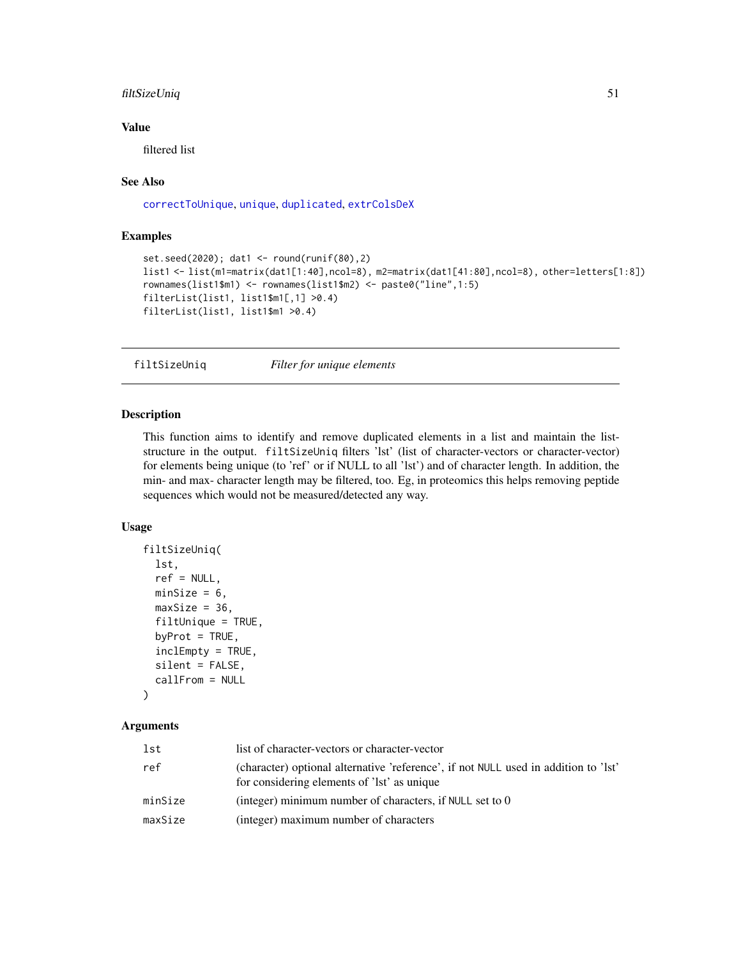# filtSizeUniq 51

## Value

filtered list

#### See Also

[correctToUnique](#page-32-0), [unique](#page-0-0), [duplicated](#page-0-0), [extrColsDeX](#page-46-0)

# Examples

```
set.seed(2020); dat1 <- round(runif(80),2)
list1 <- list(m1=matrix(dat1[1:40],ncol=8), m2=matrix(dat1[41:80],ncol=8), other=letters[1:8])
rownames(list1$m1) <- rownames(list1$m2) <- paste0("line",1:5)
filterList(list1, list1$m1[,1] >0.4)
filterList(list1, list1$m1 >0.4)
```
filtSizeUniq *Filter for unique elements*

#### Description

This function aims to identify and remove duplicated elements in a list and maintain the liststructure in the output. filtSizeUniq filters 'lst' (list of character-vectors or character-vector) for elements being unique (to 'ref' or if NULL to all 'lst') and of character length. In addition, the min- and max- character length may be filtered, too. Eg, in proteomics this helps removing peptide sequences which would not be measured/detected any way.

#### Usage

```
filtSizeUniq(
  lst,
  ref = NULL,minSize = 6,
  maxSize = 36,
  filtUnique = TRUE,
  byProt = TRUE,inclEmpty = TRUE,
  silent = FALSE,
  callFrom = NULL
\lambda
```

| lst     | list of character-vectors or character-vector                                                                                      |
|---------|------------------------------------------------------------------------------------------------------------------------------------|
| ref     | (character) optional alternative 'reference', if not NULL used in addition to 'lst'<br>for considering elements of 'lst' as unique |
| minSize | (integer) minimum number of characters, if NULL set to $0$                                                                         |
| maxSize | (integer) maximum number of characters                                                                                             |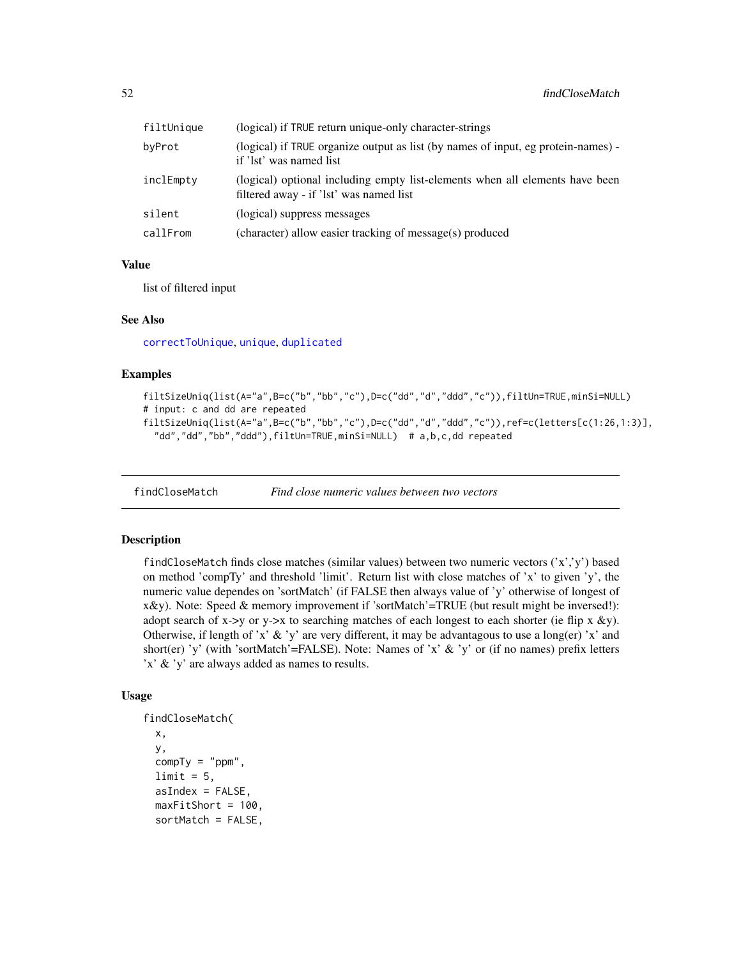| filtUnique | (logical) if TRUE return unique-only character-strings                                                                  |
|------------|-------------------------------------------------------------------------------------------------------------------------|
| byProt     | (logical) if TRUE organize output as list (by names of input, eg protein-names) -<br>if 'lst' was named list            |
| inclEmpty  | (logical) optional including empty list-elements when all elements have been<br>filtered away - if 'lst' was named list |
| silent     | (logical) suppress messages                                                                                             |
| callFrom   | (character) allow easier tracking of message(s) produced                                                                |

# Value

list of filtered input

#### See Also

[correctToUnique](#page-32-0), [unique](#page-0-0), [duplicated](#page-0-0)

#### Examples

```
filtSizeUniq(list(A="a",B=c("b","bb","c"),D=c("dd","d","ddd","c")),filtUn=TRUE,minSi=NULL)
# input: c and dd are repeated
filtSizeUniq(list(A="a",B=c("b","bb","c"),D=c("dd","d","ddd","c")),ref=c(letters[c(1:26,1:3)],
  "dd","dd","bb","ddd"),filtUn=TRUE,minSi=NULL) # a,b,c,dd repeated
```
<span id="page-51-0"></span>findCloseMatch *Find close numeric values between two vectors*

## Description

findCloseMatch finds close matches (similar values) between two numeric vectors  $('x','y')$  based on method 'compTy' and threshold 'limit'. Return list with close matches of 'x' to given 'y', the numeric value dependes on 'sortMatch' (if FALSE then always value of 'y' otherwise of longest of x&y). Note: Speed & memory improvement if 'sortMatch'=TRUE (but result might be inversed!): adopt search of x->y or y->x to searching matches of each longest to each shorter (ie flip x &y). Otherwise, if length of 'x' & 'y' are very different, it may be advantagous to use a long(er) 'x' and short(er) 'y' (with 'sortMatch'=FALSE). Note: Names of 'x'  $\&$  'y' or (if no names) prefix letters 'x' & 'y' are always added as names to results.

#### Usage

```
findCloseMatch(
 x,
 y,
 compTy = "ppm",limit = 5,
  asIndex = FALSE,maxFitShort = 100,
 sortMatch = FALSE,
```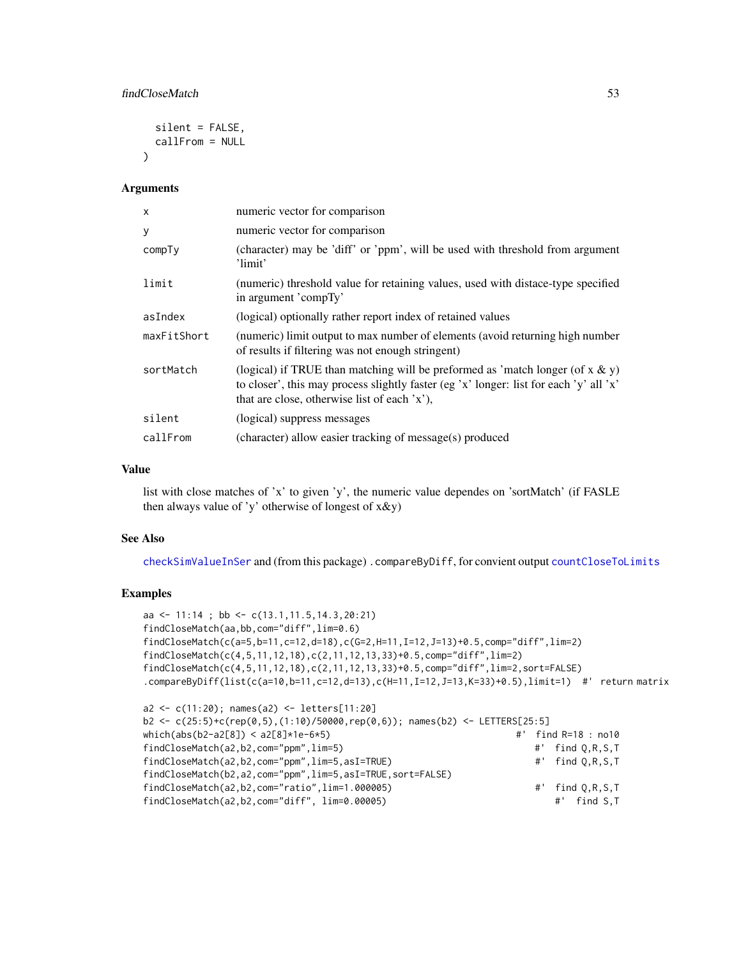```
silent = FALSE,
 callFrom = NULL
)
```
#### Arguments

| $\times$    | numeric vector for comparison                                                                                                                                                                                               |
|-------------|-----------------------------------------------------------------------------------------------------------------------------------------------------------------------------------------------------------------------------|
| У           | numeric vector for comparison                                                                                                                                                                                               |
| compTy      | (character) may be 'diff' or 'ppm', will be used with threshold from argument<br>'limit'                                                                                                                                    |
| limit       | (numeric) threshold value for retaining values, used with distace-type specified<br>in argument 'compTy'                                                                                                                    |
| asIndex     | (logical) optionally rather report index of retained values                                                                                                                                                                 |
| maxFitShort | (numeric) limit output to max number of elements (avoid returning high number<br>of results if filtering was not enough stringent)                                                                                          |
| sortMatch   | (logical) if TRUE than matching will be preformed as 'match longer (of $x \& y$ )<br>to closer', this may process slightly faster (eg 'x' longer: list for each 'y' all 'x'<br>that are close, otherwise list of each 'x'), |
| silent      | (logical) suppress messages                                                                                                                                                                                                 |
| callFrom    | (character) allow easier tracking of message(s) produced                                                                                                                                                                    |

# Value

list with close matches of 'x' to given 'y', the numeric value dependes on 'sortMatch' (if FASLE then always value of 'y' otherwise of longest of x&y)

#### See Also

[checkSimValueInSer](#page-12-0) and (from this package) .compareByDiff, for convient output [countCloseToLimits](#page-34-0)

```
aa <- 11:14 ; bb <- c(13.1,11.5,14.3,20:21)
findCloseMatch(aa,bb,com="diff",lim=0.6)
findCloseMatch(c(a=5,b=11,c=12,d=18),c(G=2,H=11,I=12,J=13)+0.5,comp="diff",lim=2)
findCloseMatch(c(4,5,11,12,18),c(2,11,12,13,33)+0.5,comp="diff",lim=2)
findCloseMatch(c(4,5,11,12,18),c(2,11,12,13,33)+0.5,comp="diff",lim=2,sort=FALSE)
.compareByDiff(list(c(a=10,b=11,c=12,d=13),c(H=11,I=12,J=13,K=33)+0.5),limit=1) #' return matrix
a2 <- c(11:20); names(a2) <- letters[11:20]
b2 <- c(25:5)+c(rep(0,5),(1:10)/50000,rep(0,6)); names(b2) <- LETTERS[25:5]
which(abs(b2-a2[8]) < a2[8]*1e-6*5) #' find R=18 : no10
findCloseMatch(a2,b2,com="ppm",lim=5) #' find Q,R,S,T
findCloseMatch(a2,b2,com="ppm",lim=5,asI=TRUE) #' find Q,R,S,T
findCloseMatch(b2,a2,com="ppm",lim=5,asI=TRUE,sort=FALSE)
findCloseMatch(a2,b2,com="ratio",lim=1.000005) #' find Q,R,S,T
findCloseMatch(a2,b2,com="diff", lim=0.00005) #' find S,T
```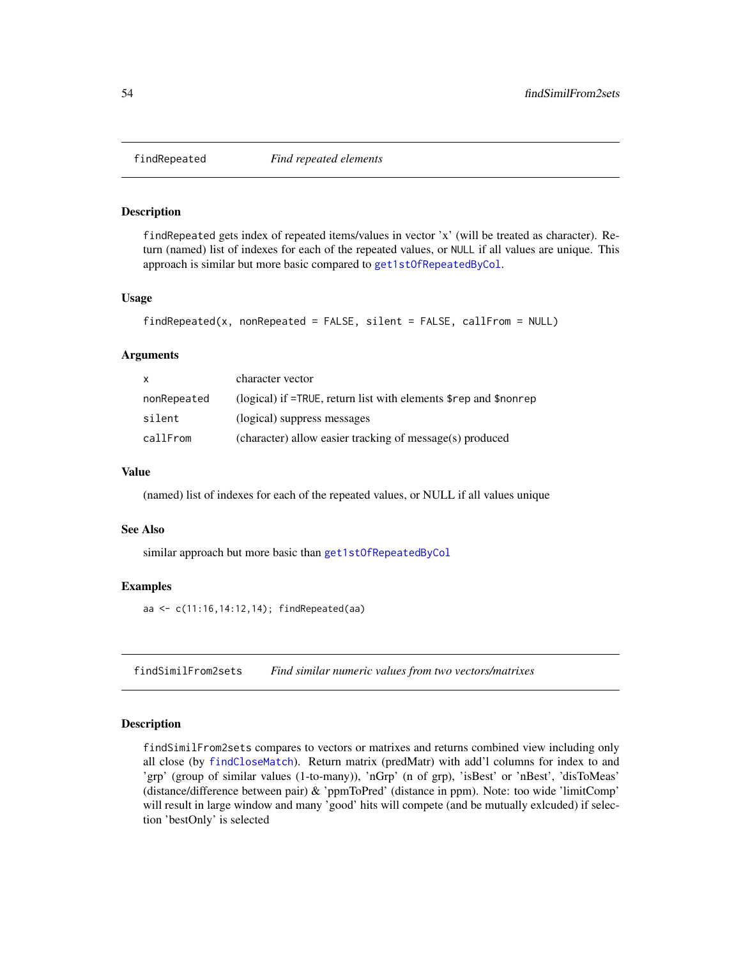<span id="page-53-0"></span>

# **Description**

findRepeated gets index of repeated items/values in vector 'x' (will be treated as character). Return (named) list of indexes for each of the repeated values, or NULL if all values are unique. This approach is similar but more basic compared to [get1stOfRepeatedByCol](#page-61-0).

# Usage

```
findRepeated(x, nonRepeated = FALSE, silent = FALSE, callFrom = NULL)
```
#### Arguments

| x           | character vector                                                                      |
|-------------|---------------------------------------------------------------------------------------|
| nonRepeated | (logical) if $=$ TRUE, return list with elements $\epsilon$ rep and $\epsilon$ nonrep |
| silent      | (logical) suppress messages                                                           |
| callFrom    | (character) allow easier tracking of message(s) produced                              |

# Value

(named) list of indexes for each of the repeated values, or NULL if all values unique

#### See Also

similar approach but more basic than [get1stOfRepeatedByCol](#page-61-0)

#### Examples

aa <- c(11:16,14:12,14); findRepeated(aa)

findSimilFrom2sets *Find similar numeric values from two vectors/matrixes*

#### Description

findSimilFrom2sets compares to vectors or matrixes and returns combined view including only all close (by [findCloseMatch](#page-51-0)). Return matrix (predMatr) with add'l columns for index to and 'grp' (group of similar values (1-to-many)), 'nGrp' (n of grp), 'isBest' or 'nBest', 'disToMeas' (distance/difference between pair) & 'ppmToPred' (distance in ppm). Note: too wide 'limitComp' will result in large window and many 'good' hits will compete (and be mutually exlcuded) if selection 'bestOnly' is selected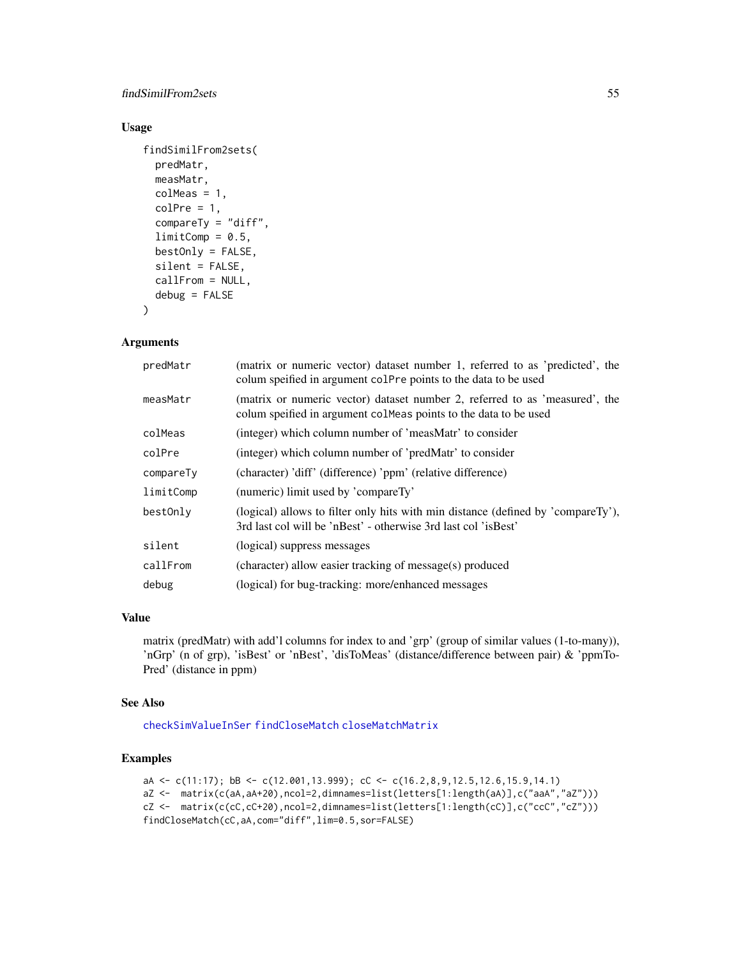# findSimilFrom2sets 55

# Usage

```
findSimilFrom2sets(
 predMatr,
 measMatr,
 colMeas = 1,
 colPre = 1,
  compareTy = "diff",
  limitComp = 0.5,bestOnly = FALSE,
  silent = FALSE,
  callFrom = NULL,
 debug = FALSE
)
```
Arguments

| predMatr  | (matrix or numeric vector) dataset number 1, referred to as 'predicted', the<br>colum speified in argument colPre points to the data to be used    |
|-----------|----------------------------------------------------------------------------------------------------------------------------------------------------|
| measMatr  | (matrix or numeric vector) dataset number 2, referred to as 'measured', the<br>colum speified in argument colmeas points to the data to be used    |
| colMeas   | (integer) which column number of 'measMatr' to consider                                                                                            |
| colPre    | (integer) which column number of 'predMatr' to consider                                                                                            |
| compareTy | (character) 'diff' (difference) 'ppm' (relative difference)                                                                                        |
| limitComp | (numeric) limit used by 'compareTy'                                                                                                                |
| bestOnly  | (logical) allows to filter only hits with min distance (defined by 'compareTy'),<br>3rd last col will be 'nBest' - otherwise 3rd last col 'isBest' |
| silent    | (logical) suppress messages                                                                                                                        |
| callFrom  | (character) allow easier tracking of message(s) produced                                                                                           |
| debug     | (logical) for bug-tracking: more/enhanced messages                                                                                                 |

# Value

matrix (predMatr) with add'l columns for index to and 'grp' (group of similar values (1-to-many)), 'nGrp' (n of grp), 'isBest' or 'nBest', 'disToMeas' (distance/difference between pair) & 'ppmTo-Pred' (distance in ppm)

#### See Also

[checkSimValueInSer](#page-12-0) [findCloseMatch](#page-51-0) [closeMatchMatrix](#page-16-0)

```
aA <- c(11:17); bB <- c(12.001,13.999); cC <- c(16.2,8,9,12.5,12.6,15.9,14.1)
aZ <- matrix(c(aA,aA+20),ncol=2,dimnames=list(letters[1:length(aA)],c("aaA","aZ")))
cZ <- matrix(c(cC,cC+20),ncol=2,dimnames=list(letters[1:length(cC)],c("ccC","cZ")))
findCloseMatch(cC,aA,com="diff",lim=0.5,sor=FALSE)
```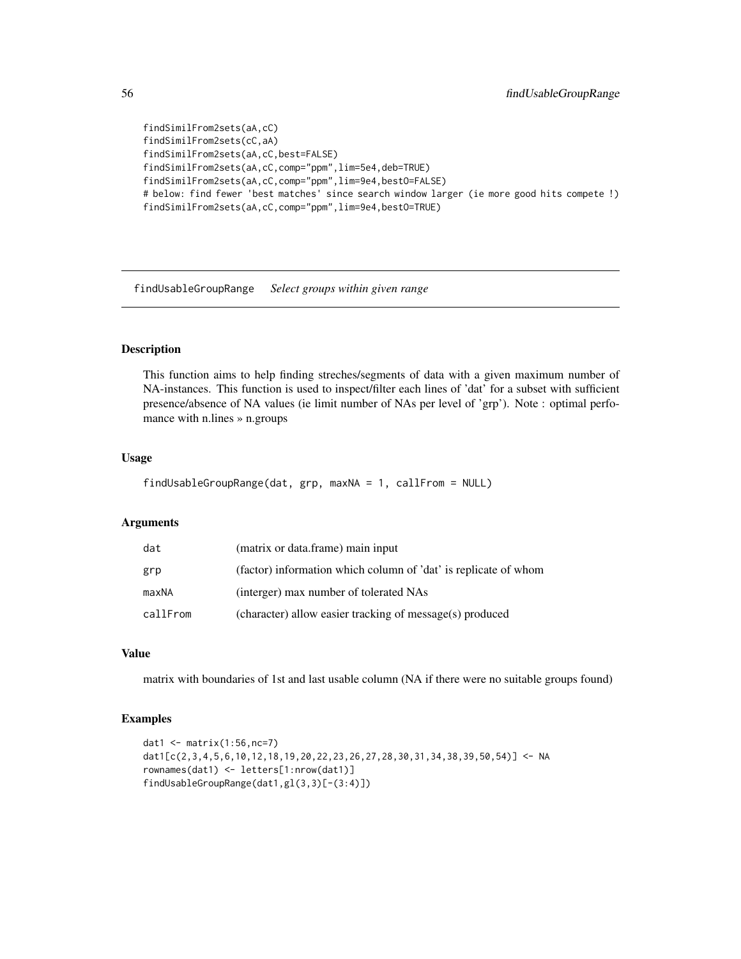```
findSimilFrom2sets(aA,cC)
findSimilFrom2sets(cC,aA)
findSimilFrom2sets(aA,cC,best=FALSE)
findSimilFrom2sets(aA,cC,comp="ppm",lim=5e4,deb=TRUE)
findSimilFrom2sets(aA,cC,comp="ppm",lim=9e4,bestO=FALSE)
# below: find fewer 'best matches' since search window larger (ie more good hits compete !)
findSimilFrom2sets(aA,cC,comp="ppm",lim=9e4,bestO=TRUE)
```
findUsableGroupRange *Select groups within given range*

## Description

This function aims to help finding streches/segments of data with a given maximum number of NA-instances. This function is used to inspect/filter each lines of 'dat' for a subset with sufficient presence/absence of NA values (ie limit number of NAs per level of 'grp'). Note : optimal perfomance with n.lines » n.groups

#### Usage

```
findUsableGroupRange(dat, grp, maxNA = 1, callFrom = NULL)
```
#### Arguments

| dat      | (matrix or data.frame) main input                               |
|----------|-----------------------------------------------------------------|
| grp      | (factor) information which column of 'dat' is replicate of whom |
| maxNA    | (interger) max number of tolerated NAs                          |
| callFrom | (character) allow easier tracking of message(s) produced        |

# Value

matrix with boundaries of 1st and last usable column (NA if there were no suitable groups found)

```
dat1 <- matrix(1:56,nc=7)
dat1[c(2,3,4,5,6,10,12,18,19,20,22,23,26,27,28,30,31,34,38,39,50,54)] <- NA
rownames(dat1) <- letters[1:nrow(dat1)]
findUsableGroupRange(dat1,gl(3,3)[-(3:4)])
```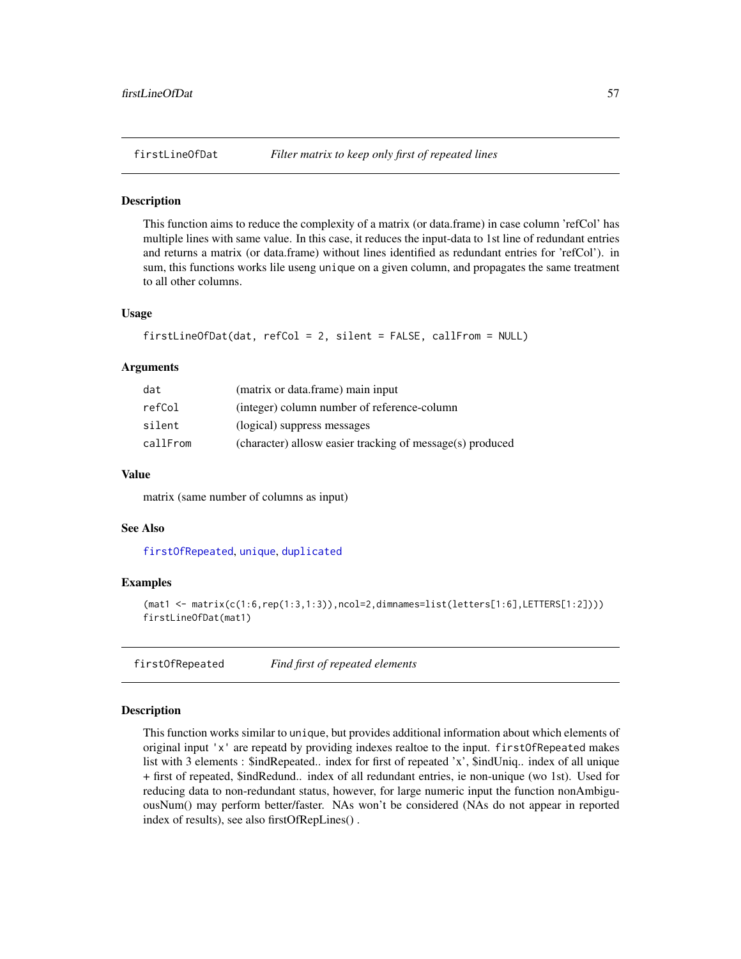#### **Description**

This function aims to reduce the complexity of a matrix (or data.frame) in case column 'refCol' has multiple lines with same value. In this case, it reduces the input-data to 1st line of redundant entries and returns a matrix (or data.frame) without lines identified as redundant entries for 'refCol'). in sum, this functions works lile useng unique on a given column, and propagates the same treatment to all other columns.

#### Usage

```
firstLineOfDat(dat, refCol = 2, silent = FALSE, callFrom = NULL)
```
### Arguments

| dat      | (matrix or data.frame) main input                         |
|----------|-----------------------------------------------------------|
| refCol   | (integer) column number of reference-column               |
| silent   | (logical) suppress messages                               |
| callFrom | (character) allosw easier tracking of message(s) produced |

# Value

matrix (same number of columns as input)

#### See Also

[firstOfRepeated](#page-56-0), [unique](#page-0-0), [duplicated](#page-0-0)

## Examples

```
(\text{mat1} \leq \text{matrix}(c(1:6, \text{rep}(1:3, 1:3)), \text{ncol}=2, \text{dimnames=list}(\text{letters}[1:6], \text{LETTER}[1:2]))))firstLineOfDat(mat1)
```
<span id="page-56-0"></span>firstOfRepeated *Find first of repeated elements*

# Description

This function works similar to unique, but provides additional information about which elements of original input 'x' are repeatd by providing indexes realtoe to the input. firstOfRepeated makes list with 3 elements : \$indRepeated.. index for first of repeated 'x', \$indUniq.. index of all unique + first of repeated, \$indRedund.. index of all redundant entries, ie non-unique (wo 1st). Used for reducing data to non-redundant status, however, for large numeric input the function nonAmbiguousNum() may perform better/faster. NAs won't be considered (NAs do not appear in reported index of results), see also firstOfRepLines() .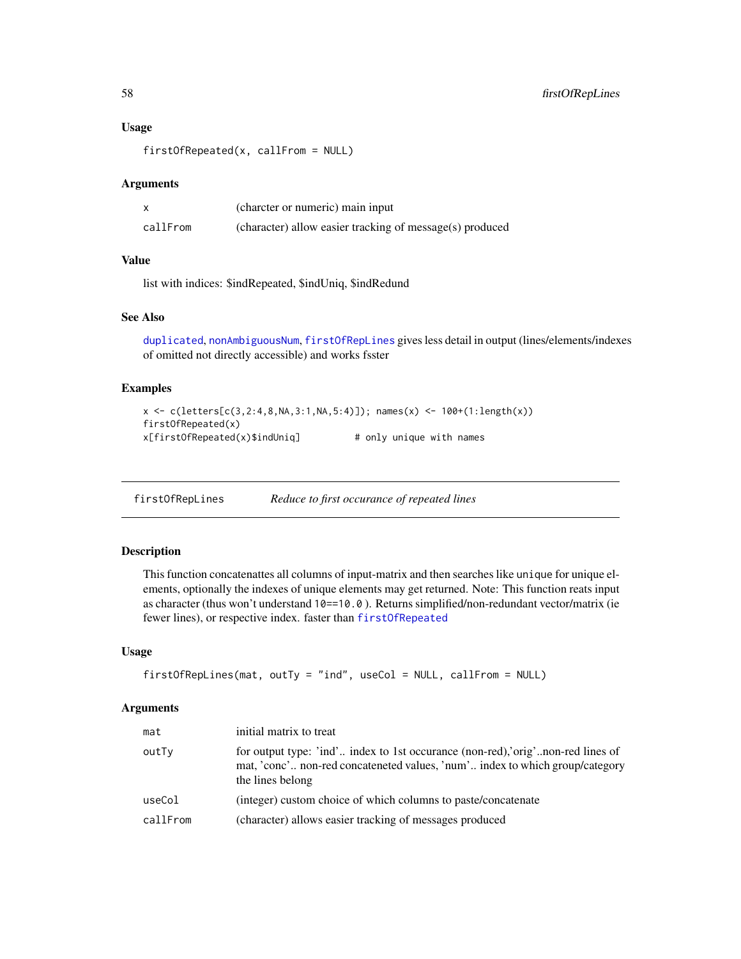#### Usage

firstOfRepeated(x, callFrom = NULL)

#### Arguments

|          | (charcter or numeric) main input                         |
|----------|----------------------------------------------------------|
| callFrom | (character) allow easier tracking of message(s) produced |

# Value

list with indices: \$indRepeated, \$indUniq, \$indRedund

# See Also

[duplicated](#page-0-0), [nonAmbiguousNum](#page-86-0), [firstOfRepLines](#page-57-0) gives less detail in output (lines/elements/indexes of omitted not directly accessible) and works fsster

# Examples

```
x <- c(letters[c(3,2:4,8,NA,3:1,NA,5:4)]); names(x) <- 100+(1:length(x))
firstOfRepeated(x)
x[firstOfRepeated(x)$indUniq] # only unique with names
```
<span id="page-57-0"></span>firstOfRepLines *Reduce to first occurance of repeated lines*

## Description

This function concatenattes all columns of input-matrix and then searches like unique for unique elements, optionally the indexes of unique elements may get returned. Note: This function reats input as character (thus won't understand 10==10.0 ). Returns simplified/non-redundant vector/matrix (ie fewer lines), or respective index. faster than [firstOfRepeated](#page-56-0)

#### Usage

```
firstOfRepLines(mat, outTy = "ind", useCol = NULL, callFrom = NULL)
```

| mat      | initial matrix to treat                                                                                                                                                            |
|----------|------------------------------------------------------------------------------------------------------------------------------------------------------------------------------------|
| outTy    | for output type: 'ind' index to 1st occurance (non-red), orig'non-red lines of<br>mat, 'conc' non-red concateneted values, 'num' index to which group/category<br>the lines belong |
| useCol   | (integer) custom choice of which columns to paste/concatenate                                                                                                                      |
| callFrom | (character) allows easier tracking of messages produced                                                                                                                            |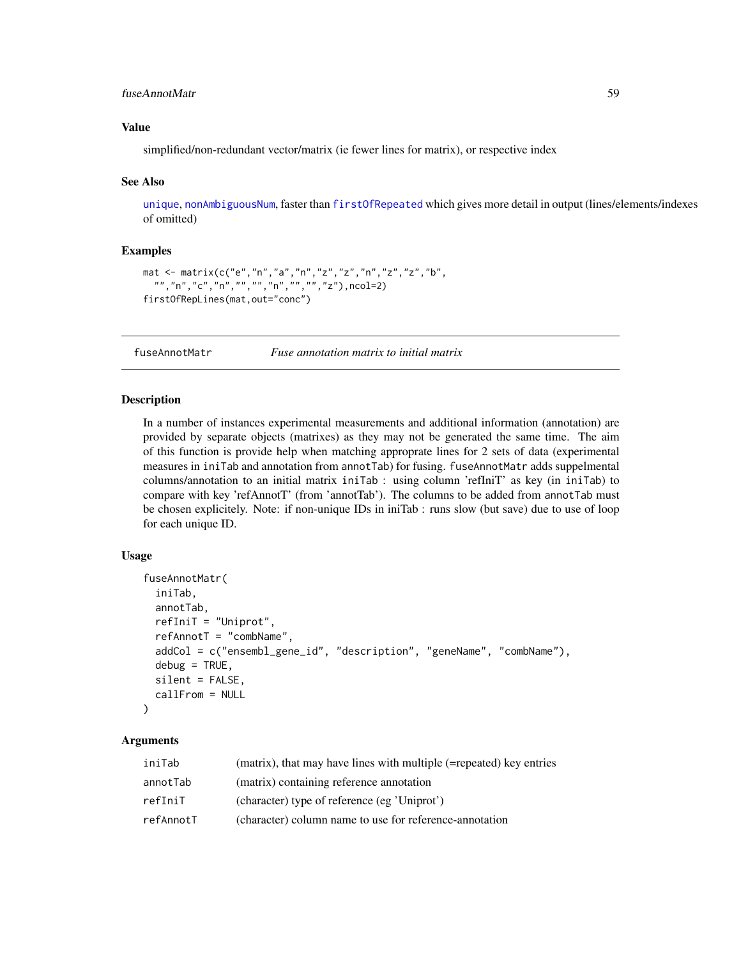# fuseAnnotMatr 59

# Value

simplified/non-redundant vector/matrix (ie fewer lines for matrix), or respective index

#### See Also

[unique](#page-0-0), [nonAmbiguousNum](#page-86-0), faster than [firstOfRepeated](#page-56-0) which gives more detail in output (lines/elements/indexes of omitted)

## Examples

```
mat <- matrix(c("e","n","a","n","z","z","n","z","z","b",
  "","n","c","n","","","n","","","z"),ncol=2)
firstOfRepLines(mat,out="conc")
```
fuseAnnotMatr *Fuse annotation matrix to initial matrix*

# Description

In a number of instances experimental measurements and additional information (annotation) are provided by separate objects (matrixes) as they may not be generated the same time. The aim of this function is provide help when matching approprate lines for 2 sets of data (experimental measures in iniTab and annotation from annotTab) for fusing. fuseAnnotMatr adds suppelmental columns/annotation to an initial matrix iniTab : using column 'refIniT' as key (in iniTab) to compare with key 'refAnnotT' (from 'annotTab'). The columns to be added from annotTab must be chosen explicitely. Note: if non-unique IDs in iniTab : runs slow (but save) due to use of loop for each unique ID.

#### Usage

```
fuseAnnotMatr(
  iniTab,
  annotTab,
  refIniT = "Uniprot",
  refAnnotT = "combName",
  addCol = c("ensembl_gene_id", "description", "geneName", "combName"),
  debug = TRUE,silent = FALSE,
  callFrom = NULL
)
```

| iniTab    | (matrix), that may have lines with multiple (=repeated) key entries |
|-----------|---------------------------------------------------------------------|
| annotTab  | (matrix) containing reference annotation                            |
| refIniT   | (character) type of reference (eg 'Uniprot')                        |
| refAnnotT | (character) column name to use for reference-annotation             |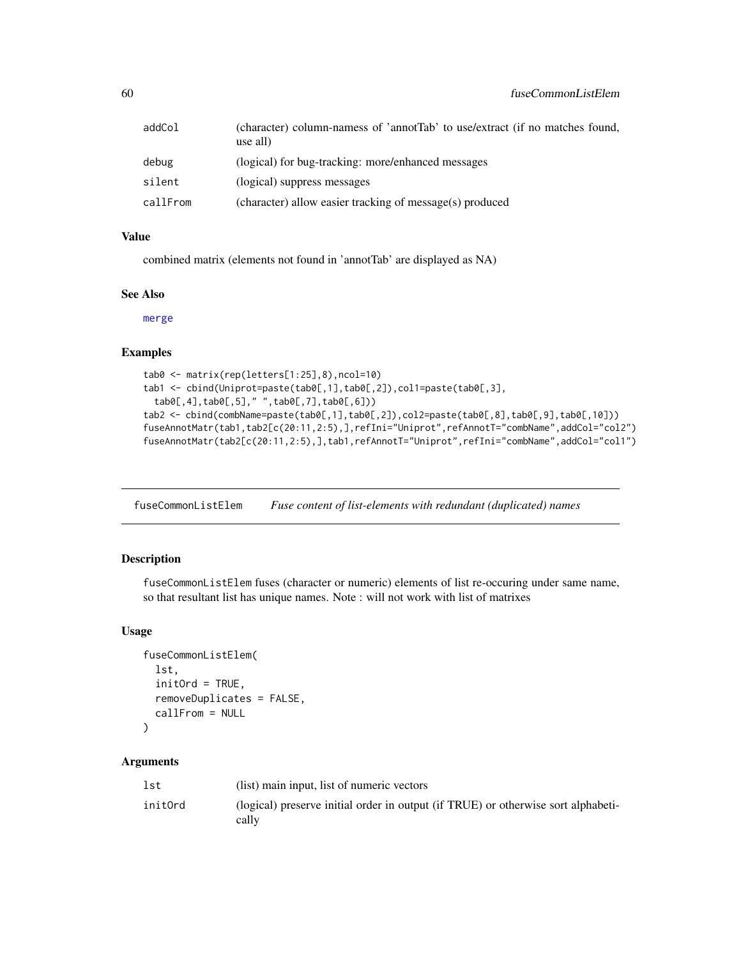| addCol   | (character) column-namess of 'annotTab' to use/extract (if no matches found,<br>use all) |
|----------|------------------------------------------------------------------------------------------|
| debug    | (logical) for bug-tracking: more/enhanced messages                                       |
| silent   | (logical) suppress messages                                                              |
| callFrom | (character) allow easier tracking of message(s) produced                                 |

#### Value

combined matrix (elements not found in 'annotTab' are displayed as NA)

## See Also

[merge](#page-0-0)

# Examples

```
tab0 <- matrix(rep(letters[1:25],8),ncol=10)
tab1 <- cbind(Uniprot=paste(tab0[,1],tab0[,2]),col1=paste(tab0[,3],
 tab0[,4],tab0[,5]," ",tab0[,7],tab0[,6]))
tab2 <- cbind(combName=paste(tab0[,1],tab0[,2]),col2=paste(tab0[,8],tab0[,9],tab0[,10]))
fuseAnnotMatr(tab1,tab2[c(20:11,2:5),],refIni="Uniprot",refAnnotT="combName",addCol="col2")
fuseAnnotMatr(tab2[c(20:11,2:5),],tab1,refAnnotT="Uniprot",refIni="combName",addCol="col1")
```
fuseCommonListElem *Fuse content of list-elements with redundant (duplicated) names*

# Description

fuseCommonListElem fuses (character or numeric) elements of list re-occuring under same name, so that resultant list has unique names. Note : will not work with list of matrixes

#### Usage

```
fuseCommonListElem(
  lst,
  initOrd = TRUE,
  removeDuplicates = FALSE,
  callFrom = NULL
\mathcal{L}
```

| lst     | (list) main input, list of numeric vectors                                                 |
|---------|--------------------------------------------------------------------------------------------|
| initOrd | (logical) preserve initial order in output (if TRUE) or otherwise sort alphabeti-<br>cally |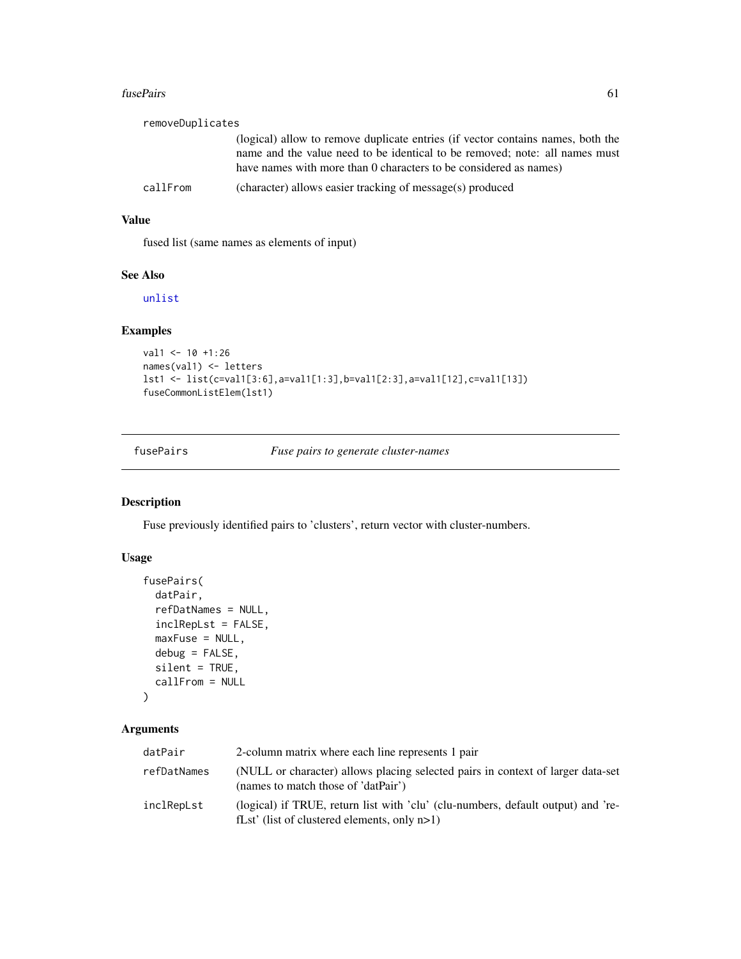#### fusePairs 61

| removeDuplicates |                                                                                                                                                                                                                                     |
|------------------|-------------------------------------------------------------------------------------------------------------------------------------------------------------------------------------------------------------------------------------|
|                  | (logical) allow to remove duplicate entries (if vector contains names, both the<br>name and the value need to be identical to be removed; note: all names must<br>have names with more than 0 characters to be considered as names) |
| callFrom         | (character) allows easier tracking of message(s) produced                                                                                                                                                                           |

# Value

fused list (same names as elements of input)

# See Also

[unlist](#page-0-0)

# Examples

```
val1 <- 10 +1:26
names(val1) <- letters
lst1 <- list(c=val1[3:6],a=val1[1:3],b=val1[2:3],a=val1[12],c=val1[13])
fuseCommonListElem(lst1)
```
## fusePairs *Fuse pairs to generate cluster-names*

# Description

Fuse previously identified pairs to 'clusters', return vector with cluster-numbers.

# Usage

```
fusePairs(
 datPair,
  refDatNames = NULL,
  inclRepLst = FALSE,
 maxFuse = NULL,
 debug = FALSE,
 silent = TRUE,
 callFrom = NULL
)
```

| datPair     | 2-column matrix where each line represents 1 pair                                                                                   |
|-------------|-------------------------------------------------------------------------------------------------------------------------------------|
| refDatNames | (NULL or character) allows placing selected pairs in context of larger data-set<br>(names to match those of 'datPair')              |
| inclRepLst  | (logical) if TRUE, return list with 'clu' (clu-numbers, default output) and 're-<br>fLst' (list of clustered elements, only $n>1$ ) |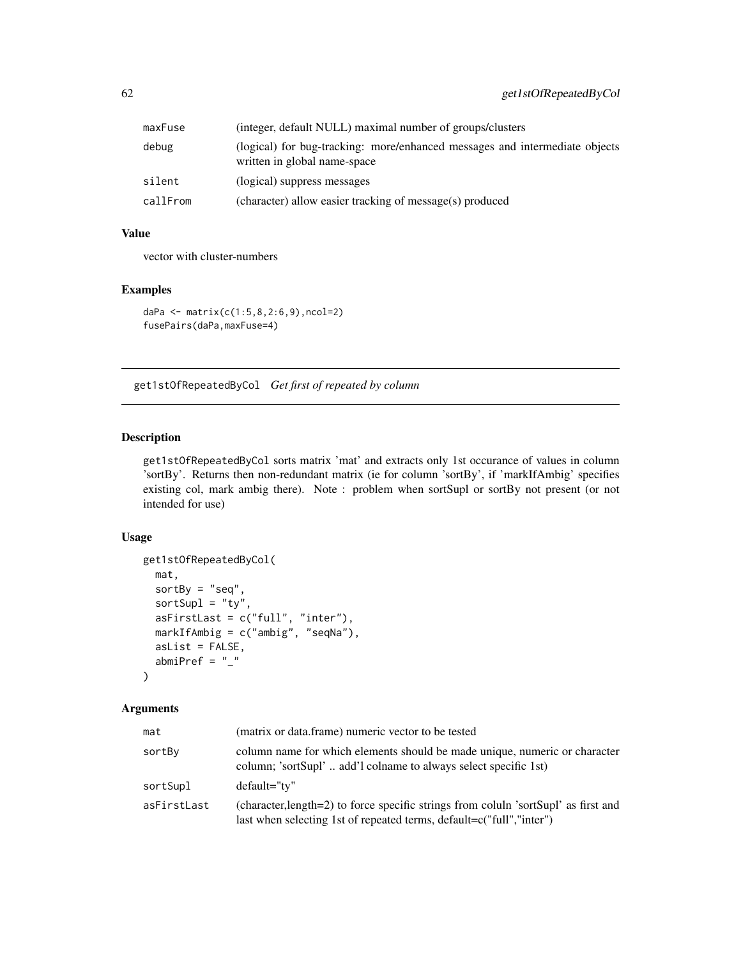| maxFuse  | (integer, default NULL) maximal number of groups/clusters                                                   |
|----------|-------------------------------------------------------------------------------------------------------------|
| debug    | (logical) for bug-tracking: more/enhanced messages and intermediate objects<br>written in global name-space |
| silent   | (logical) suppress messages                                                                                 |
| callFrom | (character) allow easier tracking of message(s) produced                                                    |

# Value

vector with cluster-numbers

# Examples

```
daPa <- matrix(c(1:5,8,2:6,9),ncol=2)
fusePairs(daPa,maxFuse=4)
```
<span id="page-61-0"></span>get1stOfRepeatedByCol *Get first of repeated by column*

## Description

get1stOfRepeatedByCol sorts matrix 'mat' and extracts only 1st occurance of values in column 'sortBy'. Returns then non-redundant matrix (ie for column 'sortBy', if 'markIfAmbig' specifies existing col, mark ambig there). Note : problem when sortSupl or sortBy not present (or not intended for use)

## Usage

```
get1stOfRepeatedByCol(
 mat,
 sortBy = "seq",sortSup1 = "ty",asFirstLast = c("full", "inter"),
 markIfAmbig = c("ambig", "seqNa"),
 asList = FALSE,abmiPref = "_"
)
```

| mat         | (matrix or data.frame) numeric vector to be tested                                                                                                          |
|-------------|-------------------------------------------------------------------------------------------------------------------------------------------------------------|
| sortBy      | column name for which elements should be made unique, numeric or character<br>column; 'sortSupl' add'l colname to always select specific 1st)               |
| sortSupl    | default="ty"                                                                                                                                                |
| asFirstLast | (character, length=2) to force specific strings from coluln 'sortSupl' as first and<br>last when selecting 1st of repeated terms, default=c("full","inter") |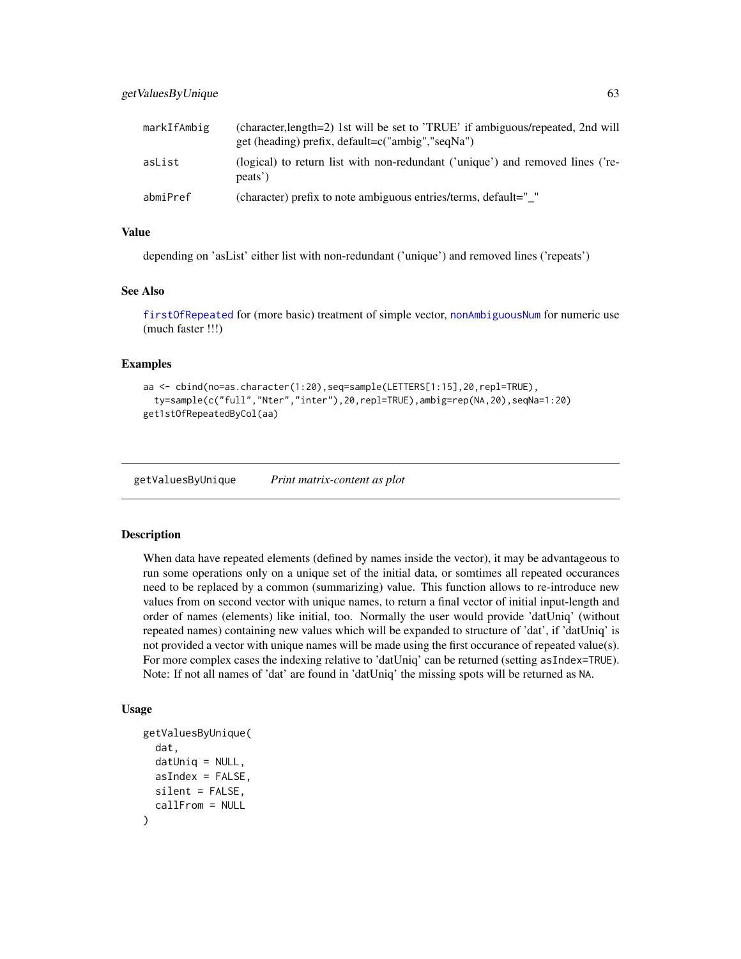| markIfAmbig | (character, length=2) 1st will be set to 'TRUE' if ambiguous/repeated, 2nd will<br>get (heading) prefix, default=c("ambig","seqNa") |
|-------------|-------------------------------------------------------------------------------------------------------------------------------------|
| asList      | (logical) to return list with non-redundant ('unique') and removed lines ('re-<br>peats')                                           |
| abmiPref    | (character) prefix to note ambiguous entries/terms, default="                                                                       |

#### Value

depending on 'asList' either list with non-redundant ('unique') and removed lines ('repeats')

#### See Also

[firstOfRepeated](#page-56-0) for (more basic) treatment of simple vector, [nonAmbiguousNum](#page-86-0) for numeric use (much faster !!!)

## Examples

```
aa <- cbind(no=as.character(1:20),seq=sample(LETTERS[1:15],20,repl=TRUE),
  ty=sample(c("full","Nter","inter"),20,repl=TRUE),ambig=rep(NA,20),seqNa=1:20)
get1stOfRepeatedByCol(aa)
```
getValuesByUnique *Print matrix-content as plot*

## Description

When data have repeated elements (defined by names inside the vector), it may be advantageous to run some operations only on a unique set of the initial data, or somtimes all repeated occurances need to be replaced by a common (summarizing) value. This function allows to re-introduce new values from on second vector with unique names, to return a final vector of initial input-length and order of names (elements) like initial, too. Normally the user would provide 'datUniq' (without repeated names) containing new values which will be expanded to structure of 'dat', if 'datUniq' is not provided a vector with unique names will be made using the first occurance of repeated value(s). For more complex cases the indexing relative to 'datUniq' can be returned (setting asIndex=TRUE). Note: If not all names of 'dat' are found in 'datUniq' the missing spots will be returned as NA.

#### Usage

```
getValuesByUnique(
  dat,
  datUniq = NULL,
  asIndex = FALSE,
  silent = FALSE,
  callFrom = NULL
)
```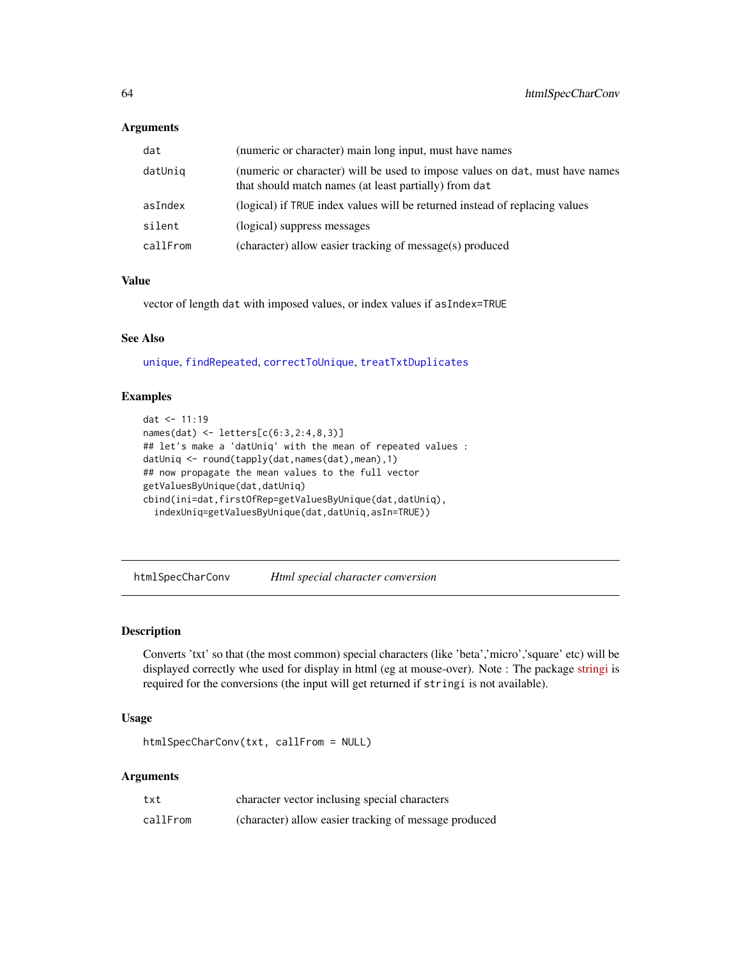#### Arguments

| dat      | (numeric or character) main long input, must have names                                                                               |
|----------|---------------------------------------------------------------------------------------------------------------------------------------|
| datUniq  | (numeric or character) will be used to impose values on dat, must have names<br>that should match names (at least partially) from dat |
| asIndex  | (logical) if TRUE index values will be returned instead of replacing values                                                           |
| silent   | (logical) suppress messages                                                                                                           |
| callFrom | (character) allow easier tracking of message(s) produced                                                                              |

# Value

vector of length dat with imposed values, or index values if asIndex=TRUE

# See Also

[unique](#page-0-0), [findRepeated](#page-53-0), [correctToUnique](#page-32-0), [treatTxtDuplicates](#page-128-0)

## Examples

```
dat <- 11:19
names(dat) <- letters[c(6:3,2:4,8,3)]
## let's make a 'datUniq' with the mean of repeated values :
datUniq <- round(tapply(dat,names(dat),mean),1)
## now propagate the mean values to the full vector
getValuesByUnique(dat,datUniq)
cbind(ini=dat,firstOfRep=getValuesByUnique(dat,datUniq),
  indexUniq=getValuesByUnique(dat,datUniq,asIn=TRUE))
```
htmlSpecCharConv *Html special character conversion*

#### Description

Converts 'txt' so that (the most common) special characters (like 'beta','micro','square' etc) will be displayed correctly whe used for display in html (eg at mouse-over). Note : The package [stringi](https://CRAN.R-project.org/package=stringi) is required for the conversions (the input will get returned if stringi is not available).

# Usage

htmlSpecCharConv(txt, callFrom = NULL)

| txt      | character vector inclusing special characters         |
|----------|-------------------------------------------------------|
| callFrom | (character) allow easier tracking of message produced |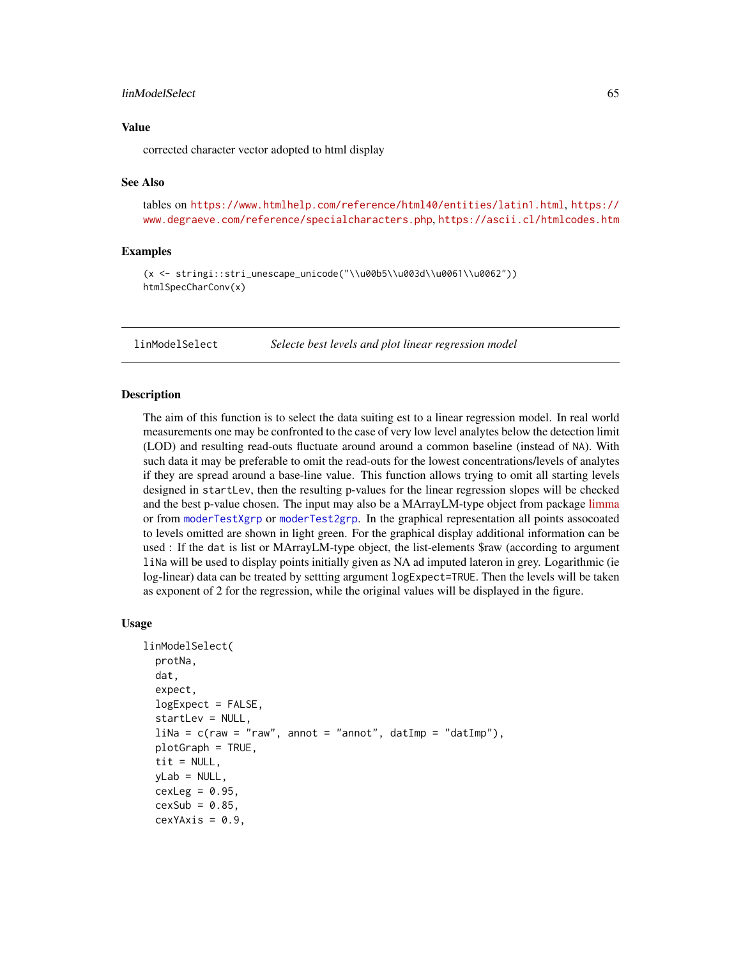# linModelSelect 65

## Value

corrected character vector adopted to html display

#### See Also

tables on <https://www.htmlhelp.com/reference/html40/entities/latin1.html>, [https://](https://www.degraeve.com/reference/specialcharacters.php) [www.degraeve.com/reference/specialcharacters.php](https://www.degraeve.com/reference/specialcharacters.php), <https://ascii.cl/htmlcodes.htm>

## Examples

(x <- stringi::stri\_unescape\_unicode("\\u00b5\\u003d\\u0061\\u0062")) htmlSpecCharConv(x)

linModelSelect *Selecte best levels and plot linear regression model*

#### **Description**

The aim of this function is to select the data suiting est to a linear regression model. In real world measurements one may be confronted to the case of very low level analytes below the detection limit (LOD) and resulting read-outs fluctuate around around a common baseline (instead of NA). With such data it may be preferable to omit the read-outs for the lowest concentrations/levels of analytes if they are spread around a base-line value. This function allows trying to omit all starting levels designed in startLev, then the resulting p-values for the linear regression slopes will be checked and the best p-value chosen. The input may also be a MArrayLM-type object from package [limma](https://bioconductor.org/packages/release/bioc/html/limma.html) or from [moderTestXgrp](#page-81-0) or [moderTest2grp](#page-80-0). In the graphical representation all points assocoated to levels omitted are shown in light green. For the graphical display additional information can be used : If the dat is list or MArrayLM-type object, the list-elements \$raw (according to argument liNa will be used to display points initially given as NA ad imputed lateron in grey. Logarithmic (ie log-linear) data can be treated by settting argument logExpect=TRUE. Then the levels will be taken as exponent of 2 for the regression, while the original values will be displayed in the figure.

## Usage

```
linModelSelect(
  protNa,
  dat,
  expect,
  logExpect = FALSE,
  startLev = NULL,
  \text{li}\textsf{Na} = \textsf{c}(\textsf{raw} = \textsf{''raw}', annot = "annot", datImp = "datImp"),
  plotGraph = TRUE,
  tit = NULL,vLab = NULL,
  cexLeg = 0.95,
  cexSub = 0.85,
  cexYAxis = 0.9,
```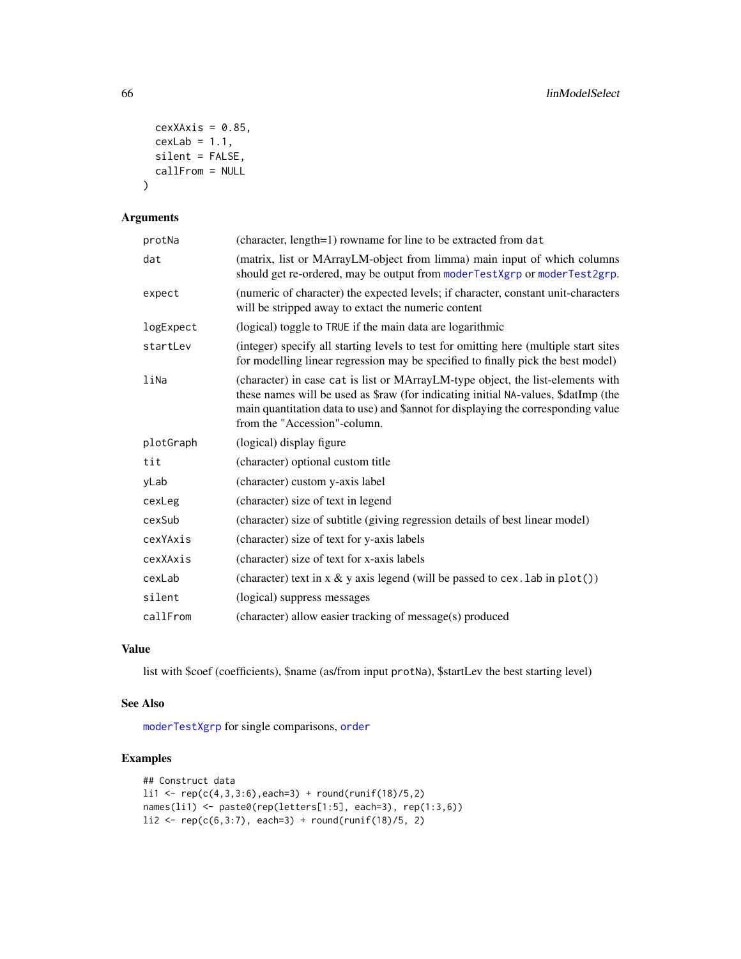```
cexXAxis = 0.85,cexLab = 1.1,silent = FALSE,
 callFrom = NULL
)
```
# Arguments

| protNa    | (character, length=1) rowname for line to be extracted from dat                                                                                                                                                                                                                            |
|-----------|--------------------------------------------------------------------------------------------------------------------------------------------------------------------------------------------------------------------------------------------------------------------------------------------|
| dat       | (matrix, list or MArrayLM-object from limma) main input of which columns<br>should get re-ordered, may be output from moderTestXgrp or moderTest2grp.                                                                                                                                      |
| expect    | (numeric of character) the expected levels; if character, constant unit-characters<br>will be stripped away to extact the numeric content                                                                                                                                                  |
| logExpect | (logical) toggle to TRUE if the main data are logarithmic                                                                                                                                                                                                                                  |
| startLev  | (integer) specify all starting levels to test for omitting here (multiple start sites<br>for modelling linear regression may be specified to finally pick the best model)                                                                                                                  |
| liNa      | (character) in case cat is list or MArrayLM-type object, the list-elements with<br>these names will be used as \$raw (for indicating initial NA-values, \$datImp (the<br>main quantitation data to use) and \$annot for displaying the corresponding value<br>from the "Accession"-column. |
| plotGraph | (logical) display figure                                                                                                                                                                                                                                                                   |
| tit       | (character) optional custom title                                                                                                                                                                                                                                                          |
| yLab      | (character) custom y-axis label                                                                                                                                                                                                                                                            |
| cexLeg    | (character) size of text in legend                                                                                                                                                                                                                                                         |
| cexSub    | (character) size of subtitle (giving regression details of best linear model)                                                                                                                                                                                                              |
| cexYAxis  | (character) size of text for y-axis labels                                                                                                                                                                                                                                                 |
| cexXAxis  | (character) size of text for x-axis labels                                                                                                                                                                                                                                                 |
| cexLab    | (character) text in $x \& y$ axis legend (will be passed to cex. lab in $plot()$ )                                                                                                                                                                                                         |
| silent    | (logical) suppress messages                                                                                                                                                                                                                                                                |
| callFrom  | (character) allow easier tracking of message(s) produced                                                                                                                                                                                                                                   |

# Value

list with \$coef (coefficients), \$name (as/from input protNa), \$startLev the best starting level)

## See Also

[moderTestXgrp](#page-81-0) for single comparisons, [order](#page-0-0)

```
## Construct data
1i1 <- rep(c(4,3,3:6), each=3) + round(runif(18)/5,2)names(li1) <- paste0(rep(letters[1:5], each=3), rep(1:3,6))
li2 \leq rep(c(6,3:7), each=3) + round(runif(18)/5, 2)
```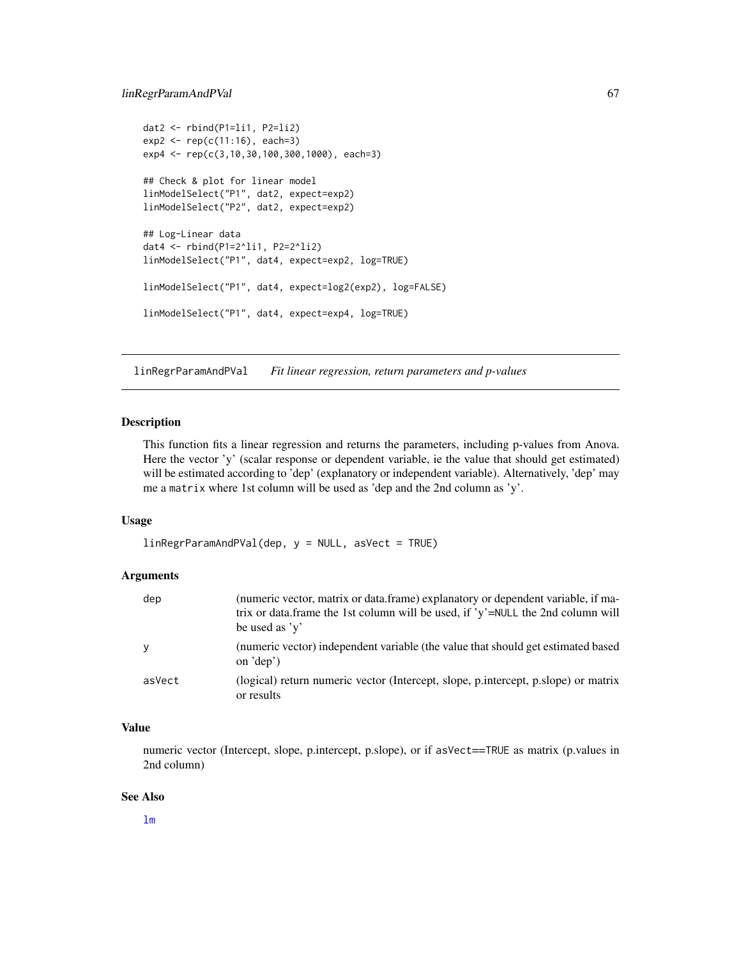# linRegrParamAndPVal 67

```
data < - rbind(P1=li1, P2=li2)
exp2 < - rep(c(11:16), each=3)exp4 <- rep(c(3,10,30,100,300,1000), each=3)
## Check & plot for linear model
linModelSelect("P1", dat2, expect=exp2)
linModelSelect("P2", dat2, expect=exp2)
## Log-Linear data
dat4 <- rbind(P1=2^li1, P2=2^li2)
linModelSelect("P1", dat4, expect=exp2, log=TRUE)
linModelSelect("P1", dat4, expect=log2(exp2), log=FALSE)
linModelSelect("P1", dat4, expect=exp4, log=TRUE)
```
linRegrParamAndPVal *Fit linear regression, return parameters and p-values*

#### Description

This function fits a linear regression and returns the parameters, including p-values from Anova. Here the vector 'y' (scalar response or dependent variable, ie the value that should get estimated) will be estimated according to 'dep' (explanatory or independent variable). Alternatively, 'dep' may me a matrix where 1st column will be used as 'dep and the 2nd column as 'y'.

# Usage

 $linRegrParamAndPVal(dep, y = NULL, asVect = TRUE)$ 

#### Arguments

| dep    | (numeric vector, matrix or data.frame) explanatory or dependent variable, if ma-<br>trix or data.frame the 1st column will be used, if 'y'=NULL the 2nd column will<br>be used as $v'$ |
|--------|----------------------------------------------------------------------------------------------------------------------------------------------------------------------------------------|
| y      | (numeric vector) independent variable (the value that should get estimated based<br>on $\text{def})$                                                                                   |
| asVect | (logical) return numeric vector (Intercept, slope, p.intercept, p.slope) or matrix<br>or results                                                                                       |

# Value

numeric vector (Intercept, slope, p.intercept, p.slope), or if asVect==TRUE as matrix (p.values in 2nd column)

#### See Also

[lm](#page-0-0)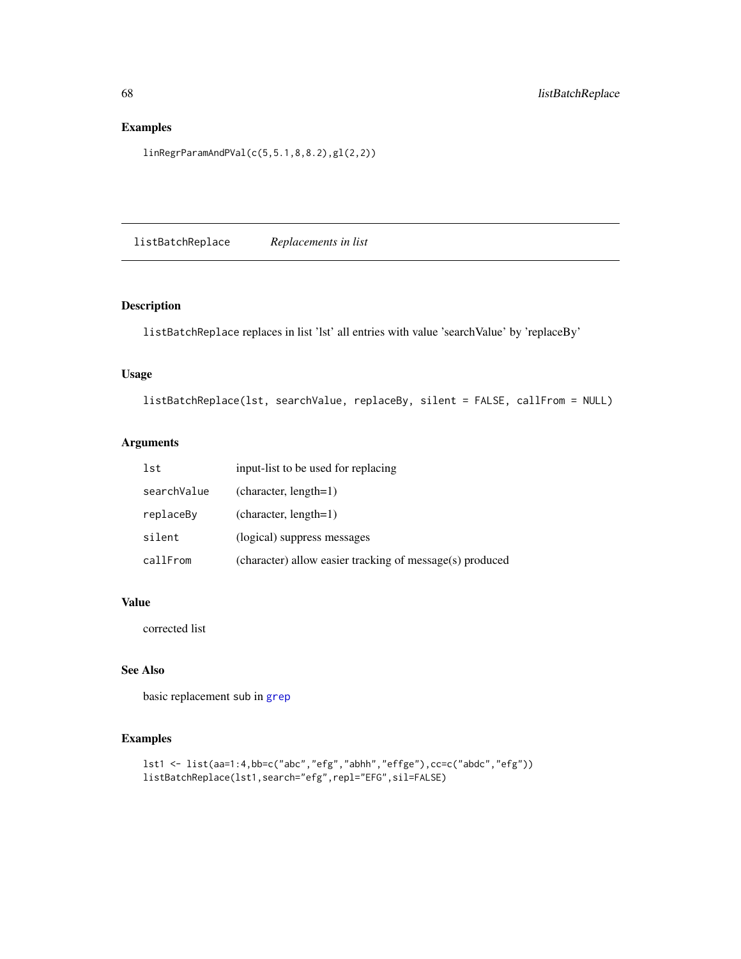# Examples

linRegrParamAndPVal(c(5,5.1,8,8.2),gl(2,2))

listBatchReplace *Replacements in list*

# Description

listBatchReplace replaces in list 'lst' all entries with value 'searchValue' by 'replaceBy'

# Usage

listBatchReplace(lst, searchValue, replaceBy, silent = FALSE, callFrom = NULL)

# Arguments

| lst         | input-list to be used for replacing                      |
|-------------|----------------------------------------------------------|
| searchValue | $(character, length=1)$                                  |
| replaceBy   | $(character, length=1)$                                  |
| silent      | (logical) suppress messages                              |
| callFrom    | (character) allow easier tracking of message(s) produced |

# Value

corrected list

# See Also

basic replacement sub in [grep](#page-0-0)

```
lst1 <- list(aa=1:4,bb=c("abc","efg","abhh","effge"),cc=c("abdc","efg"))
listBatchReplace(lst1,search="efg",repl="EFG",sil=FALSE)
```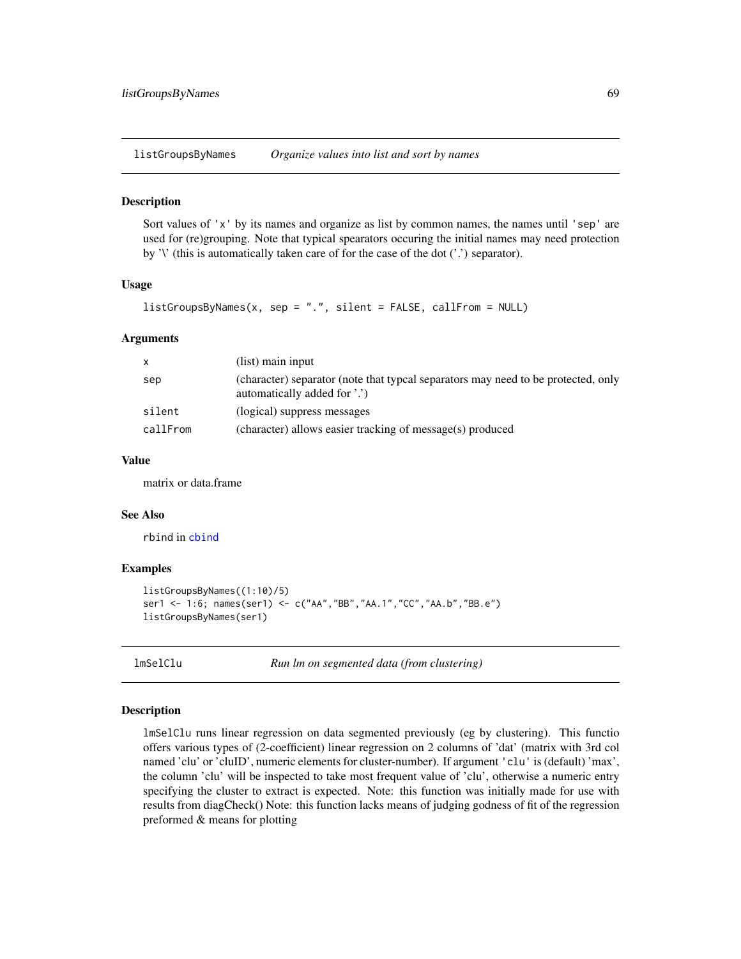listGroupsByNames *Organize values into list and sort by names*

#### Description

Sort values of 'x' by its names and organize as list by common names, the names until 'sep' are used for (re)grouping. Note that typical spearators occuring the initial names may need protection by '\' (this is automatically taken care of for the case of the dot ('.') separator).

#### Usage

```
listGroupsByNames(x, sep = "." , silent = FALSE, callFrom = NULL)
```
#### Arguments

| $\mathsf{x}$ | (list) main input                                                                                                 |
|--------------|-------------------------------------------------------------------------------------------------------------------|
| sep          | (character) separator (note that typcal separators may need to be protected, only<br>automatically added for '.') |
| silent       | (logical) suppress messages                                                                                       |
| callFrom     | (character) allows easier tracking of message(s) produced                                                         |

## Value

matrix or data.frame

#### See Also

rbind in [cbind](#page-0-0)

#### Examples

```
listGroupsByNames((1:10)/5)
ser1 <- 1:6; names(ser1) <- c("AA","BB","AA.1","CC","AA.b","BB.e")
listGroupsByNames(ser1)
```
lmSelClu *Run lm on segmented data (from clustering)*

#### Description

lmSelClu runs linear regression on data segmented previously (eg by clustering). This functio offers various types of (2-coefficient) linear regression on 2 columns of 'dat' (matrix with 3rd col named 'clu' or 'cluID', numeric elements for cluster-number). If argument 'clu' is (default) 'max', the column 'clu' will be inspected to take most frequent value of 'clu', otherwise a numeric entry specifying the cluster to extract is expected. Note: this function was initially made for use with results from diagCheck() Note: this function lacks means of judging godness of fit of the regression preformed & means for plotting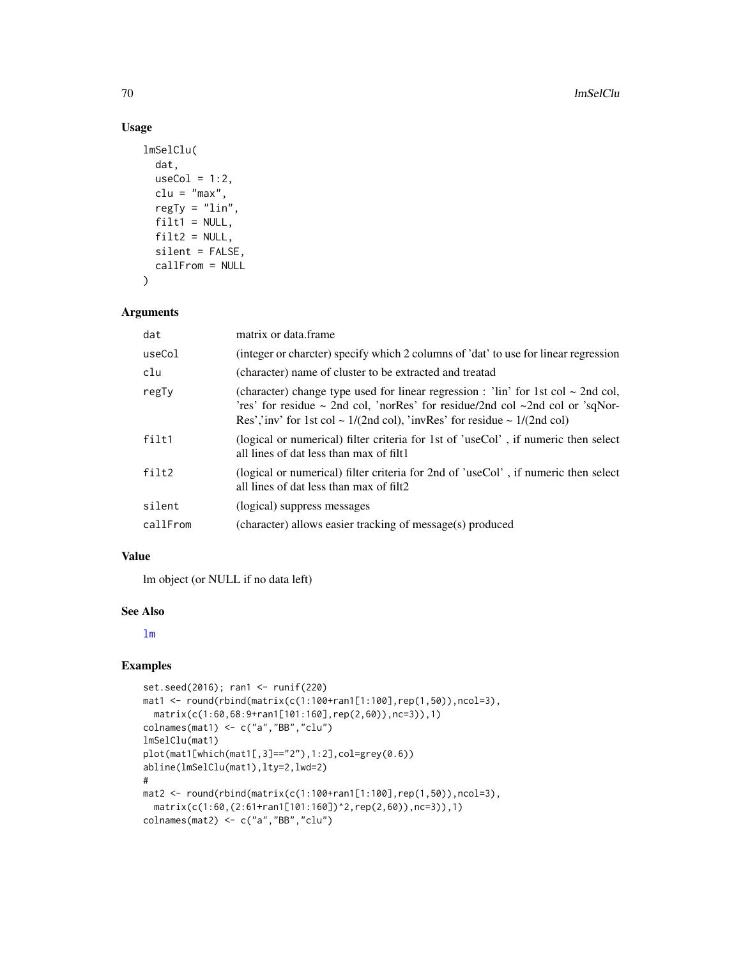# Usage

```
lmSelClu(
 dat,
 useCol = 1:2,clu = "max",regTy = "lin",filt1 = NULL,filt2 = NULL,silent = FALSE,
 callFrom = NULL
)
```
# Arguments

| dat      | matrix or data.frame                                                                                                                                                                                                                                                                |
|----------|-------------------------------------------------------------------------------------------------------------------------------------------------------------------------------------------------------------------------------------------------------------------------------------|
| useCol   | (integer or charcter) specify which 2 columns of 'dat' to use for linear regression                                                                                                                                                                                                 |
| clu      | (character) name of cluster to be extracted and treatad                                                                                                                                                                                                                             |
| regTy    | (character) change type used for linear regression : 'lin' for 1st col $\sim$ 2nd col,<br>'res' for residue $\sim$ 2nd col, 'norRes' for residue/2nd col $\sim$ 2nd col or 'sqNor-<br>Res','inv' for 1st col ~ $1/(2nd \text{ col})$ , 'invRes' for residue ~ $1/(2nd \text{ col})$ |
| filt1    | (logical or numerical) filter criteria for 1st of 'useCol', if numeric then select<br>all lines of dat less than max of filt1                                                                                                                                                       |
| filt2    | (logical or numerical) filter criteria for 2nd of 'useCol', if numeric then select<br>all lines of dat less than max of filt2                                                                                                                                                       |
| silent   | (logical) suppress messages                                                                                                                                                                                                                                                         |
| callFrom | (character) allows easier tracking of message(s) produced                                                                                                                                                                                                                           |

#### Value

lm object (or NULL if no data left)

## See Also

[lm](#page-0-0)

```
set.seed(2016); ran1 <- runif(220)
mat1 <- round(rbind(matrix(c(1:100+ran1[1:100],rep(1,50)),ncol=3),
  matrix(c(1:60,68:9+ran1[101:160],rep(2,60)),nc=3)),1)
colnames(mat1) <- c("a","BB","clu")
lmSelClu(mat1)
plot(mat1[which(mat1[,3]=="2"),1:2],col=grey(0.6))
abline(lmSelClu(mat1),lty=2,lwd=2)
#
mat2 <- round(rbind(matrix(c(1:100+ran1[1:100],rep(1,50)),ncol=3),
  matrix(c(1:60,(2:61+ran1[101:160])^2,rep(2,60)),nc=3)),1)
colnames(mat2) <- c("a","BB","clu")
```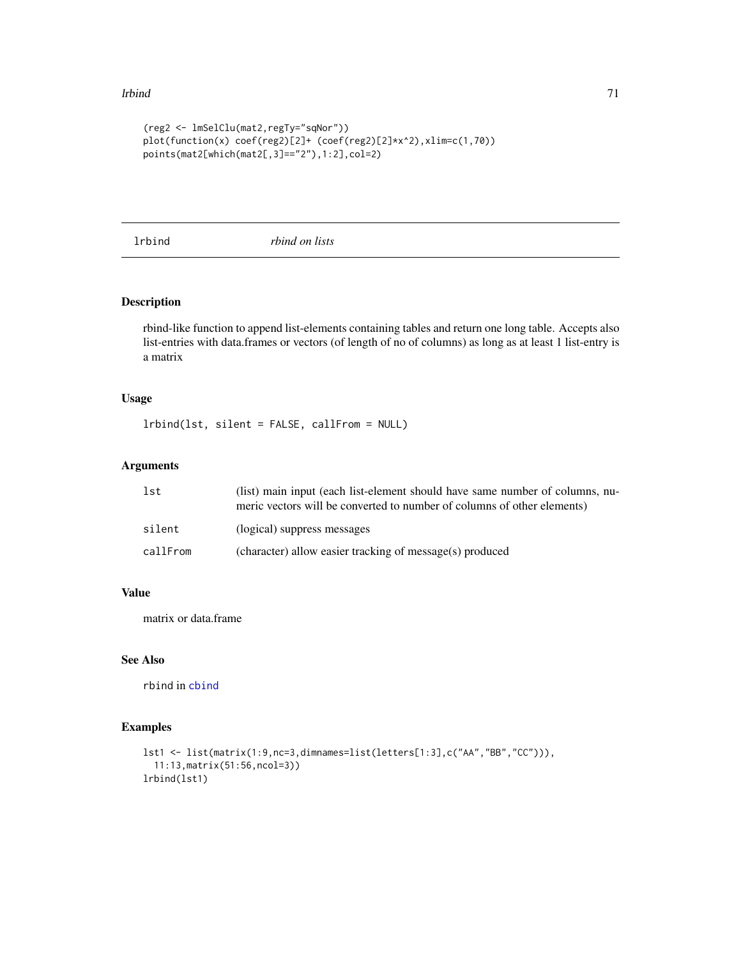#### lrbind 71

```
(reg2 <- lmSelClu(mat2,regTy="sqNor"))
plot(function(x) coef(reg2)[2]+ (coef(reg2)[2]*x^2),xlim=c(1,70))
points(mat2[which(mat2[,3]=="2"),1:2],col=2)
```
lrbind *rbind on lists*

# Description

rbind-like function to append list-elements containing tables and return one long table. Accepts also list-entries with data.frames or vectors (of length of no of columns) as long as at least 1 list-entry is a matrix

# Usage

lrbind(lst, silent = FALSE, callFrom = NULL)

# Arguments

| lst      | (list) main input (each list-element should have same number of columns, nu-<br>meric vectors will be converted to number of columns of other elements) |
|----------|---------------------------------------------------------------------------------------------------------------------------------------------------------|
| silent   | (logical) suppress messages                                                                                                                             |
| callFrom | (character) allow easier tracking of message(s) produced                                                                                                |

# Value

matrix or data.frame

# See Also

rbind in [cbind](#page-0-0)

```
lst1 <- list(matrix(1:9,nc=3,dimnames=list(letters[1:3],c("AA","BB","CC"))),
  11:13,matrix(51:56,ncol=3))
lrbind(lst1)
```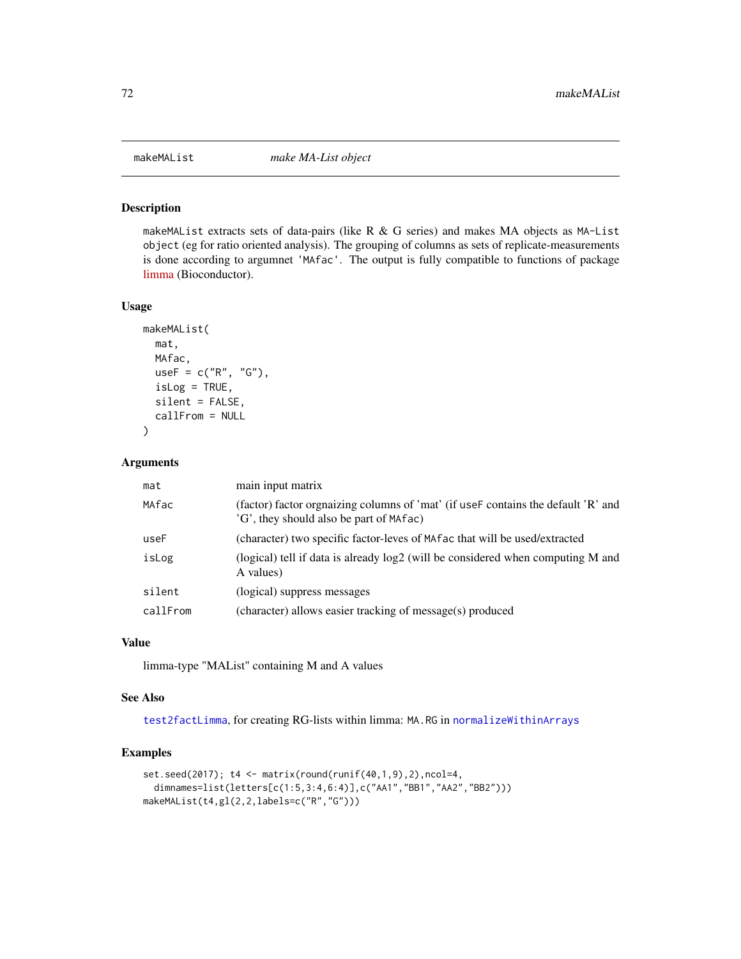## Description

makeMAList extracts sets of data-pairs (like R  $\&$  G series) and makes MA objects as MA-List object (eg for ratio oriented analysis). The grouping of columns as sets of replicate-measurements is done according to argumnet 'MAfac'. The output is fully compatible to functions of package [limma](https://bioconductor.org/packages/release/bioc/html/limma.html) (Bioconductor).

# Usage

```
makeMAList(
 mat,
 MAfac,
 useF = c("R", "G"),
  isLog = TRUE,
  silent = FALSE,
  callFrom = NULL
)
```
#### Arguments

| mat      | main input matrix                                                                                                             |
|----------|-------------------------------------------------------------------------------------------------------------------------------|
| MAfac    | (factor) factor orgnaizing columns of 'mat' (if use F contains the default 'R' and<br>'G', they should also be part of MAfac) |
| useF     | (character) two specific factor-leves of MA factor that will be used/extracted                                                |
| isLog    | (logical) tell if data is already log2 (will be considered when computing M and<br>A values)                                  |
| silent   | (logical) suppress messages                                                                                                   |
| callFrom | (character) allows easier tracking of message(s) produced                                                                     |

#### Value

limma-type "MAList" containing M and A values

### See Also

[test2factLimma](#page-126-0), for creating RG-lists within limma: MA.RG in [normalizeWithinArrays](#page-0-0)

```
set.seed(2017); t4 <- matrix(round(runif(40,1,9),2),ncol=4,
 dimnames=list(letters[c(1:5,3:4,6:4)],c("AA1","BB1","AA2","BB2")))
makeMAList(t4,gl(2,2,labels=c("R","G")))
```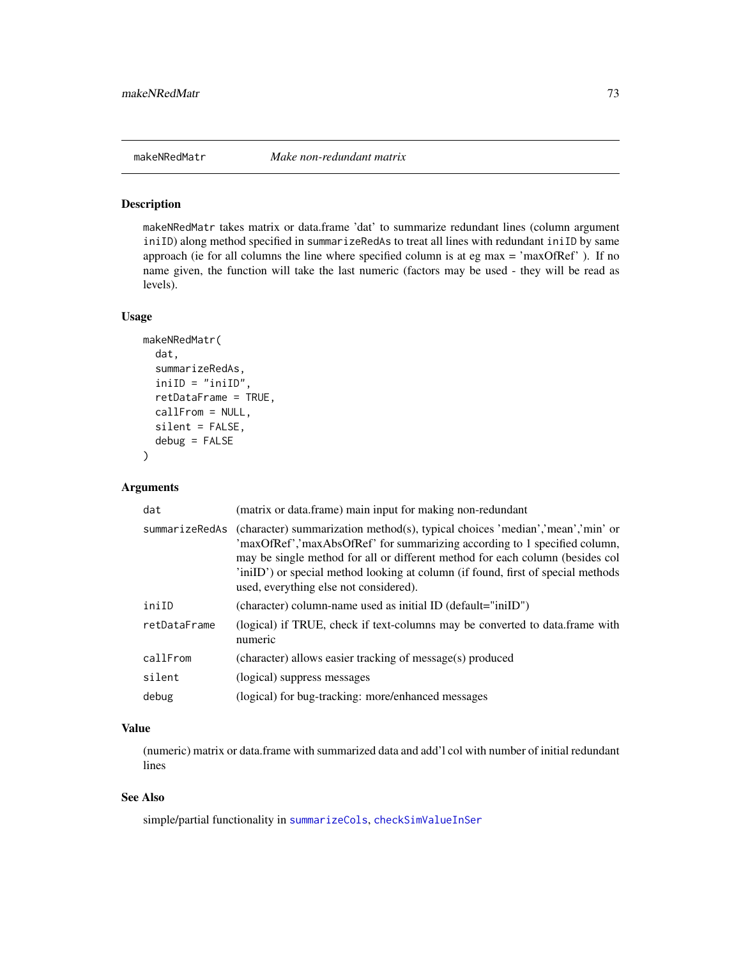makeNRedMatr takes matrix or data.frame 'dat' to summarize redundant lines (column argument iniID) along method specified in summarizeRedAs to treat all lines with redundant iniID by same approach (ie for all columns the line where specified column is at eg max = 'maxOfRef' ). If no name given, the function will take the last numeric (factors may be used - they will be read as levels).

## Usage

```
makeNRedMatr(
  dat,
  summarizeRedAs,
  iniID = "iniID",
  retDataFrame = TRUE,
  callFrom = NULL,
  silent = FALSE,
  debug = FALSE
)
```
# Arguments

| dat            | (matrix or data.frame) main input for making non-redundant                                                                                                                                                                                                                                                                                                                |
|----------------|---------------------------------------------------------------------------------------------------------------------------------------------------------------------------------------------------------------------------------------------------------------------------------------------------------------------------------------------------------------------------|
| summarizeRedAs | (character) summarization method(s), typical choices 'median','mean','min' or<br>'maxOfRef','maxAbsOfRef' for summarizing according to 1 specified column,<br>may be single method for all or different method for each column (besides col<br>'iniID') or special method looking at column (if found, first of special methods<br>used, everything else not considered). |
| iniID          | (character) column-name used as initial ID (default="iniID")                                                                                                                                                                                                                                                                                                              |
| retDataFrame   | (logical) if TRUE, check if text-columns may be converted to data.frame with<br>numeric                                                                                                                                                                                                                                                                                   |
| callFrom       | (character) allows easier tracking of message(s) produced                                                                                                                                                                                                                                                                                                                 |
| silent         | (logical) suppress messages                                                                                                                                                                                                                                                                                                                                               |
| debug          | (logical) for bug-tracking: more/enhanced messages                                                                                                                                                                                                                                                                                                                        |

# Value

(numeric) matrix or data.frame with summarized data and add'l col with number of initial redundant lines

# See Also

simple/partial functionality in [summarizeCols](#page-123-0), [checkSimValueInSer](#page-12-0)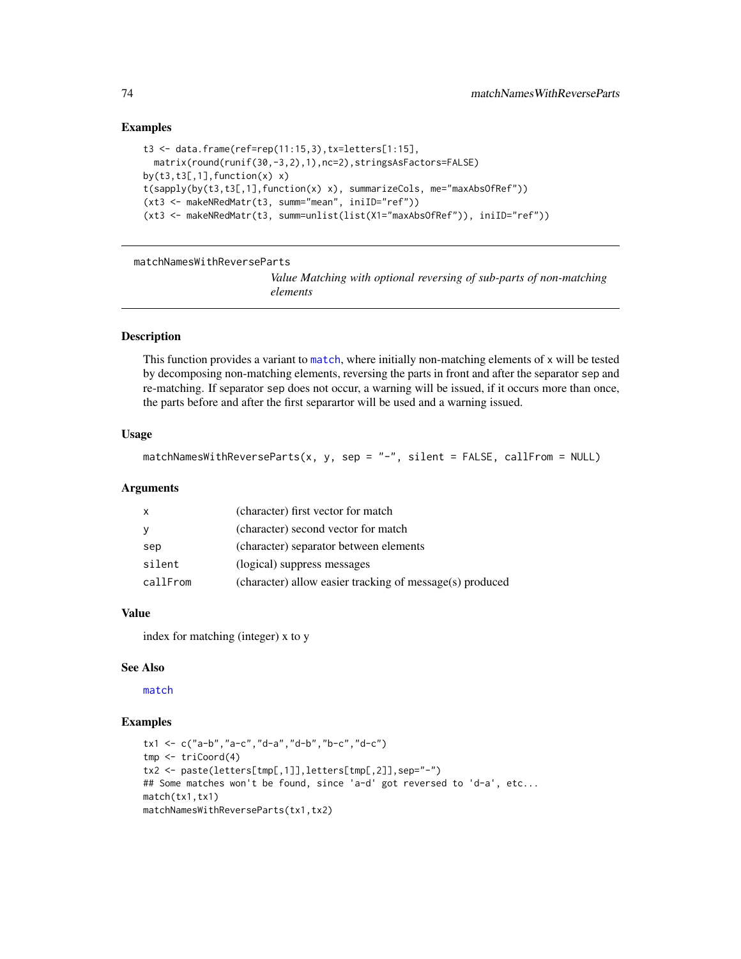## Examples

```
t3 <- data.frame(ref=rep(11:15,3),tx=letters[1:15],
  matrix(round(runif(30,-3,2),1),nc=2),stringsAsFactors=FALSE)
by(t3,t3[,1], function(x) x)
t(sapply(by(t3,t3[,1],function(x) x), summarizeCols, me="maxAbsOfRef"))
(xt3 <- makeNRedMatr(t3, summ="mean", iniID="ref"))
(xt3 <- makeNRedMatr(t3, summ=unlist(list(X1="maxAbsOfRef")), iniID="ref"))
```
matchNamesWithReverseParts

*Value Matching with optional reversing of sub-parts of non-matching elements*

## Description

This function provides a variant to [match](#page-0-0), where initially non-matching elements of x will be tested by decomposing non-matching elements, reversing the parts in front and after the separator sep and re-matching. If separator sep does not occur, a warning will be issued, if it occurs more than once, the parts before and after the first separartor will be used and a warning issued.

## Usage

```
matchNamesWithReverseParts(x, y, sep = "-", silent = FALSE, callFrom = NULL)
```
## Arguments

| $\mathsf{X}$ | (character) first vector for match                       |
|--------------|----------------------------------------------------------|
| $\mathbf{y}$ | (character) second vector for match                      |
| sep          | (character) separator between elements                   |
| silent       | (logical) suppress messages                              |
| callFrom     | (character) allow easier tracking of message(s) produced |

## Value

index for matching (integer) x to y

#### See Also

[match](#page-0-0)

```
tx1 <- c("a-b","a-c","d-a","d-b","b-c","d-c")
tmp <- triCoord(4)
tx2 <- paste(letters[tmp[,1]],letters[tmp[,2]],sep="-")
## Some matches won't be found, since 'a-d' got reversed to 'd-a', etc...
match(tx1,tx1)
matchNamesWithReverseParts(tx1,tx2)
```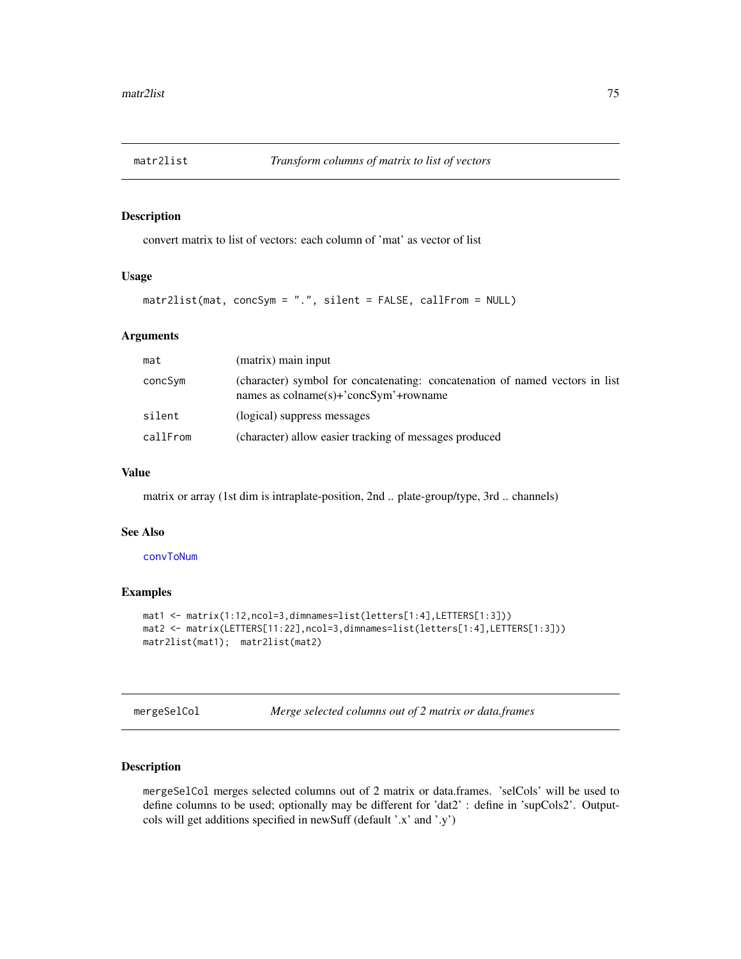convert matrix to list of vectors: each column of 'mat' as vector of list

## Usage

matr2list(mat, concSym = ".", silent = FALSE, callFrom = NULL)

## **Arguments**

| mat      | (matrix) main input                                                                                                                        |
|----------|--------------------------------------------------------------------------------------------------------------------------------------------|
| concSym  | (character) symbol for concatenating: concatenation of named vectors in list<br>names as $\text{colname}(s)$ +' $\text{concSym'}$ +rowname |
| silent   | (logical) suppress messages                                                                                                                |
| callFrom | (character) allow easier tracking of messages produced                                                                                     |

# Value

matrix or array (1st dim is intraplate-position, 2nd .. plate-group/type, 3rd .. channels)

# See Also

## [convToNum](#page-31-0)

# Examples

```
mat1 <- matrix(1:12,ncol=3,dimnames=list(letters[1:4],LETTERS[1:3]))
mat2 <- matrix(LETTERS[11:22],ncol=3,dimnames=list(letters[1:4],LETTERS[1:3]))
matr2list(mat1); matr2list(mat2)
```
<span id="page-74-0"></span>mergeSelCol *Merge selected columns out of 2 matrix or data.frames*

# Description

mergeSelCol merges selected columns out of 2 matrix or data.frames. 'selCols' will be used to define columns to be used; optionally may be different for 'dat2' : define in 'supCols2'. Outputcols will get additions specified in newSuff (default '.x' and '.y')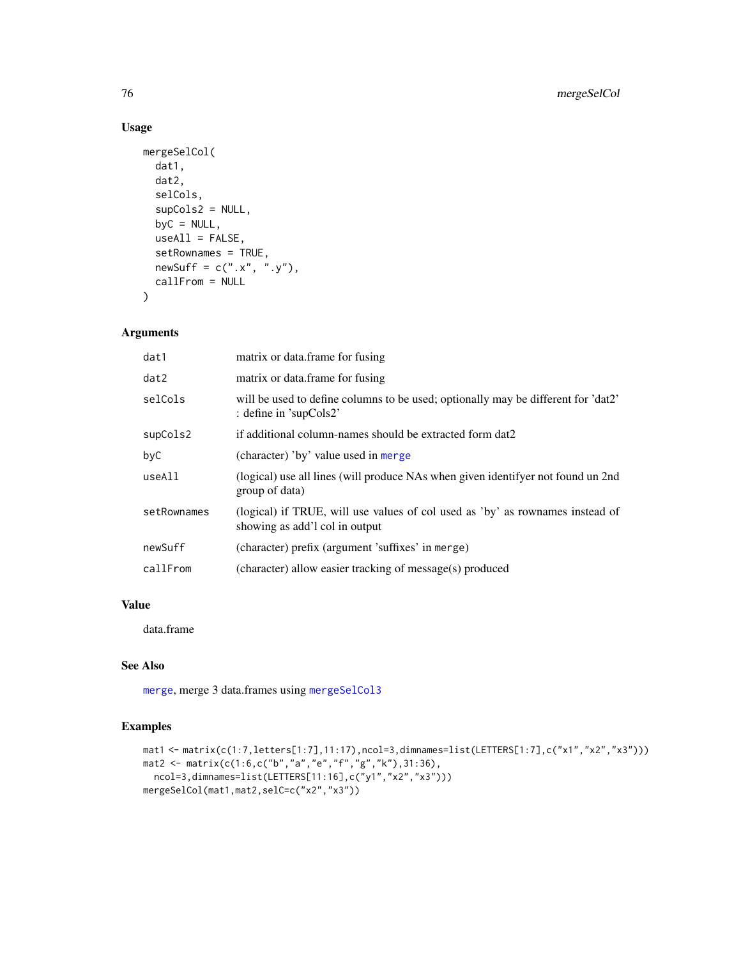# Usage

```
mergeSelCol(
  dat1,
 dat2,
  selCols,
  supCols2 = NULL,
 byC = NULL,
 useAll = FALSE,setRownames = TRUE,
 newSurf = c("x", "y"),
 callFrom = NULL
\mathcal{L}
```
# Arguments

| dat1        | matrix or data.frame for fusing                                                                                 |  |
|-------------|-----------------------------------------------------------------------------------------------------------------|--|
| dat2        | matrix or data.frame for fusing                                                                                 |  |
| selCols     | will be used to define columns to be used; optionally may be different for 'dat2'<br>: define in 'supCols2'     |  |
| supCols2    | if additional column-names should be extracted form dat2                                                        |  |
| byC         | (character) 'by' value used in merge                                                                            |  |
| useAll      | (logical) use all lines (will produce NAs when given identifyer not found un 2nd<br>group of data)              |  |
| setRownames | (logical) if TRUE, will use values of col used as 'by' as rownames instead of<br>showing as add'l col in output |  |
| newSuff     | (character) prefix (argument 'suffixes' in merge)                                                               |  |
| callFrom    | (character) allow easier tracking of message(s) produced                                                        |  |

# Value

data.frame

# See Also

[merge](#page-0-0), merge 3 data.frames using [mergeSelCol3](#page-76-0)

```
mat1 <- matrix(c(1:7,letters[1:7],11:17),ncol=3,dimnames=list(LETTERS[1:7],c("x1","x2","x3")))
mat2 <- matrix(c(1:6,c("b","a","e","f","g","k"),31:36),
 ncol=3,dimnames=list(LETTERS[11:16],c("y1","x2","x3")))
mergeSelCol(mat1,mat2,selC=c("x2","x3"))
```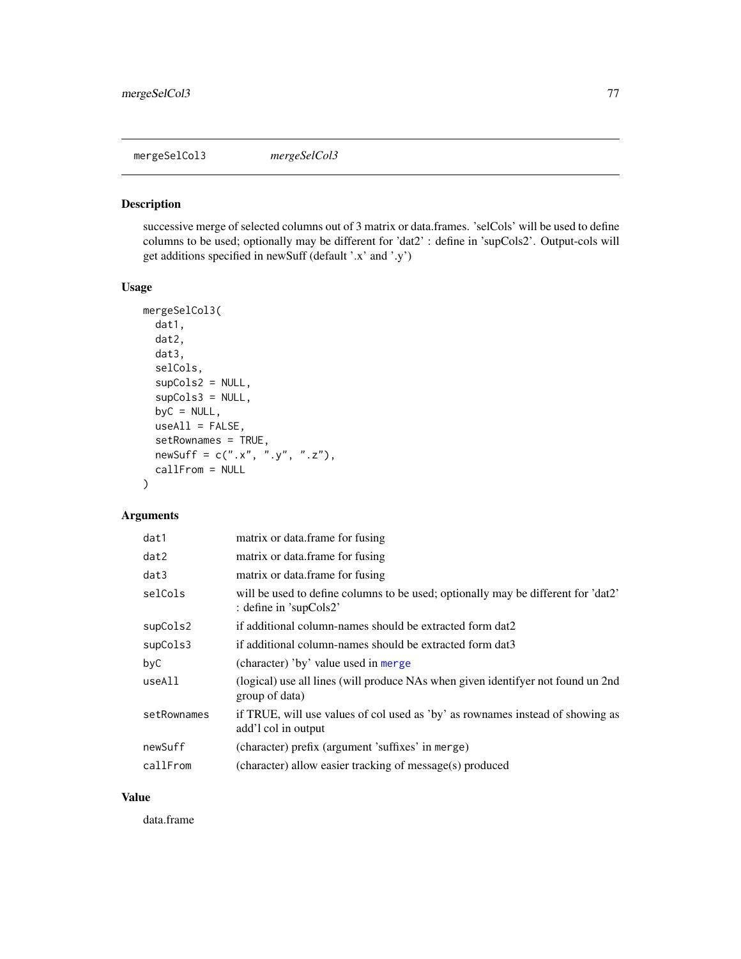<span id="page-76-0"></span>mergeSelCol3 *mergeSelCol3*

## Description

successive merge of selected columns out of 3 matrix or data.frames. 'selCols' will be used to define columns to be used; optionally may be different for 'dat2' : define in 'supCols2'. Output-cols will get additions specified in newSuff (default '.x' and '.y')

## Usage

```
mergeSelCol3(
  dat1,
 dat2,
 dat3,
  selCols,
  supCols2 = NULL,
  supCols3 = NULL,byC = NULL,useAll = FALSE,
  setRownames = TRUE,
 newSuff = c("x", "y", "z"),
 callFrom = NULL
)
```
# Arguments

| dat1        | matrix or data.frame for fusing                                                                             |
|-------------|-------------------------------------------------------------------------------------------------------------|
| dat2        | matrix or data.frame for fusing                                                                             |
| dat3        | matrix or data frame for fusing                                                                             |
| selCols     | will be used to define columns to be used; optionally may be different for 'dat2'<br>: define in 'supCols2' |
| supCols2    | if additional column-names should be extracted form dat2                                                    |
| supCols3    | if additional column-names should be extracted form dat3                                                    |
| byC         | (character) 'by' value used in merge                                                                        |
| useAll      | (logical) use all lines (will produce NAs when given identifyer not found un 2nd<br>group of data)          |
| setRownames | if TRUE, will use values of col used as 'by' as rownames instead of showing as<br>add'l col in output       |
| newSuff     | (character) prefix (argument 'suffixes' in merge)                                                           |
| callFrom    | (character) allow easier tracking of message(s) produced                                                    |

## Value

data.frame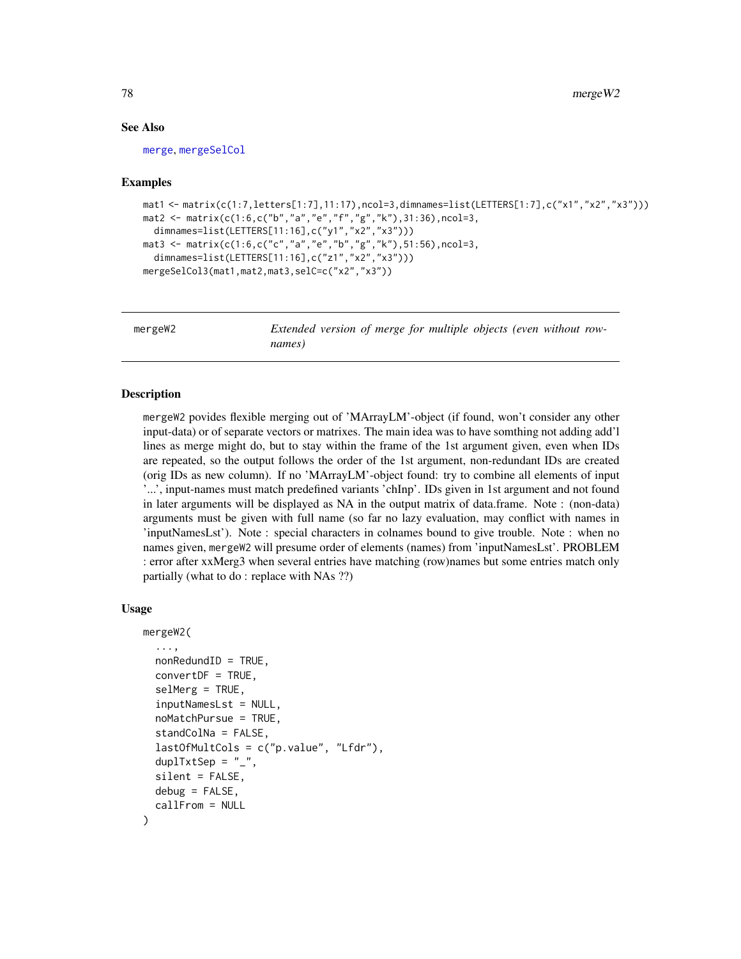## See Also

[merge](#page-0-0), [mergeSelCol](#page-74-0)

#### Examples

```
mat1 <- matrix(c(1:7,letters[1:7],11:17),ncol=3,dimnames=list(LETTERS[1:7],c("x1","x2","x3")))
mat2 <- matrix(c(1:6,c("b","a","e","f","g","k"),31:36),ncol=3,
  dimnames=list(LETTERS[11:16],c("y1","x2","x3")))
mat3 <- matrix(c(1:6,c("c","a","e","b","g","k"),51:56),ncol=3,
  dimnames=list(LETTERS[11:16],c("z1","x2","x3")))
mergeSelCol3(mat1,mat2,mat3,selC=c("x2","x3"))
```
mergeW2 *Extended version of merge for multiple objects (even without rownames)*

## Description

mergeW2 povides flexible merging out of 'MArrayLM'-object (if found, won't consider any other input-data) or of separate vectors or matrixes. The main idea was to have somthing not adding add'l lines as merge might do, but to stay within the frame of the 1st argument given, even when IDs are repeated, so the output follows the order of the 1st argument, non-redundant IDs are created (orig IDs as new column). If no 'MArrayLM'-object found: try to combine all elements of input '...', input-names must match predefined variants 'chInp'. IDs given in 1st argument and not found in later arguments will be displayed as NA in the output matrix of data.frame. Note : (non-data) arguments must be given with full name (so far no lazy evaluation, may conflict with names in 'inputNamesLst'). Note : special characters in colnames bound to give trouble. Note : when no names given, mergeW2 will presume order of elements (names) from 'inputNamesLst'. PROBLEM : error after xxMerg3 when several entries have matching (row)names but some entries match only partially (what to do : replace with NAs ??)

#### Usage

```
mergeW2(
  ...,
 nonRedundID = TRUE,convertDF = TRUE,
  self,inputNamesLst = NULL,
  noMatchPursue = TRUE,
  standColNa = FALSE,
  lastOfMultCols = c("p.value", "Lfdr"),
  duplTxtSep = "__".silent = FALSE,
 debug = FALSE,
  callFrom = NULL
)
```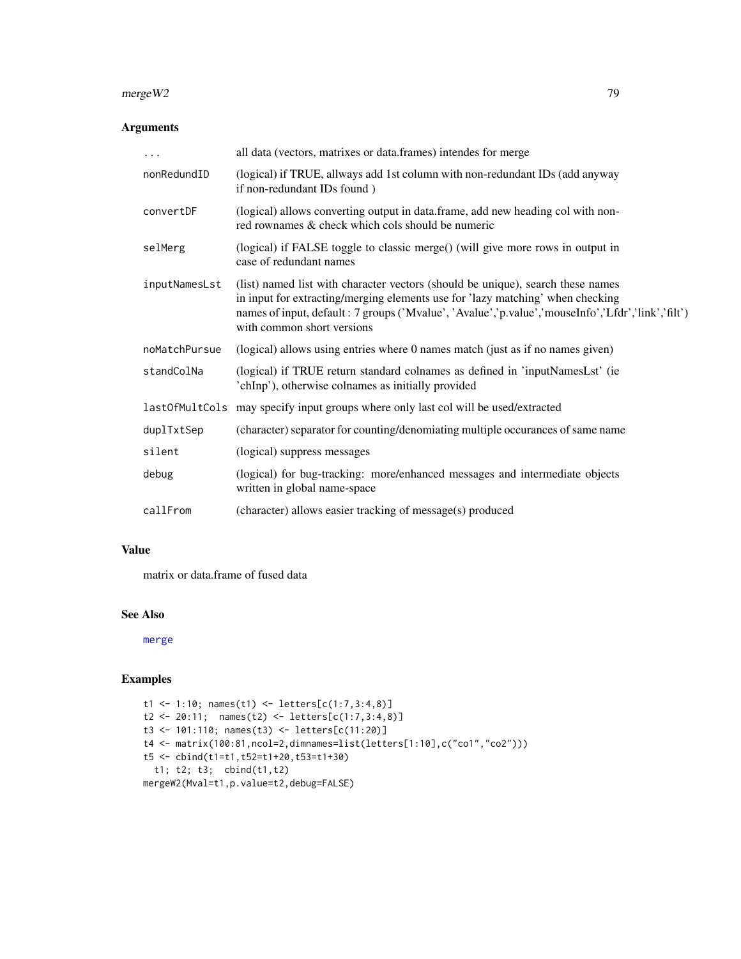### $\text{merge}W2$  79

# Arguments

| .             | all data (vectors, matrixes or data.frames) intendes for merge                                                                                                                                                                                                                                        |
|---------------|-------------------------------------------------------------------------------------------------------------------------------------------------------------------------------------------------------------------------------------------------------------------------------------------------------|
| nonRedundID   | (logical) if TRUE, allways add 1st column with non-redundant IDs (add anyway<br>if non-redundant IDs found)                                                                                                                                                                                           |
| convertDF     | (logical) allows converting output in data.frame, add new heading col with non-<br>red rownames & check which cols should be numeric                                                                                                                                                                  |
| selMerg       | (logical) if FALSE toggle to classic merge() (will give more rows in output in<br>case of redundant names                                                                                                                                                                                             |
| inputNamesLst | (list) named list with character vectors (should be unique), search these names<br>in input for extracting/merging elements use for 'lazy matching' when checking<br>names of input, default : 7 groups ('Mvalue', 'Avalue','p.value','mouseInfo','Lfdr','link','filt')<br>with common short versions |
| noMatchPursue | (logical) allows using entries where 0 names match (just as if no names given)                                                                                                                                                                                                                        |
| standColNa    | (logical) if TRUE return standard colnames as defined in 'inputNamesLst' (ie<br>'chInp'), otherwise colnames as initially provided                                                                                                                                                                    |
|               | last0fMultCols may specify input groups where only last col will be used/extracted                                                                                                                                                                                                                    |
| duplTxtSep    | (character) separator for counting/denomiating multiple occurances of same name                                                                                                                                                                                                                       |
| silent        | (logical) suppress messages                                                                                                                                                                                                                                                                           |
| debug         | (logical) for bug-tracking: more/enhanced messages and intermediate objects<br>written in global name-space                                                                                                                                                                                           |
| callFrom      | (character) allows easier tracking of message(s) produced                                                                                                                                                                                                                                             |
|               |                                                                                                                                                                                                                                                                                                       |

## Value

matrix or data.frame of fused data

# See Also

[merge](#page-0-0)

```
t1 <- 1:10; names(t1) <- letters[c(1:7,3:4,8)]
t2 <- 20:11; names(t2) <- letters[c(1:7,3:4,8)]
t3 <- 101:110; names(t3) <- letters[c(11:20)]
t4 <- matrix(100:81,ncol=2,dimnames=list(letters[1:10],c("co1","co2")))
t5 <- cbind(t1=t1,t52=t1+20,t53=t1+30)
 t1; t2; t3; cbind(t1,t2)
mergeW2(Mval=t1,p.value=t2,debug=FALSE)
```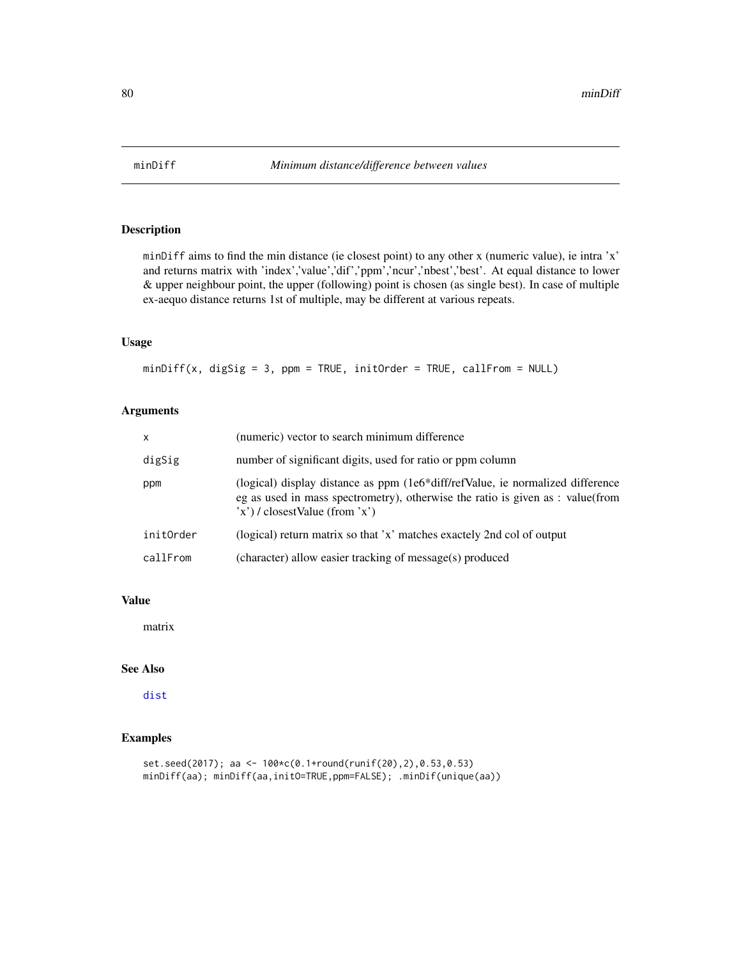minDiff aims to find the min distance (ie closest point) to any other x (numeric value), ie intra 'x' and returns matrix with 'index','value','dif','ppm','ncur','nbest','best'. At equal distance to lower & upper neighbour point, the upper (following) point is chosen (as single best). In case of multiple ex-aequo distance returns 1st of multiple, may be different at various repeats.

## Usage

 $minDiff(x, digSig = 3, ppm = TRUE, initOrder = TRUE, callFrom = NULL)$ 

# Arguments

| $\mathsf{x}$ | (numeric) vector to search minimum difference                                                                                                                                                           |
|--------------|---------------------------------------------------------------------------------------------------------------------------------------------------------------------------------------------------------|
| digSig       | number of significant digits, used for ratio or ppm column                                                                                                                                              |
| ppm          | (logical) display distance as ppm (1e6*diff/refValue, ie normalized difference<br>eg as used in mass spectrometry), otherwise the ratio is given as : value(from<br>$(x')$ / closest Value (from $x'$ ) |
| initOrder    | (logical) return matrix so that 'x' matches exactely 2nd col of output                                                                                                                                  |
| callFrom     | (character) allow easier tracking of message(s) produced                                                                                                                                                |

## Value

matrix

# See Also

[dist](#page-0-0)

```
set.seed(2017); aa <- 100*c(0.1+round(runif(20),2),0.53,0.53)
minDiff(aa); minDiff(aa,initO=TRUE,ppm=FALSE); .minDif(unique(aa))
```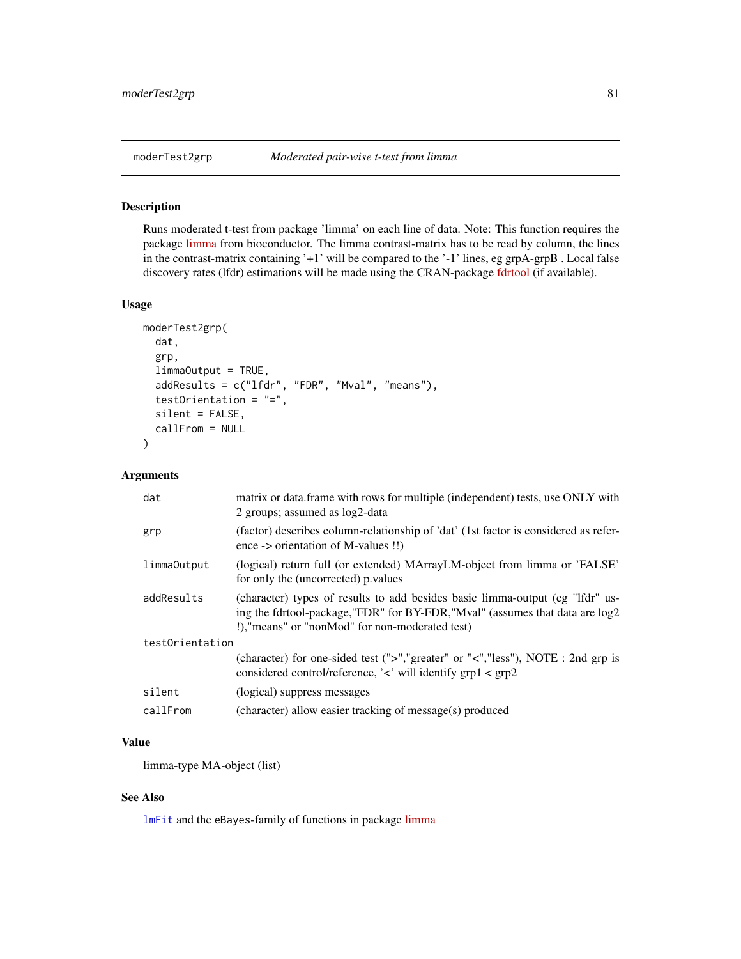<span id="page-80-0"></span>Runs moderated t-test from package 'limma' on each line of data. Note: This function requires the package [limma](https://bioconductor.org/packages/release/bioc/html/limma.html) from bioconductor. The limma contrast-matrix has to be read by column, the lines in the contrast-matrix containing '+1' will be compared to the '-1' lines, eg grpA-grpB . Local false discovery rates (lfdr) estimations will be made using the CRAN-package [fdrtool](https://CRAN.R-project.org/package=fdrtool) (if available).

# Usage

```
moderTest2grp(
  dat,
  grp,
  limmaOutput = TRUE,
  addResults = c("lfdr", "FDR", "Mval", "means"),
  testOrientation = "=",
  silent = FALSE,
  callFrom = NULL
)
```
# Arguments

| dat             | matrix or data. frame with rows for multiple (independent) tests, use ONLY with<br>2 groups; assumed as $log2$ -data                                                                                            |
|-----------------|-----------------------------------------------------------------------------------------------------------------------------------------------------------------------------------------------------------------|
| grp             | (factor) describes column-relationship of 'dat' (1st factor is considered as refer-<br>ence -> orientation of M-values $\dddotsc$                                                                               |
| limmaOutput     | (logical) return full (or extended) MArrayLM-object from limma or 'FALSE'<br>for only the (uncorrected) p.values                                                                                                |
| addResults      | (character) types of results to add besides basic limma-output (eg "lfdr" us-<br>ing the fdrtool-package,"FDR" for BY-FDR,"Mval" (assumes that data are log2<br>!), "means" or "nonMod" for non-moderated test) |
| testOrientation |                                                                                                                                                                                                                 |
|                 | (character) for one-sided test (">","greater" or "<","less"), NOTE : 2nd grp is<br>considered control/reference, ' $\lt'$ ' will identify grp1 $\lt$ grp2                                                       |
| silent          | (logical) suppress messages                                                                                                                                                                                     |
| callFrom        | (character) allow easier tracking of message(s) produced                                                                                                                                                        |

# Value

limma-type MA-object (list)

# See Also

[lmFit](#page-0-0) and the eBayes-family of functions in package [limma](https://bioconductor.org/packages/release/bioc/html/limma.html)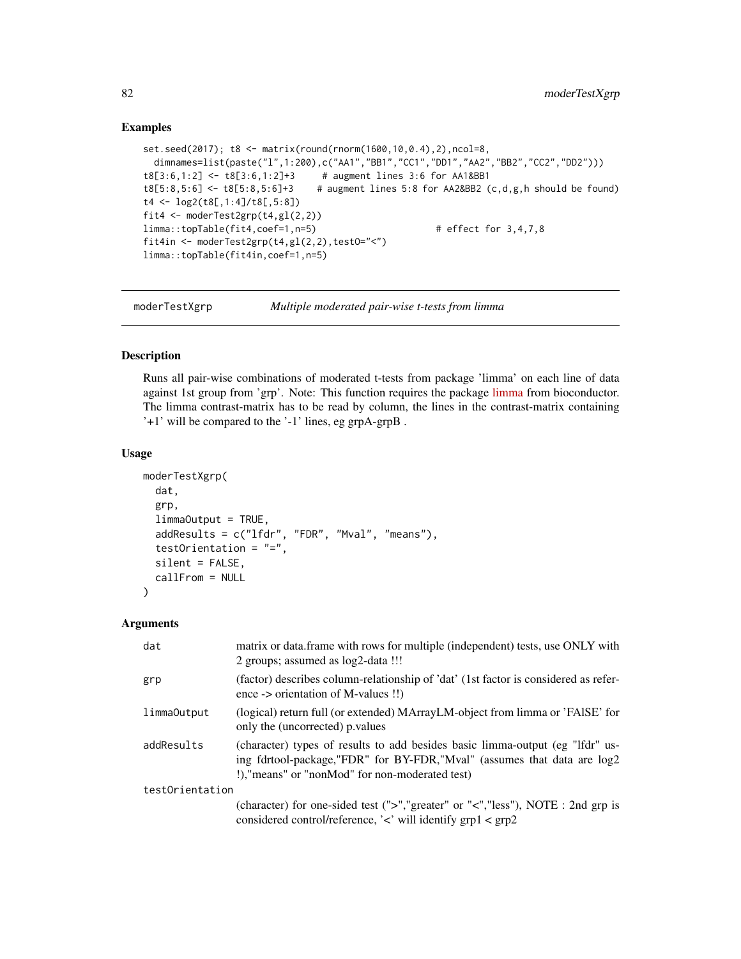## Examples

```
set.seed(2017); t8 <- matrix(round(rnorm(1600,10,0.4),2),ncol=8,
 dimnames=list(paste("l",1:200),c("AA1","BB1","CC1","DD1","AA2","BB2","CC2","DD2")))
t8[3:6,1:2] <- t8[3:6,1:2]+3 # augment lines 3:6 for AA1&BB1
t8[5:8,5:6] <- t8[5:8,5:6]+3 # augment lines 5:8 for AA2&BB2 (c,d,g,h should be found)
t4 <- log2(t8[,1:4]/t8[,5:8])
fit4 <- moderTest2grp(t4,gl(2,2))
limma::topTable(fit4,coef=1,n=5) # effect for 3,4,7,8
fit4in <- moderTest2grp(t4,gl(2,2),testO="<")
limma::topTable(fit4in,coef=1,n=5)
```
moderTestXgrp *Multiple moderated pair-wise t-tests from limma*

#### Description

Runs all pair-wise combinations of moderated t-tests from package 'limma' on each line of data against 1st group from 'grp'. Note: This function requires the package [limma](https://bioconductor.org/packages/release/bioc/html/limma.html) from bioconductor. The limma contrast-matrix has to be read by column, the lines in the contrast-matrix containing '+1' will be compared to the '-1' lines, eg grpA-grpB .

#### Usage

```
moderTestXgrp(
  dat,
  grp,
  limmaOutput = TRUE,
  addResults = c("lfdr", "FDR", "Mval", "means"),
  testOrientation = "=",
  silent = FALSE,
  callFrom = NULL
\mathcal{E}
```
## Arguments

| dat             | matrix or data.frame with rows for multiple (independent) tests, use ONLY with<br>2 groups; assumed as $log2$ -data !!!                                                                                     |  |
|-----------------|-------------------------------------------------------------------------------------------------------------------------------------------------------------------------------------------------------------|--|
| grp             | (factor) describes column-relationship of 'dat' (1st factor is considered as refer-<br>ence -> orientation of M-values $\dddot{ }}$                                                                         |  |
| limmaOutput     | (logical) return full (or extended) MArrayLM-object from limma or 'FAISE' for<br>only the (uncorrected) p.values                                                                                            |  |
| addResults      | (character) types of results to add besides basic limma-output (eg "lfdr" us-<br>ing fdrtool-package,"FDR" for BY-FDR,"Mval" (assumes that data are log2<br>!), "means" or "nonMod" for non-moderated test) |  |
| testOrientation |                                                                                                                                                                                                             |  |
|                 | (character) for one-sided test (">","greater" or "<","less"), NOTE : 2nd grp is<br>considered control/reference, $\langle \cdot \rangle$ will identify grp1 $\langle$ grp2                                  |  |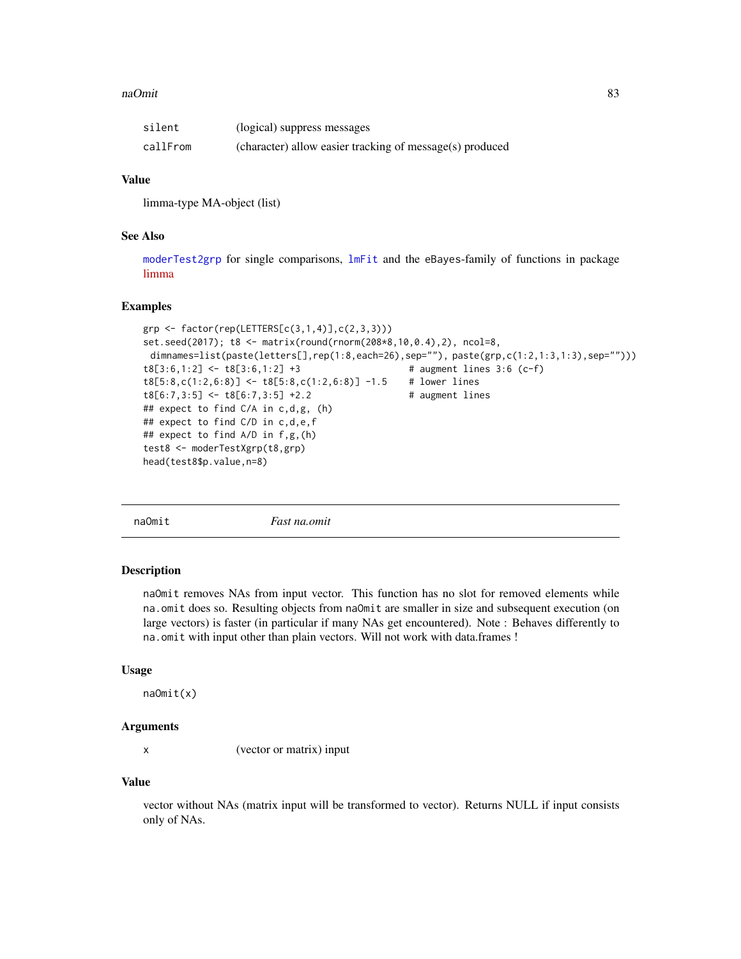#### naOmit 83

| silent   | (logical) suppress messages                              |
|----------|----------------------------------------------------------|
| callFrom | (character) allow easier tracking of message(s) produced |

# Value

limma-type MA-object (list)

## See Also

[moderTest2grp](#page-80-0) for single comparisons, [lmFit](#page-0-0) and the eBayes-family of functions in package [limma](https://bioconductor.org/packages/release/bioc/html/limma.html)

## Examples

```
grp \leftarrow factor(rep(LETTERS[c(3,1,4)], c(2,3,3)))set.seed(2017); t8 <- matrix(round(rnorm(208*8,10,0.4),2), ncol=8,
 dimnames=list(paste(letters[],rep(1:8,each=26),sep=""), paste(grp,c(1:2,1:3,1:3),sep="")))
t8[3:6,1:2] \leftarrow t8[3:6,1:2] +3 # augment lines 3:6 (c-f)
t8[5:8,c(1:2,6:8)] <- t8[5:8,c(1:2,6:8)] -1.5 # lower lines
t8[6:7,3:5] <- t8[6:7,3:5] +2.2 # augment lines
## expect to find C/A in c,d,g, (h)
## expect to find C/D in c,d,e,f
## expect to find A/D in f,g,(h)
test8 <- moderTestXgrp(t8,grp)
head(test8$p.value,n=8)
```
naOmit *Fast na.omit*

## Description

naOmit removes NAs from input vector. This function has no slot for removed elements while na.omit does so. Resulting objects from naOmit are smaller in size and subsequent execution (on large vectors) is faster (in particular if many NAs get encountered). Note : Behaves differently to na.omit with input other than plain vectors. Will not work with data.frames !

#### Usage

naOmit(x)

# Arguments

x (vector or matrix) input

#### Value

vector without NAs (matrix input will be transformed to vector). Returns NULL if input consists only of NAs.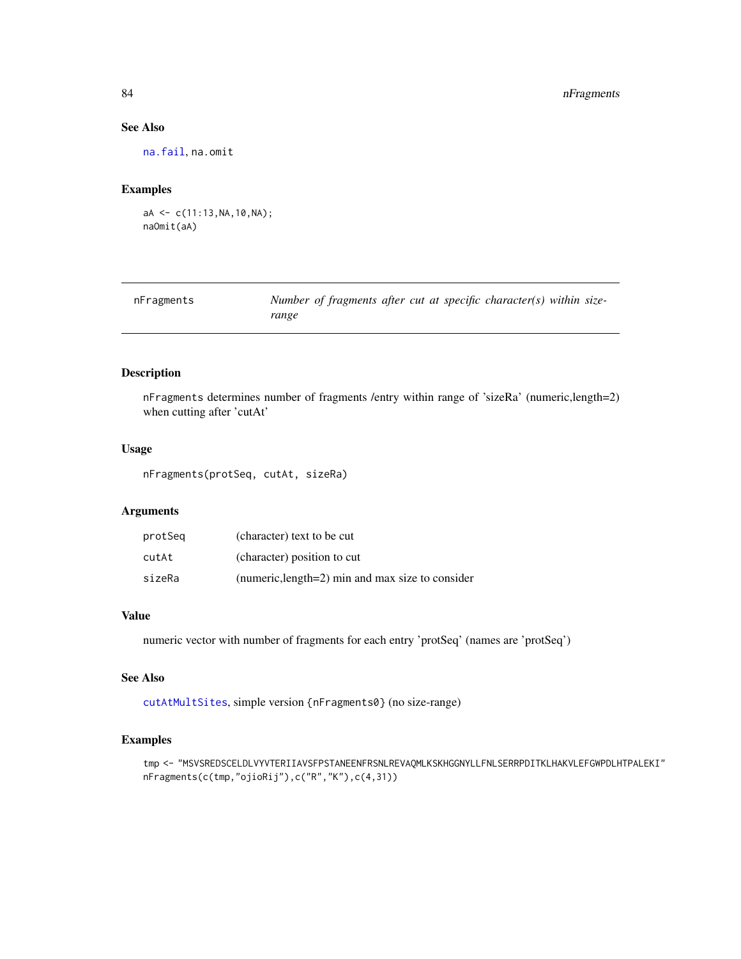# 84 nFragments

# See Also

[na.fail](#page-0-0), na.omit

## Examples

```
aA \leftarrow c(11:13, NA,10, NA);naOmit(aA)
```

| nFragments | Number of fragments after cut at specific character(s) within size- |
|------------|---------------------------------------------------------------------|
|            | range                                                               |

# Description

nFragments determines number of fragments /entry within range of 'sizeRa' (numeric,length=2) when cutting after 'cutAt'

# Usage

nFragments(protSeq, cutAt, sizeRa)

## Arguments

| protSeq | (character) text to be cut                       |
|---------|--------------------------------------------------|
| cutAt   | (character) position to cut                      |
| sizeRa  | (numeric, length=2) min and max size to consider |

# Value

numeric vector with number of fragments for each entry 'protSeq' (names are 'protSeq')

## See Also

[cutAtMultSites](#page-37-0), simple version {nFragments0} (no size-range)

```
tmp <- "MSVSREDSCELDLVYVTERIIAVSFPSTANEENFRSNLREVAQMLKSKHGGNYLLFNLSERRPDITKLHAKVLEFGWPDLHTPALEKI"
nFragments(c(tmp,"ojioRij"),c("R","K"),c(4,31))
```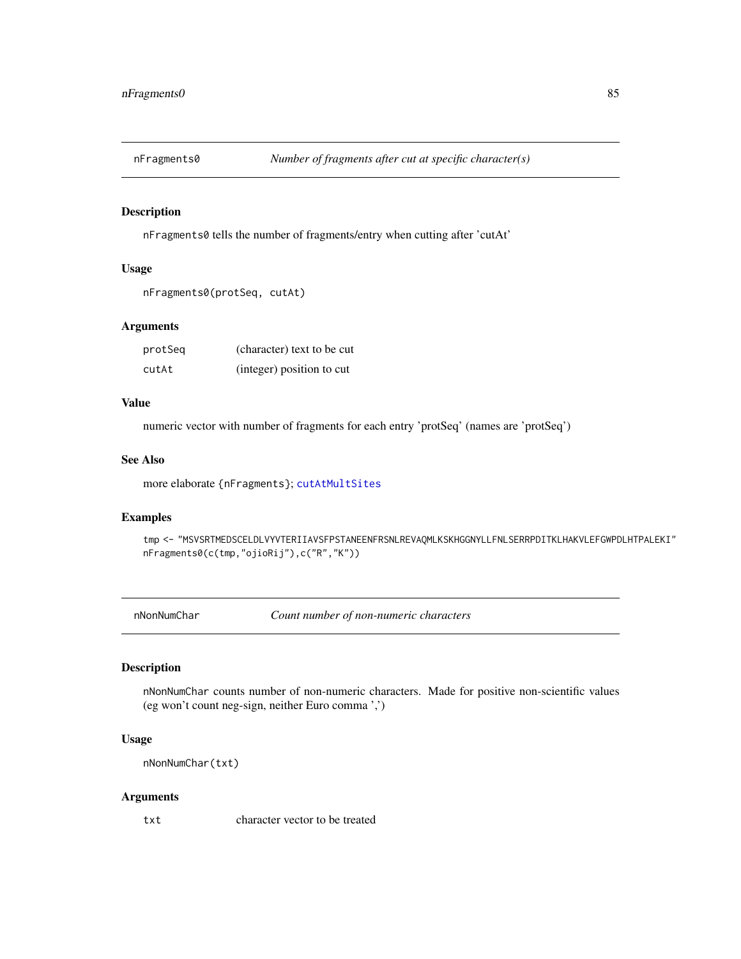nFragments0 tells the number of fragments/entry when cutting after 'cutAt'

## Usage

```
nFragments0(protSeq, cutAt)
```
# Arguments

| protSeg | (character) text to be cut |
|---------|----------------------------|
| cutAt   | (integer) position to cut  |

## Value

numeric vector with number of fragments for each entry 'protSeq' (names are 'protSeq')

#### See Also

more elaborate {nFragments}; [cutAtMultSites](#page-37-0)

## Examples

tmp <- "MSVSRTMEDSCELDLVYVTERIIAVSFPSTANEENFRSNLREVAQMLKSKHGGNYLLFNLSERRPDITKLHAKVLEFGWPDLHTPALEKI" nFragments0(c(tmp,"ojioRij"),c("R","K"))

nNonNumChar *Count number of non-numeric characters*

## Description

nNonNumChar counts number of non-numeric characters. Made for positive non-scientific values (eg won't count neg-sign, neither Euro comma ',')

# Usage

```
nNonNumChar(txt)
```
#### Arguments

txt character vector to be treated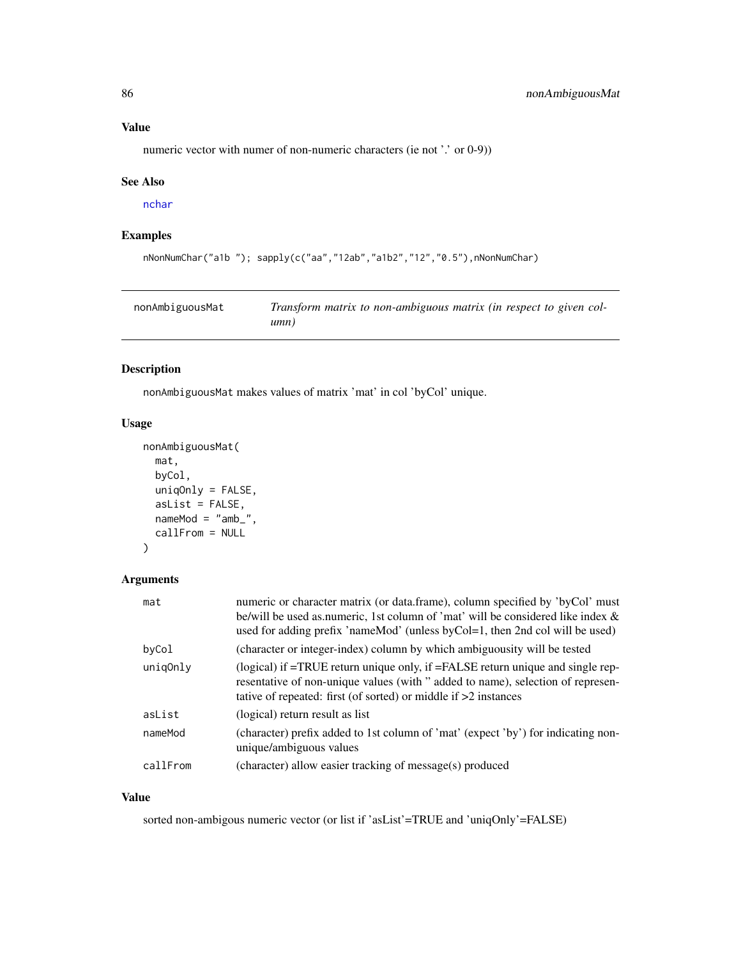# Value

numeric vector with numer of non-numeric characters (ie not '.' or 0-9))

## See Also

[nchar](#page-0-0)

# Examples

```
nNonNumChar("a1b "); sapply(c("aa","12ab","a1b2","12","0.5"),nNonNumChar)
```

| nonAmbiguousMat | Transform matrix to non-ambiguous matrix (in respect to given col- |
|-----------------|--------------------------------------------------------------------|
|                 | umn)                                                               |

# Description

nonAmbiguousMat makes values of matrix 'mat' in col 'byCol' unique.

# Usage

```
nonAmbiguousMat(
  mat,
  byCol,
  uniqOnly = FALSE,
  asList = FALSE,nameMod = "amb",
  callFrom = NULL
\mathcal{L}
```
# Arguments

| mat      | numeric or character matrix (or data.frame), column specified by 'byCol' must<br>be/will be used as numeric, 1st column of 'mat' will be considered like index &<br>used for adding prefix 'nameMod' (unless byCol=1, then 2nd col will be used) |
|----------|--------------------------------------------------------------------------------------------------------------------------------------------------------------------------------------------------------------------------------------------------|
| byCol    | (character or integer-index) column by which ambiguousity will be tested                                                                                                                                                                         |
| unig0nly | (logical) if =TRUE return unique only, if =FALSE return unique and single rep-<br>resentative of non-unique values (with " added to name), selection of represen-<br>tative of repeated: first (of sorted) or middle if $>2$ instances           |
| asList   | (logical) return result as list                                                                                                                                                                                                                  |
| nameMod  | (character) prefix added to 1st column of 'mat' (expect 'by') for indicating non-<br>unique/ambiguous values                                                                                                                                     |
| callFrom | (character) allow easier tracking of message(s) produced                                                                                                                                                                                         |

## Value

sorted non-ambigous numeric vector (or list if 'asList'=TRUE and 'uniqOnly'=FALSE)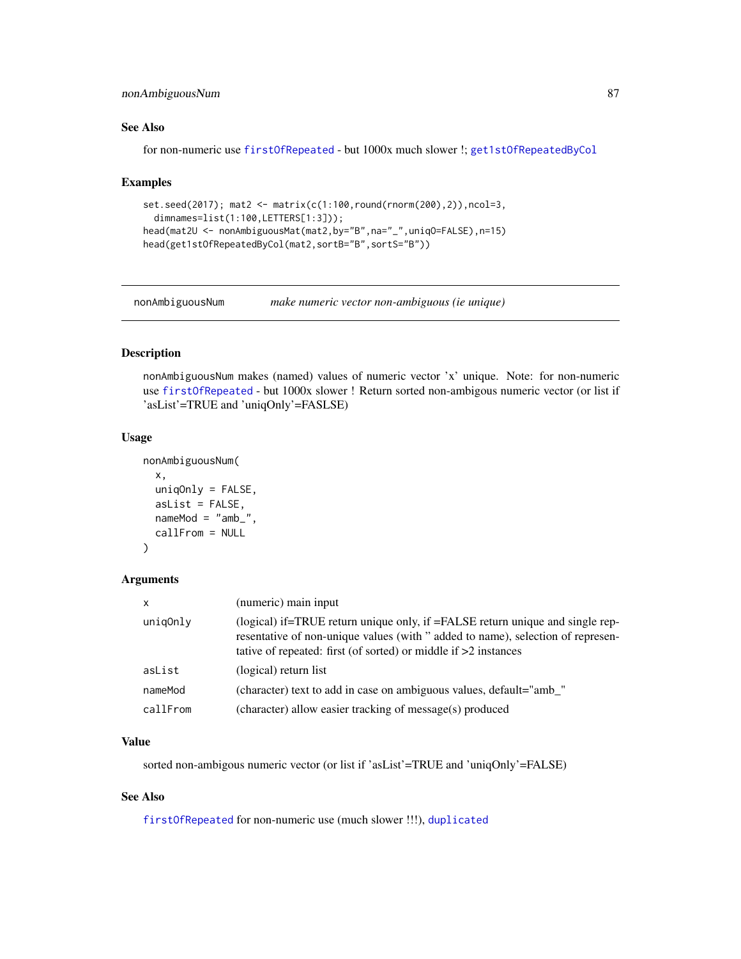# nonAmbiguousNum 87

# See Also

for non-numeric use [firstOfRepeated](#page-56-0) - but 1000x much slower !; [get1stOfRepeatedByCol](#page-61-0)

#### Examples

```
set.seed(2017); mat2 <- matrix(c(1:100,round(rnorm(200),2)),ncol=3,
  dimnames=list(1:100,LETTERS[1:3]));
head(mat2U <- nonAmbiguousMat(mat2,by="B",na="_",uniqO=FALSE),n=15)
head(get1stOfRepeatedByCol(mat2,sortB="B",sortS="B"))
```
nonAmbiguousNum *make numeric vector non-ambiguous (ie unique)*

# Description

nonAmbiguousNum makes (named) values of numeric vector 'x' unique. Note: for non-numeric use [firstOfRepeated](#page-56-0) - but 1000x slower ! Return sorted non-ambigous numeric vector (or list if 'asList'=TRUE and 'uniqOnly'=FASLSE)

## Usage

```
nonAmbiguousNum(
  x,
 uniqOnly = FALSE,
  asList = FALSE,nameMod = "amb",
 callFrom = NULL
)
```
## Arguments

| $\mathsf{x}$ | (numeric) main input                                                                                                                                                                                                                 |
|--------------|--------------------------------------------------------------------------------------------------------------------------------------------------------------------------------------------------------------------------------------|
| unig0nly     | (logical) if=TRUE return unique only, if =FALSE return unique and single rep-<br>resentative of non-unique values (with "added to name), selection of represen-<br>tative of repeated: first (of sorted) or middle if $>2$ instances |
| asList       | (logical) return list                                                                                                                                                                                                                |
| nameMod      | (character) text to add in case on ambiguous values, default="amb_"                                                                                                                                                                  |
| callFrom     | (character) allow easier tracking of message(s) produced                                                                                                                                                                             |

#### Value

sorted non-ambigous numeric vector (or list if 'asList'=TRUE and 'uniqOnly'=FALSE)

# See Also

[firstOfRepeated](#page-56-0) for non-numeric use (much slower !!!), [duplicated](#page-0-0)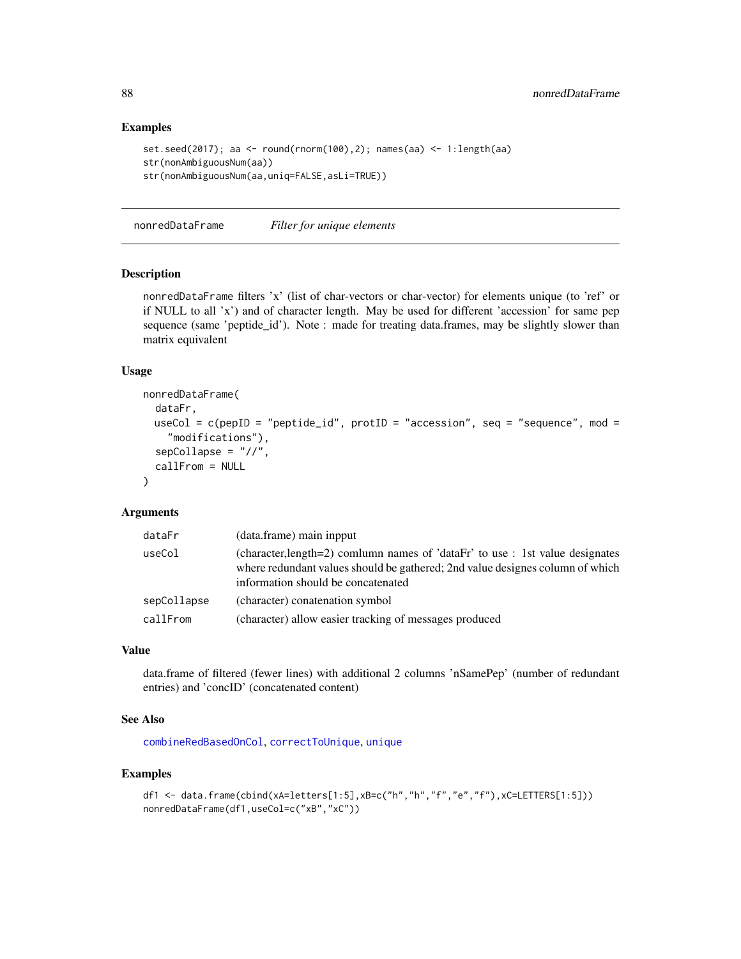## Examples

```
set.seed(2017); aa <- round(rnorm(100),2); names(aa) <- 1:length(aa)
str(nonAmbiguousNum(aa))
str(nonAmbiguousNum(aa,uniq=FALSE,asLi=TRUE))
```
nonredDataFrame *Filter for unique elements*

# Description

nonredDataFrame filters 'x' (list of char-vectors or char-vector) for elements unique (to 'ref' or if NULL to all 'x') and of character length. May be used for different 'accession' for same pep sequence (same 'peptide\_id'). Note : made for treating data.frames, may be slightly slower than matrix equivalent

## Usage

```
nonredDataFrame(
  dataFr,
 useCol = c(pepID = "peptide_id", protID = "accession", seq = "sequence", mod =
    "modifications"),
  sepCollapse = "//",
  callFrom = NULL
)
```
## Arguments

| dataFr      | (data.frame) main inpput                                                                                                                                                                             |
|-------------|------------------------------------------------------------------------------------------------------------------------------------------------------------------------------------------------------|
| useCol      | (character, length=2) comlumn names of 'dataFr' to use : 1st value designates<br>where redundant values should be gathered; 2nd value designes column of which<br>information should be concatenated |
| sepCollapse | (character) conatenation symbol                                                                                                                                                                      |
| callFrom    | (character) allow easier tracking of messages produced                                                                                                                                               |

# Value

data.frame of filtered (fewer lines) with additional 2 columns 'nSamePep' (number of redundant entries) and 'concID' (concatenated content)

## See Also

[combineRedBasedOnCol](#page-24-0), [correctToUnique](#page-32-0), [unique](#page-0-0)

```
df1 <- data.frame(cbind(xA=letters[1:5],xB=c("h","h","f","e","f"),xC=LETTERS[1:5]))
nonredDataFrame(df1,useCol=c("xB","xC"))
```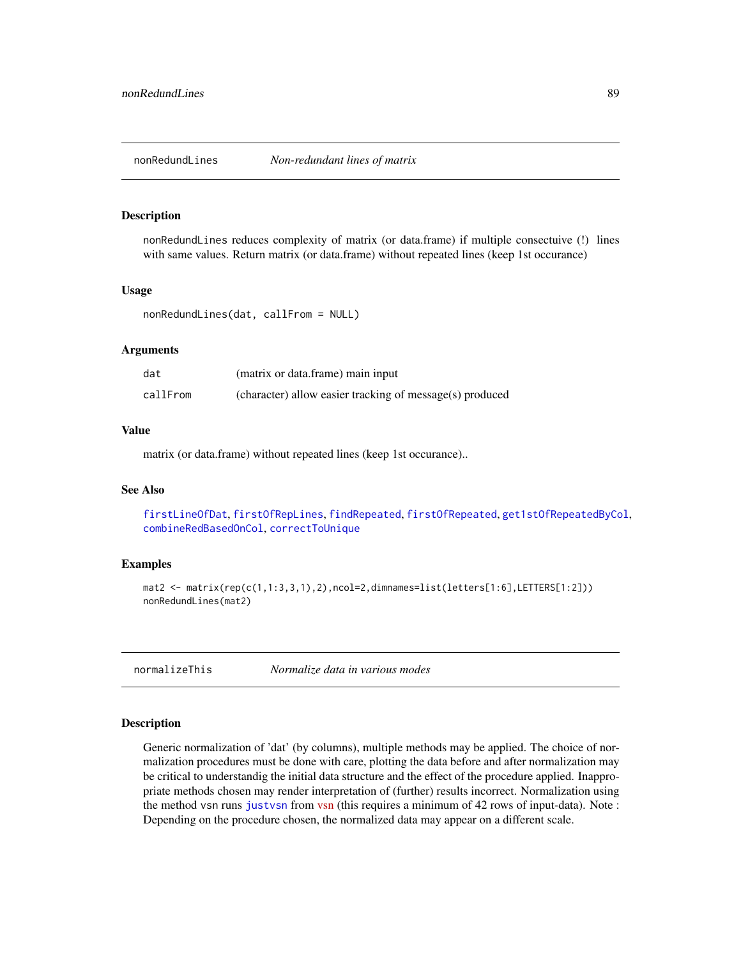nonRedundLines reduces complexity of matrix (or data.frame) if multiple consectuive (!) lines with same values. Return matrix (or data.frame) without repeated lines (keep 1st occurance)

#### Usage

nonRedundLines(dat, callFrom = NULL)

#### Arguments

| dat      | (matrix or data.frame) main input                        |
|----------|----------------------------------------------------------|
| callFrom | (character) allow easier tracking of message(s) produced |

## Value

matrix (or data.frame) without repeated lines (keep 1st occurance)..

## See Also

[firstLineOfDat](#page-56-1), [firstOfRepLines](#page-57-0), [findRepeated](#page-53-0), [firstOfRepeated](#page-56-0), [get1stOfRepeatedByCol](#page-61-0), [combineRedBasedOnCol](#page-24-0), [correctToUnique](#page-32-0)

## Examples

```
mat2 <- matrix(rep(c(1,1:3,3,1),2),ncol=2,dimnames=list(letters[1:6],LETTERS[1:2]))
nonRedundLines(mat2)
```
normalizeThis *Normalize data in various modes*

## Description

Generic normalization of 'dat' (by columns), multiple methods may be applied. The choice of normalization procedures must be done with care, plotting the data before and after normalization may be critical to understandig the initial data structure and the effect of the procedure applied. Inappropriate methods chosen may render interpretation of (further) results incorrect. Normalization using the method vsn runs [justvsn](#page-0-0) from [vsn](https://bioconductor.org/packages/release/bioc/html/vsn.html) (this requires a minimum of 42 rows of input-data). Note : Depending on the procedure chosen, the normalized data may appear on a different scale.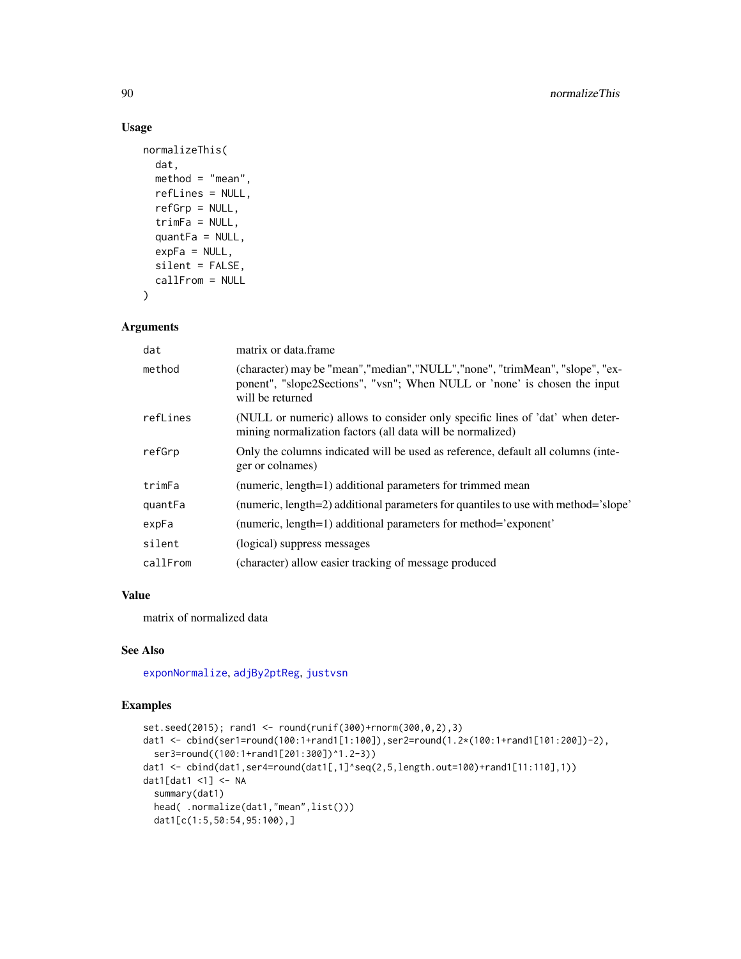# Usage

```
normalizeThis(
  dat,
  method = "mean",
  refLines = NULL,
  refGrp = NULL,
  trimFa = NULL,
  quantFa = NULL,expFa = NULL,silent = FALSE,
  callFrom = NULL
\lambda
```
# Arguments

| dat      | matrix or data.frame                                                                                                                                                            |
|----------|---------------------------------------------------------------------------------------------------------------------------------------------------------------------------------|
| method   | (character) may be "mean", "median", "NULL", "none", "trimMean", "slope", "ex-<br>ponent", "slope2Sections", "vsn"; When NULL or 'none' is chosen the input<br>will be returned |
| refLines | (NULL or numeric) allows to consider only specific lines of 'dat' when deter-<br>mining normalization factors (all data will be normalized)                                     |
| refGrp   | Only the columns indicated will be used as reference, default all columns (inte-<br>ger or colnames)                                                                            |
| trimFa   | (numeric, length=1) additional parameters for trimmed mean                                                                                                                      |
| quantFa  | (numeric, length=2) additional parameters for quantiles to use with method='slope'                                                                                              |
| expFa    | (numeric, length=1) additional parameters for method='exponent'                                                                                                                 |
| silent   | (logical) suppress messages                                                                                                                                                     |
| callFrom | (character) allow easier tracking of message produced                                                                                                                           |

## Value

matrix of normalized data

## See Also

[exponNormalize](#page-43-0), [adjBy2ptReg](#page-4-0), [justvsn](#page-0-0)

```
set.seed(2015); rand1 <- round(runif(300)+rnorm(300,0,2),3)
dat1 <- cbind(ser1=round(100:1+rand1[1:100]),ser2=round(1.2*(100:1+rand1[101:200])-2),
  ser3=round((100:1+rand1[201:300])^1.2-3))
dat1 <- cbind(dat1,ser4=round(dat1[,1]^seq(2,5,length.out=100)+rand1[11:110],1))
dat1[dat1 <1] <- NA
  summary(dat1)
  head( .normalize(dat1,"mean",list()))
  dat1[c(1:5,50:54,95:100),]
```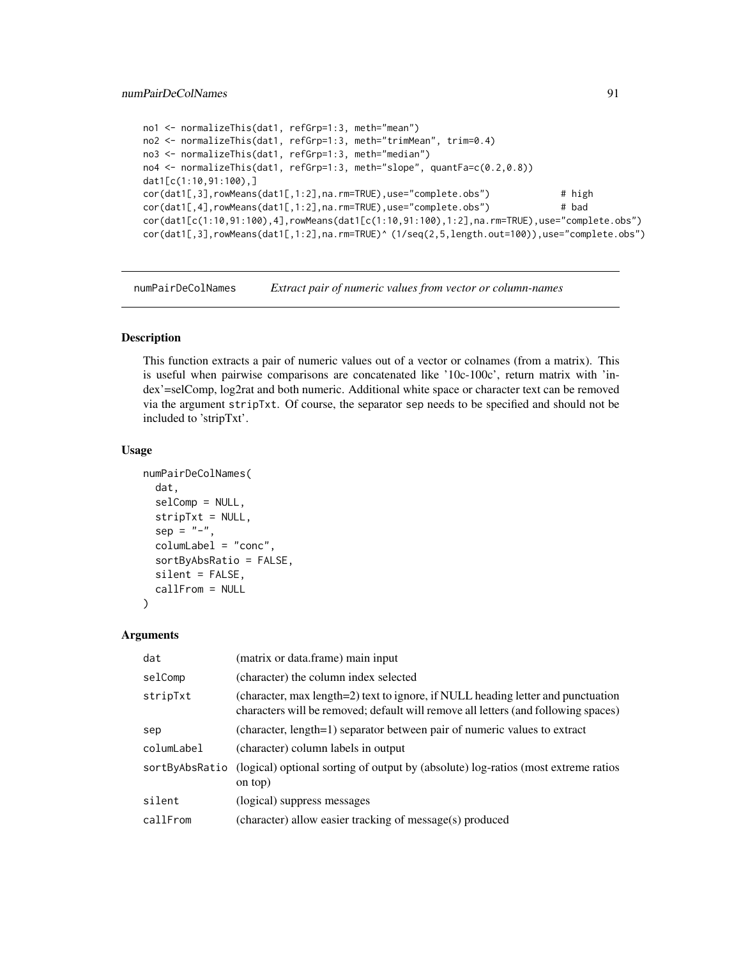```
no1 <- normalizeThis(dat1, refGrp=1:3, meth="mean")
no2 <- normalizeThis(dat1, refGrp=1:3, meth="trimMean", trim=0.4)
no3 <- normalizeThis(dat1, refGrp=1:3, meth="median")
no4 <- normalizeThis(dat1, refGrp=1:3, meth="slope", quantFa=c(0.2,0.8))
dat1[c(1:10,91:100),]
cor(dat1[,3],rowMeans(dat1[,1:2],na.rm=TRUE),use="complete.obs") # high
cor(dat1[,4],rowMeans(dat1[,1:2],na.rm=TRUE),use="complete.obs") # bad
cor(dat1[c(1:10,91:100),4],rowMeans(dat1[c(1:10,91:100),1:2],na.rm=TRUE),use="complete.obs")
cor(dat1[,3],rowMeans(dat1[,1:2],na.rm=TRUE)^ (1/seq(2,5,length.out=100)),use="complete.obs")
```
numPairDeColNames *Extract pair of numeric values from vector or column-names*

# Description

This function extracts a pair of numeric values out of a vector or colnames (from a matrix). This is useful when pairwise comparisons are concatenated like '10c-100c', return matrix with 'index'=selComp, log2rat and both numeric. Additional white space or character text can be removed via the argument stripTxt. Of course, the separator sep needs to be specified and should not be included to 'stripTxt'.

#### Usage

```
numPairDeColNames(
  dat,
  selComp = NULL,
  stripTxt = NULL,
  sep = "-",
  columLabel = "conc",
  sortByAbsRatio = FALSE,
  silent = FALSE,callFrom = NULL
)
```
#### Arguments

| dat            | (matrix or data.frame) main input                                                                                                                                      |
|----------------|------------------------------------------------------------------------------------------------------------------------------------------------------------------------|
| selComp        | (character) the column index selected                                                                                                                                  |
| stripTxt       | (character, max length=2) text to ignore, if NULL heading letter and punctuation<br>characters will be removed; default will remove all letters (and following spaces) |
| sep            | (character, length=1) separator between pair of numeric values to extract                                                                                              |
| columLabel     | (character) column labels in output                                                                                                                                    |
| sortByAbsRatio | (logical) optional sorting of output by (absolute) log-ratios (most extreme ratios<br>on top)                                                                          |
| silent         | (logical) suppress messages                                                                                                                                            |
| callFrom       | (character) allow easier tracking of message(s) produced                                                                                                               |
|                |                                                                                                                                                                        |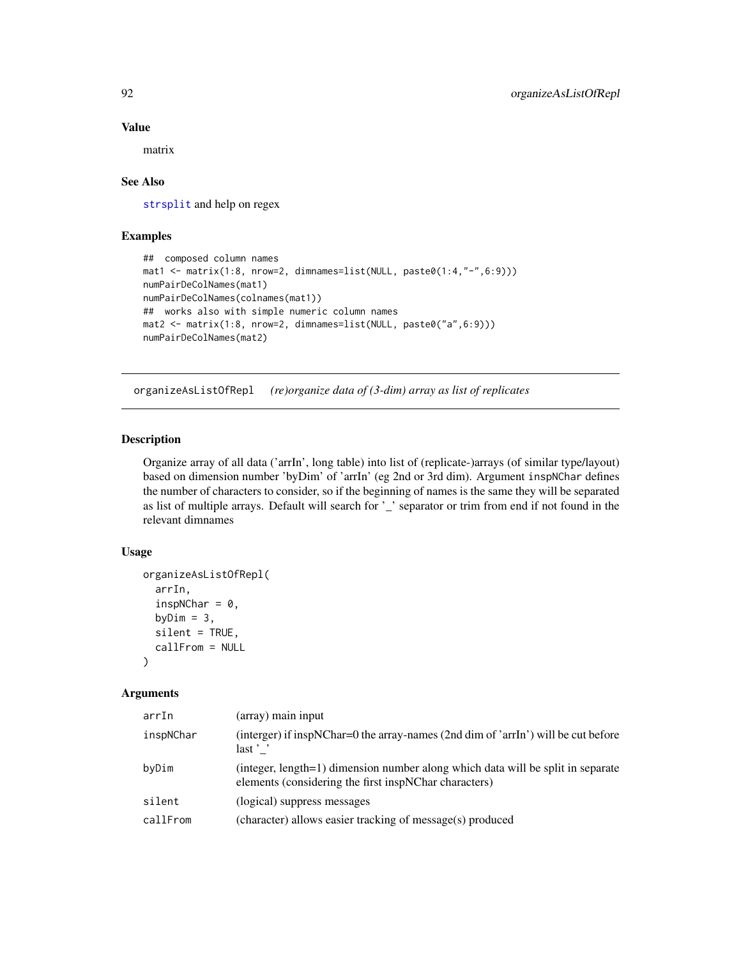### Value

matrix

## See Also

[strsplit](#page-0-0) and help on regex

# Examples

```
## composed column names
mat1 <- matrix(1:8, nrow=2, dimnames=list(NULL, paste0(1:4,"-",6:9)))
numPairDeColNames(mat1)
numPairDeColNames(colnames(mat1))
## works also with simple numeric column names
mat2 <- matrix(1:8, nrow=2, dimnames=list(NULL, paste0("a",6:9)))
numPairDeColNames(mat2)
```
organizeAsListOfRepl *(re)organize data of (3-dim) array as list of replicates*

# Description

Organize array of all data ('arrIn', long table) into list of (replicate-)arrays (of similar type/layout) based on dimension number 'byDim' of 'arrIn' (eg 2nd or 3rd dim). Argument inspNChar defines the number of characters to consider, so if the beginning of names is the same they will be separated as list of multiple arrays. Default will search for '\_' separator or trim from end if not found in the relevant dimnames

## Usage

```
organizeAsListOfRepl(
  arrIn,
  inspNChar = 0,
  byDim = 3,
  silent = TRUE,
  callFrom = NULL
)
```
#### Arguments

| (array) main input                                                                                                                       |
|------------------------------------------------------------------------------------------------------------------------------------------|
| (interger) if inspNChar=0 the array-names (2nd dim of 'arrIn') will be cut before<br>$last$ $\cdot$                                      |
| (integer, length=1) dimension number along which data will be split in separate<br>elements (considering the first inspNChar characters) |
| (logical) suppress messages                                                                                                              |
| (character) allows easier tracking of message(s) produced                                                                                |
|                                                                                                                                          |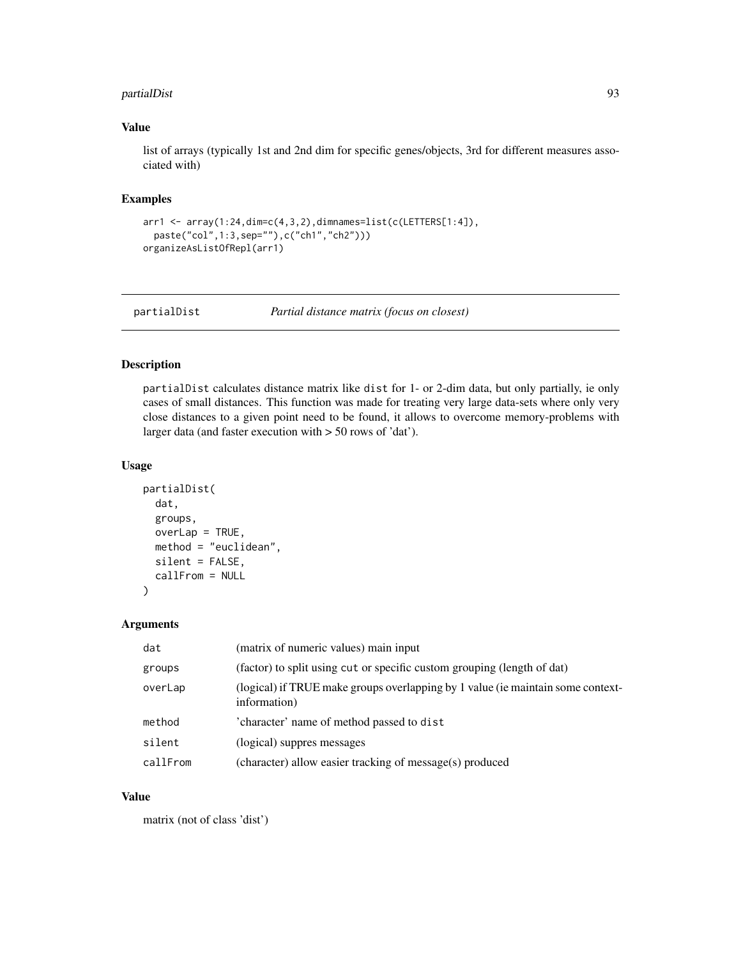# partialDist 93

## Value

list of arrays (typically 1st and 2nd dim for specific genes/objects, 3rd for different measures associated with)

# Examples

```
arr1 <- array(1:24,dim=c(4,3,2),dimnames=list(c(LETTERS[1:4]),
 paste("col",1:3,sep=""),c("ch1","ch2")))
organizeAsListOfRepl(arr1)
```
partialDist *Partial distance matrix (focus on closest)*

## Description

partialDist calculates distance matrix like dist for 1- or 2-dim data, but only partially, ie only cases of small distances. This function was made for treating very large data-sets where only very close distances to a given point need to be found, it allows to overcome memory-problems with larger data (and faster execution with > 50 rows of 'dat').

# Usage

```
partialDist(
  dat,
  groups,
 overLap = TRUE,method = "euclidean",
  silent = FALSE,
  callFrom = NULL
)
```
### Arguments

| dat      | (matrix of numeric values) main input                                                           |
|----------|-------------------------------------------------------------------------------------------------|
| groups   | (factor) to split using cut or specific custom grouping (length of dat)                         |
| overLap  | (logical) if TRUE make groups overlapping by 1 value (ie maintain some context-<br>information) |
| method   | 'character' name of method passed to dist                                                       |
| silent   | (logical) suppres messages                                                                      |
| callFrom | (character) allow easier tracking of message(s) produced                                        |

## Value

matrix (not of class 'dist')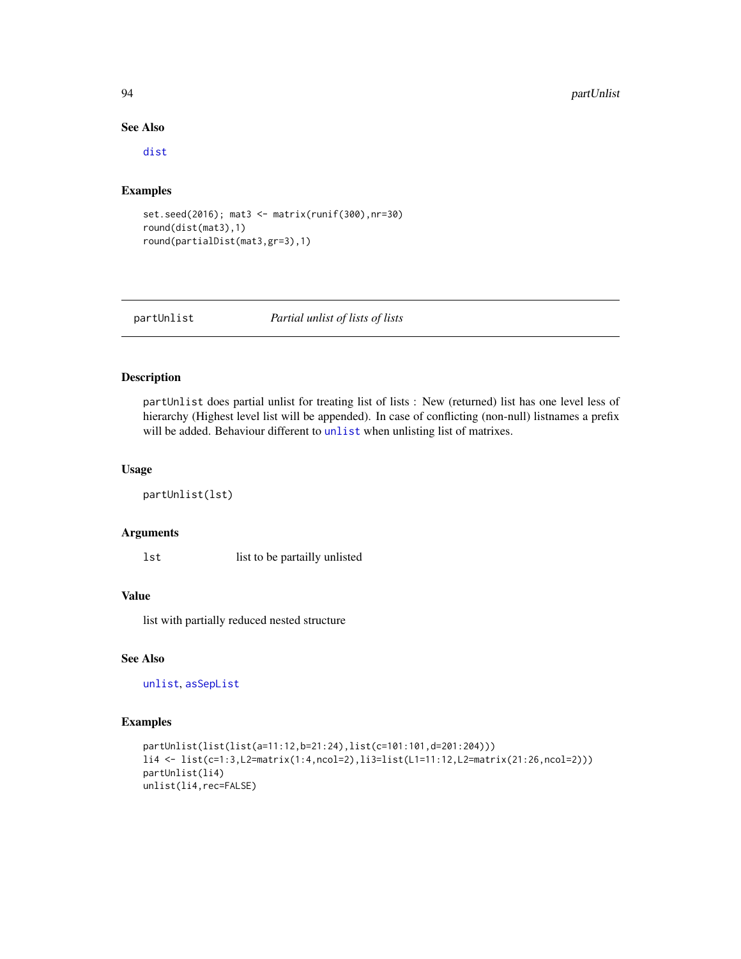## See Also

[dist](#page-0-0)

## Examples

```
set.seed(2016); mat3 <- matrix(runif(300),nr=30)
round(dist(mat3),1)
round(partialDist(mat3,gr=3),1)
```
# partUnlist *Partial unlist of lists of lists*

## Description

partUnlist does partial unlist for treating list of lists : New (returned) list has one level less of hierarchy (Highest level list will be appended). In case of conflicting (non-null) listnames a prefix will be added. Behaviour different to [unlist](#page-0-0) when unlisting list of matrixes.

#### Usage

```
partUnlist(lst)
```
# Arguments

lst list to be partailly unlisted

# Value

list with partially reduced nested structure

# See Also

[unlist](#page-0-0), [asSepList](#page-6-0)

```
partUnlist(list(list(a=11:12,b=21:24),list(c=101:101,d=201:204)))
li4 <- list(c=1:3,L2=matrix(1:4,ncol=2),li3=list(L1=11:12,L2=matrix(21:26,ncol=2)))
partUnlist(li4)
unlist(li4,rec=FALSE)
```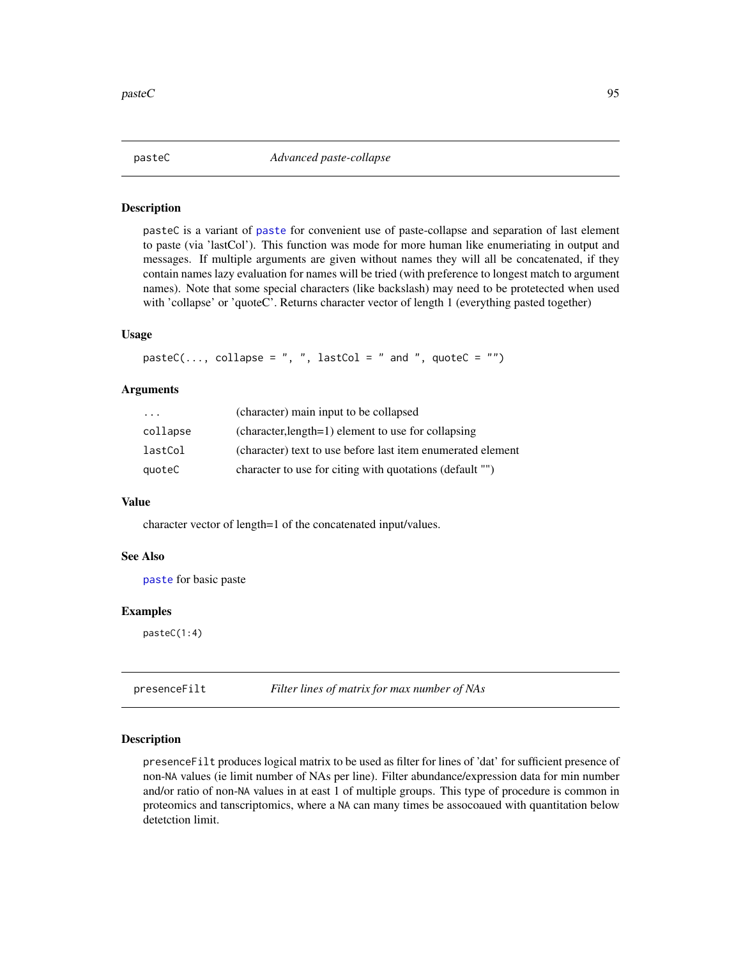pasteC is a variant of [paste](#page-0-0) for convenient use of paste-collapse and separation of last element to paste (via 'lastCol'). This function was mode for more human like enumeriating in output and messages. If multiple arguments are given without names they will all be concatenated, if they contain names lazy evaluation for names will be tried (with preference to longest match to argument names). Note that some special characters (like backslash) may need to be protetected when used with 'collapse' or 'quoteC'. Returns character vector of length 1 (everything pasted together)

## Usage

```
pastec(..., collapse = ", ", lastCol = " and ", quote = "")
```
## Arguments

| $\cdot$  | (character) main input to be collapsed                      |
|----------|-------------------------------------------------------------|
| collapse | (character, length=1) element to use for collapsing         |
| lastCol  | (character) text to use before last item enumerated element |
| quoteC   | character to use for citing with quotations (default "")    |

#### Value

character vector of length=1 of the concatenated input/values.

## See Also

[paste](#page-0-0) for basic paste

#### Examples

pasteC(1:4)

presenceFilt *Filter lines of matrix for max number of NAs*

## Description

presenceFilt produces logical matrix to be used as filter for lines of 'dat' for sufficient presence of non-NA values (ie limit number of NAs per line). Filter abundance/expression data for min number and/or ratio of non-NA values in at east 1 of multiple groups. This type of procedure is common in proteomics and tanscriptomics, where a NA can many times be assocoaued with quantitation below detetction limit.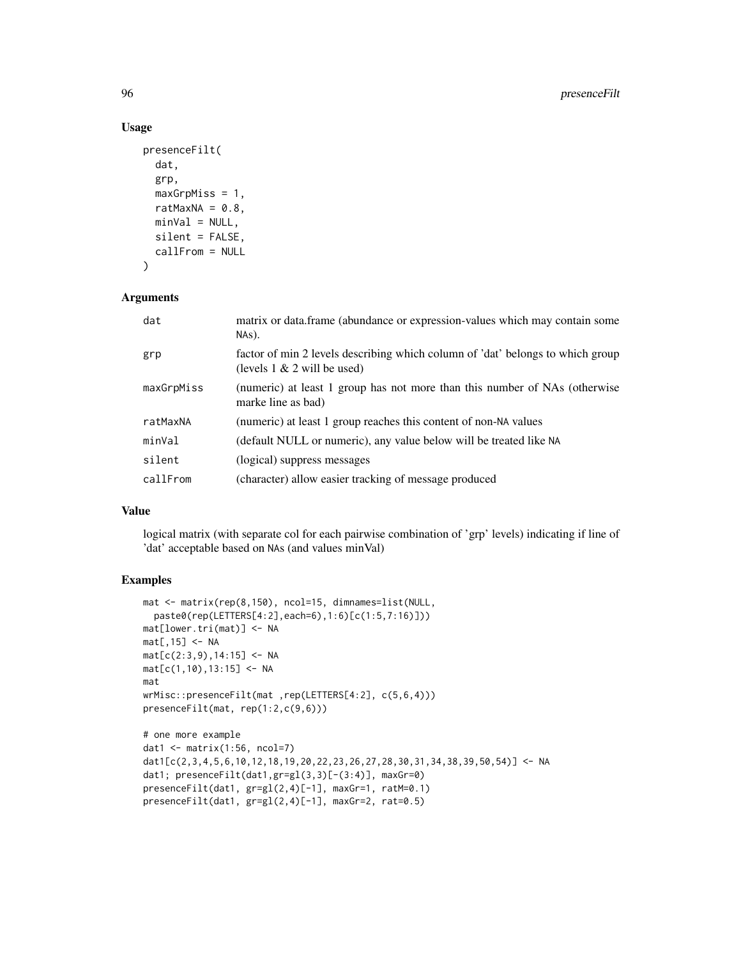# Usage

```
presenceFilt(
  dat,
  grp,
 maxGrpMiss = 1,
 ratMaxNA = 0.8,
 minVal = NULL,silent = FALSE,
  callFrom = NULL
)
```
## Arguments

| dat        | matrix or data.frame (abundance or expression-values which may contain some<br>NAs).                             |
|------------|------------------------------------------------------------------------------------------------------------------|
| grp        | factor of min 2 levels describing which column of 'dat' belongs to which group<br>(levels $1 \& 2$ will be used) |
| maxGrpMiss | (numeric) at least 1 group has not more than this number of NAs (otherwise<br>marke line as bad)                 |
| ratMaxNA   | (numeric) at least 1 group reaches this content of non-NA values                                                 |
| minVal     | (default NULL or numeric), any value below will be treated like NA                                               |
| silent     | (logical) suppress messages                                                                                      |
| callFrom   | (character) allow easier tracking of message produced                                                            |

## Value

logical matrix (with separate col for each pairwise combination of 'grp' levels) indicating if line of 'dat' acceptable based on NAs (and values minVal)

```
mat <- matrix(rep(8,150), ncol=15, dimnames=list(NULL,
  paste0(rep(LETTERS[4:2],each=6),1:6)[c(1:5,7:16)]))
mat[lower.tri(mat)] <- NA
mat[,15] <- NA
mat[c(2:3,9),14:15] < -NAmat[c(1,10),13:15] <- NA
mat
wrMisc::presenceFilt(mat ,rep(LETTERS[4:2], c(5,6,4)))
presenceFilt(mat, rep(1:2,c(9,6)))
# one more example
dat1 <- matrix(1:56, ncol=7)
dat1[c(2,3,4,5,6,10,12,18,19,20,22,23,26,27,28,30,31,34,38,39,50,54)] <- NA
dat1; presenceFilt(dat1,gr=gl(3,3)[-(3:4)], maxGr=0)
presenceFilt(dat1, gr=gl(2,4)[-1], maxGr=1, ratM=0.1)
presenceFilt(dat1, gr=gl(2,4)[-1], maxGr=2, rat=0.5)
```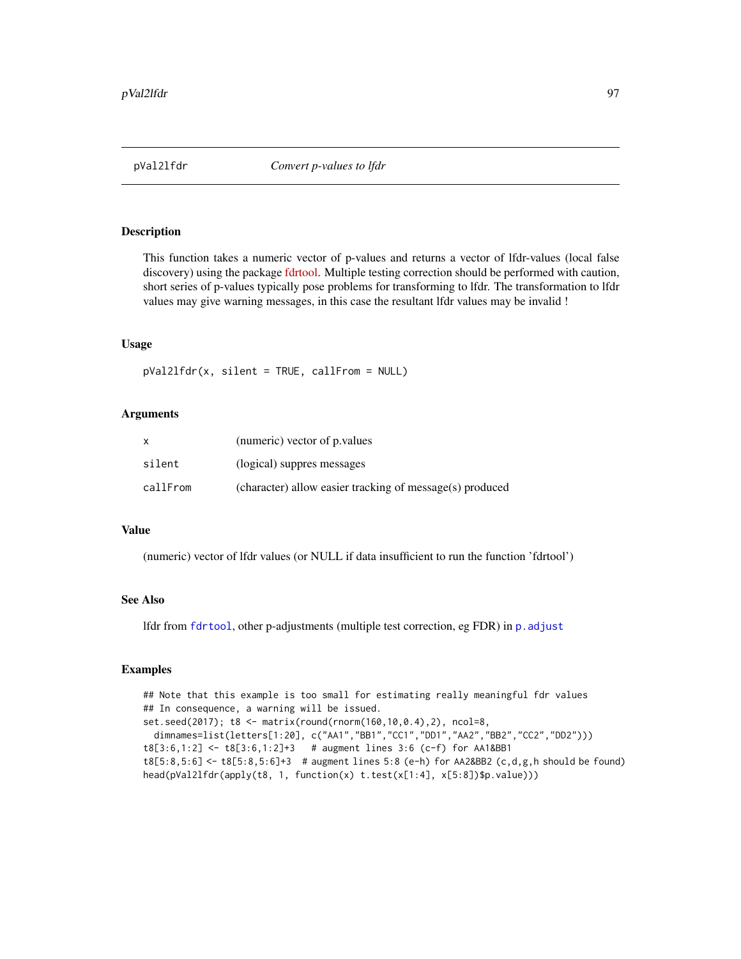This function takes a numeric vector of p-values and returns a vector of lfdr-values (local false discovery) using the package [fdrtool.](https://CRAN.R-project.org/package=fdrtool) Multiple testing correction should be performed with caution, short series of p-values typically pose problems for transforming to lfdr. The transformation to lfdr values may give warning messages, in this case the resultant lfdr values may be invalid !

## Usage

pVal2lfdr(x, silent = TRUE, callFrom = NULL)

## Arguments

|          | (numeric) vector of p. values                            |
|----------|----------------------------------------------------------|
| silent   | (logical) suppres messages                               |
| callFrom | (character) allow easier tracking of message(s) produced |

#### Value

(numeric) vector of lfdr values (or NULL if data insufficient to run the function 'fdrtool')

# See Also

lfdr from [fdrtool](#page-0-0), other p-adjustments (multiple test correction, eg FDR) in [p.adjust](#page-0-0)

```
## Note that this example is too small for estimating really meaningful fdr values
## In consequence, a warning will be issued.
set.seed(2017); t8 <- matrix(round(rnorm(160,10,0.4),2), ncol=8,
 dimnames=list(letters[1:20], c("AA1","BB1","CC1","DD1","AA2","BB2","CC2","DD2")))
t8[3:6,1:2] <- t8[3:6,1:2]+3 # augment lines 3:6 (c-f) for AA1&BB1
t8[5:8,5:6] \leq t8[5:8,5:6]+3 # augment lines 5:8 (e-h) for AA2&BB2 (c,d,g,h should be found)
head(pVal2lfdr(apply(t8, 1, function(x) t.test(x[1:4], x[5:8])$p.value)))
```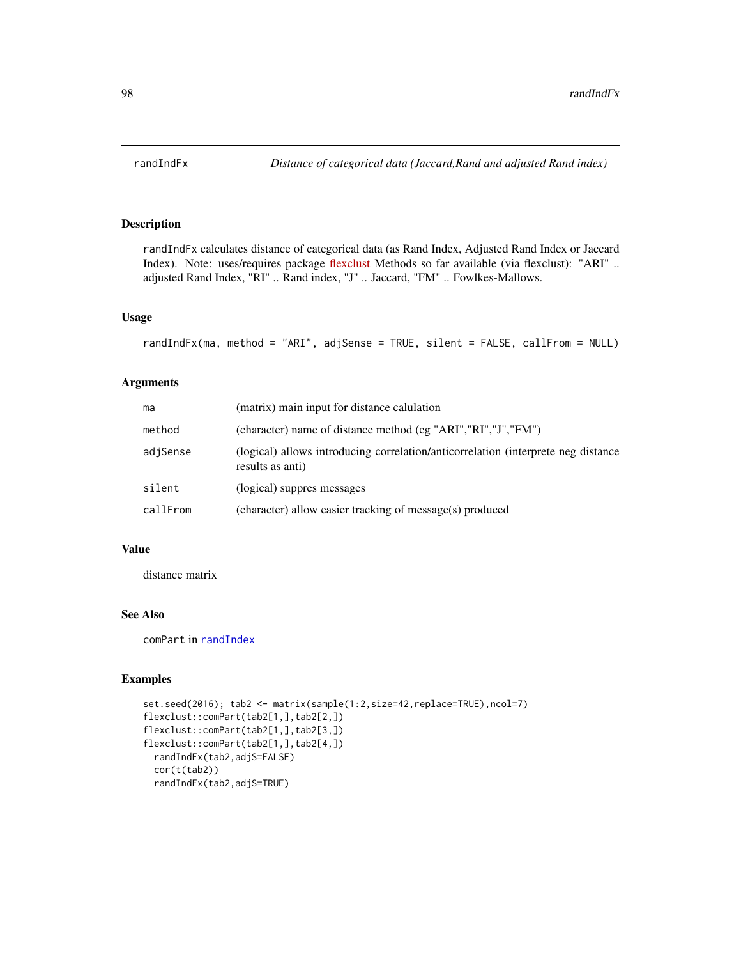randIndFx calculates distance of categorical data (as Rand Index, Adjusted Rand Index or Jaccard Index). Note: uses/requires package [flexclust](https://CRAN.R-project.org/package=flexclust) Methods so far available (via flexclust): "ARI" .. adjusted Rand Index, "RI" .. Rand index, "J" .. Jaccard, "FM" .. Fowlkes-Mallows.

# Usage

```
randIndFx(ma, method = "ARI", adjSense = TRUE, silent = FALSE, callFrom = NULL)
```
# Arguments

| ma       | (matrix) main input for distance calulation                                                           |
|----------|-------------------------------------------------------------------------------------------------------|
| method   | (character) name of distance method (eg "ARI", "RI", "J", "FM")                                       |
| adjSense | (logical) allows introducing correlation/anticorrelation (interprete neg distance<br>results as anti) |
| silent   | (logical) suppres messages                                                                            |
| callFrom | (character) allow easier tracking of message(s) produced                                              |

## Value

distance matrix

# See Also

comPart in [randIndex](#page-0-0)

```
set.seed(2016); tab2 <- matrix(sample(1:2,size=42,replace=TRUE),ncol=7)
flexclust::comPart(tab2[1,],tab2[2,])
flexclust::comPart(tab2[1,],tab2[3,])
flexclust::comPart(tab2[1,],tab2[4,])
 randIndFx(tab2,adjS=FALSE)
 cor(t(tab2))
 randIndFx(tab2,adjS=TRUE)
```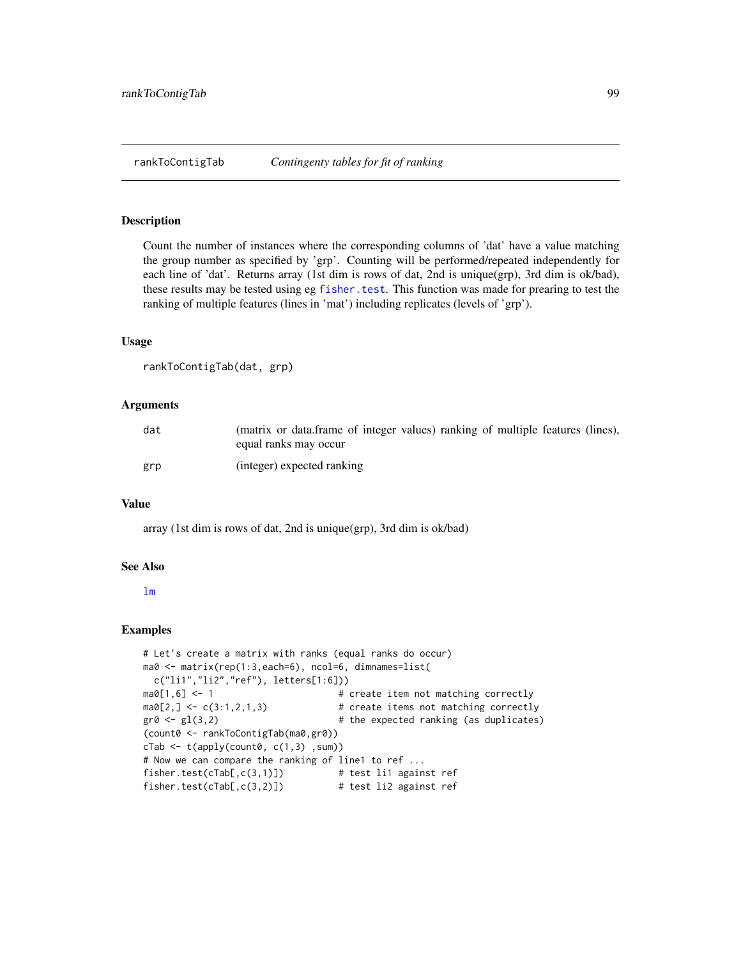Count the number of instances where the corresponding columns of 'dat' have a value matching the group number as specified by 'grp'. Counting will be performed/repeated independently for each line of 'dat'. Returns array (1st dim is rows of dat, 2nd is unique(grp), 3rd dim is ok/bad), these results may be tested using eg [fisher.test](#page-0-0). This function was made for prearing to test the ranking of multiple features (lines in 'mat') including replicates (levels of 'grp').

## Usage

```
rankToContigTab(dat, grp)
```
## Arguments

| dat | (matrix or data.frame of integer values) ranking of multiple features (lines),<br>equal ranks may occur |
|-----|---------------------------------------------------------------------------------------------------------|
| grp | (integer) expected ranking                                                                              |

## Value

array (1st dim is rows of dat, 2nd is unique(grp), 3rd dim is ok/bad)

#### See Also

#### [lm](#page-0-0)

```
# Let's create a matrix with ranks (equal ranks do occur)
ma0 <- matrix(rep(1:3,each=6), ncol=6, dimnames=list(
 c("li1","li2","ref"), letters[1:6]))
ma0[1,6] <- 1 \qquad # create item not matching correctly
ma0[2, ] \leftarrow c(3:1,2,1,3) # create items not matching correctly
gr0 \leftarrow gl(3,2) # the expected ranking (as duplicates)
(count0 <- rankToContigTab(ma0,gr0))
cTab \leftarrow t(apoly(count0, c(1,3), sum))# Now we can compare the ranking of line1 to ref ...
fisher.test(cTab[,c(3,1)]) # test li1 against ref
fisher.test(cTab[,c(3,2)]) # test li2 against ref
```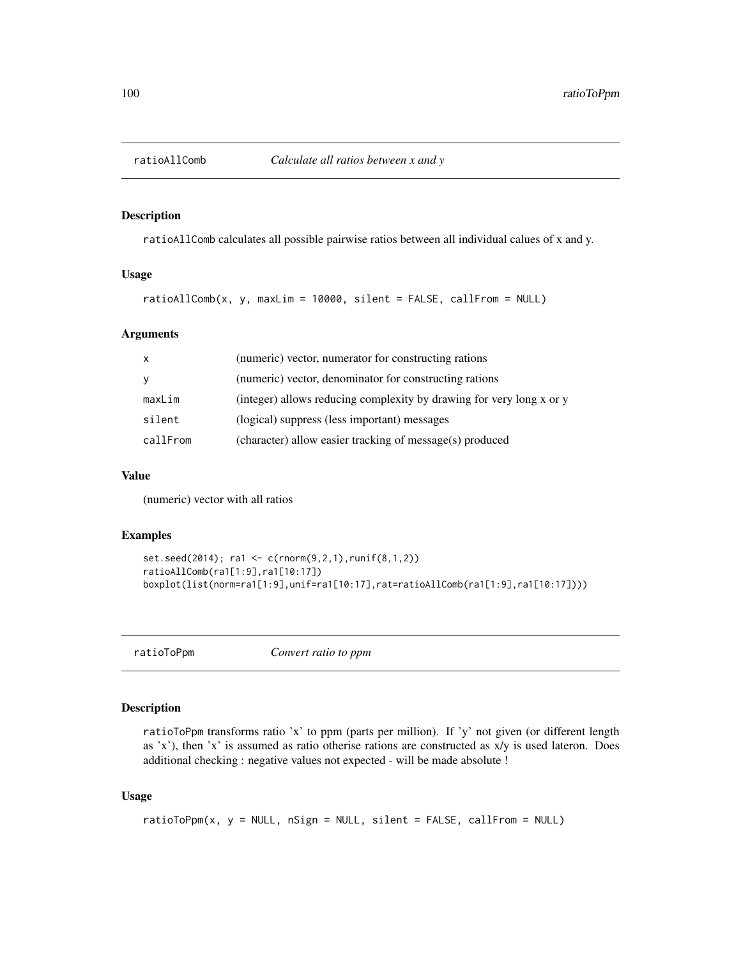ratioAllComb calculates all possible pairwise ratios between all individual calues of x and y.

## Usage

```
ratioAllComb(x, y, maxLim = 10000, silent = FALSE, callFrom = NULL)
```
## Arguments

| $\mathsf{x}$ | (numeric) vector, numerator for constructing rations                 |
|--------------|----------------------------------------------------------------------|
| y            | (numeric) vector, denominator for constructing rations               |
| maxLim       | (integer) allows reducing complexity by drawing for very long x or y |
| silent       | (logical) suppress (less important) messages                         |
| callFrom     | (character) allow easier tracking of message(s) produced             |

## Value

(numeric) vector with all ratios

## Examples

```
set.seed(2014); ra1 <- c(rnorm(9,2,1),runif(8,1,2))
ratioAllComb(ra1[1:9],ra1[10:17])
boxplot(list(norm=ra1[1:9],unif=ra1[10:17],rat=ratioAllComb(ra1[1:9],ra1[10:17])))
```
ratioToPpm *Convert ratio to ppm*

# Description

ratioToPpm transforms ratio 'x' to ppm (parts per million). If 'y' not given (or different length as 'x'), then 'x' is assumed as ratio otherise rations are constructed as x/y is used lateron. Does additional checking : negative values not expected - will be made absolute !

## Usage

```
ratioToppm(x, y = NULL, nSign = NULL, silent = FALSE, callFrom = NULL)
```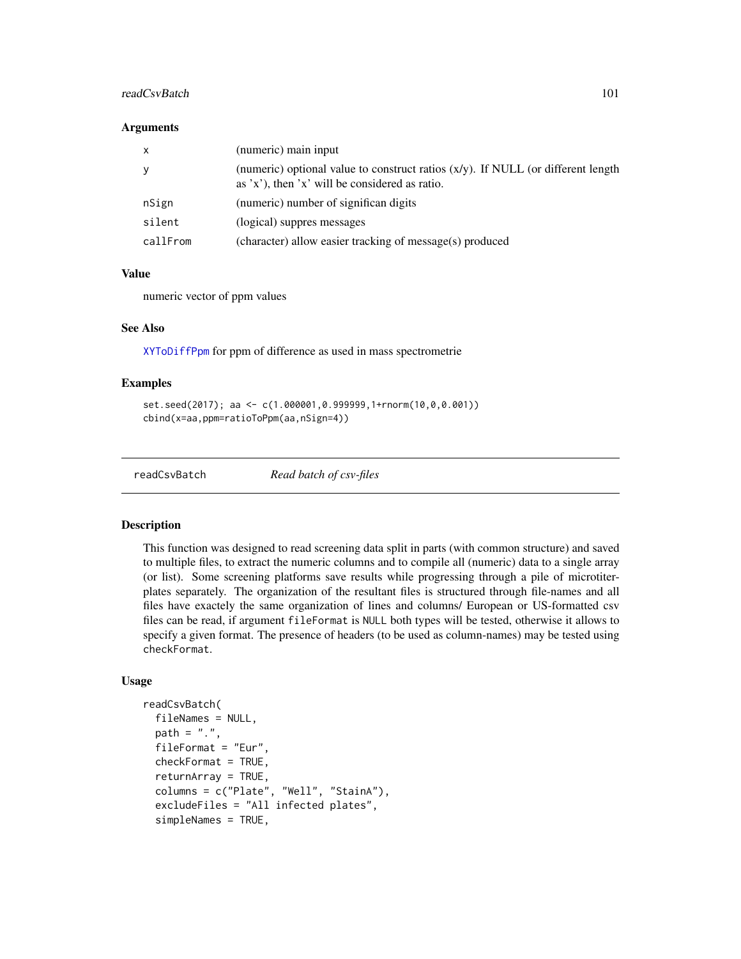# readCsvBatch 101

#### **Arguments**

| $\mathsf{x}$ | (numeric) main input                                                                                                                    |
|--------------|-----------------------------------------------------------------------------------------------------------------------------------------|
| y            | (numeric) optional value to construct ratios $(x/y)$ . If NULL (or different length<br>as $x'$ , then $x'$ will be considered as ratio. |
| nSign        | (numeric) number of significan digits                                                                                                   |
| silent       | (logical) suppres messages                                                                                                              |
| callFrom     | (character) allow easier tracking of message(s) produced                                                                                |

## Value

numeric vector of ppm values

## See Also

[XYToDiffPpm](#page-135-0) for ppm of difference as used in mass spectrometrie

## Examples

```
set.seed(2017); aa <- c(1.000001,0.999999,1+rnorm(10,0,0.001))
cbind(x=aa,ppm=ratioToPpm(aa,nSign=4))
```
readCsvBatch *Read batch of csv-files*

## Description

This function was designed to read screening data split in parts (with common structure) and saved to multiple files, to extract the numeric columns and to compile all (numeric) data to a single array (or list). Some screening platforms save results while progressing through a pile of microtiterplates separately. The organization of the resultant files is structured through file-names and all files have exactely the same organization of lines and columns/ European or US-formatted csv files can be read, if argument fileFormat is NULL both types will be tested, otherwise it allows to specify a given format. The presence of headers (to be used as column-names) may be tested using checkFormat.

## Usage

```
readCsvBatch(
  fileNames = NULL,
 path = ".''.fileFormat = "Eur",
  checkFormat = TRUE,
  returnArray = TRUE,
  columns = c("Plate", "Well", "StainA"),
  excludeFiles = "All infected plates",
  simpleNames = TRUE,
```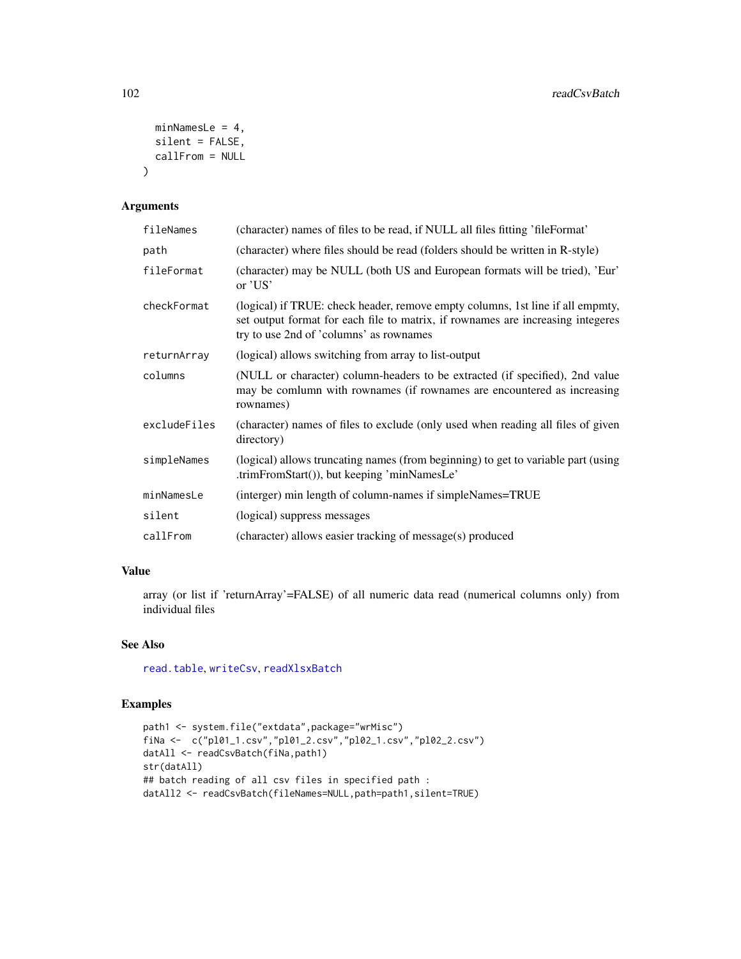```
minNamesLe = 4,
 silent = FALSE,
 callFrom = NULL
\lambda
```
# Arguments

| fileNames    | (character) names of files to be read, if NULL all files fitting 'fileFormat'                                                                                                                                |
|--------------|--------------------------------------------------------------------------------------------------------------------------------------------------------------------------------------------------------------|
| path         | (character) where files should be read (folders should be written in R-style)                                                                                                                                |
| fileFormat   | (character) may be NULL (both US and European formats will be tried), 'Eur'<br>or $'US'$                                                                                                                     |
| checkFormat  | (logical) if TRUE: check header, remove empty columns, 1st line if all empmty,<br>set output format for each file to matrix, if rownames are increasing integeres<br>try to use 2nd of 'columns' as rownames |
| returnArray  | (logical) allows switching from array to list-output                                                                                                                                                         |
| columns      | (NULL or character) column-headers to be extracted (if specified), 2nd value<br>may be comlumn with rownames (if rownames are encountered as increasing<br>rownames)                                         |
| excludeFiles | (character) names of files to exclude (only used when reading all files of given<br>directory)                                                                                                               |
| simpleNames  | (logical) allows truncating names (from beginning) to get to variable part (using<br>.trimFromStart()), but keeping 'minNamesLe'                                                                             |
| minNamesLe   | (interger) min length of column-names if simpleNames=TRUE                                                                                                                                                    |
| silent       | (logical) suppress messages                                                                                                                                                                                  |
| callFrom     | (character) allows easier tracking of message(s) produced                                                                                                                                                    |

# Value

array (or list if 'returnArray'=FALSE) of all numeric data read (numerical columns only) from individual files

# See Also

[read.table](#page-0-0), [writeCsv](#page-133-0), [readXlsxBatch](#page-103-0)

```
path1 <- system.file("extdata",package="wrMisc")
fiNa <- c("pl01_1.csv","pl01_2.csv","pl02_1.csv","pl02_2.csv")
datAll <- readCsvBatch(fiNa,path1)
str(datAll)
## batch reading of all csv files in specified path :
datAll2 <- readCsvBatch(fileNames=NULL,path=path1,silent=TRUE)
```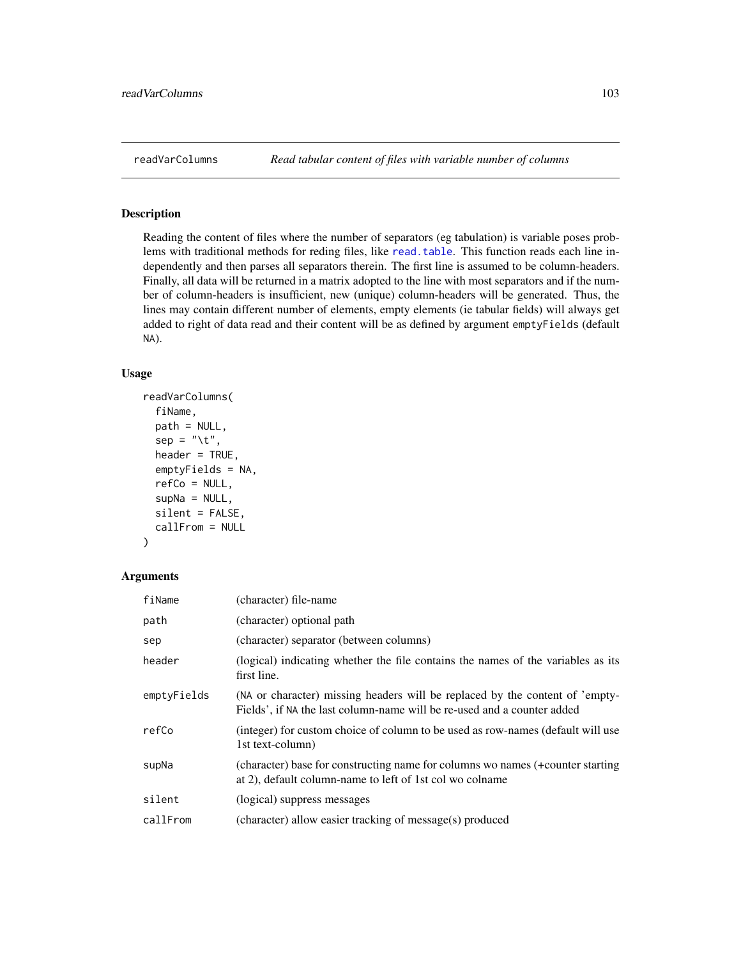Reading the content of files where the number of separators (eg tabulation) is variable poses problems with traditional methods for reding files, like [read.table](#page-0-0). This function reads each line independently and then parses all separators therein. The first line is assumed to be column-headers. Finally, all data will be returned in a matrix adopted to the line with most separators and if the number of column-headers is insufficient, new (unique) column-headers will be generated. Thus, the lines may contain different number of elements, empty elements (ie tabular fields) will always get added to right of data read and their content will be as defined by argument emptyFields (default NA).

## Usage

```
readVarColumns(
  fiName,
 path = NULL,
  sep = "\t",
  header = TRUE,
  emptyFields = NA,
  refCo = NULL,
  supNa = NULL,silent = FALSE,
  callFrom = NULL
)
```
# Arguments

| fiName      | (character) file-name                                                                                                                                   |
|-------------|---------------------------------------------------------------------------------------------------------------------------------------------------------|
| path        | (character) optional path                                                                                                                               |
| sep         | (character) separator (between columns)                                                                                                                 |
| header      | (logical) indicating whether the file contains the names of the variables as its<br>first line.                                                         |
| emptyFields | (NA or character) missing headers will be replaced by the content of 'empty-<br>Fields', if NA the last column-name will be re-used and a counter added |
| refCo       | (integer) for custom choice of column to be used as row-names (default will use<br>1st text-column)                                                     |
| supNa       | (character) base for constructing name for columns wo names (+counter starting<br>at 2), default column-name to left of 1st col wo colname              |
| silent      | (logical) suppress messages                                                                                                                             |
| callFrom    | (character) allow easier tracking of message(s) produced                                                                                                |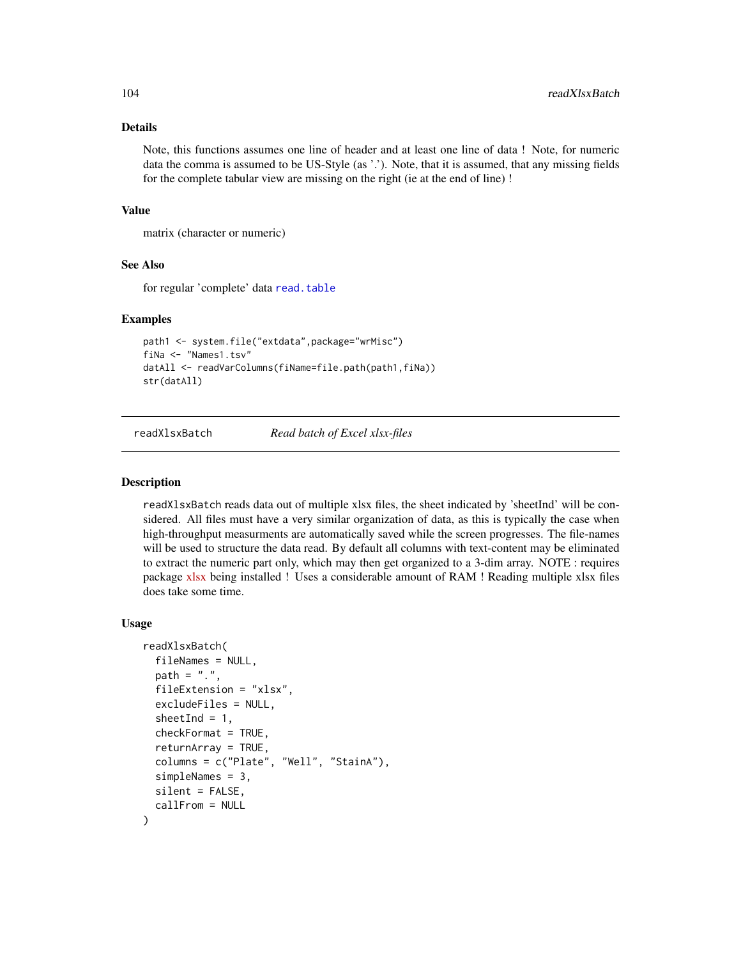## Details

Note, this functions assumes one line of header and at least one line of data ! Note, for numeric data the comma is assumed to be US-Style (as '.'). Note, that it is assumed, that any missing fields for the complete tabular view are missing on the right (ie at the end of line) !

#### Value

matrix (character or numeric)

## See Also

for regular 'complete' data [read.table](#page-0-0)

## Examples

```
path1 <- system.file("extdata",package="wrMisc")
fiNa <- "Names1.tsv"
datAll <- readVarColumns(fiName=file.path(path1,fiNa))
str(datAll)
```
<span id="page-103-0"></span>readXlsxBatch *Read batch of Excel xlsx-files*

#### **Description**

readXlsxBatch reads data out of multiple xlsx files, the sheet indicated by 'sheetInd' will be considered. All files must have a very similar organization of data, as this is typically the case when high-throughput measurments are automatically saved while the screen progresses. The file-names will be used to structure the data read. By default all columns with text-content may be eliminated to extract the numeric part only, which may then get organized to a 3-dim array. NOTE : requires package [xlsx](https://CRAN.R-project.org/package=xlsx) being installed ! Uses a considerable amount of RAM ! Reading multiple xlsx files does take some time.

#### Usage

```
readXlsxBatch(
  fileNames = NULL,
  path = ".''.fileExtension = "xlsx",
  excludeFiles = NULL,
  sheetInd = 1,
  checkFormat = TRUE,
  returnArray = TRUE,
  columns = c("Plate", "Well", "StainA"),
  simpleNames = 3,
  silent = FALSE,
  callFrom = NULL
)
```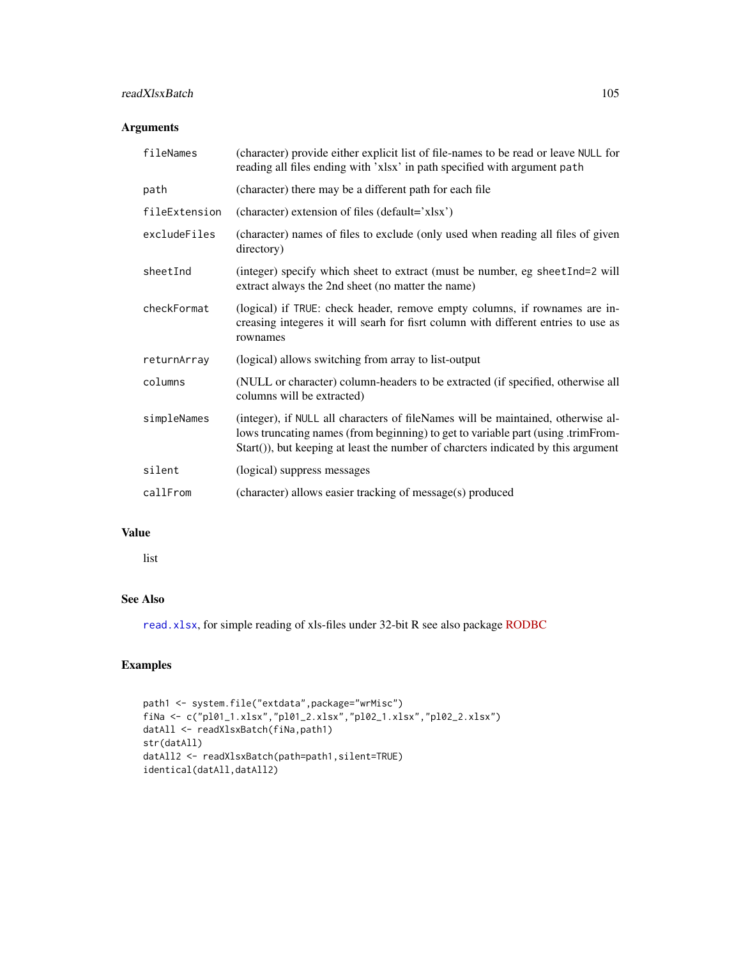# readXlsxBatch 105

# Arguments

| fileNames     | (character) provide either explicit list of file-names to be read or leave NULL for<br>reading all files ending with 'xlsx' in path specified with argument path                                                                                          |
|---------------|-----------------------------------------------------------------------------------------------------------------------------------------------------------------------------------------------------------------------------------------------------------|
| path          | (character) there may be a different path for each file                                                                                                                                                                                                   |
| fileExtension | (character) extension of files (default='xlsx')                                                                                                                                                                                                           |
| excludeFiles  | (character) names of files to exclude (only used when reading all files of given<br>directory)                                                                                                                                                            |
| sheetInd      | (integer) specify which sheet to extract (must be number, eg sheetInd=2 will<br>extract always the 2nd sheet (no matter the name)                                                                                                                         |
| checkFormat   | (logical) if TRUE: check header, remove empty columns, if rownames are in-<br>creasing integeres it will searh for fisrt column with different entries to use as<br>rownames                                                                              |
| returnArray   | (logical) allows switching from array to list-output                                                                                                                                                                                                      |
| columns       | (NULL or character) column-headers to be extracted (if specified, otherwise all<br>columns will be extracted)                                                                                                                                             |
| simpleNames   | (integer), if NULL all characters of fileNames will be maintained, otherwise al-<br>lows truncating names (from beginning) to get to variable part (using .trimFrom-<br>Start()), but keeping at least the number of charcters indicated by this argument |
| silent        | (logical) suppress messages                                                                                                                                                                                                                               |
| callFrom      | (character) allows easier tracking of message(s) produced                                                                                                                                                                                                 |

# Value

list

# See Also

[read.xlsx](#page-0-0), for simple reading of xls-files under 32-bit R see also package [RODBC](https://CRAN.R-project.org/package=RODBC)

```
path1 <- system.file("extdata",package="wrMisc")
fiNa <- c("pl01_1.xlsx","pl01_2.xlsx","pl02_1.xlsx","pl02_2.xlsx")
datAll <- readXlsxBatch(fiNa,path1)
str(datAll)
datAll2 <- readXlsxBatch(path=path1,silent=TRUE)
identical(datAll,datAll2)
```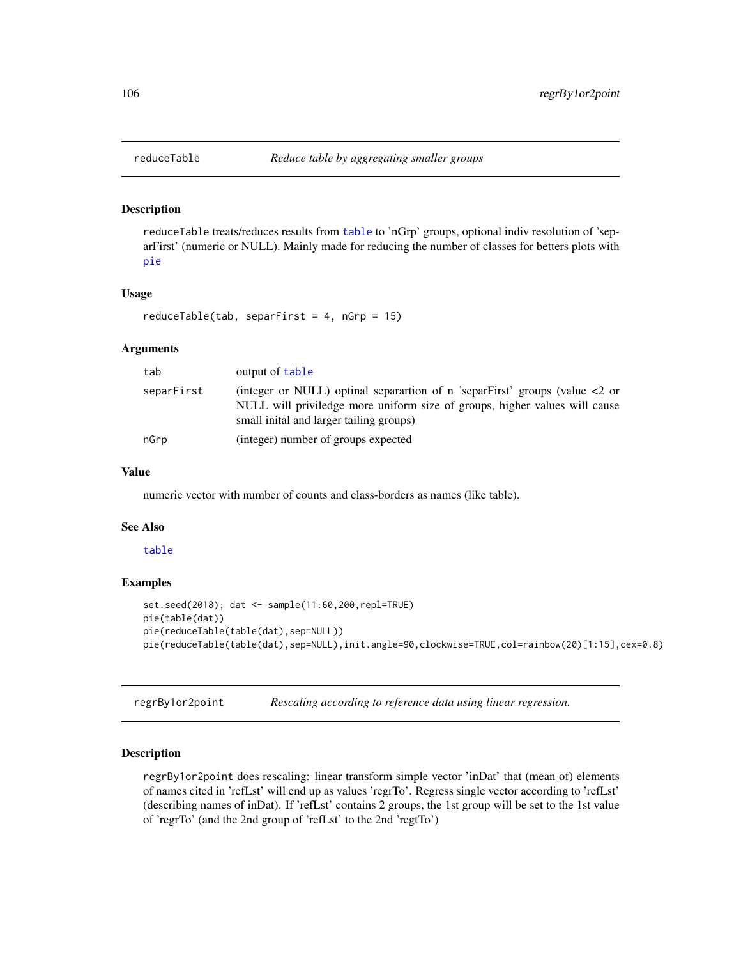reduceTable treats/reduces results from [table](#page-0-0) to 'nGrp' groups, optional indiv resolution of 'separFirst' (numeric or NULL). Mainly made for reducing the number of classes for betters plots with [pie](#page-0-0)

# Usage

```
reduceTable(tab, separFirst = 4, nGrp = 15)
```
## Arguments

| tab        | output of table                                                                                                                                                                                            |
|------------|------------------------------------------------------------------------------------------------------------------------------------------------------------------------------------------------------------|
| separFirst | (integer or NULL) optinal separartion of n 'separFirst' groups (value $\lt 2$ or<br>NULL will priviledge more uniform size of groups, higher values will cause<br>small initial and larger tailing groups) |
| nGrp       | (integer) number of groups expected                                                                                                                                                                        |

# Value

numeric vector with number of counts and class-borders as names (like table).

#### See Also

## [table](#page-0-0)

## Examples

```
set.seed(2018); dat <- sample(11:60,200,repl=TRUE)
pie(table(dat))
pie(reduceTable(table(dat),sep=NULL))
pie(reduceTable(table(dat),sep=NULL),init.angle=90,clockwise=TRUE,col=rainbow(20)[1:15],cex=0.8)
```
<span id="page-105-0"></span>regrBy1or2point *Rescaling according to reference data using linear regression.*

#### Description

regrBy1or2point does rescaling: linear transform simple vector 'inDat' that (mean of) elements of names cited in 'refLst' will end up as values 'regrTo'. Regress single vector according to 'refLst' (describing names of inDat). If 'refLst' contains 2 groups, the 1st group will be set to the 1st value of 'regrTo' (and the 2nd group of 'refLst' to the 2nd 'regtTo')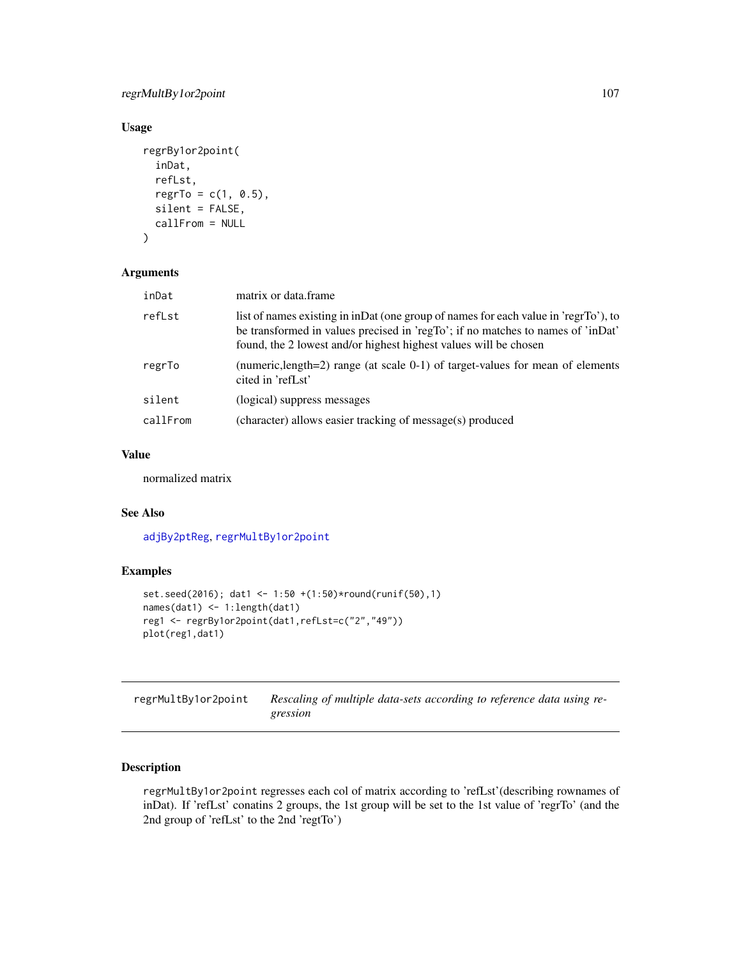regrMultBy1or2point 107

# Usage

```
regrBy1or2point(
  inDat,
  refLst,
 regrTo = c(1, 0.5),
 silent = FALSE,
 callFrom = NULL
)
```
# Arguments

| inDat    | matrix or data.frame                                                                                                                                                                                                                       |
|----------|--------------------------------------------------------------------------------------------------------------------------------------------------------------------------------------------------------------------------------------------|
| refLst   | list of names existing in inDat (one group of names for each value in 'regrTo'), to<br>be transformed in values precised in 'regTo'; if no matches to names of 'inDat'<br>found, the 2 lowest and/or highest highest values will be chosen |
| regrTo   | (numeric, length=2) range (at scale 0-1) of target-values for mean of elements<br>cited in 'refLst'                                                                                                                                        |
| silent   | (logical) suppress messages                                                                                                                                                                                                                |
| callFrom | (character) allows easier tracking of message(s) produced                                                                                                                                                                                  |
|          |                                                                                                                                                                                                                                            |

# Value

normalized matrix

# See Also

[adjBy2ptReg](#page-4-0), [regrMultBy1or2point](#page-106-0)

# Examples

```
set.seed(2016); dat1 <- 1:50 +(1:50)*round(runif(50),1)
names(dat1) <- 1:length(dat1)
reg1 <- regrBy1or2point(dat1,refLst=c("2","49"))
plot(reg1,dat1)
```
<span id="page-106-0"></span>regrMultBy1or2point *Rescaling of multiple data-sets according to reference data using regression*

# Description

regrMultBy1or2point regresses each col of matrix according to 'refLst'(describing rownames of inDat). If 'refLst' conatins 2 groups, the 1st group will be set to the 1st value of 'regrTo' (and the 2nd group of 'refLst' to the 2nd 'regtTo')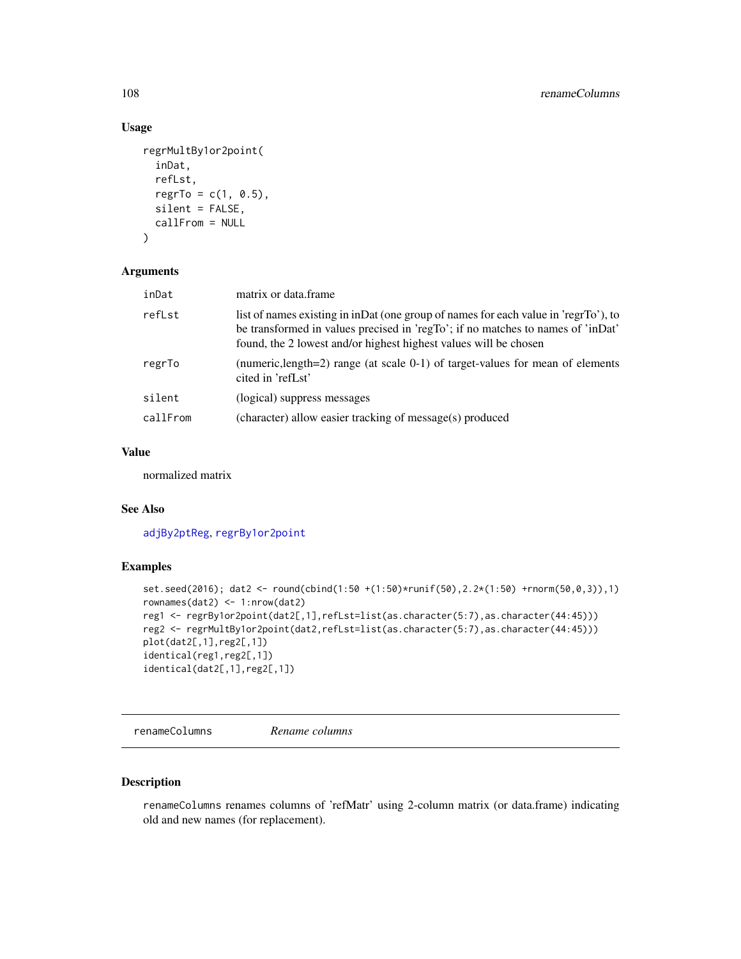# Usage

```
regrMultBy1or2point(
  inDat,
  refLst,
 regrTo = c(1, 0.5),
 silent = FALSE,
 callFrom = NULL
)
```
## Arguments

| inDat    | matrix or data.frame                                                                                                                                                                                                                       |
|----------|--------------------------------------------------------------------------------------------------------------------------------------------------------------------------------------------------------------------------------------------|
| refLst   | list of names existing in inDat (one group of names for each value in 'regrTo'), to<br>be transformed in values precised in 'regTo'; if no matches to names of 'inDat'<br>found, the 2 lowest and/or highest highest values will be chosen |
| regrTo   | (numeric, length=2) range (at scale 0-1) of target-values for mean of elements<br>cited in 'refLst'                                                                                                                                        |
| silent   | (logical) suppress messages                                                                                                                                                                                                                |
| callFrom | (character) allow easier tracking of message(s) produced                                                                                                                                                                                   |
|          |                                                                                                                                                                                                                                            |

# Value

normalized matrix

# See Also

[adjBy2ptReg](#page-4-0), [regrBy1or2point](#page-105-0)

# Examples

```
set.seed(2016); dat2 <- round(cbind(1:50 +(1:50)*runif(50),2.2*(1:50) +rnorm(50,0,3)),1)
rownames(dat2) <- 1:nrow(dat2)
reg1 <- regrBy1or2point(dat2[,1],refLst=list(as.character(5:7),as.character(44:45)))
reg2 <- regrMultBy1or2point(dat2,refLst=list(as.character(5:7),as.character(44:45)))
plot(dat2[,1],reg2[,1])
identical(reg1,reg2[,1])
identical(dat2[,1],reg2[,1])
```
renameColumns *Rename columns*

## Description

renameColumns renames columns of 'refMatr' using 2-column matrix (or data.frame) indicating old and new names (for replacement).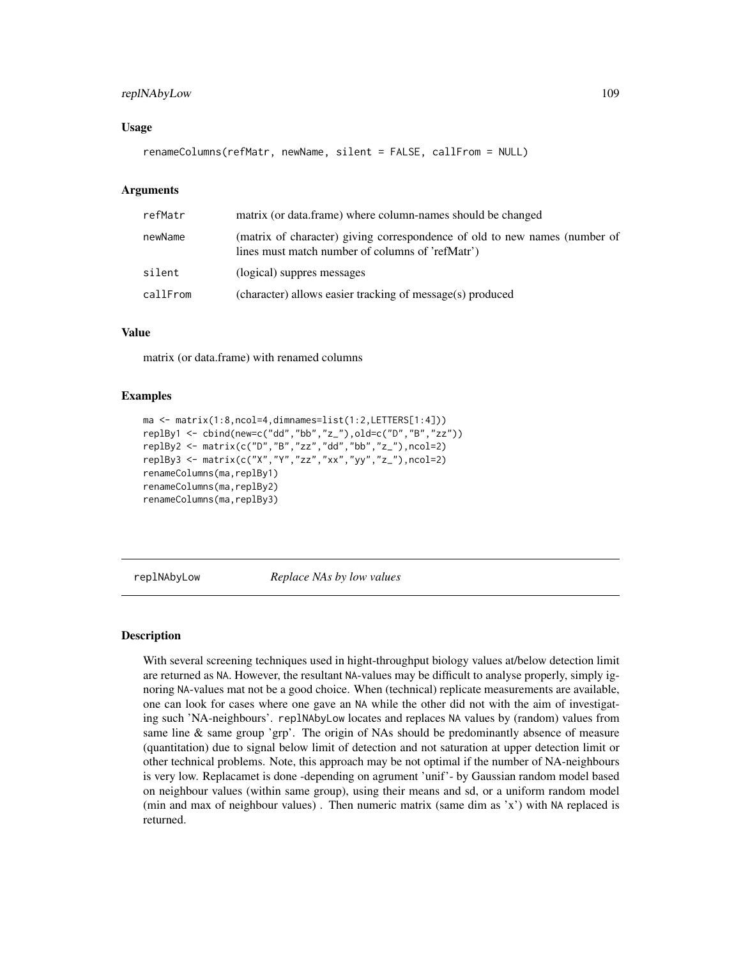# <span id="page-108-0"></span>replNAbyLow 109

#### Usage

renameColumns(refMatr, newName, silent = FALSE, callFrom = NULL)

#### Arguments

| refMatr  | matrix (or data.frame) where column-names should be changed                                                                    |
|----------|--------------------------------------------------------------------------------------------------------------------------------|
| newName  | (matrix of character) giving correspondence of old to new names (number of<br>lines must match number of columns of 'refMatr') |
| silent   | (logical) suppres messages                                                                                                     |
| callFrom | (character) allows easier tracking of message(s) produced                                                                      |

# Value

matrix (or data.frame) with renamed columns

#### Examples

```
ma <- matrix(1:8,ncol=4,dimnames=list(1:2,LETTERS[1:4]))
replBy1 <- cbind(new=c("dd","bb","z_"),old=c("D","B","zz"))
replBy2 <- matrix(c("D","B","zz","dd","bb","z_"),ncol=2)
replBy3 <- matrix(c("X","Y","zz","xx","yy","z_"),ncol=2)
renameColumns(ma,replBy1)
renameColumns(ma,replBy2)
renameColumns(ma,replBy3)
```
replNAbyLow *Replace NAs by low values*

#### Description

With several screening techniques used in hight-throughput biology values at/below detection limit are returned as NA. However, the resultant NA-values may be difficult to analyse properly, simply ignoring NA-values mat not be a good choice. When (technical) replicate measurements are available, one can look for cases where one gave an NA while the other did not with the aim of investigating such 'NA-neighbours'. replNAbyLow locates and replaces NA values by (random) values from same line & same group 'grp'. The origin of NAs should be predominantly absence of measure (quantitation) due to signal below limit of detection and not saturation at upper detection limit or other technical problems. Note, this approach may be not optimal if the number of NA-neighbours is very low. Replacamet is done -depending on agrument 'unif'- by Gaussian random model based on neighbour values (within same group), using their means and sd, or a uniform random model (min and max of neighbour values) . Then numeric matrix (same dim as 'x') with NA replaced is returned.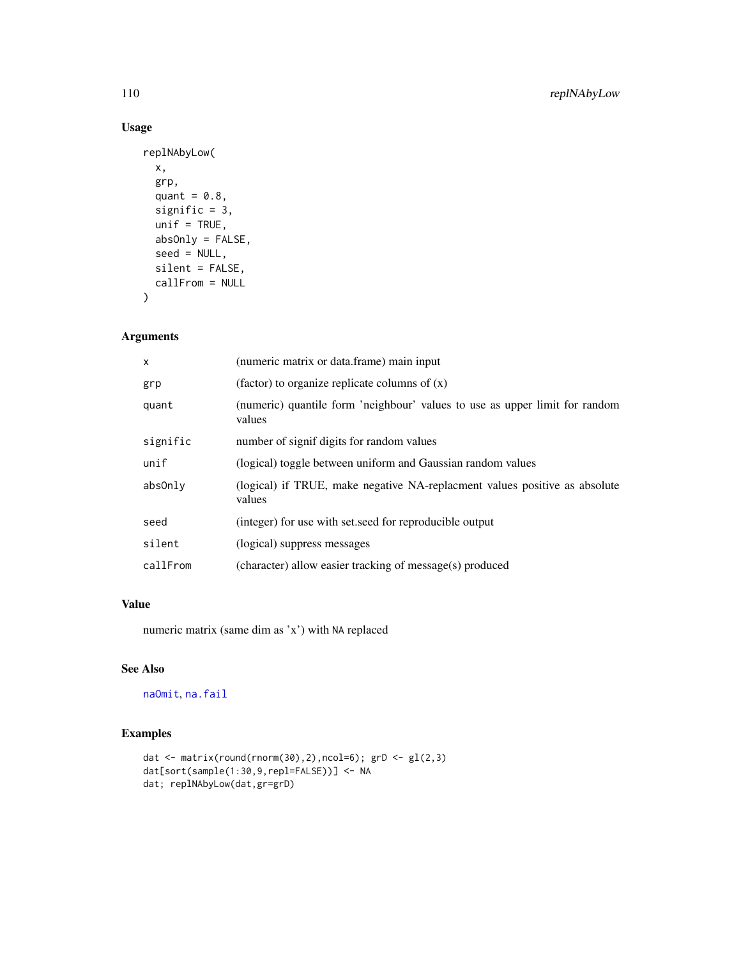# Usage

```
replNAbyLow(
 x,
 grp,
 quant = 0.8,
 signific = 3,
 unif = TRUE,absOnly = FALSE,
 seed = NULL,
 silent = FALSE,
 callFrom = NULL
\mathcal{L}
```
# Arguments

| $\mathsf{x}$ | (numeric matrix or data.frame) main input                                             |
|--------------|---------------------------------------------------------------------------------------|
| grp          | (factor) to organize replicate columns of $(x)$                                       |
| quant        | (numeric) quantile form 'neighbour' values to use as upper limit for random<br>values |
| signific     | number of signif digits for random values                                             |
| unif         | (logical) toggle between uniform and Gaussian random values                           |
| absOnly      | (logical) if TRUE, make negative NA-replacment values positive as absolute<br>values  |
| seed         | (integer) for use with set seed for reproducible output                               |
| silent       | (logical) suppress messages                                                           |
| callFrom     | (character) allow easier tracking of message(s) produced                              |

# Value

numeric matrix (same dim as 'x') with NA replaced

# See Also

[naOmit](#page-82-0), [na.fail](#page-0-0)

```
dat <- matrix(round(rnorm(30),2),ncol=6); grD <- gl(2,3)
dat[sort(sample(1:30,9,repl=FALSE))] <- NA
dat; replNAbyLow(dat,gr=grD)
```
<span id="page-109-0"></span>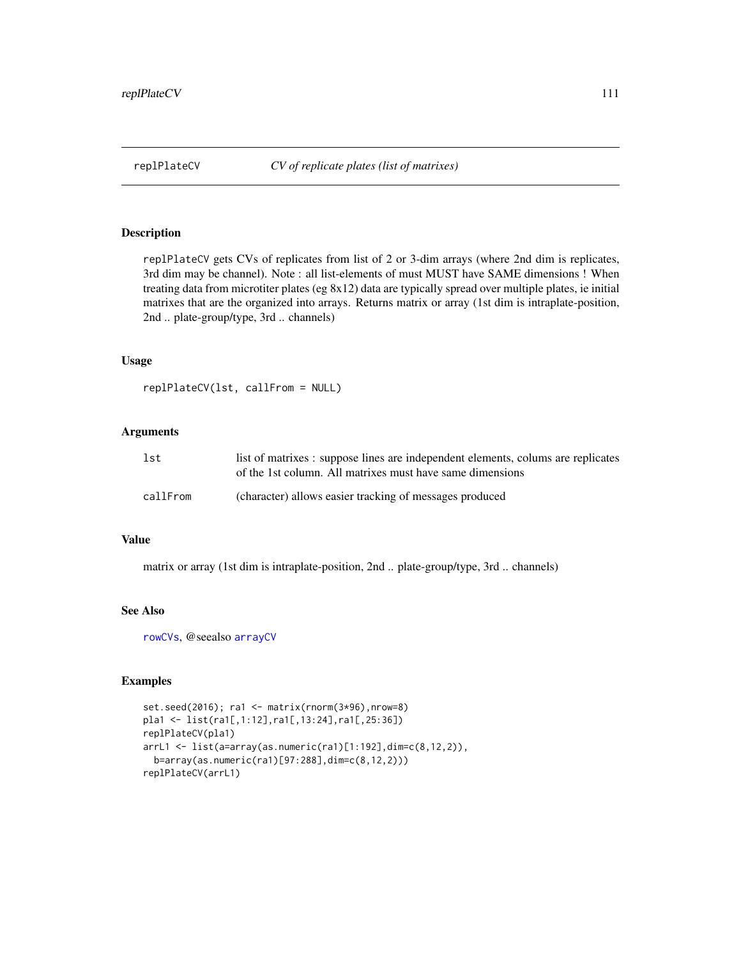<span id="page-110-1"></span><span id="page-110-0"></span>

replPlateCV gets CVs of replicates from list of 2 or 3-dim arrays (where 2nd dim is replicates, 3rd dim may be channel). Note : all list-elements of must MUST have SAME dimensions ! When treating data from microtiter plates (eg 8x12) data are typically spread over multiple plates, ie initial matrixes that are the organized into arrays. Returns matrix or array (1st dim is intraplate-position, 2nd .. plate-group/type, 3rd .. channels)

#### Usage

replPlateCV(lst, callFrom = NULL)

# Arguments

| lst      | list of matrixes : suppose lines are independent elements, colums are replicates<br>of the 1st column. All matrixes must have same dimensions |
|----------|-----------------------------------------------------------------------------------------------------------------------------------------------|
| callFrom | (character) allows easier tracking of messages produced                                                                                       |

#### Value

matrix or array (1st dim is intraplate-position, 2nd .. plate-group/type, 3rd .. channels)

#### See Also

[rowCVs](#page-111-0), @seealso [arrayCV](#page-5-0)

```
set.seed(2016); ra1 <- matrix(rnorm(3*96),nrow=8)
pla1 <- list(ra1[,1:12],ra1[,13:24],ra1[,25:36])
replPlateCV(pla1)
arrL1 <- list(a=array(as.numeric(ra1)[1:192],dim=c(8,12,2)),
  b=array(as.numeric(ra1)[97:288],dim=c(8,12,2)))
replPlateCV(arrL1)
```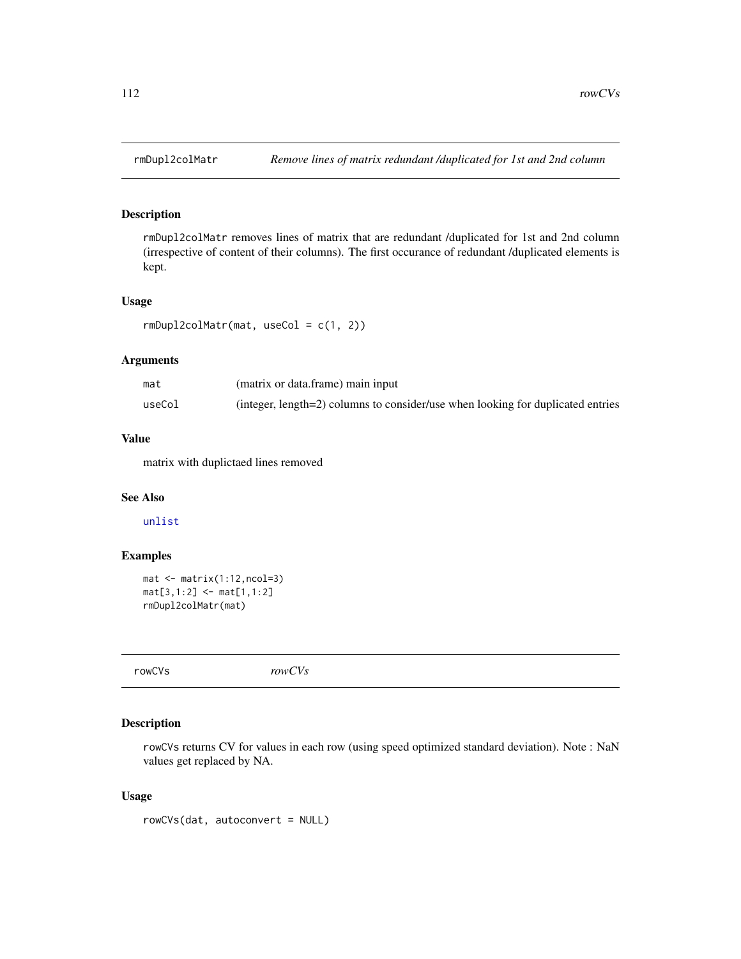rmDupl2colMatr removes lines of matrix that are redundant /duplicated for 1st and 2nd column (irrespective of content of their columns). The first occurance of redundant /duplicated elements is kept.

#### Usage

```
rmDupl2colMatr(mat, useCol = c(1, 2))
```
# Arguments

| mat    | (matrix or data.frame) main input                                               |
|--------|---------------------------------------------------------------------------------|
| useCol | (integer, length=2) columns to consider/use when looking for duplicated entries |

# Value

matrix with duplictaed lines removed

# See Also

[unlist](#page-0-0)

# Examples

```
mat < -matrix(1:12,ncol=3)mat[3,1:2] <- mat[1,1:2]
rmDupl2colMatr(mat)
```
<span id="page-111-0"></span>rowCVs *rowCVs*

# Description

rowCVs returns CV for values in each row (using speed optimized standard deviation). Note : NaN values get replaced by NA.

#### Usage

rowCVs(dat, autoconvert = NULL)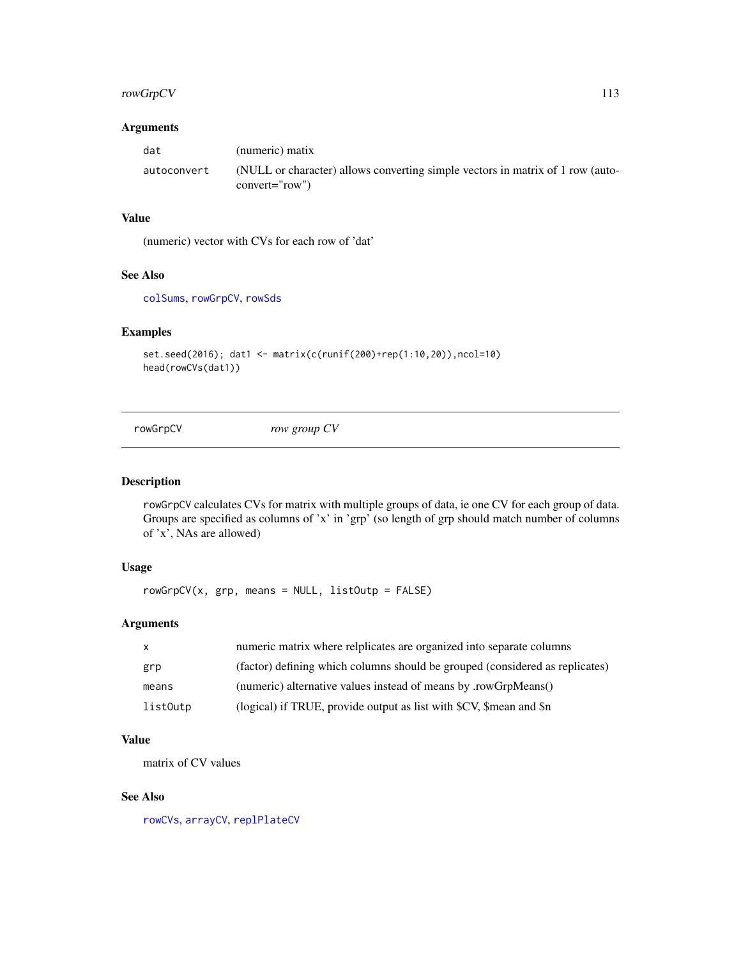# <span id="page-112-1"></span>rowGrpCV 113

# Arguments

| dat         | (numeric) matix                                                                                    |
|-------------|----------------------------------------------------------------------------------------------------|
| autoconvert | (NULL or character) allows converting simple vectors in matrix of 1 row (auto-<br>$convert="row")$ |

# Value

(numeric) vector with CVs for each row of 'dat'

# See Also

[colSums](#page-0-0), [rowGrpCV](#page-112-0), [rowSds](#page-115-0)

# Examples

```
set.seed(2016); dat1 <- matrix(c(runif(200)+rep(1:10,20)),ncol=10)
head(rowCVs(dat1))
```
<span id="page-112-0"></span>

rowGrpCV *row group CV*

#### Description

rowGrpCV calculates CVs for matrix with multiple groups of data, ie one CV for each group of data. Groups are specified as columns of 'x' in 'grp' (so length of grp should match number of columns of 'x', NAs are allowed)

# Usage

 $rowGrpCV(x, grp, means = NULL, listOutput = FALSE)$ 

# Arguments

| $\mathsf{x}$ | numeric matrix where relplicates are organized into separate columns         |
|--------------|------------------------------------------------------------------------------|
| grp          | (factor) defining which columns should be grouped (considered as replicates) |
| means        | (numeric) alternative values instead of means by .rowGrpMeans()              |
| listOutp     | (logical) if TRUE, provide output as list with \$CV, \$mean and \$n          |

# Value

matrix of CV values

# See Also

[rowCVs](#page-111-0), [arrayCV](#page-5-0), [replPlateCV](#page-110-0)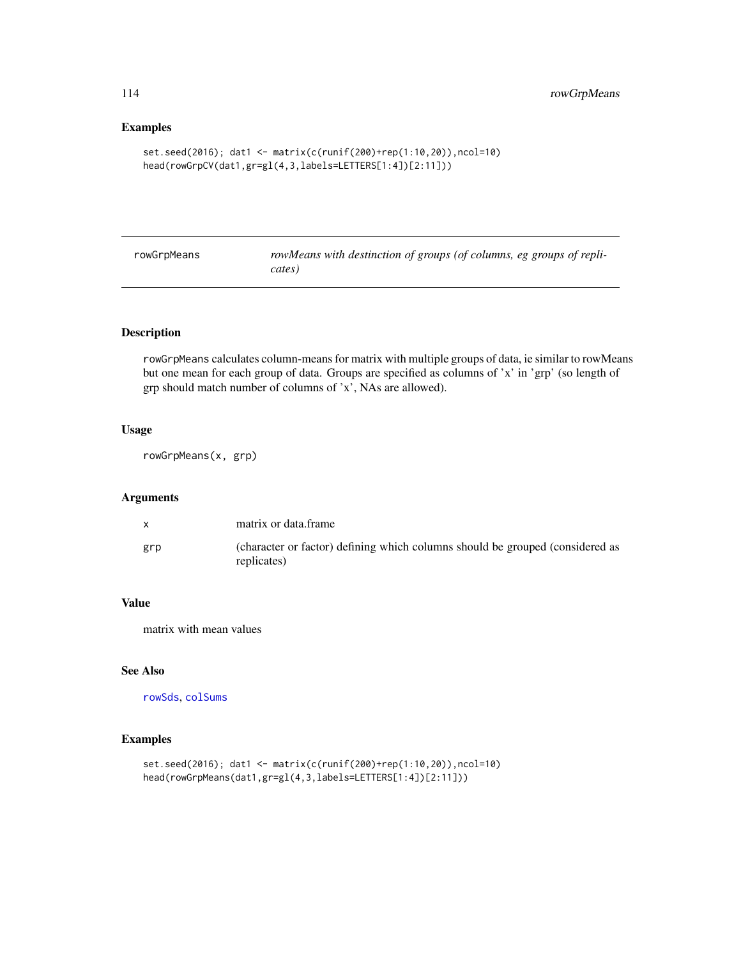# Examples

```
set.seed(2016); dat1 <- matrix(c(runif(200)+rep(1:10,20)),ncol=10)
head(rowGrpCV(dat1,gr=gl(4,3,labels=LETTERS[1:4])[2:11]))
```
<span id="page-113-0"></span>

| rowGrpMeans | rowMeans with destinction of groups (of columns, eg groups of repli- |
|-------------|----------------------------------------------------------------------|
|             | cates)                                                               |
|             |                                                                      |

# Description

rowGrpMeans calculates column-means for matrix with multiple groups of data, ie similar to rowMeans but one mean for each group of data. Groups are specified as columns of 'x' in 'grp' (so length of grp should match number of columns of 'x', NAs are allowed).

# Usage

rowGrpMeans(x, grp)

# Arguments

|     | matrix or data.frame                                                                         |
|-----|----------------------------------------------------------------------------------------------|
| grp | (character or factor) defining which columns should be grouped (considered as<br>replicates) |

# Value

matrix with mean values

# See Also

[rowSds](#page-115-0), [colSums](#page-0-0)

```
set.seed(2016); dat1 <- matrix(c(runif(200)+rep(1:10,20)),ncol=10)
head(rowGrpMeans(dat1,gr=gl(4,3,labels=LETTERS[1:4])[2:11]))
```
<span id="page-113-1"></span>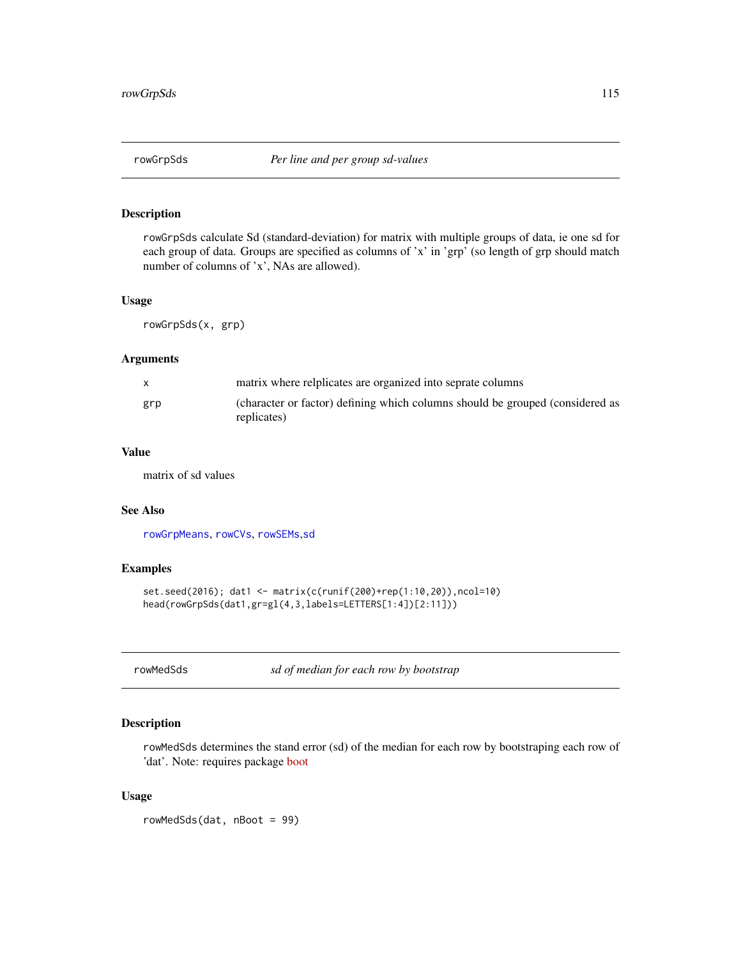<span id="page-114-0"></span>

rowGrpSds calculate Sd (standard-deviation) for matrix with multiple groups of data, ie one sd for each group of data. Groups are specified as columns of 'x' in 'grp' (so length of grp should match number of columns of 'x', NAs are allowed).

# Usage

rowGrpSds(x, grp)

# Arguments

| X   | matrix where relplicates are organized into seprate columns                                  |
|-----|----------------------------------------------------------------------------------------------|
| grp | (character or factor) defining which columns should be grouped (considered as<br>replicates) |

# Value

matrix of sd values

# See Also

[rowGrpMeans](#page-113-0), [rowCVs](#page-111-0), [rowSEMs](#page-116-0),[sd](#page-0-0)

# Examples

```
set.seed(2016); dat1 <- matrix(c(runif(200)+rep(1:10,20)),ncol=10)
head(rowGrpSds(dat1,gr=gl(4,3,labels=LETTERS[1:4])[2:11]))
```
rowMedSds *sd of median for each row by bootstrap*

# Description

rowMedSds determines the stand error (sd) of the median for each row by bootstraping each row of 'dat'. Note: requires package [boot](https://CRAN.R-project.org/package=boot)

#### Usage

rowMedSds(dat, nBoot = 99)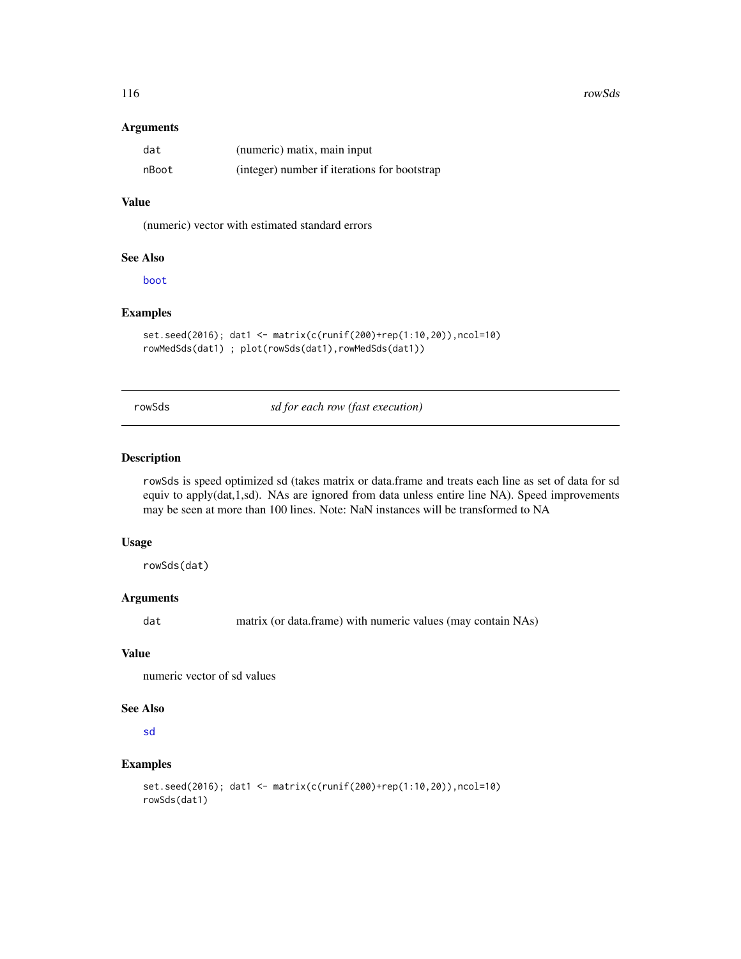<span id="page-115-1"></span>116 rowSds rowSds rowSds rowSds rowSds rowSds rowSds rowSds rowSds rowSds rowSds rowSds rowSds rowSds rowSds rowSds rowSds rowSds rowSds rowSds rowSds rowSds rowSds rowSds rowSds rowSds rowSds rowSds rowSds rowSds rowSds r

#### Arguments

| dat   | (numeric) matix, main input                  |
|-------|----------------------------------------------|
| nBoot | (integer) number if iterations for bootstrap |

# Value

(numeric) vector with estimated standard errors

#### See Also

[boot](#page-0-0)

# Examples

```
set.seed(2016); dat1 <- matrix(c(runif(200)+rep(1:10,20)),ncol=10)
rowMedSds(dat1) ; plot(rowSds(dat1),rowMedSds(dat1))
```
<span id="page-115-0"></span>rowSds *sd for each row (fast execution)*

# Description

rowSds is speed optimized sd (takes matrix or data.frame and treats each line as set of data for sd equiv to apply(dat,1,sd). NAs are ignored from data unless entire line NA). Speed improvements may be seen at more than 100 lines. Note: NaN instances will be transformed to NA

#### Usage

rowSds(dat)

# Arguments

dat matrix (or data.frame) with numeric values (may contain NAs)

# Value

numeric vector of sd values

#### See Also

[sd](#page-0-0)

```
set.seed(2016); dat1 <- matrix(c(runif(200)+rep(1:10,20)),ncol=10)
rowSds(dat1)
```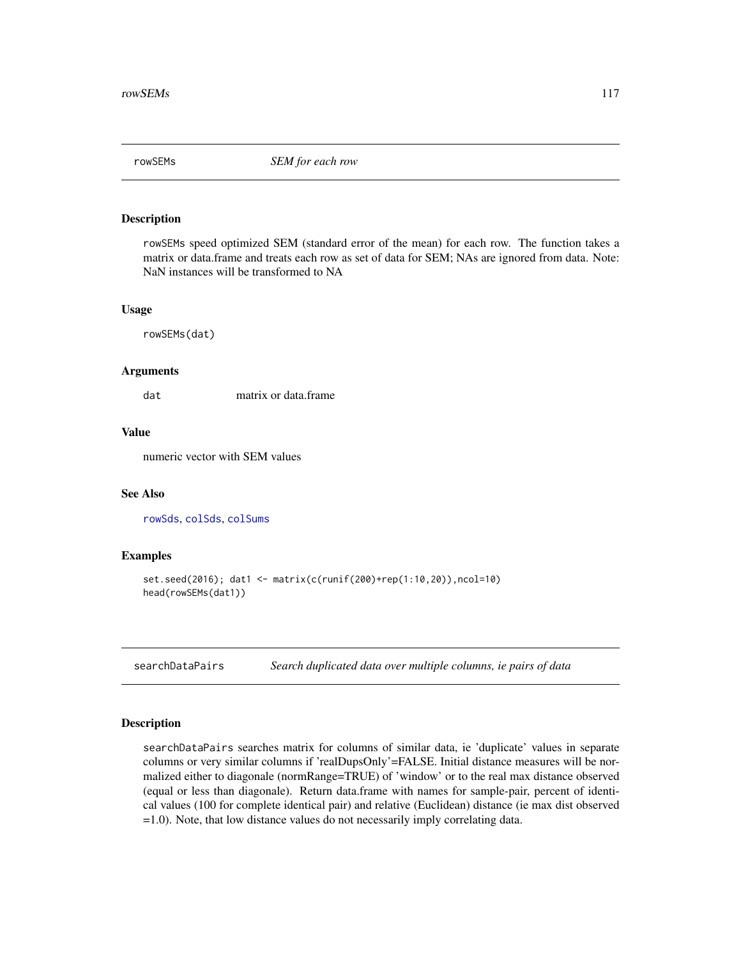<span id="page-116-1"></span><span id="page-116-0"></span>

rowSEMs speed optimized SEM (standard error of the mean) for each row. The function takes a matrix or data.frame and treats each row as set of data for SEM; NAs are ignored from data. Note: NaN instances will be transformed to NA

#### Usage

rowSEMs(dat)

#### Arguments

dat matrix or data.frame

# Value

numeric vector with SEM values

# See Also

[rowSds](#page-115-0), [colSds](#page-20-0), [colSums](#page-0-0)

#### Examples

```
set.seed(2016); dat1 <- matrix(c(runif(200)+rep(1:10,20)),ncol=10)
head(rowSEMs(dat1))
```
searchDataPairs *Search duplicated data over multiple columns, ie pairs of data*

# Description

searchDataPairs searches matrix for columns of similar data, ie 'duplicate' values in separate columns or very similar columns if 'realDupsOnly'=FALSE. Initial distance measures will be normalized either to diagonale (normRange=TRUE) of 'window' or to the real max distance observed (equal or less than diagonale). Return data.frame with names for sample-pair, percent of identical values (100 for complete identical pair) and relative (Euclidean) distance (ie max dist observed =1.0). Note, that low distance values do not necessarily imply correlating data.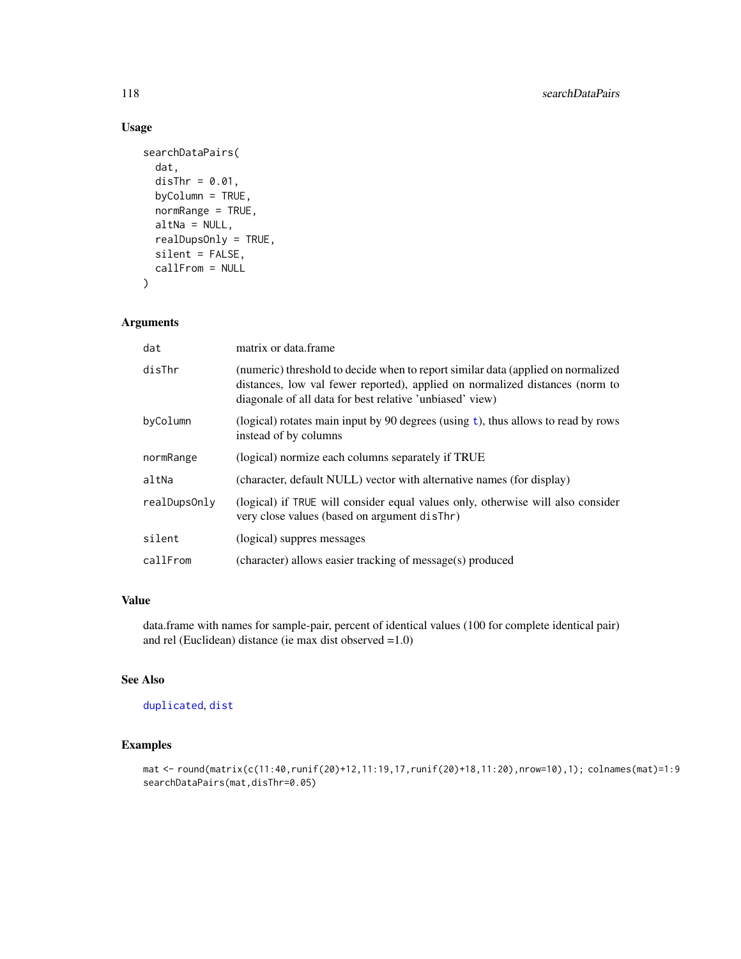# Usage

```
searchDataPairs(
  dat,
  disThr = 0.01,
 byColumn = TRUE,
  normRange = TRUE,
  altNa = NULL,realDupsOnly = TRUE,
  silent = FALSE,
  callFrom = NULL
)
```
# Arguments

| dat          | matrix or data.frame                                                                                                                                                                                                         |
|--------------|------------------------------------------------------------------------------------------------------------------------------------------------------------------------------------------------------------------------------|
| disThr       | (numeric) threshold to decide when to report similar data (applied on normalized<br>distances, low val fewer reported), applied on normalized distances (norm to<br>diagonale of all data for best relative 'unbiased' view) |
| byColumn     | (logical) rotates main input by 90 degrees (using $t$ ), thus allows to read by rows<br>instead of by columns                                                                                                                |
| normRange    | (logical) normize each columns separately if TRUE                                                                                                                                                                            |
| altNa        | (character, default NULL) vector with alternative names (for display)                                                                                                                                                        |
| realDupsOnly | (logical) if TRUE will consider equal values only, otherwise will also consider<br>very close values (based on argument disThr)                                                                                              |
| silent       | (logical) suppres messages                                                                                                                                                                                                   |
| callFrom     | (character) allows easier tracking of message(s) produced                                                                                                                                                                    |

# Value

data.frame with names for sample-pair, percent of identical values (100 for complete identical pair) and rel (Euclidean) distance (ie max dist observed =1.0)

# See Also

[duplicated](#page-0-0), [dist](#page-0-0)

```
mat <- round(matrix(c(11:40,runif(20)+12,11:19,17,runif(20)+18,11:20),nrow=10),1); colnames(mat)=1:9
searchDataPairs(mat,disThr=0.05)
```
<span id="page-117-0"></span>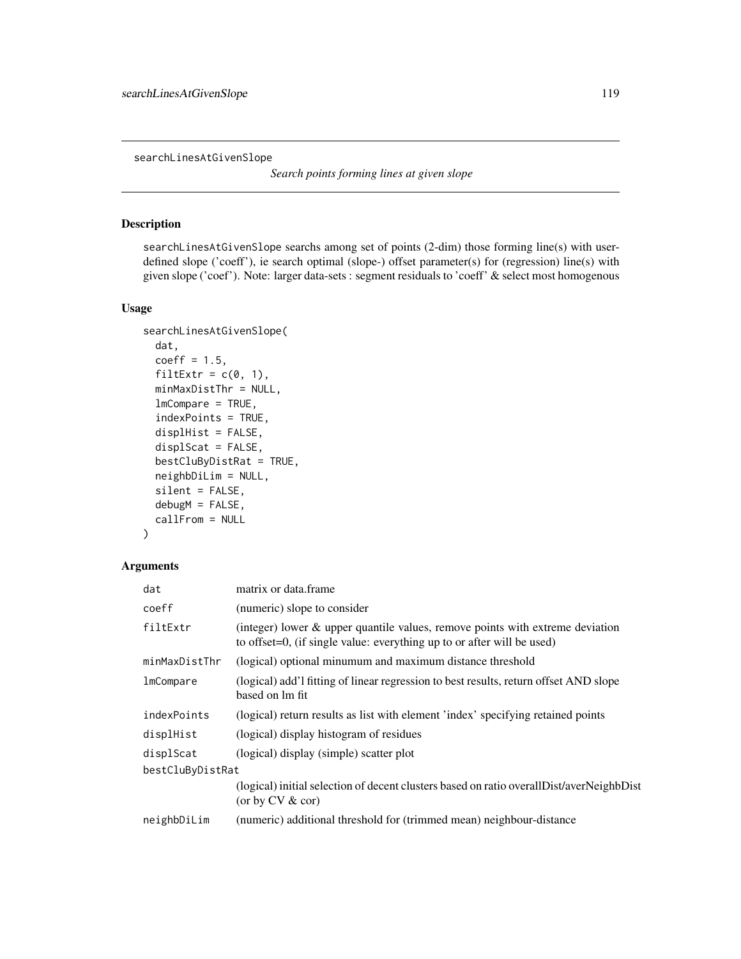<span id="page-118-0"></span>searchLinesAtGivenSlope

*Search points forming lines at given slope*

# Description

searchLinesAtGivenSlope searchs among set of points (2-dim) those forming line(s) with userdefined slope ('coeff'), ie search optimal (slope-) offset parameter(s) for (regression) line(s) with given slope ('coef'). Note: larger data-sets : segment residuals to 'coeff' & select most homogenous

# Usage

```
searchLinesAtGivenSlope(
  dat,
  coeff = 1.5,
  filter = c(0, 1),minMaxDistThr = NULL,
  lmCompare = TRUE,
  indexPoints = TRUE,
  displHist = FALSE,
  displScat = FALSE,
 bestCluByDistRat = TRUE,
 neighbDiLim = NULL,
  silent = FALSE,
  debugM = FALSE,
  callFrom = NULL
)
```
#### Arguments

| dat              | matrix or data.frame                                                                                                                                    |  |
|------------------|---------------------------------------------------------------------------------------------------------------------------------------------------------|--|
| coeff            | (numeric) slope to consider                                                                                                                             |  |
| filtExtr         | (integer) lower & upper quantile values, remove points with extreme deviation<br>to offset=0, (if single value: everything up to or after will be used) |  |
| minMaxDistThr    | (logical) optional minumum and maximum distance threshold                                                                                               |  |
| lmCompare        | (logical) add'l fitting of linear regression to best results, return offset AND slope<br>based on 1m fit                                                |  |
| indexPoints      | (logical) return results as list with element 'index' specifying retained points                                                                        |  |
| displHist        | (logical) display histogram of residues                                                                                                                 |  |
| displScat        | (logical) display (simple) scatter plot                                                                                                                 |  |
| bestCluByDistRat |                                                                                                                                                         |  |
|                  | (logical) initial selection of decent clusters based on ratio overall Dist/averNeighbDist<br>(or by $CV & cor$ )                                        |  |
| neighbDiLim      | (numeric) additional threshold for (trimmed mean) neighbour-distance                                                                                    |  |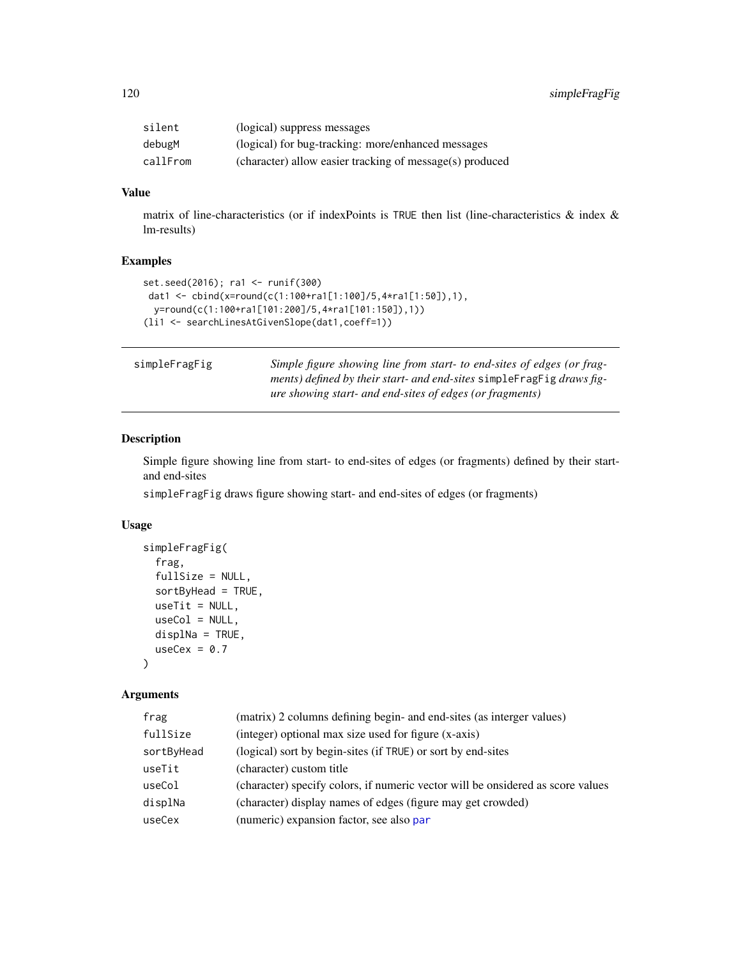<span id="page-119-0"></span>

| silent   | (logical) suppress messages                              |
|----------|----------------------------------------------------------|
| debugM   | (logical) for bug-tracking: more/enhanced messages       |
| callFrom | (character) allow easier tracking of message(s) produced |

# Value

matrix of line-characteristics (or if indexPoints is TRUE then list (line-characteristics & index & lm-results)

#### Examples

```
set.seed(2016); ra1 <- runif(300)
dat1 <- cbind(x=round(c(1:100+ra1[1:100]/5,4*ra1[1:50]),1),
 y=round(c(1:100+ra1[101:200]/5,4*ra1[101:150]),1))
(li1 <- searchLinesAtGivenSlope(dat1,coeff=1))
```

| simpleFragFig |
|---------------|
|---------------|

Simple figure showing line from start- to end-sites of edges (or frag*ments) defined by their start- and end-sites* simpleFragFig *draws figure showing start- and end-sites of edges (or fragments)*

# Description

Simple figure showing line from start- to end-sites of edges (or fragments) defined by their startand end-sites

simpleFragFig draws figure showing start- and end-sites of edges (or fragments)

#### Usage

```
simpleFragFig(
  frag,
  fullSize = NULL,
  sortByHead = TRUE,
  useTit = NULL,useCol = NULL,displNa = TRUE,
  useCex = 0.7)
```
# Arguments

| (matrix) 2 columns defining begin- and end-sites (as interger values)           |  |
|---------------------------------------------------------------------------------|--|
| (integer) optional max size used for figure (x-axis)                            |  |
| (logical) sort by begin-sites (if TRUE) or sort by end-sites                    |  |
| (character) custom title                                                        |  |
| (character) specify colors, if numeric vector will be onsidered as score values |  |
| (character) display names of edges (figure may get crowded)                     |  |
| (numeric) expansion factor, see also par                                        |  |
|                                                                                 |  |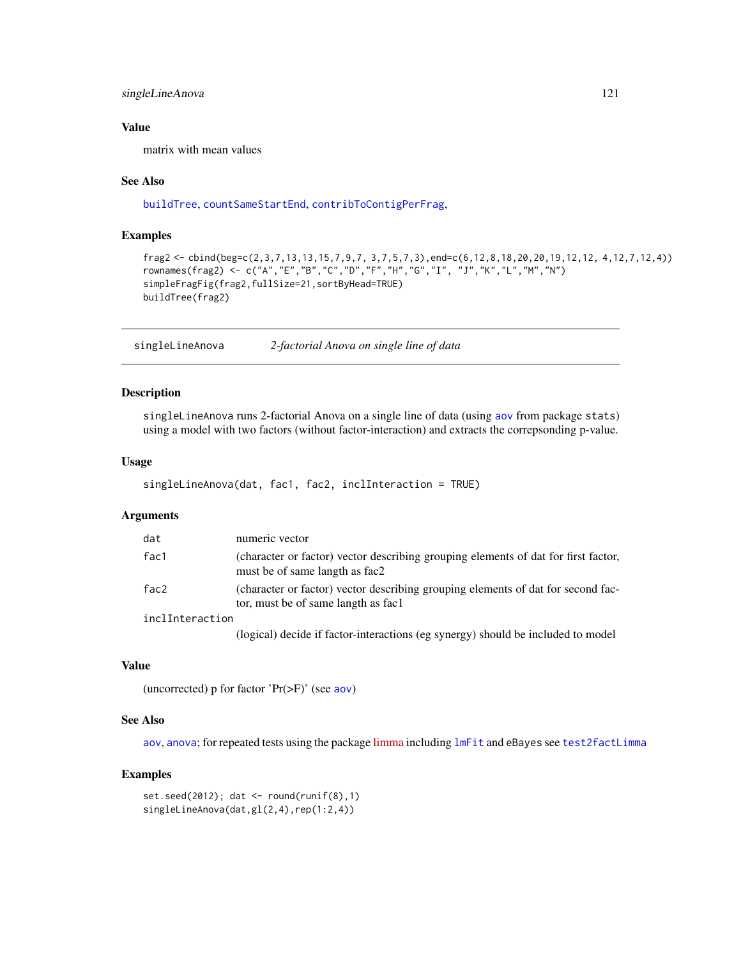# <span id="page-120-0"></span>singleLineAnova 121

### Value

matrix with mean values

#### See Also

[buildTree](#page-7-0), [countSameStartEnd](#page-35-0), [contribToContigPerFrag](#page-27-0),

#### Examples

```
frag2 <- cbind(beg=c(2,3,7,13,13,15,7,9,7, 3,7,5,7,3),end=c(6,12,8,18,20,20,19,12,12, 4,12,7,12,4))
rownames(frag2) <- c("A","E","B","C","D","F","H","G","I", "J","K","L","M","N")
simpleFragFig(frag2,fullSize=21,sortByHead=TRUE)
buildTree(frag2)
```
singleLineAnova *2-factorial Anova on single line of data*

# Description

singleLineAnova runs 2-factorial Anova on a single line of data (using [aov](#page-0-0) from package stats) using a model with two factors (without factor-interaction) and extracts the correpsonding p-value.

#### Usage

```
singleLineAnova(dat, fac1, fac2, inclInteraction = TRUE)
```
#### Arguments

| dat             | numeric vector                                                                                                          |
|-----------------|-------------------------------------------------------------------------------------------------------------------------|
| fac1            | (character or factor) vector describing grouping elements of dat for first factor,<br>must be of same langth as fac2    |
| fac2            | (character or factor) vector describing grouping elements of dat for second fac-<br>tor, must be of same langth as fac1 |
| inclInteraction |                                                                                                                         |
|                 | (logical) decide if factor-interactions (eg synergy) should be included to model                                        |

# Value

(uncorrected) p for factor 'Pr(>F)' (see [aov](#page-0-0))

#### See Also

[aov](#page-0-0), [anova](#page-0-0); for repeated tests using the package [limma](https://bioconductor.org/packages/release/bioc/html/limma.html) including [lmFit](#page-0-0) and eBayes see [test2factLimma](#page-126-0)

```
set.seed(2012); dat <- round(runif(8),1)
singleLineAnova(dat,gl(2,4),rep(1:2,4))
```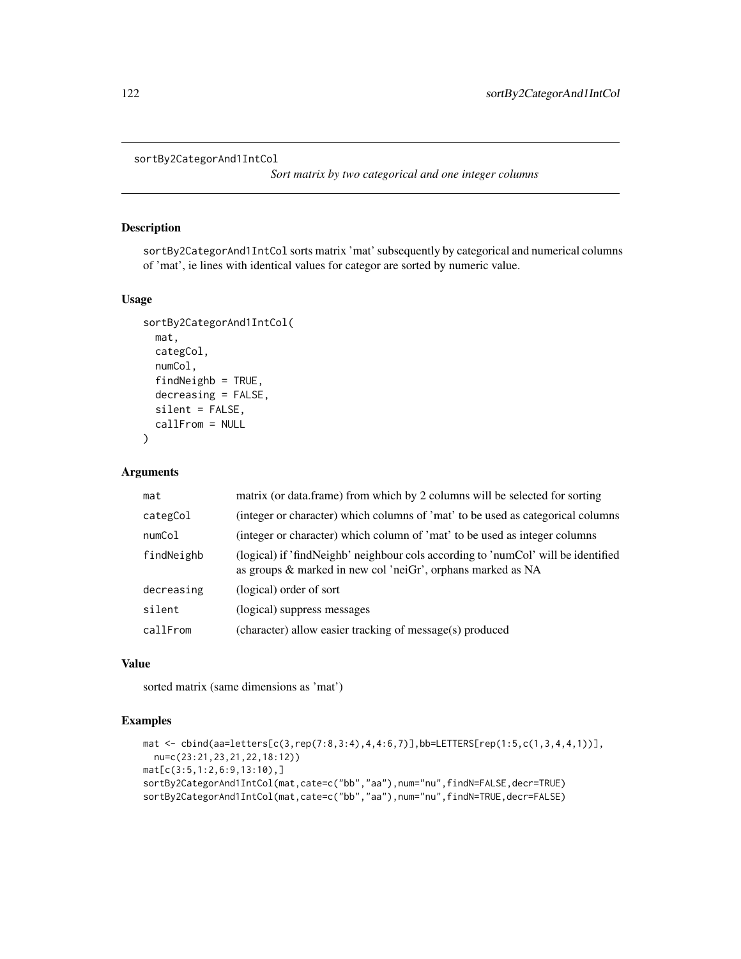```
sortBy2CategorAnd1IntCol
```
*Sort matrix by two categorical and one integer columns*

# Description

sortBy2CategorAnd1IntCol sorts matrix 'mat' subsequently by categorical and numerical columns of 'mat', ie lines with identical values for categor are sorted by numeric value.

# Usage

```
sortBy2CategorAnd1IntCol(
 mat,
  categCol,
 numCol,
  findNeighb = TRUE,
  decreasing = FALSE,
  silent = FALSE,
  callFrom = NULL
\mathcal{L}
```
# Arguments

| mat        | matrix (or data.frame) from which by 2 columns will be selected for sorting                                                                      |
|------------|--------------------------------------------------------------------------------------------------------------------------------------------------|
| categCol   | (integer or character) which columns of 'mat' to be used as categorical columns                                                                  |
| numCol     | (integer or character) which column of 'mat' to be used as integer columns                                                                       |
| findNeighb | (logical) if 'findNeighb' neighbour cols according to 'numCol' will be identified<br>as groups & marked in new col 'neiGr', orphans marked as NA |
| decreasing | (logical) order of sort                                                                                                                          |
| silent     | (logical) suppress messages                                                                                                                      |
| callFrom   | (character) allow easier tracking of message(s) produced                                                                                         |

# Value

sorted matrix (same dimensions as 'mat')

```
mat <- cbind(aa=letters[c(3,rep(7:8,3:4),4,4:6,7)],bb=LETTERS[rep(1:5,c(1,3,4,4,1))],
  nu=c(23:21,23,21,22,18:12))
mat[c(3:5,1:2,6:9,13:10),]
sortBy2CategorAnd1IntCol(mat,cate=c("bb","aa"),num="nu",findN=FALSE,decr=TRUE)
sortBy2CategorAnd1IntCol(mat,cate=c("bb","aa"),num="nu",findN=TRUE,decr=FALSE)
```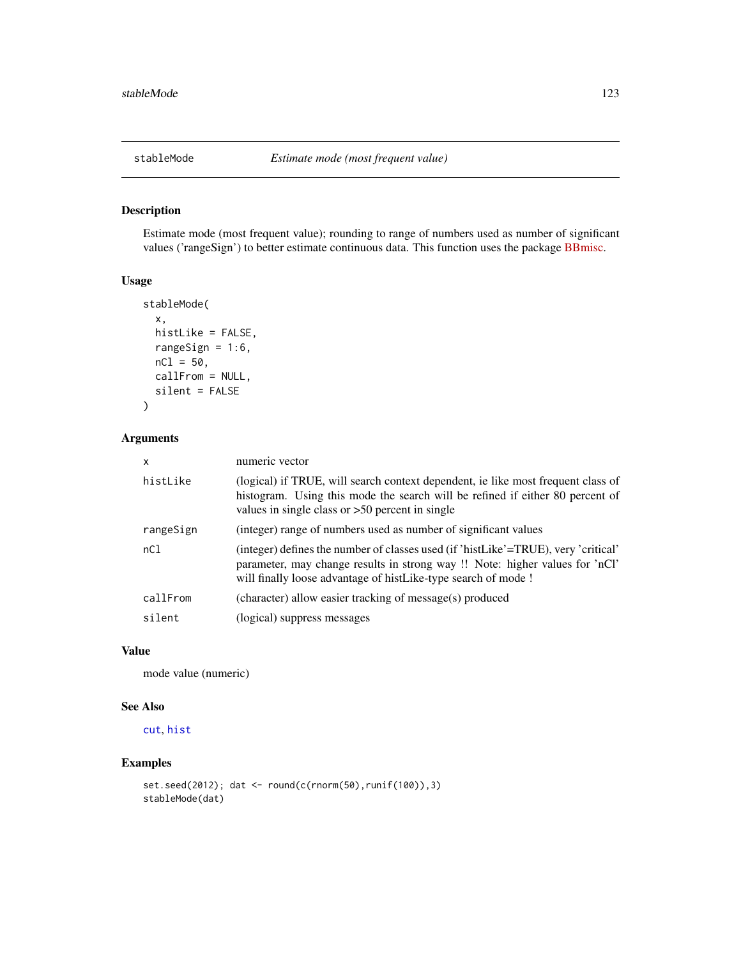<span id="page-122-0"></span>

Estimate mode (most frequent value); rounding to range of numbers used as number of significant values ('rangeSign') to better estimate continuous data. This function uses the package [BBmisc.](https://CRAN.R-project.org/package=BBmisc)

# Usage

```
stableMode(
  x,
 histLike = FALSE,
 rangeSign = 1:6,
 nC1 = 50,
 callFrom = NULL,
  silent = FALSE
)
```
# Arguments

| $\mathsf{x}$ | numeric vector                                                                                                                                                                                                                       |  |
|--------------|--------------------------------------------------------------------------------------------------------------------------------------------------------------------------------------------------------------------------------------|--|
| histLike     | (logical) if TRUE, will search context dependent, ie like most frequent class of<br>histogram. Using this mode the search will be refined if either 80 percent of<br>values in single class or $>50$ percent in single               |  |
| rangeSign    | (integer) range of numbers used as number of significant values                                                                                                                                                                      |  |
| nC1          | (integer) defines the number of classes used (if 'histLike'=TRUE), very 'critical'<br>parameter, may change results in strong way !! Note: higher values for 'nCl'<br>will finally loose advantage of histLike-type search of mode ! |  |
| callFrom     | (character) allow easier tracking of message(s) produced                                                                                                                                                                             |  |
| silent       | (logical) suppress messages                                                                                                                                                                                                          |  |

#### Value

mode value (numeric)

### See Also

[cut](#page-0-0), [hist](#page-0-0)

```
set.seed(2012); dat <- round(c(rnorm(50),runif(100)),3)
stableMode(dat)
```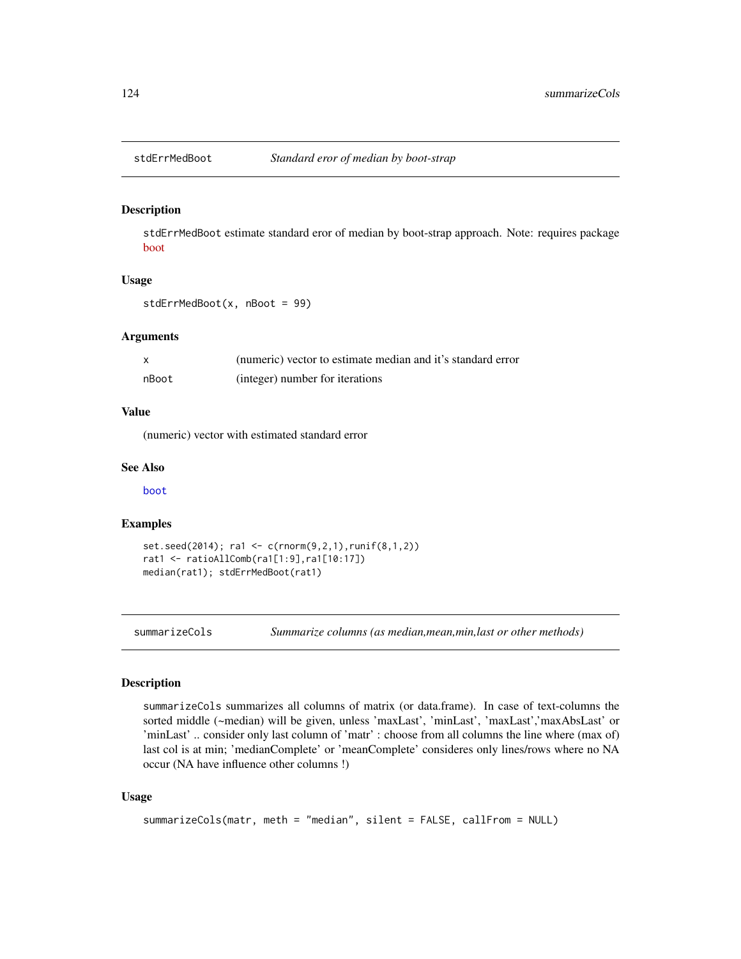<span id="page-123-0"></span>

stdErrMedBoot estimate standard eror of median by boot-strap approach. Note: requires package [boot](https://CRAN.R-project.org/package=boot)

#### Usage

```
stdErrMedBoot(x, nBoot = 99)
```
#### Arguments

|       | (numeric) vector to estimate median and it's standard error |
|-------|-------------------------------------------------------------|
| nBoot | (integer) number for iterations                             |

#### Value

(numeric) vector with estimated standard error

#### See Also

[boot](#page-0-0)

#### Examples

```
set.seed(2014); ra1 <- c(rnorm(9,2,1),runif(8,1,2))
rat1 <- ratioAllComb(ra1[1:9],ra1[10:17])
median(rat1); stdErrMedBoot(rat1)
```
summarizeCols *Summarize columns (as median,mean,min,last or other methods)*

#### Description

summarizeCols summarizes all columns of matrix (or data.frame). In case of text-columns the sorted middle (~median) will be given, unless 'maxLast', 'minLast', 'maxLast','maxAbsLast' or 'minLast' .. consider only last column of 'matr' : choose from all columns the line where (max of) last col is at min; 'medianComplete' or 'meanComplete' consideres only lines/rows where no NA occur (NA have influence other columns !)

## Usage

```
summarizeCols(matr, meth = "median", silent = FALSE, callFrom = NULL)
```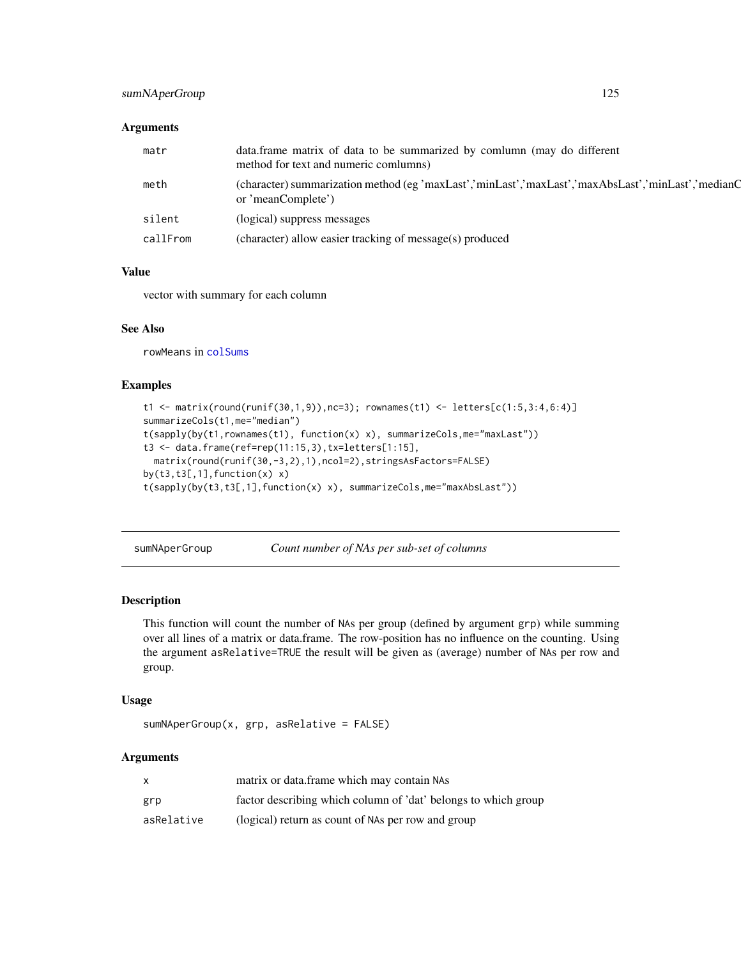# <span id="page-124-0"></span>sumNAperGroup 125

# Arguments

| matr     | data frame matrix of data to be summarized by comlumn (may do different<br>method for text and numeric comlumns)         |
|----------|--------------------------------------------------------------------------------------------------------------------------|
| meth     | (character) summarization method (eg 'maxLast','minLast','maxLast','maxAbsLast','minLast','medianQ<br>or 'meanComplete') |
| silent   | (logical) suppress messages                                                                                              |
| callFrom | (character) allow easier tracking of message(s) produced                                                                 |

#### Value

vector with summary for each column

# See Also

rowMeans in [colSums](#page-0-0)

# Examples

```
t1 <- matrix(round(runif(30,1,9)),nc=3); rownames(t1) <- letters[c(1:5,3:4,6:4)]
summarizeCols(t1,me="median")
t(sapply(by(t1,rownames(t1), function(x) x), summarizeCols,me="maxLast"))
t3 <- data.frame(ref=rep(11:15,3),tx=letters[1:15],
 matrix(round(runif(30,-3,2),1),ncol=2),stringsAsFactors=FALSE)
by(t3,t3[,1], function(x) x)
t(sapply(by(t3,t3[,1],function(x) x), summarizeCols,me="maxAbsLast"))
```
sumNAperGroup *Count number of NAs per sub-set of columns*

# Description

This function will count the number of NAs per group (defined by argument grp) while summing over all lines of a matrix or data.frame. The row-position has no influence on the counting. Using the argument asRelative=TRUE the result will be given as (average) number of NAs per row and group.

# Usage

```
sumNAperGroup(x, grp, asRelative = FALSE)
```
#### Arguments

|            | matrix or data.frame which may contain NAs                     |
|------------|----------------------------------------------------------------|
| grp        | factor describing which column of 'dat' belongs to which group |
| asRelative | (logical) return as count of NAs per row and group             |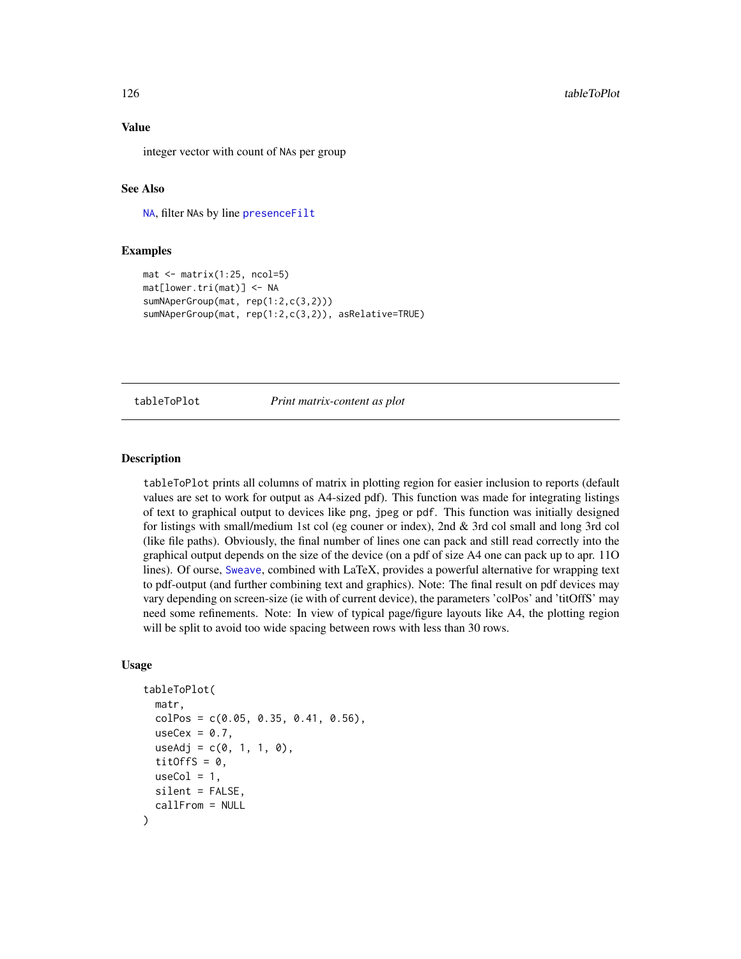# Value

integer vector with count of NAs per group

#### See Also

[NA](#page-0-0), filter NAs by line [presenceFilt](#page-94-0)

#### Examples

```
mat < -matrix(1:25, ncol=5)mat[lower.tri(mat)] <- NA
sumNAperGroup(mat, rep(1:2,c(3,2)))
sumNAperGroup(mat, rep(1:2,c(3,2)), asRelative=TRUE)
```
tableToPlot *Print matrix-content as plot*

# **Description**

tableToPlot prints all columns of matrix in plotting region for easier inclusion to reports (default values are set to work for output as A4-sized pdf). This function was made for integrating listings of text to graphical output to devices like png, jpeg or pdf. This function was initially designed for listings with small/medium 1st col (eg couner or index), 2nd & 3rd col small and long 3rd col (like file paths). Obviously, the final number of lines one can pack and still read correctly into the graphical output depends on the size of the device (on a pdf of size A4 one can pack up to apr. 11O lines). Of ourse, [Sweave](#page-0-0), combined with LaTeX, provides a powerful alternative for wrapping text to pdf-output (and further combining text and graphics). Note: The final result on pdf devices may vary depending on screen-size (ie with of current device), the parameters 'colPos' and 'titOffS' may need some refinements. Note: In view of typical page/figure layouts like A4, the plotting region will be split to avoid too wide spacing between rows with less than 30 rows.

#### Usage

```
tableToPlot(
  matr,
  colPos = c(0.05, 0.35, 0.41, 0.56),
  useCex = 0.7,
  useAdj = c(0, 1, 1, 0),
  titOffS = 0,
  useCol = 1,
  silent = FALSE,
  callFrom = NULL
)
```
<span id="page-125-0"></span>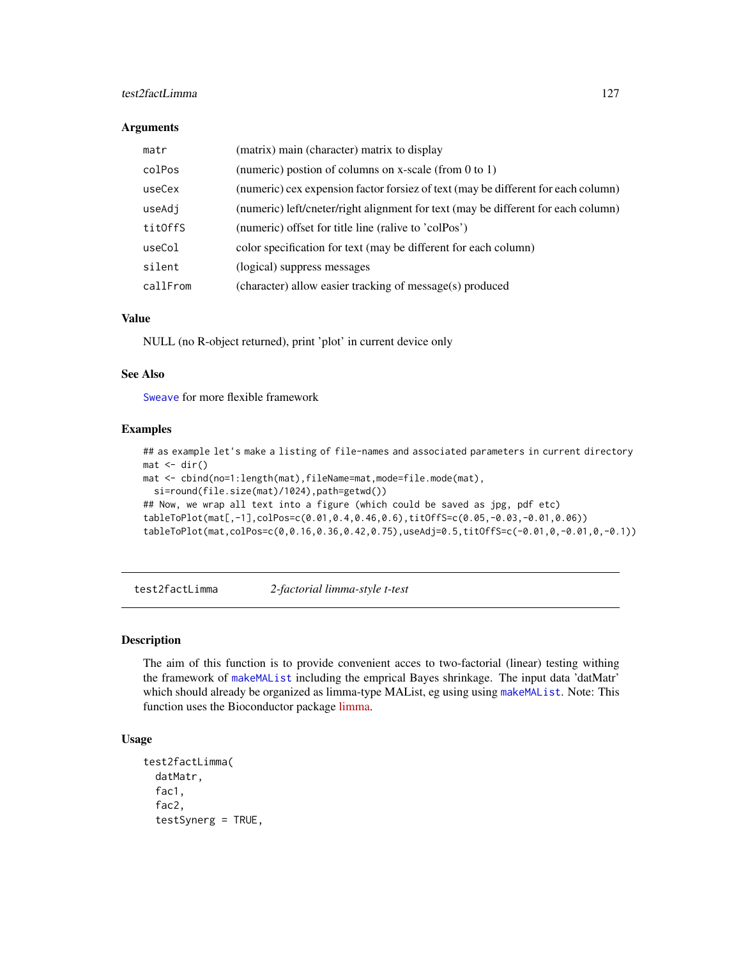# <span id="page-126-1"></span>test2factLimma 127

#### **Arguments**

| matr     | (matrix) main (character) matrix to display                                       |
|----------|-----------------------------------------------------------------------------------|
| colPos   | (numeric) postion of columns on x-scale (from 0 to 1)                             |
| useCex   | (numeric) cex expension factor forsiez of text (may be different for each column) |
| useAdj   | (numeric) left/cneter/right alignment for text (may be different for each column) |
| titOffS  | (numeric) offset for title line (ralive to 'colPos')                              |
| useCol   | color specification for text (may be different for each column)                   |
| silent   | (logical) suppress messages                                                       |
| callFrom | (character) allow easier tracking of message(s) produced                          |

# Value

NULL (no R-object returned), print 'plot' in current device only

#### See Also

[Sweave](#page-0-0) for more flexible framework

# Examples

```
## as example let's make a listing of file-names and associated parameters in current directory
mat < -dir()mat <- cbind(no=1:length(mat),fileName=mat,mode=file.mode(mat),
  si=round(file.size(mat)/1024),path=getwd())
## Now, we wrap all text into a figure (which could be saved as jpg, pdf etc)
tableToPlot(mat[,-1],colPos=c(0.01,0.4,0.46,0.6),titOffS=c(0.05,-0.03,-0.01,0.06))
tableToPlot(mat,colPos=c(0,0.16,0.36,0.42,0.75),useAdj=0.5,titOffS=c(-0.01,0,-0.01,0,-0.1))
```
<span id="page-126-0"></span>test2factLimma *2-factorial limma-style t-test*

# Description

The aim of this function is to provide convenient acces to two-factorial (linear) testing withing the framework of [makeMAList](#page-71-0) including the emprical Bayes shrinkage. The input data 'datMatr' which should already be organized as limma-type MAList, eg using using [makeMAList](#page-71-0). Note: This function uses the Bioconductor package [limma.](https://bioconductor.org/packages/release/bioc/html/limma.html)

# Usage

```
test2factLimma(
  datMatr,
  fac1,
  fac2,
  testSynerg = TRUE,
```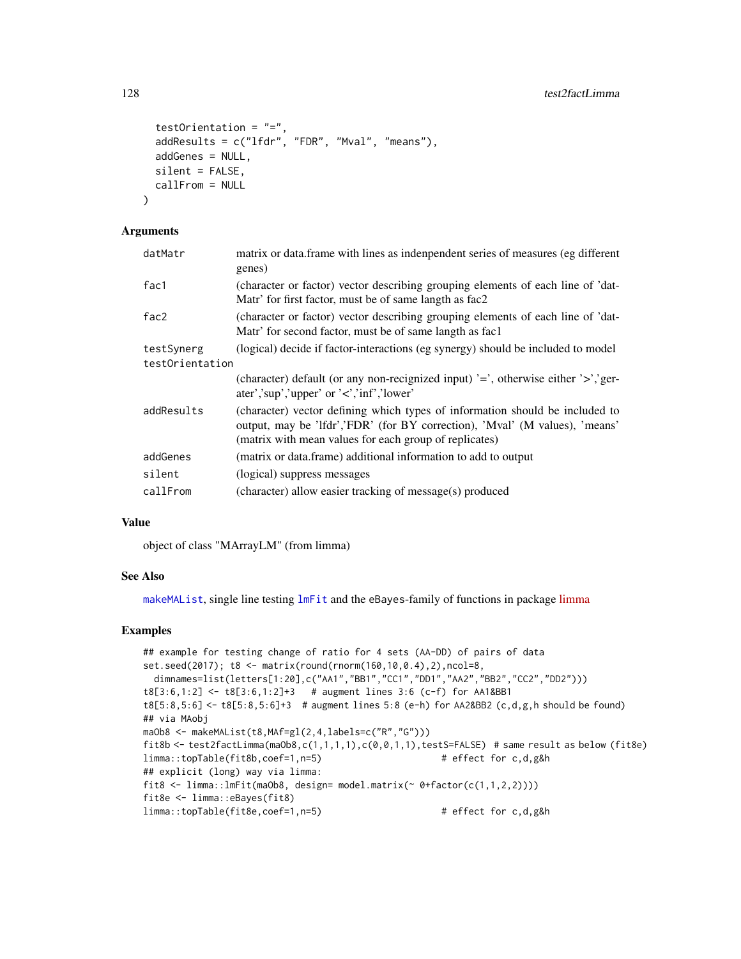```
testOrientation = "=",
  addResults = c("lfdr", "FDR", "Mval", "means"),
  addGenes = NULL,
  silent = FALSE,
  callFrom = NULL
)
```
# Arguments

| datMatr         | matrix or data.frame with lines as indenpendent series of measures (eg different<br>genes)                                                                                                                            |  |
|-----------------|-----------------------------------------------------------------------------------------------------------------------------------------------------------------------------------------------------------------------|--|
| fac1            | (character or factor) vector describing grouping elements of each line of 'dat-<br>Matr' for first factor, must be of same langth as fac2                                                                             |  |
| fac2            | (character or factor) vector describing grouping elements of each line of 'dat-<br>Matr' for second factor, must be of same langth as fac1                                                                            |  |
| testSynerg      | (logical) decide if factor-interactions (eg synergy) should be included to model                                                                                                                                      |  |
| testOrientation |                                                                                                                                                                                                                       |  |
|                 | (character) default (or any non-recignized input) $\equiv$ , otherwise either $\geq$ , ger-<br>ater','sup','upper' or ' $\lt$ ','inf','lower'                                                                         |  |
| addResults      | (character) vector defining which types of information should be included to<br>output, may be 'lfdr','FDR' (for BY correction), 'Mval' (M values), 'means'<br>(matrix with mean values for each group of replicates) |  |
| addGenes        | (matrix or data.frame) additional information to add to output                                                                                                                                                        |  |
| silent          | (logical) suppress messages                                                                                                                                                                                           |  |
| callFrom        | (character) allow easier tracking of message(s) produced                                                                                                                                                              |  |

# Value

object of class "MArrayLM" (from limma)

# See Also

[makeMAList](#page-71-0), single line testing [lmFit](#page-0-0) and the eBayes-family of functions in package [limma](https://bioconductor.org/packages/release/bioc/html/limma.html)

```
## example for testing change of ratio for 4 sets (AA-DD) of pairs of data
set.seed(2017); t8 <- matrix(round(rnorm(160,10,0.4),2),ncol=8,
 dimnames=list(letters[1:20],c("AA1","BB1","CC1","DD1","AA2","BB2","CC2","DD2")))
t8[3:6,1:2] <- t8[3:6,1:2]+3 # augment lines 3:6 (c-f) for AA1&BB1
t8[5:8,5:6] <- t8[5:8,5:6]+3 # augment lines 5:8 (e-h) for AA2&BB2 (c,d,g,h should be found)
## via MAobj
maOb8 <- makeMAList(t8,MAf=gl(2,4,labels=c("R","G")))
fit8b <- test2factLimma(maOb8,c(1,1,1,1),c(0,0,1,1),testS=FALSE) # same result as below (fit8e)
limma::topTable(fit8b,coef=1,n=5) # effect for c,d,g&h
## explicit (long) way via limma:
fit8 <- limma::lmFit(maOb8, design= model.matrix(~ 0+factor(c(1,1,2,2))))
fit8e <- limma::eBayes(fit8)
limma::topTable(fit8e,coef=1,n=5) # effect for c,d,g&h
```
<span id="page-127-0"></span>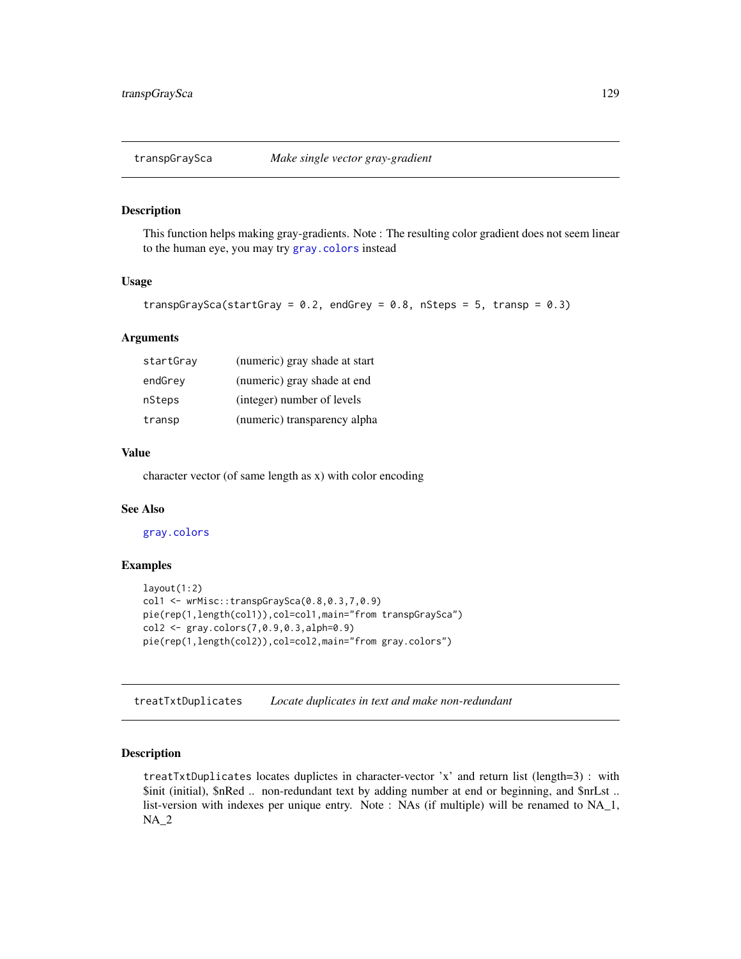<span id="page-128-0"></span>

This function helps making gray-gradients. Note : The resulting color gradient does not seem linear to the human eye, you may try [gray.colors](#page-0-0) instead

#### Usage

```
transpGraySca(startGray = 0.2, endGrey = 0.8, nSteps = 5, transp = 0.3)
```
#### Arguments

| startGray | (numeric) gray shade at start |
|-----------|-------------------------------|
| endGrey   | (numeric) gray shade at end   |
| nSteps    | (integer) number of levels    |
| transp    | (numeric) transparency alpha  |

### Value

character vector (of same length as x) with color encoding

# See Also

[gray.colors](#page-0-0)

# Examples

```
layout(1:2)col1 <- wrMisc::transpGraySca(0.8,0.3,7,0.9)
pie(rep(1,length(col1)),col=col1,main="from transpGraySca")
col2 <- gray.colors(7,0.9,0.3,alph=0.9)
pie(rep(1,length(col2)),col=col2,main="from gray.colors")
```
treatTxtDuplicates *Locate duplicates in text and make non-redundant*

# Description

treatTxtDuplicates locates duplictes in character-vector 'x' and return list (length=3) : with \$init (initial), \$nRed .. non-redundant text by adding number at end or beginning, and \$nrLst .. list-version with indexes per unique entry. Note : NAs (if multiple) will be renamed to NA\_1, NA\_2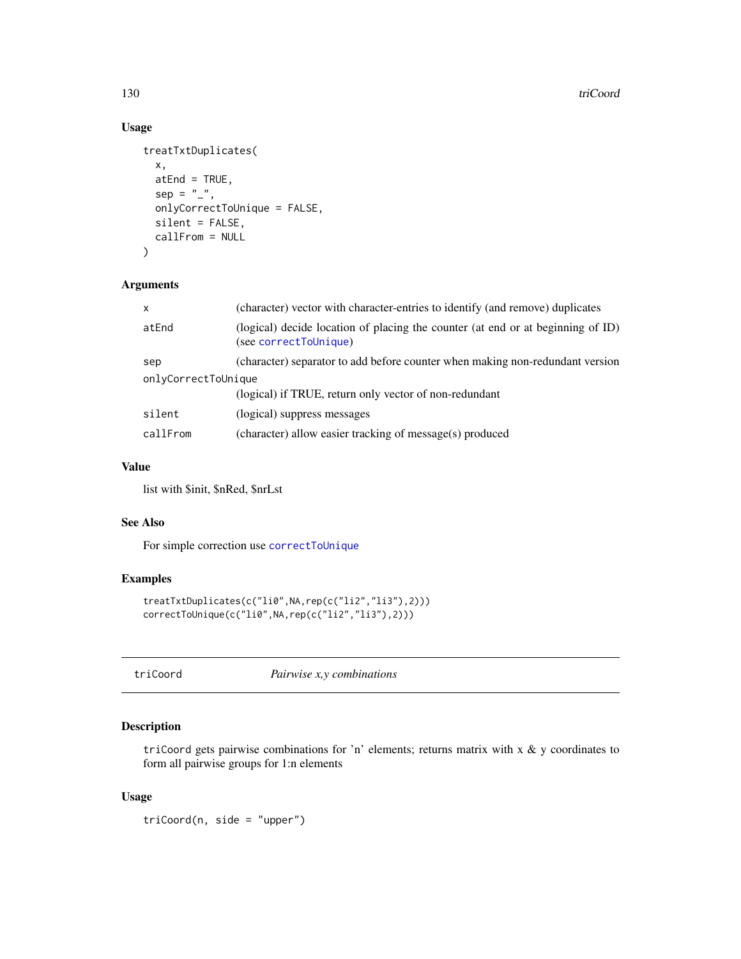# Usage

```
treatTxtDuplicates(
  x,
 atEnd = TRUE,
  sep = "",
 onlyCorrectToUnique = FALSE,
 silent = FALSE,
 callFrom = NULL
)
```
#### Arguments

| $\mathsf{x}$        | (character) vector with character-entries to identify (and remove) duplicates                            |
|---------------------|----------------------------------------------------------------------------------------------------------|
| atEnd               | (logical) decide location of placing the counter (at end or at beginning of ID)<br>(see correctToUnique) |
| sep                 | (character) separator to add before counter when making non-redundant version                            |
| onlyCorrectToUnique |                                                                                                          |
|                     | (logical) if TRUE, return only vector of non-redundant                                                   |
| silent              | (logical) suppress messages                                                                              |
| callFrom            | (character) allow easier tracking of message(s) produced                                                 |

# Value

list with \$init, \$nRed, \$nrLst

# See Also

For simple correction use [correctToUnique](#page-32-0)

# Examples

```
treatTxtDuplicates(c("li0",NA,rep(c("li2","li3"),2)))
correctToUnique(c("li0",NA,rep(c("li2","li3"),2)))
```
<span id="page-129-0"></span>triCoord *Pairwise x,y combinations*

# Description

triCoord gets pairwise combinations for 'n' elements; returns matrix with  $x \& y$  coordinates to form all pairwise groups for 1:n elements

# Usage

triCoord(n, side = "upper")

<span id="page-129-1"></span>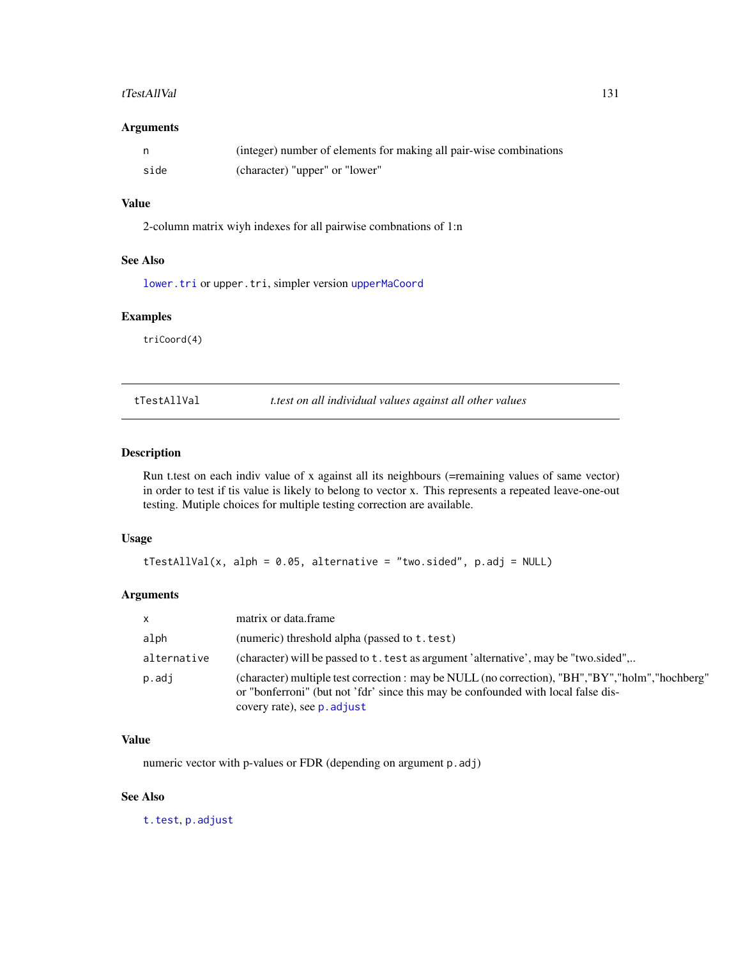#### <span id="page-130-0"></span>tTestAllVal 131

# Arguments

|      | (integer) number of elements for making all pair-wise combinations |
|------|--------------------------------------------------------------------|
| side | (character) "upper" or "lower"                                     |

# Value

2-column matrix wiyh indexes for all pairwise combnations of 1:n

# See Also

[lower.tri](#page-0-0) or upper.tri, simpler version [upperMaCoord](#page-132-0)

# Examples

triCoord(4)

tTestAllVal *t.test on all individual values against all other values*

# Description

Run t.test on each indiv value of x against all its neighbours (=remaining values of same vector) in order to test if tis value is likely to belong to vector x. This represents a repeated leave-one-out testing. Mutiple choices for multiple testing correction are available.

# Usage

tTestAllVal(x, alph = 0.05, alternative = "two.sided", p.adj = NULL)

# Arguments

| $\mathsf{x}$ | matrix or data frame                                                                                                                                                                                                           |
|--------------|--------------------------------------------------------------------------------------------------------------------------------------------------------------------------------------------------------------------------------|
| alph         | (numeric) threshold alpha (passed to t. test)                                                                                                                                                                                  |
| alternative  | (character) will be passed to t. test as argument 'alternative', may be "two.sided"                                                                                                                                            |
| p.adj        | (character) multiple test correction : may be NULL (no correction), "BH", "BY", "holm", "hochberg"<br>or "bonferroni" (but not 'fdr' since this may be confounded with local false dis-<br>covery rate), see <b>p</b> . adjust |

# Value

numeric vector with p-values or FDR (depending on argument p.adj)

# See Also

[t.test](#page-0-0), [p.adjust](#page-0-0)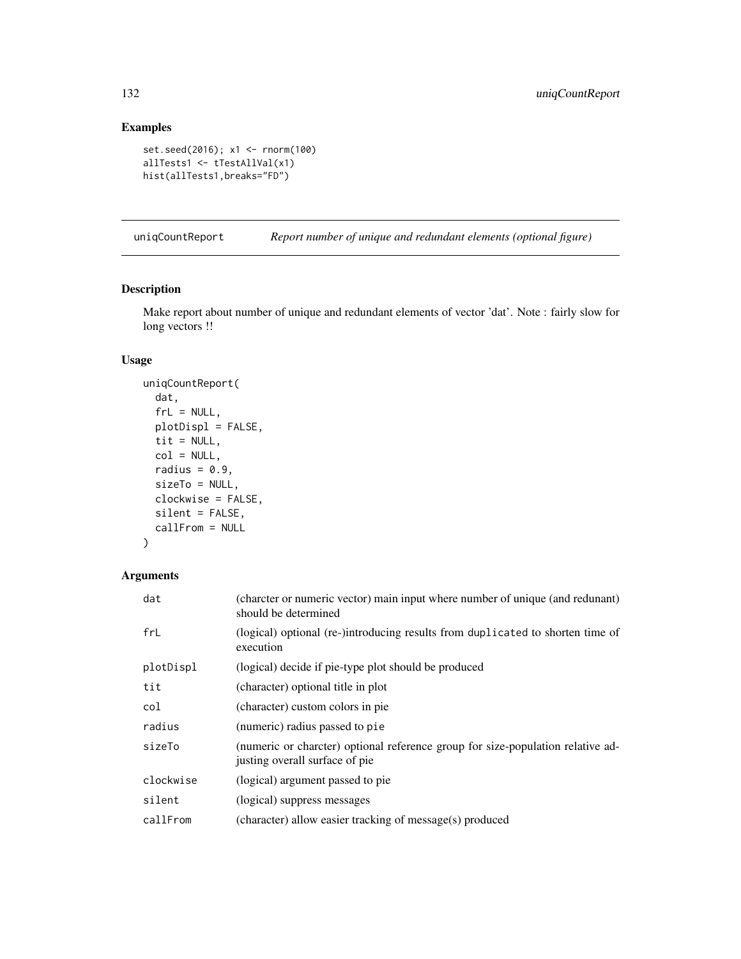# Examples

```
set.seed(2016); x1 <- rnorm(100)
allTests1 <- tTestAllVal(x1)
hist(allTests1,breaks="FD")
```
uniqCountReport *Report number of unique and redundant elements (optional figure)*

# Description

Make report about number of unique and redundant elements of vector 'dat'. Note : fairly slow for long vectors !!

# Usage

```
uniqCountReport(
 dat,
 frL = NULL,plotDispl = FALSE,
 tit = NULL,col = NULL,radius = 0.9,
 sizeTo = NULL,
 clockwise = FALSE,
 silent = FALSE,
 callFrom = NULL
)
```
# Arguments

| dat       | (charcter or numeric vector) main input where number of unique (and redunant)<br>should be determined             |
|-----------|-------------------------------------------------------------------------------------------------------------------|
| frL       | (logical) optional (re-)introducing results from duplicated to shorten time of<br>execution                       |
| plotDispl | (logical) decide if pie-type plot should be produced                                                              |
| tit       | (character) optional title in plot                                                                                |
| col       | (character) custom colors in pie                                                                                  |
| radius    | (numeric) radius passed to pie                                                                                    |
| sizeTo    | (numeric or charcter) optional reference group for size-population relative ad-<br>justing overall surface of pie |
| clockwise | (logical) argument passed to pie                                                                                  |
| silent    | (logical) suppress messages                                                                                       |
| callFrom  | (character) allow easier tracking of message(s) produced                                                          |

<span id="page-131-0"></span>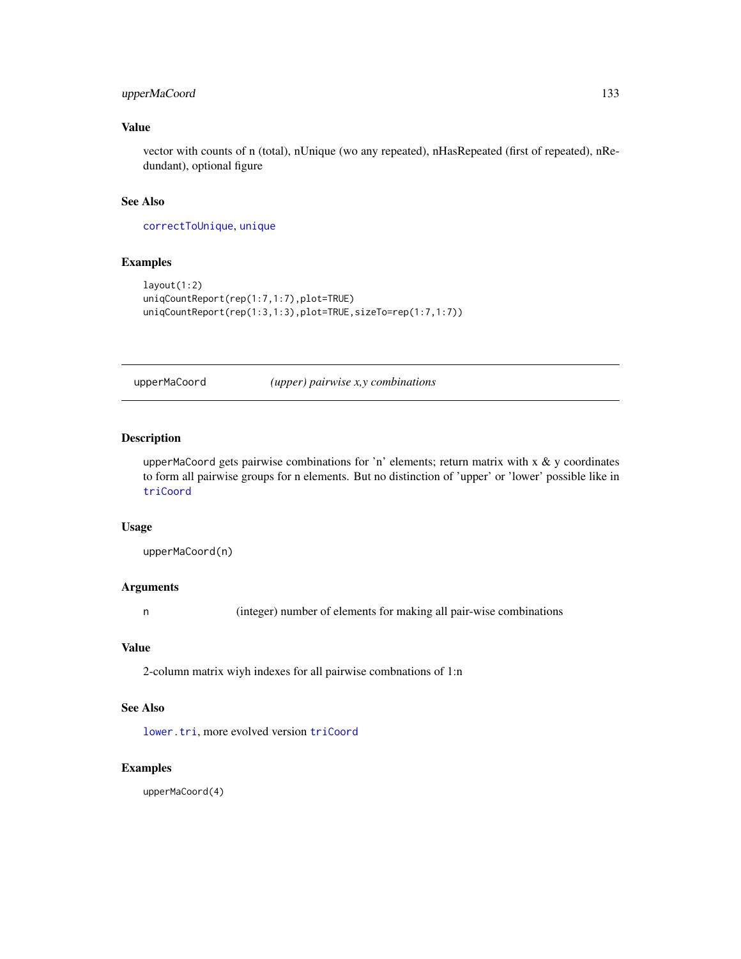# <span id="page-132-1"></span>upperMaCoord 133

# Value

vector with counts of n (total), nUnique (wo any repeated), nHasRepeated (first of repeated), nRedundant), optional figure

## See Also

[correctToUnique](#page-32-0), [unique](#page-0-0)

# Examples

```
layout(1:2)
uniqCountReport(rep(1:7,1:7),plot=TRUE)
uniqCountReport(rep(1:3,1:3),plot=TRUE,sizeTo=rep(1:7,1:7))
```
<span id="page-132-0"></span>upperMaCoord *(upper) pairwise x,y combinations*

# Description

upperMaCoord gets pairwise combinations for 'n' elements; return matrix with x  $\&$  y coordinates to form all pairwise groups for n elements. But no distinction of 'upper' or 'lower' possible like in [triCoord](#page-129-0)

#### Usage

upperMaCoord(n)

#### Arguments

n (integer) number of elements for making all pair-wise combinations

# Value

2-column matrix wiyh indexes for all pairwise combnations of 1:n

# See Also

[lower.tri](#page-0-0), more evolved version [triCoord](#page-129-0)

# Examples

upperMaCoord(4)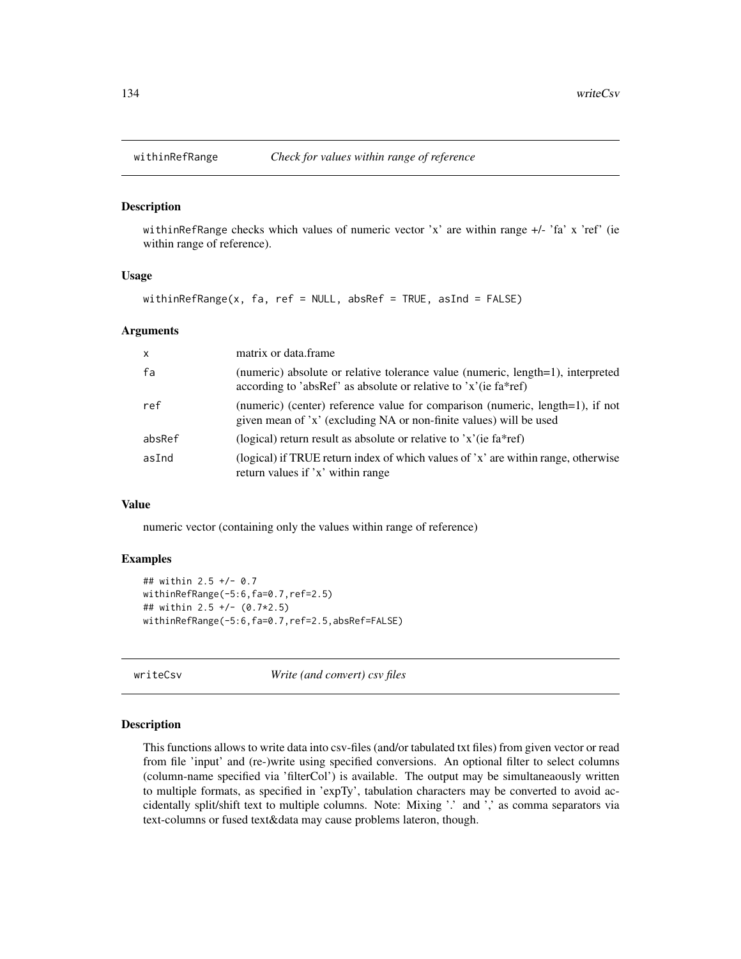<span id="page-133-0"></span>

withinRefRange checks which values of numeric vector 'x' are within range +/- 'fa' x 'ref' (ie within range of reference).

#### Usage

withinRefRange(x, fa, ref = NULL, absRef = TRUE, asInd = FALSE)

#### **Arguments**

| $\mathsf{x}$ | matrix or data.frame                                                                                                                                |
|--------------|-----------------------------------------------------------------------------------------------------------------------------------------------------|
| fa           | (numeric) absolute or relative tolerance value (numeric, length=1), interpreted<br>according to 'absRef' as absolute or relative to 'x'(ie fa*ref)  |
| ref          | (numeric) (center) reference value for comparison (numeric, length=1), if not<br>given mean of 'x' (excluding NA or non-finite values) will be used |
| absRef       | (logical) return result as absolute or relative to $x'(i\epsilon)$ fa*ref)                                                                          |
| asInd        | (logical) if TRUE return index of which values of 'x' are within range, otherwise<br>return values if 'x' within range                              |

#### Value

numeric vector (containing only the values within range of reference)

# Examples

```
## within 2.5 +/- 0.7
withinRefRange(-5:6,fa=0.7,ref=2.5)
## within 2.5 +/- (0.7*2.5)
withinRefRange(-5:6,fa=0.7,ref=2.5,absRef=FALSE)
```
writeCsv *Write (and convert) csv files*

#### Description

This functions allows to write data into csv-files (and/or tabulated txt files) from given vector or read from file 'input' and (re-)write using specified conversions. An optional filter to select columns (column-name specified via 'filterCol') is available. The output may be simultaneaously written to multiple formats, as specified in 'expTy', tabulation characters may be converted to avoid accidentally split/shift text to multiple columns. Note: Mixing '.' and ',' as comma separators via text-columns or fused text&data may cause problems lateron, though.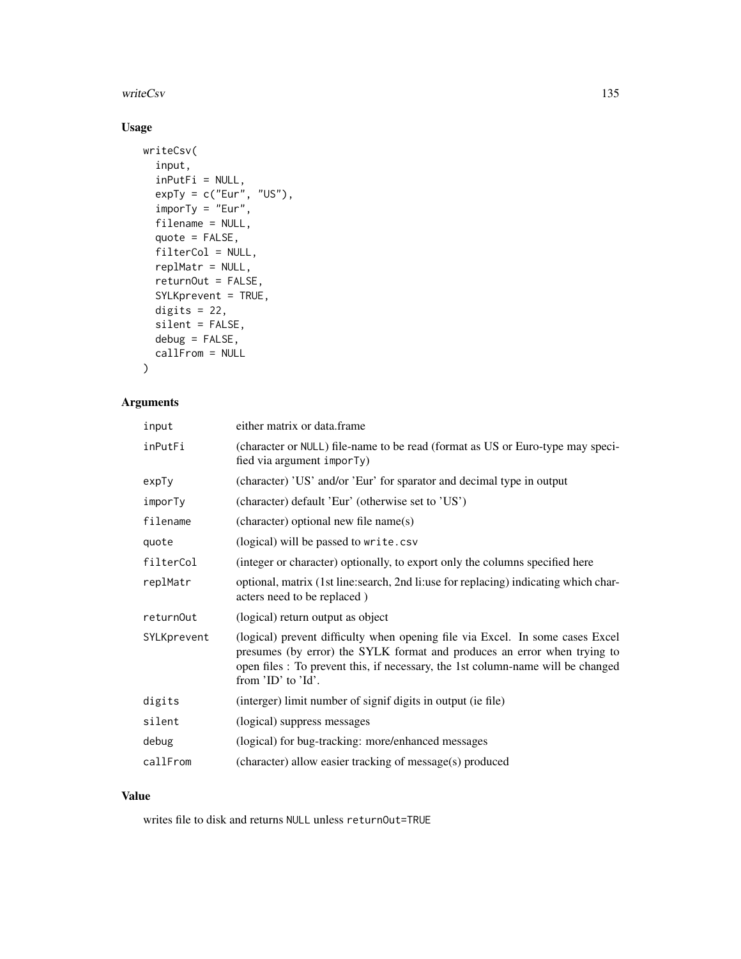#### writeCsv 135

# Usage

```
writeCsv(
  input,
  inPutFi = NULL,expTy = c("Eur", "US"),imporTy = "Eur",
  filename = NULL,
  quote = FALSE,
  filterCol = NULL,
  replMatr = NULL,
  returnOut = FALSE,
  SYLKprevent = TRUE,
 digits = 22,
  silent = FALSE,
 debug = FALSE,
 callFrom = NULL
)
```
# Arguments

| input       | either matrix or data.frame                                                                                                                                                                                                                                        |
|-------------|--------------------------------------------------------------------------------------------------------------------------------------------------------------------------------------------------------------------------------------------------------------------|
| inPutFi     | (character or NULL) file-name to be read (format as US or Euro-type may speci-<br>fied via argument imporTy)                                                                                                                                                       |
| ехрТу       | (character) 'US' and/or 'Eur' for sparator and decimal type in output                                                                                                                                                                                              |
| imporTy     | (character) default 'Eur' (otherwise set to 'US')                                                                                                                                                                                                                  |
| filename    | (character) optional new file name(s)                                                                                                                                                                                                                              |
| quote       | (logical) will be passed to write.csv                                                                                                                                                                                                                              |
| filterCol   | (integer or character) optionally, to export only the columns specified here                                                                                                                                                                                       |
| replMatr    | optional, matrix (1st line: search, 2nd li: use for replacing) indicating which char-<br>acters need to be replaced)                                                                                                                                               |
| returnOut   | (logical) return output as object                                                                                                                                                                                                                                  |
| SYLKprevent | (logical) prevent difficulty when opening file via Excel. In some cases Excel<br>presumes (by error) the SYLK format and produces an error when trying to<br>open files : To prevent this, if necessary, the 1st column-name will be changed<br>from 'ID' to 'Id'. |
| digits      | (interger) limit number of signif digits in output (ie file)                                                                                                                                                                                                       |
| silent      | (logical) suppress messages                                                                                                                                                                                                                                        |
| debug       | (logical) for bug-tracking: more/enhanced messages                                                                                                                                                                                                                 |
| callFrom    | (character) allow easier tracking of message(s) produced                                                                                                                                                                                                           |

#### Value

writes file to disk and returns NULL unless returnOut=TRUE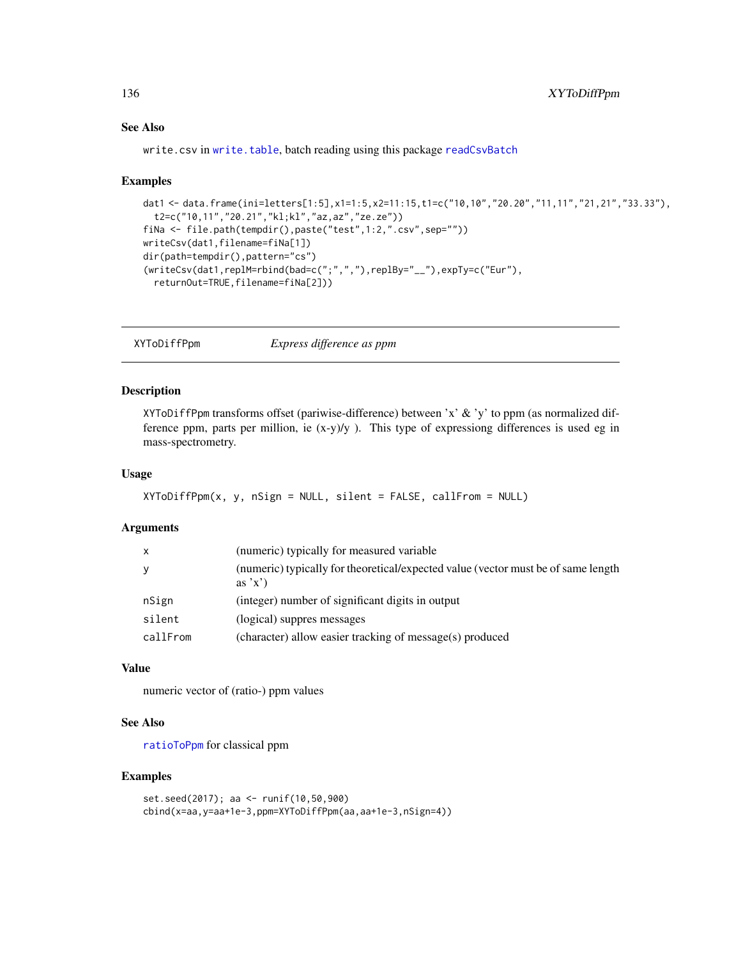# See Also

write.csv in [write.table](#page-0-0), batch reading using this package [readCsvBatch](#page-100-0)

#### Examples

```
dat1 <- data.frame(ini=letters[1:5],x1=1:5,x2=11:15,t1=c("10,10","20.20","11,11","21,21","33.33"),
  t2=c("10,11","20.21","kl;kl","az,az","ze.ze"))
fiNa <- file.path(tempdir(),paste("test",1:2,".csv",sep=""))
writeCsv(dat1,filename=fiNa[1])
dir(path=tempdir(),pattern="cs")
(writeCsv(dat1,replM=rbind(bad=c(";",","),replBy="__"),expTy=c("Eur"),
  returnOut=TRUE,filename=fiNa[2]))
```
XYToDiffPpm *Express difference as ppm*

# Description

XYToDiffPpm transforms offset (pariwise-difference) between 'x' & 'y' to ppm (as normalized difference ppm, parts per million, ie  $(x-y)/y$ ). This type of expressiong differences is used eg in mass-spectrometry.

# Usage

```
XYToDiffPpm(x, y, nSign = NULL, silent = FALSE, callFrom = NULL)
```
# Arguments

| X        | (numeric) typically for measured variable                                                  |
|----------|--------------------------------------------------------------------------------------------|
| y        | (numeric) typically for theoretical/expected value (vector must be of same length<br>as'x' |
| nSign    | (integer) number of significant digits in output                                           |
| silent   | (logical) suppres messages                                                                 |
| callFrom | (character) allow easier tracking of message(s) produced                                   |

#### Value

numeric vector of (ratio-) ppm values

#### See Also

[ratioToPpm](#page-99-0) for classical ppm

```
set.seed(2017); aa <- runif(10,50,900)
cbind(x=aa,y=aa+1e-3,ppm=XYToDiffPpm(aa,aa+1e-3,nSign=4))
```
<span id="page-135-0"></span>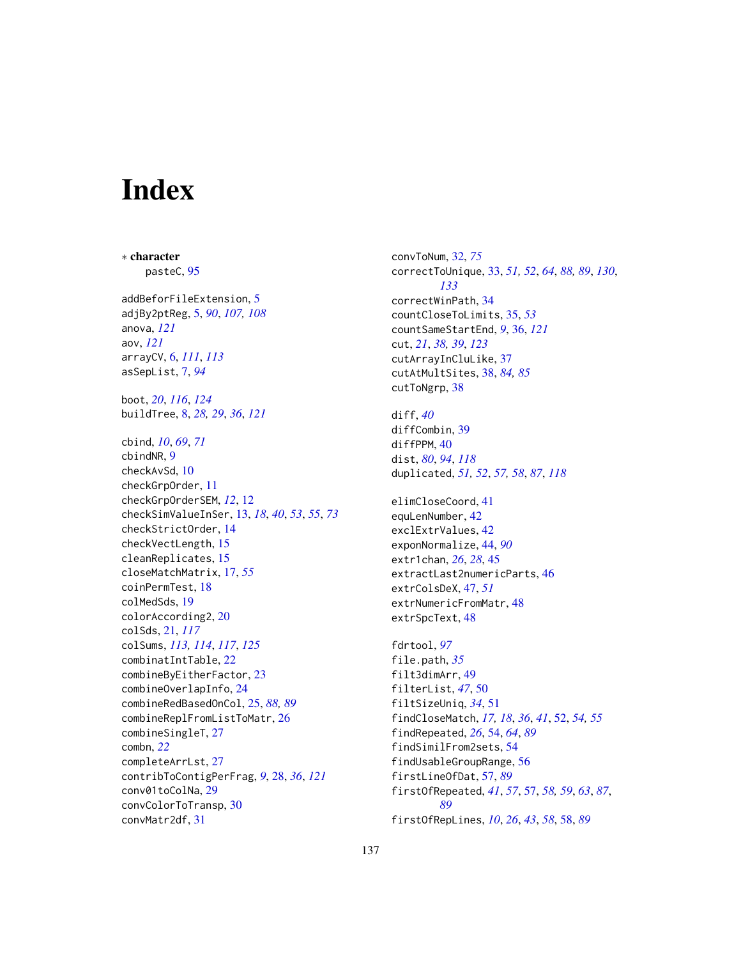# **Index**

∗ character pasteC, [95](#page-94-1) addBeforFileExtension, [5](#page-4-0) adjBy2ptReg, [5,](#page-4-0) *[90](#page-89-0)*, *[107,](#page-106-0) [108](#page-107-0)* anova, *[121](#page-120-0)* aov, *[121](#page-120-0)* arrayCV, [6,](#page-5-1) *[111](#page-110-1)*, *[113](#page-112-1)* asSepList, [7,](#page-6-0) *[94](#page-93-0)* boot, *[20](#page-19-0)*, *[116](#page-115-1)*, *[124](#page-123-0)* buildTree, [8,](#page-7-1) *[28,](#page-27-1) [29](#page-28-0)*, *[36](#page-35-1)*, *[121](#page-120-0)* cbind, *[10](#page-9-0)*, *[69](#page-68-0)*, *[71](#page-70-0)* cbindNR, [9](#page-8-0) checkAvSd, [10](#page-9-0) checkGrpOrder, [11](#page-10-0) checkGrpOrderSEM, *[12](#page-11-0)*, [12](#page-11-0) checkSimValueInSer, [13,](#page-12-0) *[18](#page-17-0)*, *[40](#page-39-0)*, *[53](#page-52-0)*, *[55](#page-54-0)*, *[73](#page-72-0)* checkStrictOrder, [14](#page-13-0) checkVectLength, [15](#page-14-0) cleanReplicates, [15](#page-14-0) closeMatchMatrix, [17,](#page-16-0) *[55](#page-54-0)* coinPermTest, [18](#page-17-0) colMedSds, [19](#page-18-0) colorAccording2, [20](#page-19-0) colSds, [21,](#page-20-1) *[117](#page-116-1)* colSums, *[113,](#page-112-1) [114](#page-113-1)*, *[117](#page-116-1)*, *[125](#page-124-0)* combinatIntTable, [22](#page-21-0) combineByEitherFactor, [23](#page-22-0) combineOverlapInfo, [24](#page-23-0) combineRedBasedOnCol, [25,](#page-24-0) *[88,](#page-87-0) [89](#page-88-0)* combineReplFromListToMatr, [26](#page-25-0) combineSingleT, [27](#page-26-0) combn, *[22](#page-21-0)* completeArrLst, [27](#page-26-0) contribToContigPerFrag, *[9](#page-8-0)*, [28,](#page-27-1) *[36](#page-35-1)*, *[121](#page-120-0)* conv01toColNa, [29](#page-28-0) convColorToTransp, [30](#page-29-0) convMatr2df, [31](#page-30-0)

convToNum, [32,](#page-31-0) *[75](#page-74-0)* correctToUnique, [33,](#page-32-1) *[51,](#page-50-0) [52](#page-51-0)*, *[64](#page-63-0)*, *[88,](#page-87-0) [89](#page-88-0)*, *[130](#page-129-1)*, *[133](#page-132-1)* correctWinPath, [34](#page-33-0) countCloseToLimits, [35,](#page-34-0) *[53](#page-52-0)* countSameStartEnd, *[9](#page-8-0)*, [36,](#page-35-1) *[121](#page-120-0)* cut, *[21](#page-20-1)*, *[38,](#page-37-0) [39](#page-38-0)*, *[123](#page-122-0)* cutArrayInCluLike, [37](#page-36-0) cutAtMultSites, [38,](#page-37-0) *[84,](#page-83-0) [85](#page-84-0)* cutToNgrp, [38](#page-37-0) diff, *[40](#page-39-0)*

diffCombin, [39](#page-38-0) diffPPM, [40](#page-39-0) dist, *[80](#page-79-0)*, *[94](#page-93-0)*, *[118](#page-117-0)* duplicated, *[51,](#page-50-0) [52](#page-51-0)*, *[57,](#page-56-0) [58](#page-57-0)*, *[87](#page-86-0)*, *[118](#page-117-0)*

elimCloseCoord, [41](#page-40-0) equLenNumber, [42](#page-41-0) exclExtrValues, [42](#page-41-0) exponNormalize, [44,](#page-43-0) *[90](#page-89-0)* extr1chan, *[26](#page-25-0)*, *[28](#page-27-1)*, [45](#page-44-0) extractLast2numericParts, [46](#page-45-0) extrColsDeX, [47,](#page-46-0) *[51](#page-50-0)* extrNumericFromMatr, [48](#page-47-0) extrSpcText, [48](#page-47-0)

fdrtool, *[97](#page-96-0)* file.path, *[35](#page-34-0)* filt3dimArr, [49](#page-48-0) filterList, *[47](#page-46-0)*, [50](#page-49-0) filtSizeUniq, *[34](#page-33-0)*, [51](#page-50-0) findCloseMatch, *[17,](#page-16-0) [18](#page-17-0)*, *[36](#page-35-1)*, *[41](#page-40-0)*, [52,](#page-51-0) *[54,](#page-53-0) [55](#page-54-0)* findRepeated, *[26](#page-25-0)*, [54,](#page-53-0) *[64](#page-63-0)*, *[89](#page-88-0)* findSimilFrom2sets, [54](#page-53-0) findUsableGroupRange, [56](#page-55-0) firstLineOfDat, [57,](#page-56-0) *[89](#page-88-0)* firstOfRepeated, *[41](#page-40-0)*, *[57](#page-56-0)*, [57,](#page-56-0) *[58,](#page-57-0) [59](#page-58-0)*, *[63](#page-62-0)*, *[87](#page-86-0)*, *[89](#page-88-0)* firstOfRepLines, *[10](#page-9-0)*, *[26](#page-25-0)*, *[43](#page-42-0)*, *[58](#page-57-0)*, [58,](#page-57-0) *[89](#page-88-0)*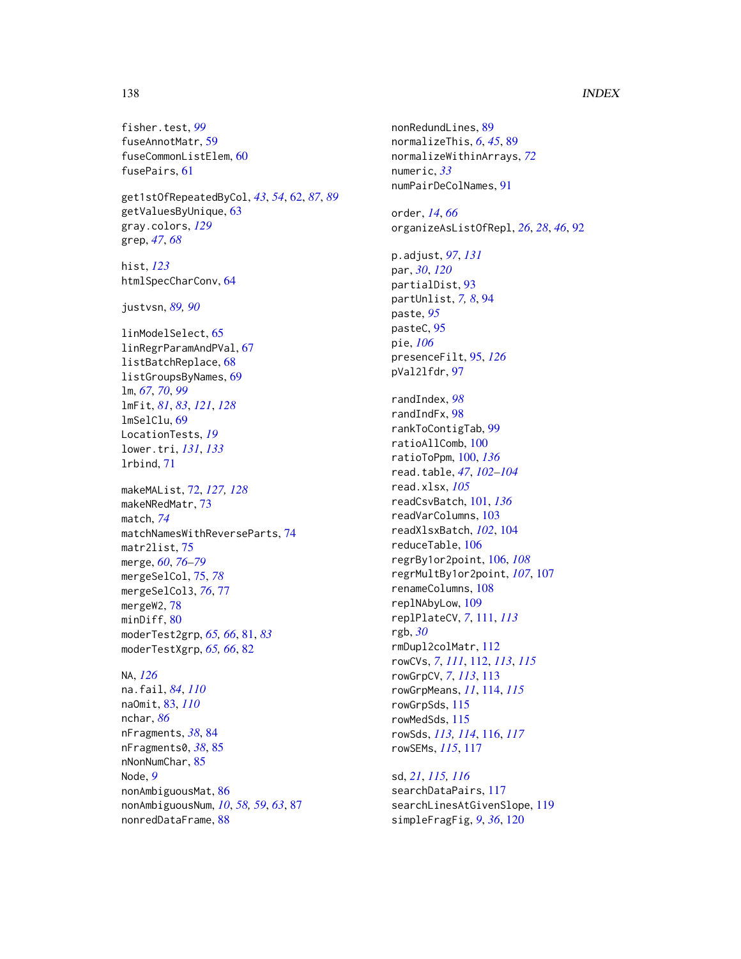#### 138 INDEX

fisher.test, *[99](#page-98-0)* fuseAnnotMatr, [59](#page-58-0) fuseCommonListElem, [60](#page-59-0) fusePairs, [61](#page-60-0)

get1stOfRepeatedByCol, *[43](#page-42-0)*, *[54](#page-53-0)*, [62,](#page-61-0) *[87](#page-86-0)*, *[89](#page-88-0)* getValuesByUnique, [63](#page-62-0) gray.colors, *[129](#page-128-0)* grep, *[47](#page-46-0)*, *[68](#page-67-0)*

hist, *[123](#page-122-0)* htmlSpecCharConv, [64](#page-63-0)

justvsn, *[89,](#page-88-0) [90](#page-89-0)*

linModelSelect, [65](#page-64-0) linRegrParamAndPVal, [67](#page-66-0) listBatchReplace, [68](#page-67-0) listGroupsByNames, [69](#page-68-0) lm, *[67](#page-66-0)*, *[70](#page-69-0)*, *[99](#page-98-0)* lmFit, *[81](#page-80-0)*, *[83](#page-82-1)*, *[121](#page-120-0)*, *[128](#page-127-0)* lmSelClu, [69](#page-68-0) LocationTests, *[19](#page-18-0)* lower.tri, *[131](#page-130-0)*, *[133](#page-132-1)* lrbind, [71](#page-70-0)

makeMAList, [72,](#page-71-1) *[127,](#page-126-1) [128](#page-127-0)* makeNRedMatr, [73](#page-72-0) match, *[74](#page-73-0)* matchNamesWithReverseParts, [74](#page-73-0) matr2list, [75](#page-74-0) merge, *[60](#page-59-0)*, *[76](#page-75-0)[–79](#page-78-0)* mergeSelCol, [75,](#page-74-0) *[78](#page-77-0)* mergeSelCol3, *[76](#page-75-0)*, [77](#page-76-0) mergeW2, [78](#page-77-0) minDiff, [80](#page-79-0) moderTest2grp, *[65,](#page-64-0) [66](#page-65-0)*, [81,](#page-80-0) *[83](#page-82-1)* moderTestXgrp, *[65,](#page-64-0) [66](#page-65-0)*, [82](#page-81-0)

#### NA, *[126](#page-125-0)*

na.fail, *[84](#page-83-0)*, *[110](#page-109-0)* naOmit, [83,](#page-82-1) *[110](#page-109-0)* nchar, *[86](#page-85-0)* nFragments, *[38](#page-37-0)*, [84](#page-83-0) nFragments0, *[38](#page-37-0)*, [85](#page-84-0) nNonNumChar, [85](#page-84-0) Node, *[9](#page-8-0)* nonAmbiguousMat, [86](#page-85-0) nonAmbiguousNum, *[10](#page-9-0)*, *[58,](#page-57-0) [59](#page-58-0)*, *[63](#page-62-0)*, [87](#page-86-0) nonredDataFrame, [88](#page-87-0)

nonRedundLines, [89](#page-88-0) normalizeThis, *[6](#page-5-1)*, *[45](#page-44-0)*, [89](#page-88-0) normalizeWithinArrays, *[72](#page-71-1)* numeric, *[33](#page-32-1)* numPairDeColNames, [91](#page-90-0) order, *[14](#page-13-0)*, *[66](#page-65-0)* organizeAsListOfRepl, *[26](#page-25-0)*, *[28](#page-27-1)*, *[46](#page-45-0)*, [92](#page-91-0) p.adjust, *[97](#page-96-0)*, *[131](#page-130-0)* par, *[30](#page-29-0)*, *[120](#page-119-0)* partialDist, [93](#page-92-0) partUnlist, *[7,](#page-6-0) [8](#page-7-1)*, [94](#page-93-0) paste, *[95](#page-94-1)* pasteC, [95](#page-94-1) pie, *[106](#page-105-0)* presenceFilt, [95,](#page-94-1) *[126](#page-125-0)* pVal2lfdr, [97](#page-96-0) randIndex, *[98](#page-97-0)* randIndFx, [98](#page-97-0) rankToContigTab, [99](#page-98-0) ratioAllComb, [100](#page-99-1) ratioToPpm, [100,](#page-99-1) *[136](#page-135-0)* read.table, *[47](#page-46-0)*, *[102](#page-101-0)[–104](#page-103-0)* read.xlsx, *[105](#page-104-0)* readCsvBatch, [101,](#page-100-1) *[136](#page-135-0)* readVarColumns, [103](#page-102-0) readXlsxBatch, *[102](#page-101-0)*, [104](#page-103-0) reduceTable, [106](#page-105-0) regrBy1or2point, [106,](#page-105-0) *[108](#page-107-0)* regrMultBy1or2point, *[107](#page-106-0)*, [107](#page-106-0) renameColumns, [108](#page-107-0) replNAbyLow, [109](#page-108-0) replPlateCV, *[7](#page-6-0)*, [111,](#page-110-1) *[113](#page-112-1)* rgb, *[30](#page-29-0)* rmDupl2colMatr, [112](#page-111-1) rowCVs, *[7](#page-6-0)*, *[111](#page-110-1)*, [112,](#page-111-1) *[113](#page-112-1)*, *[115](#page-114-0)* rowGrpCV, *[7](#page-6-0)*, *[113](#page-112-1)*, [113](#page-112-1) rowGrpMeans, *[11](#page-10-0)*, [114,](#page-113-1) *[115](#page-114-0)* rowGrpSds, [115](#page-114-0) rowMedSds, [115](#page-114-0) rowSds, *[113,](#page-112-1) [114](#page-113-1)*, [116,](#page-115-1) *[117](#page-116-1)* rowSEMs, *[115](#page-114-0)*, [117](#page-116-1)

sd, *[21](#page-20-1)*, *[115,](#page-114-0) [116](#page-115-1)* searchDataPairs, [117](#page-116-1) searchLinesAtGivenSlope, [119](#page-118-0) simpleFragFig, *[9](#page-8-0)*, *[36](#page-35-1)*, [120](#page-119-0)